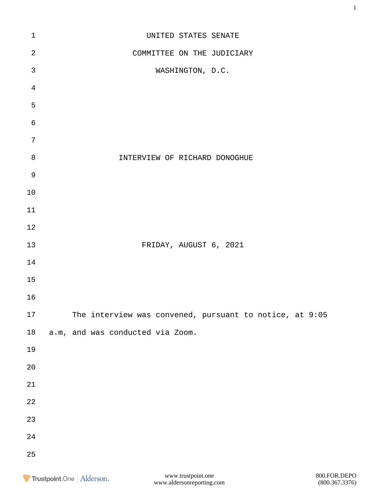| $\mathbf 1$    | UNITED STATES SENATE                                    |
|----------------|---------------------------------------------------------|
| $\overline{2}$ | COMMITTEE ON THE JUDICIARY                              |
| $\mathfrak{Z}$ | WASHINGTON, D.C.                                        |
| $\overline{4}$ |                                                         |
| 5              |                                                         |
| $\epsilon$     |                                                         |
| $\overline{7}$ |                                                         |
| $\,8\,$        | INTERVIEW OF RICHARD DONOGHUE                           |
| $\mathsf 9$    |                                                         |
| $10$           |                                                         |
| 11             |                                                         |
| 12             |                                                         |
| 13             | FRIDAY, AUGUST 6, 2021                                  |
| 14             |                                                         |
| 15             |                                                         |
| 16             |                                                         |
| 17             | The interview was convened, pursuant to notice, at 9:05 |
| $18$           | a.m, and was conducted via Zoom.                        |
| 19             |                                                         |
| $20\,$         |                                                         |
| $2\sqrt{1}$    |                                                         |
| $2\sqrt{2}$    |                                                         |
| 23             |                                                         |
| $2\sqrt{4}$    |                                                         |
| 25             |                                                         |
|                |                                                         |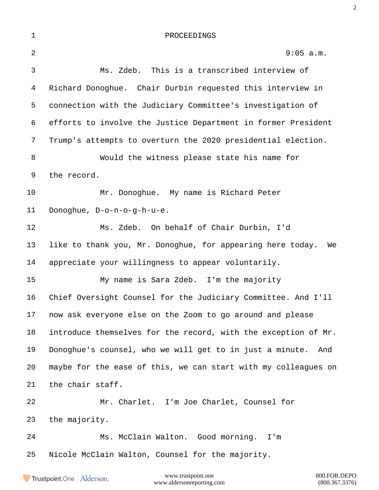| $1\,$ | PROCEEDINGS                                                      |
|-------|------------------------------------------------------------------|
| 2     | 9:05 a.m.                                                        |
| 3     | Ms. Zdeb. This is a transcribed interview of                     |
| 4     | Richard Donoghue. Chair Durbin requested this interview in       |
| 5     | connection with the Judiciary Committee's investigation of       |
| 6     | efforts to involve the Justice Department in former President    |
| 7     | Trump's attempts to overturn the 2020 presidential election.     |
| 8     | Would the witness please state his name for                      |
| 9     | the record.                                                      |
| 10    | Mr. Donoghue. My name is Richard Peter                           |
| 11    | Donoghue, D-o-n-o-g-h-u-e.                                       |
| 12    | Ms. Zdeb. On behalf of Chair Durbin, I'd                         |
| 13    | like to thank you, Mr. Donoghue, for appearing here today.<br>We |
| 14    | appreciate your willingness to appear voluntarily.               |
| 15    | My name is Sara Zdeb. I'm the majority                           |
| 16    | Chief Oversight Counsel for the Judiciary Committee. And I'll    |
| 17    | now ask everyone else on the Zoom to go around and please        |
| 18    | introduce themselves for the record, with the exception of Mr.   |
| 19    | Donoghue's counsel, who we will get to in just a minute.<br>And  |
| 20    | maybe for the ease of this, we can start with my colleagues on   |
| 21    | the chair staff.                                                 |
| 22    | Mr. Charlet. I'm Joe Charlet, Counsel for                        |
| 23    | the majority.                                                    |
| 24    | Ms. McClain Walton. Good morning.<br>I'm                         |
| 25    | Nicole McClain Walton, Counsel for the majority.                 |

Trustpoint.One | Alderson.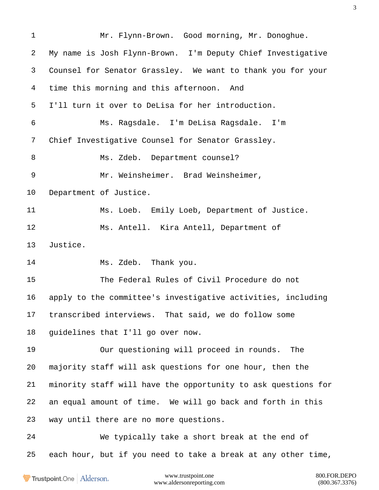| $\mathbf 1$ | Mr. Flynn-Brown. Good morning, Mr. Donoghue.                  |
|-------------|---------------------------------------------------------------|
| 2           | My name is Josh Flynn-Brown. I'm Deputy Chief Investigative   |
| 3           | Counsel for Senator Grassley. We want to thank you for your   |
| 4           | time this morning and this afternoon. And                     |
| 5           | I'll turn it over to DeLisa for her introduction.             |
| 6           | Ms. Ragsdale. I'm DeLisa Ragsdale. I'm                        |
| 7           | Chief Investigative Counsel for Senator Grassley.             |
| 8           | Ms. Zdeb. Department counsel?                                 |
| 9           | Mr. Weinsheimer. Brad Weinsheimer,                            |
| 10          | Department of Justice.                                        |
| 11          | Ms. Loeb. Emily Loeb, Department of Justice.                  |
| 12          | Ms. Antell. Kira Antell, Department of                        |
| 13          | Justice.                                                      |
| 14          | Ms. Zdeb. Thank you.                                          |
| 15          | The Federal Rules of Civil Procedure do not                   |
| 16          | apply to the committee's investigative activities, including  |
| 17          | transcribed interviews. That said, we do follow some          |
| 18          | guidelines that I'll go over now.                             |
| 19          | Our questioning will proceed in rounds.<br>The                |
| 20          | majority staff will ask questions for one hour, then the      |
| 21          | minority staff will have the opportunity to ask questions for |
| 22          | an equal amount of time. We will go back and forth in this    |
| 23          | way until there are no more questions.                        |
| 24          | We typically take a short break at the end of                 |
| 25          | each hour, but if you need to take a break at any other time, |
|             |                                                               |

Trustpoint.One | Alderson.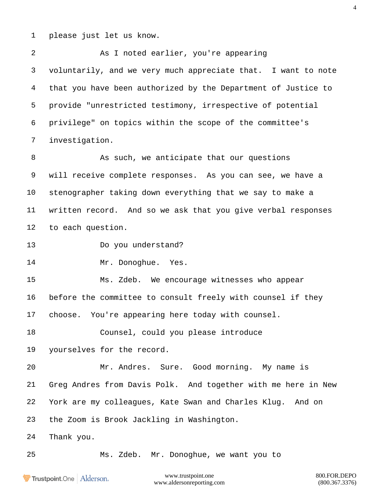please just let us know.

 As I noted earlier, you're appearing voluntarily, and we very much appreciate that. I want to note that you have been authorized by the Department of Justice to provide "unrestricted testimony, irrespective of potential privilege" on topics within the scope of the committee's investigation.

8 As such, we anticipate that our questions will receive complete responses. As you can see, we have a stenographer taking down everything that we say to make a written record. And so we ask that you give verbal responses to each question.

Do you understand?

14 Mr. Donoghue. Yes.

 Ms. Zdeb. We encourage witnesses who appear before the committee to consult freely with counsel if they choose. You're appearing here today with counsel.

Counsel, could you please introduce

yourselves for the record.

 Mr. Andres. Sure. Good morning. My name is Greg Andres from Davis Polk. And together with me here in New York are my colleagues, Kate Swan and Charles Klug. And on the Zoom is Brook Jackling in Washington.

Thank you.

Ms. Zdeb. Mr. Donoghue, we want you to

Trustpoint.One Alderson.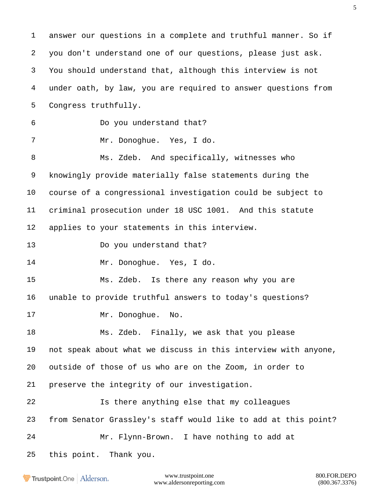answer our questions in a complete and truthful manner. So if you don't understand one of our questions, please just ask. You should understand that, although this interview is not under oath, by law, you are required to answer questions from Congress truthfully. Do you understand that? Mr. Donoghue. Yes, I do. Ms. Zdeb. And specifically, witnesses who knowingly provide materially false statements during the course of a congressional investigation could be subject to criminal prosecution under 18 USC 1001. And this statute applies to your statements in this interview. Do you understand that? Mr. Donoghue. Yes, I do. Ms. Zdeb. Is there any reason why you are unable to provide truthful answers to today's questions? 17 Mr. Donoghue. No. Ms. Zdeb. Finally, we ask that you please not speak about what we discuss in this interview with anyone, outside of those of us who are on the Zoom, in order to preserve the integrity of our investigation. Is there anything else that my colleagues from Senator Grassley's staff would like to add at this point? Mr. Flynn-Brown. I have nothing to add at this point. Thank you.

Trustpoint.One Alderson.

www.trustpoint.one 800.FOR.DEPO www.aldersonreporting.com (800.367.3376)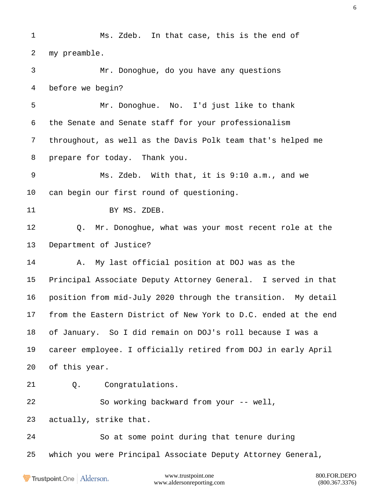Ms. Zdeb. In that case, this is the end of my preamble. Mr. Donoghue, do you have any questions before we begin? Mr. Donoghue. No. I'd just like to thank the Senate and Senate staff for your professionalism throughout, as well as the Davis Polk team that's helped me prepare for today. Thank you. Ms. Zdeb. With that, it is 9:10 a.m., and we can begin our first round of questioning. BY MS. ZDEB. Q. Mr. Donoghue, what was your most recent role at the Department of Justice? A. My last official position at DOJ was as the Principal Associate Deputy Attorney General. I served in that position from mid-July 2020 through the transition. My detail from the Eastern District of New York to D.C. ended at the end of January. So I did remain on DOJ's roll because I was a career employee. I officially retired from DOJ in early April of this year. Q. Congratulations. So working backward from your -- well, actually, strike that. So at some point during that tenure during which you were Principal Associate Deputy Attorney General,

Trustpoint.One Alderson.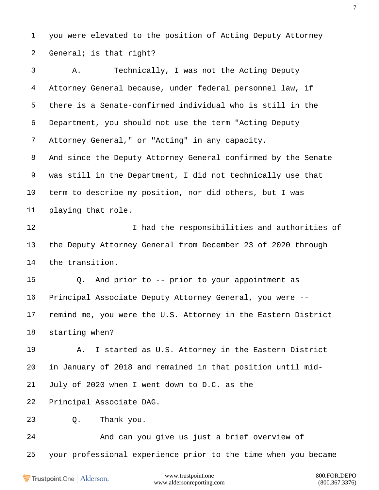you were elevated to the position of Acting Deputy Attorney General; is that right?

 A. Technically, I was not the Acting Deputy Attorney General because, under federal personnel law, if there is a Senate-confirmed individual who is still in the Department, you should not use the term "Acting Deputy Attorney General," or "Acting" in any capacity. And since the Deputy Attorney General confirmed by the Senate was still in the Department, I did not technically use that term to describe my position, nor did others, but I was playing that role. 12 I had the responsibilities and authorities of the Deputy Attorney General from December 23 of 2020 through the transition. Q. And prior to -- prior to your appointment as Principal Associate Deputy Attorney General, you were -- remind me, you were the U.S. Attorney in the Eastern District starting when? A. I started as U.S. Attorney in the Eastern District in January of 2018 and remained in that position until mid- July of 2020 when I went down to D.C. as the Principal Associate DAG. Q. Thank you. And can you give us just a brief overview of your professional experience prior to the time when you became

Trustpoint.One Alderson.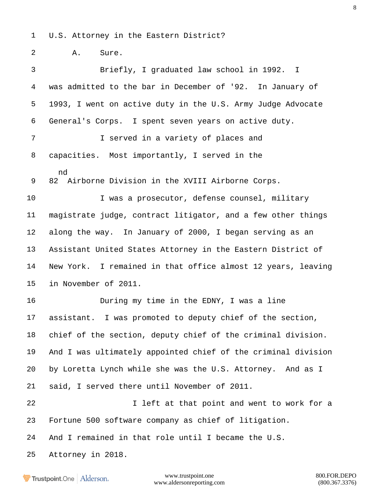U.S. Attorney in the Eastern District?

A. Sure.

 Briefly, I graduated law school in 1992. I was admitted to the bar in December of '92. In January of 1993, I went on active duty in the U.S. Army Judge Advocate General's Corps. I spent seven years on active duty. I served in a variety of places and capacities. Most importantly, I served in the nd 82 Airborne Division in the XVIII Airborne Corps. I was a prosecutor, defense counsel, military magistrate judge, contract litigator, and a few other things along the way. In January of 2000, I began serving as an Assistant United States Attorney in the Eastern District of New York. I remained in that office almost 12 years, leaving in November of 2011. During my time in the EDNY, I was a line assistant. I was promoted to deputy chief of the section, chief of the section, deputy chief of the criminal division. And I was ultimately appointed chief of the criminal division by Loretta Lynch while she was the U.S. Attorney. And as I said, I served there until November of 2011. 22 I left at that point and went to work for a Fortune 500 software company as chief of litigation. And I remained in that role until I became the U.S. Attorney in 2018.

Trustpoint.One Alderson.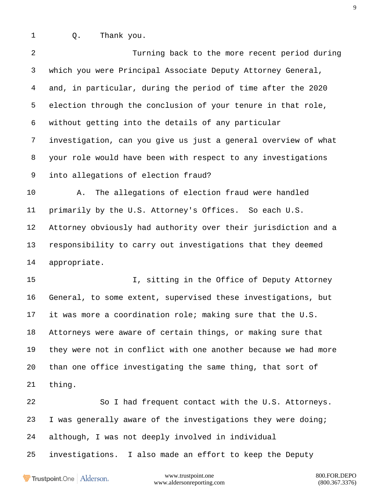Q. Thank you.

| $\overline{2}$ | Turning back to the more recent period during                  |
|----------------|----------------------------------------------------------------|
| 3              | which you were Principal Associate Deputy Attorney General,    |
| 4              | and, in particular, during the period of time after the 2020   |
| 5              | election through the conclusion of your tenure in that role,   |
| 6              | without getting into the details of any particular             |
| 7              | investigation, can you give us just a general overview of what |
| 8              | your role would have been with respect to any investigations   |
| 9              | into allegations of election fraud?                            |
| 10             | The allegations of election fraud were handled<br>Α.           |
| 11             | primarily by the U.S. Attorney's Offices. So each U.S.         |
| 12             | Attorney obviously had authority over their jurisdiction and a |
| 13             | responsibility to carry out investigations that they deemed    |
| 14             | appropriate.                                                   |
| 15             | I, sitting in the Office of Deputy Attorney                    |
| 16             | General, to some extent, supervised these investigations, but  |
| 17             | it was more a coordination role; making sure that the U.S.     |
| 18             | Attorneys were aware of certain things, or making sure that    |
| 19             | they were not in conflict with one another because we had more |
| 20             | than one office investigating the same thing, that sort of     |
| 21             | thing.                                                         |
| 22             | So I had frequent contact with the U.S. Attorneys.             |
| 23             | I was generally aware of the investigations they were doing;   |
| 24             | although, I was not deeply involved in individual              |

investigations. I also made an effort to keep the Deputy

Trustpoint.One | Alderson.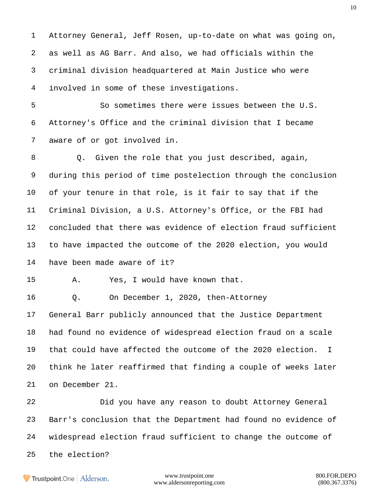Attorney General, Jeff Rosen, up-to-date on what was going on, as well as AG Barr. And also, we had officials within the criminal division headquartered at Main Justice who were involved in some of these investigations.

 So sometimes there were issues between the U.S. Attorney's Office and the criminal division that I became aware of or got involved in.

 Q. Given the role that you just described, again, during this period of time postelection through the conclusion of your tenure in that role, is it fair to say that if the Criminal Division, a U.S. Attorney's Office, or the FBI had concluded that there was evidence of election fraud sufficient to have impacted the outcome of the 2020 election, you would have been made aware of it?

A. Yes, I would have known that.

Q. On December 1, 2020, then-Attorney

 General Barr publicly announced that the Justice Department had found no evidence of widespread election fraud on a scale that could have affected the outcome of the 2020 election. I think he later reaffirmed that finding a couple of weeks later on December 21.

 Did you have any reason to doubt Attorney General Barr's conclusion that the Department had found no evidence of widespread election fraud sufficient to change the outcome of the election?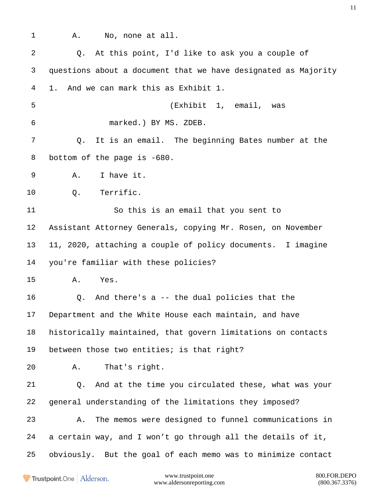A. No, none at all. Q. At this point, I'd like to ask you a couple of questions about a document that we have designated as Majority 1. And we can mark this as Exhibit 1. (Exhibit 1, email, was marked.) BY MS. ZDEB. Q. It is an email. The beginning Bates number at the 8 bottom of the page is -680. A. I have it. Q. Terrific. So this is an email that you sent to Assistant Attorney Generals, copying Mr. Rosen, on November 11, 2020, attaching a couple of policy documents. I imagine you're familiar with these policies? A. Yes. Q. And there's a -- the dual policies that the Department and the White House each maintain, and have historically maintained, that govern limitations on contacts between those two entities; is that right? A. That's right. Q. And at the time you circulated these, what was your general understanding of the limitations they imposed? A. The memos were designed to funnel communications in a certain way, and I won't go through all the details of it, obviously. But the goal of each memo was to minimize contact

Trustpoint.One Alderson.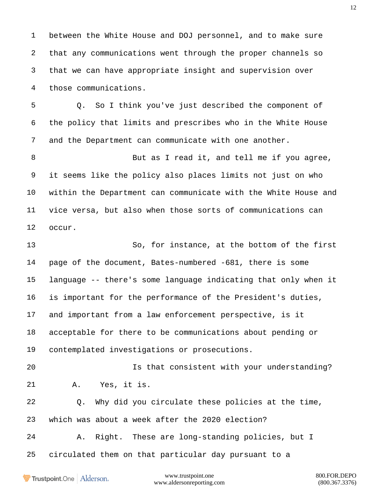between the White House and DOJ personnel, and to make sure that any communications went through the proper channels so that we can have appropriate insight and supervision over those communications.

 Q. So I think you've just described the component of the policy that limits and prescribes who in the White House and the Department can communicate with one another.

8 But as I read it, and tell me if you agree, it seems like the policy also places limits not just on who within the Department can communicate with the White House and vice versa, but also when those sorts of communications can occur.

 So, for instance, at the bottom of the first page of the document, Bates-numbered -681, there is some language -- there's some language indicating that only when it is important for the performance of the President's duties, and important from a law enforcement perspective, is it acceptable for there to be communications about pending or contemplated investigations or prosecutions.

 Is that consistent with your understanding? A. Yes, it is.

 Q. Why did you circulate these policies at the time, which was about a week after the 2020 election?

A. Right. These are long-standing policies, but I

circulated them on that particular day pursuant to a

Trustpoint.One Alderson.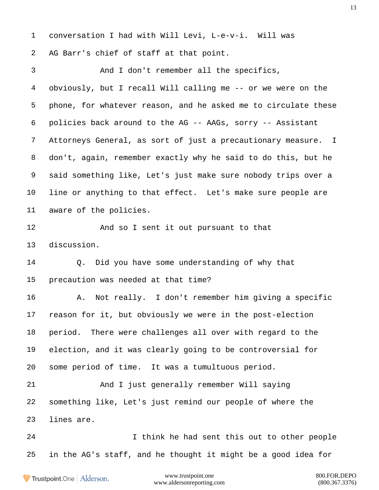conversation I had with Will Levi, L-e-v-i. Will was AG Barr's chief of staff at that point. And I don't remember all the specifics, obviously, but I recall Will calling me -- or we were on the phone, for whatever reason, and he asked me to circulate these policies back around to the AG -- AAGs, sorry -- Assistant Attorneys General, as sort of just a precautionary measure. I don't, again, remember exactly why he said to do this, but he said something like, Let's just make sure nobody trips over a line or anything to that effect. Let's make sure people are aware of the policies. And so I sent it out pursuant to that discussion. Q. Did you have some understanding of why that precaution was needed at that time? A. Not really. I don't remember him giving a specific reason for it, but obviously we were in the post-election period. There were challenges all over with regard to the election, and it was clearly going to be controversial for some period of time. It was a tumultuous period. And I just generally remember Will saying something like, Let's just remind our people of where the lines are. I think he had sent this out to other people in the AG's staff, and he thought it might be a good idea for

Trustpoint.One Alderson.

www.trustpoint.one 800.FOR.DEPO www.aldersonreporting.com (800.367.3376)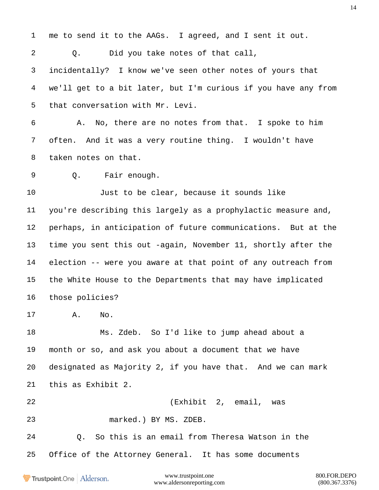www.trustpoint.one 800.FOR.DEPO me to send it to the AAGs. I agreed, and I sent it out. Q. Did you take notes of that call, incidentally? I know we've seen other notes of yours that we'll get to a bit later, but I'm curious if you have any from that conversation with Mr. Levi. A. No, there are no notes from that. I spoke to him often. And it was a very routine thing. I wouldn't have taken notes on that. Q. Fair enough. Just to be clear, because it sounds like you're describing this largely as a prophylactic measure and, perhaps, in anticipation of future communications. But at the time you sent this out -again, November 11, shortly after the election -- were you aware at that point of any outreach from the White House to the Departments that may have implicated those policies? A. No. Ms. Zdeb. So I'd like to jump ahead about a month or so, and ask you about a document that we have designated as Majority 2, if you have that. And we can mark this as Exhibit 2. (Exhibit 2, email, was marked.) BY MS. ZDEB. Q. So this is an email from Theresa Watson in the Office of the Attorney General. It has some documents

Trustpoint.One Alderson.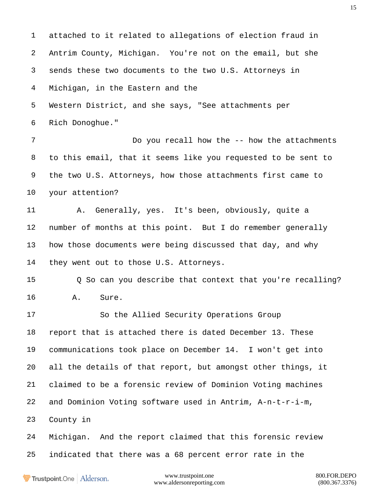attached to it related to allegations of election fraud in Antrim County, Michigan. You're not on the email, but she sends these two documents to the two U.S. Attorneys in Michigan, in the Eastern and the Western District, and she says, "See attachments per Rich Donoghue." 7 Do you recall how the -- how the attachments to this email, that it seems like you requested to be sent to the two U.S. Attorneys, how those attachments first came to your attention? A. Generally, yes. It's been, obviously, quite a number of months at this point. But I do remember generally how those documents were being discussed that day, and why they went out to those U.S. Attorneys. Q So can you describe that context that you're recalling? A. Sure. So the Allied Security Operations Group report that is attached there is dated December 13. These communications took place on December 14. I won't get into all the details of that report, but amongst other things, it claimed to be a forensic review of Dominion Voting machines and Dominion Voting software used in Antrim, A-n-t-r-i-m, County in Michigan. And the report claimed that this forensic review indicated that there was a 68 percent error rate in the

Trustpoint.One Alderson.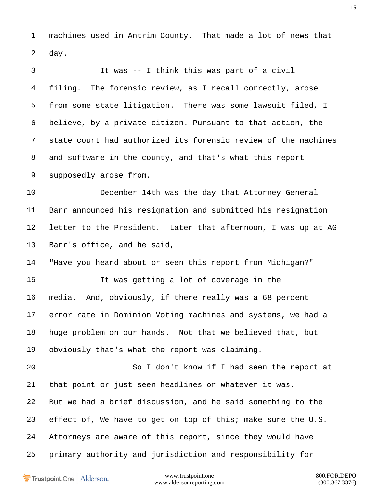machines used in Antrim County. That made a lot of news that day.

 It was -- I think this was part of a civil filing. The forensic review, as I recall correctly, arose from some state litigation. There was some lawsuit filed, I believe, by a private citizen. Pursuant to that action, the state court had authorized its forensic review of the machines and software in the county, and that's what this report supposedly arose from. December 14th was the day that Attorney General Barr announced his resignation and submitted his resignation letter to the President. Later that afternoon, I was up at AG Barr's office, and he said, "Have you heard about or seen this report from Michigan?" It was getting a lot of coverage in the media. And, obviously, if there really was a 68 percent error rate in Dominion Voting machines and systems, we had a huge problem on our hands. Not that we believed that, but obviously that's what the report was claiming. So I don't know if I had seen the report at that point or just seen headlines or whatever it was. But we had a brief discussion, and he said something to the effect of, We have to get on top of this; make sure the U.S. Attorneys are aware of this report, since they would have primary authority and jurisdiction and responsibility for

**Trustpoint**.One Alderson.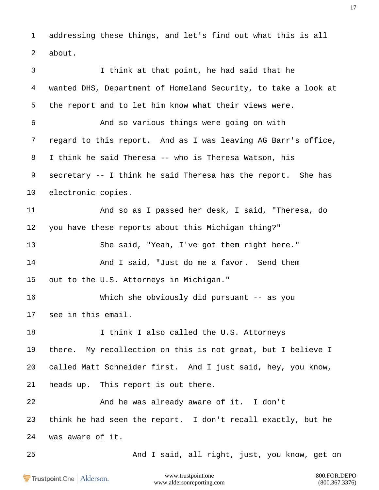addressing these things, and let's find out what this is all about.

 I think at that point, he had said that he wanted DHS, Department of Homeland Security, to take a look at the report and to let him know what their views were. And so various things were going on with regard to this report. And as I was leaving AG Barr's office, I think he said Theresa -- who is Theresa Watson, his secretary -- I think he said Theresa has the report. She has electronic copies. And so as I passed her desk, I said, "Theresa, do you have these reports about this Michigan thing?" She said, "Yeah, I've got them right here." And I said, "Just do me a favor. Send them out to the U.S. Attorneys in Michigan." Which she obviously did pursuant -- as you see in this email. **I think I also called the U.S. Attorneys**  there. My recollection on this is not great, but I believe I called Matt Schneider first. And I just said, hey, you know, heads up. This report is out there. And he was already aware of it. I don't think he had seen the report. I don't recall exactly, but he was aware of it. And I said, all right, just, you know, get on

Trustpoint.One Alderson.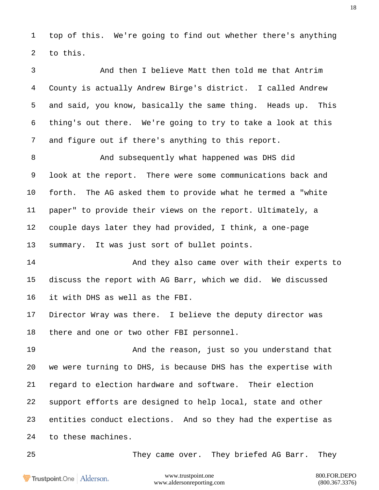top of this. We're going to find out whether there's anything to this.

 And then I believe Matt then told me that Antrim County is actually Andrew Birge's district. I called Andrew and said, you know, basically the same thing. Heads up. This thing's out there. We're going to try to take a look at this and figure out if there's anything to this report.

 And subsequently what happened was DHS did look at the report. There were some communications back and forth. The AG asked them to provide what he termed a "white paper" to provide their views on the report. Ultimately, a couple days later they had provided, I think, a one-page summary. It was just sort of bullet points.

**And they also came over with their experts to**  discuss the report with AG Barr, which we did. We discussed it with DHS as well as the FBI.

 Director Wray was there. I believe the deputy director was there and one or two other FBI personnel.

 And the reason, just so you understand that we were turning to DHS, is because DHS has the expertise with regard to election hardware and software. Their election support efforts are designed to help local, state and other entities conduct elections. And so they had the expertise as to these machines.

They came over. They briefed AG Barr. They

Trustpoint.One Alderson.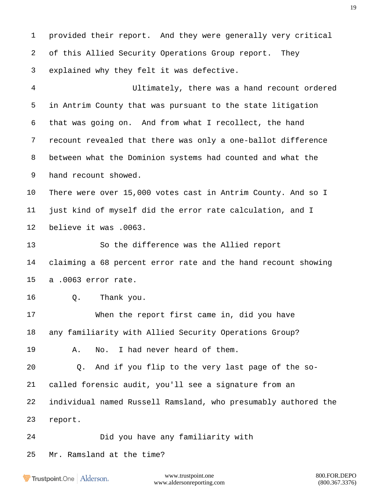provided their report. And they were generally very critical of this Allied Security Operations Group report. They explained why they felt it was defective. Ultimately, there was a hand recount ordered in Antrim County that was pursuant to the state litigation that was going on. And from what I recollect, the hand recount revealed that there was only a one-ballot difference between what the Dominion systems had counted and what the hand recount showed. There were over 15,000 votes cast in Antrim County. And so I just kind of myself did the error rate calculation, and I believe it was .0063. So the difference was the Allied report claiming a 68 percent error rate and the hand recount showing a .0063 error rate. Q. Thank you. When the report first came in, did you have any familiarity with Allied Security Operations Group? A. No. I had never heard of them. Q. And if you flip to the very last page of the so- called forensic audit, you'll see a signature from an individual named Russell Ramsland, who presumably authored the report. Did you have any familiarity with Mr. Ramsland at the time?

Trustpoint.One Alderson.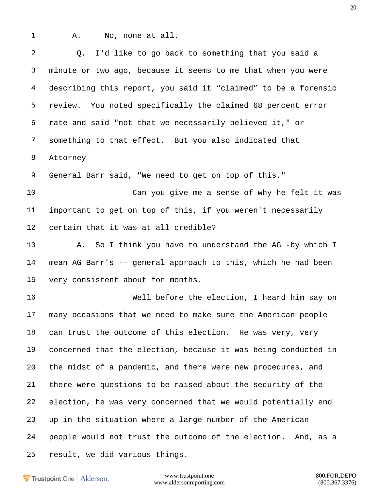A. No, none at all.

 Q. I'd like to go back to something that you said a minute or two ago, because it seems to me that when you were describing this report, you said it "claimed" to be a forensic review. You noted specifically the claimed 68 percent error rate and said "not that we necessarily believed it," or something to that effect. But you also indicated that Attorney General Barr said, "We need to get on top of this." Can you give me a sense of why he felt it was important to get on top of this, if you weren't necessarily certain that it was at all credible? A. So I think you have to understand the AG -by which I mean AG Barr's -- general approach to this, which he had been very consistent about for months. Well before the election, I heard him say on many occasions that we need to make sure the American people can trust the outcome of this election. He was very, very concerned that the election, because it was being conducted in the midst of a pandemic, and there were new procedures, and there were questions to be raised about the security of the election, he was very concerned that we would potentially end up in the situation where a large number of the American people would not trust the outcome of the election. And, as a result, we did various things.

Trustpoint.One Alderson.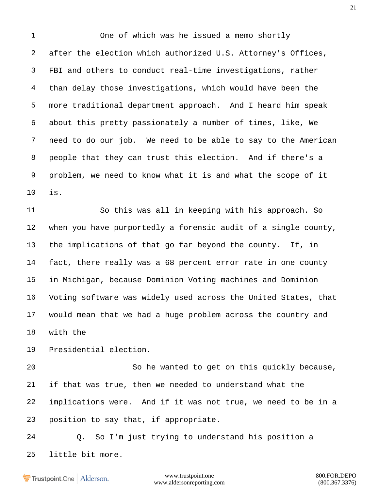One of which was he issued a memo shortly after the election which authorized U.S. Attorney's Offices, FBI and others to conduct real-time investigations, rather than delay those investigations, which would have been the more traditional department approach. And I heard him speak about this pretty passionately a number of times, like, We need to do our job. We need to be able to say to the American people that they can trust this election. And if there's a problem, we need to know what it is and what the scope of it is.

 So this was all in keeping with his approach. So when you have purportedly a forensic audit of a single county, the implications of that go far beyond the county. If, in fact, there really was a 68 percent error rate in one county in Michigan, because Dominion Voting machines and Dominion Voting software was widely used across the United States, that would mean that we had a huge problem across the country and with the

Presidential election.

 So he wanted to get on this quickly because, if that was true, then we needed to understand what the implications were. And if it was not true, we need to be in a position to say that, if appropriate.

 Q. So I'm just trying to understand his position a little bit more.

Trustpoint.One Alderson.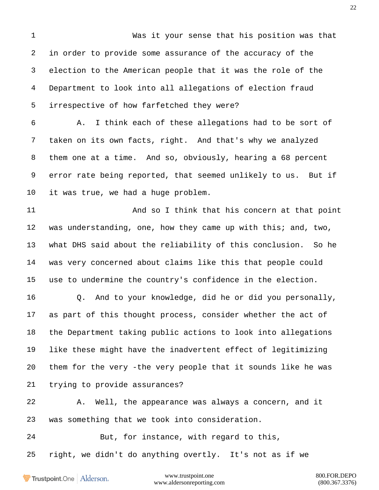Was it your sense that his position was that in order to provide some assurance of the accuracy of the election to the American people that it was the role of the Department to look into all allegations of election fraud irrespective of how farfetched they were? A. I think each of these allegations had to be sort of taken on its own facts, right. And that's why we analyzed them one at a time. And so, obviously, hearing a 68 percent error rate being reported, that seemed unlikely to us. But if it was true, we had a huge problem. 11 And so I think that his concern at that point was understanding, one, how they came up with this; and, two, what DHS said about the reliability of this conclusion. So he was very concerned about claims like this that people could use to undermine the country's confidence in the election. Q. And to your knowledge, did he or did you personally, as part of this thought process, consider whether the act of the Department taking public actions to look into allegations like these might have the inadvertent effect of legitimizing them for the very -the very people that it sounds like he was trying to provide assurances? A. Well, the appearance was always a concern, and it was something that we took into consideration. But, for instance, with regard to this, right, we didn't do anything overtly. It's not as if we

Trustpoint.One Alderson.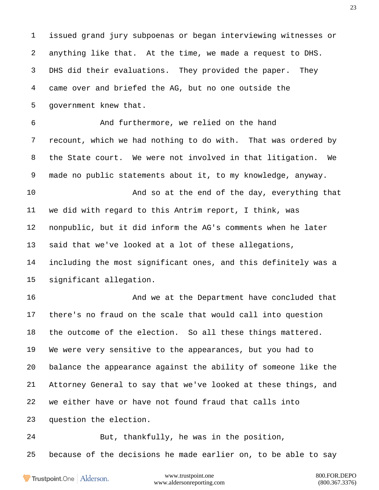issued grand jury subpoenas or began interviewing witnesses or anything like that. At the time, we made a request to DHS. DHS did their evaluations. They provided the paper. They came over and briefed the AG, but no one outside the government knew that. And furthermore, we relied on the hand recount, which we had nothing to do with. That was ordered by the State court. We were not involved in that litigation. We made no public statements about it, to my knowledge, anyway. And so at the end of the day, everything that we did with regard to this Antrim report, I think, was nonpublic, but it did inform the AG's comments when he later said that we've looked at a lot of these allegations, including the most significant ones, and this definitely was a significant allegation. And we at the Department have concluded that there's no fraud on the scale that would call into question the outcome of the election. So all these things mattered. We were very sensitive to the appearances, but you had to balance the appearance against the ability of someone like the Attorney General to say that we've looked at these things, and we either have or have not found fraud that calls into question the election. But, thankfully, he was in the position, because of the decisions he made earlier on, to be able to say

Trustpoint.One Alderson.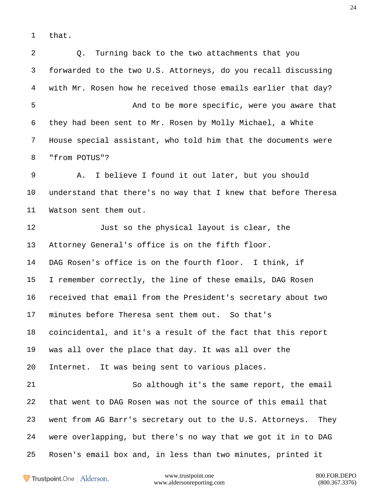that.

 Q. Turning back to the two attachments that you forwarded to the two U.S. Attorneys, do you recall discussing with Mr. Rosen how he received those emails earlier that day? And to be more specific, were you aware that they had been sent to Mr. Rosen by Molly Michael, a White House special assistant, who told him that the documents were "from POTUS"? A. I believe I found it out later, but you should understand that there's no way that I knew that before Theresa Watson sent them out. Just so the physical layout is clear, the Attorney General's office is on the fifth floor. DAG Rosen's office is on the fourth floor. I think, if I remember correctly, the line of these emails, DAG Rosen received that email from the President's secretary about two minutes before Theresa sent them out. So that's coincidental, and it's a result of the fact that this report was all over the place that day. It was all over the Internet. It was being sent to various places. So although it's the same report, the email that went to DAG Rosen was not the source of this email that went from AG Barr's secretary out to the U.S. Attorneys. They were overlapping, but there's no way that we got it in to DAG Rosen's email box and, in less than two minutes, printed it

Trustpoint.One Alderson.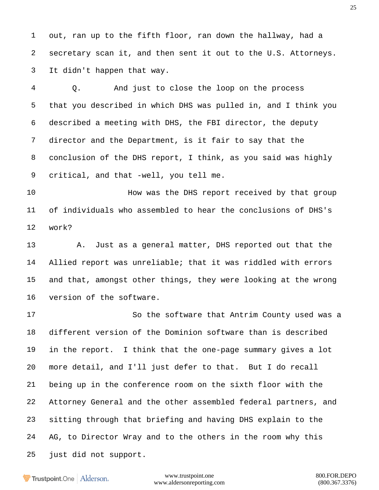out, ran up to the fifth floor, ran down the hallway, had a secretary scan it, and then sent it out to the U.S. Attorneys. It didn't happen that way.

 Q. And just to close the loop on the process that you described in which DHS was pulled in, and I think you described a meeting with DHS, the FBI director, the deputy director and the Department, is it fair to say that the conclusion of the DHS report, I think, as you said was highly critical, and that -well, you tell me.

**How was the DHS report received by that group**  of individuals who assembled to hear the conclusions of DHS's work?

 A. Just as a general matter, DHS reported out that the Allied report was unreliable; that it was riddled with errors and that, amongst other things, they were looking at the wrong version of the software.

17 So the software that Antrim County used was a different version of the Dominion software than is described in the report. I think that the one-page summary gives a lot more detail, and I'll just defer to that. But I do recall being up in the conference room on the sixth floor with the Attorney General and the other assembled federal partners, and sitting through that briefing and having DHS explain to the 24 AG, to Director Wray and to the others in the room why this just did not support.

Trustpoint.One Alderson.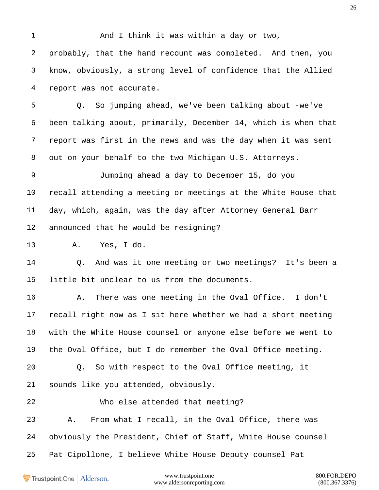And I think it was within a day or two, probably, that the hand recount was completed. And then, you know, obviously, a strong level of confidence that the Allied report was not accurate. Q. So jumping ahead, we've been talking about -we've been talking about, primarily, December 14, which is when that report was first in the news and was the day when it was sent out on your behalf to the two Michigan U.S. Attorneys. Jumping ahead a day to December 15, do you recall attending a meeting or meetings at the White House that day, which, again, was the day after Attorney General Barr announced that he would be resigning? A. Yes, I do. Q. And was it one meeting or two meetings? It's been a little bit unclear to us from the documents. A. There was one meeting in the Oval Office. I don't recall right now as I sit here whether we had a short meeting with the White House counsel or anyone else before we went to the Oval Office, but I do remember the Oval Office meeting. Q. So with respect to the Oval Office meeting, it sounds like you attended, obviously. Who else attended that meeting? A. From what I recall, in the Oval Office, there was obviously the President, Chief of Staff, White House counsel Pat Cipollone, I believe White House Deputy counsel Pat

Trustpoint.One Alderson.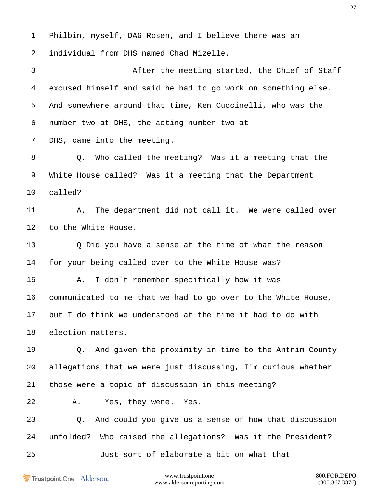Philbin, myself, DAG Rosen, and I believe there was an individual from DHS named Chad Mizelle. After the meeting started, the Chief of Staff excused himself and said he had to go work on something else. And somewhere around that time, Ken Cuccinelli, who was the number two at DHS, the acting number two at DHS, came into the meeting. Q. Who called the meeting? Was it a meeting that the White House called? Was it a meeting that the Department called? 11 A. The department did not call it. We were called over to the White House. Q Did you have a sense at the time of what the reason for your being called over to the White House was? A. I don't remember specifically how it was communicated to me that we had to go over to the White House, but I do think we understood at the time it had to do with election matters. Q. And given the proximity in time to the Antrim County allegations that we were just discussing, I'm curious whether those were a topic of discussion in this meeting? A. Yes, they were. Yes. Q. And could you give us a sense of how that discussion unfolded? Who raised the allegations? Was it the President? Just sort of elaborate a bit on what that

Trustpoint.One Alderson.

www.trustpoint.one 800.FOR.DEPO www.aldersonreporting.com (800.367.3376)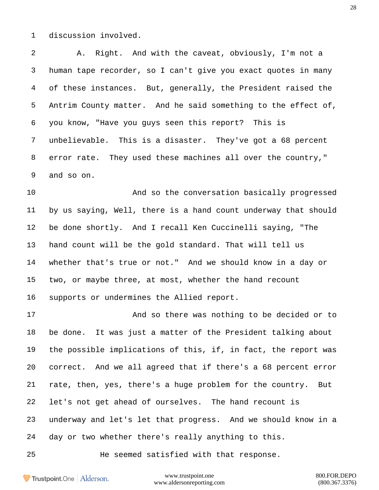discussion involved.

 A. Right. And with the caveat, obviously, I'm not a human tape recorder, so I can't give you exact quotes in many of these instances. But, generally, the President raised the Antrim County matter. And he said something to the effect of, you know, "Have you guys seen this report? This is unbelievable. This is a disaster. They've got a 68 percent error rate. They used these machines all over the country," and so on.

 And so the conversation basically progressed by us saying, Well, there is a hand count underway that should be done shortly. And I recall Ken Cuccinelli saying, "The hand count will be the gold standard. That will tell us whether that's true or not." And we should know in a day or two, or maybe three, at most, whether the hand recount supports or undermines the Allied report.

 And so there was nothing to be decided or to be done. It was just a matter of the President talking about the possible implications of this, if, in fact, the report was correct. And we all agreed that if there's a 68 percent error rate, then, yes, there's a huge problem for the country. But let's not get ahead of ourselves. The hand recount is underway and let's let that progress. And we should know in a day or two whether there's really anything to this.

He seemed satisfied with that response.

**Trustpoint**.One Alderson.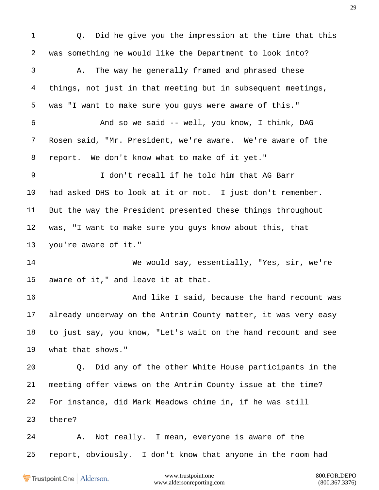Q. Did he give you the impression at the time that this was something he would like the Department to look into? A. The way he generally framed and phrased these things, not just in that meeting but in subsequent meetings, was "I want to make sure you guys were aware of this." And so we said -- well, you know, I think, DAG Rosen said, "Mr. President, we're aware. We're aware of the report. We don't know what to make of it yet." I don't recall if he told him that AG Barr had asked DHS to look at it or not. I just don't remember. But the way the President presented these things throughout was, "I want to make sure you guys know about this, that you're aware of it." We would say, essentially, "Yes, sir, we're aware of it," and leave it at that. **And like I said, because the hand recount was**  already underway on the Antrim County matter, it was very easy to just say, you know, "Let's wait on the hand recount and see what that shows." Q. Did any of the other White House participants in the meeting offer views on the Antrim County issue at the time? For instance, did Mark Meadows chime in, if he was still there? A. Not really. I mean, everyone is aware of the report, obviously. I don't know that anyone in the room had

Trustpoint.One Alderson.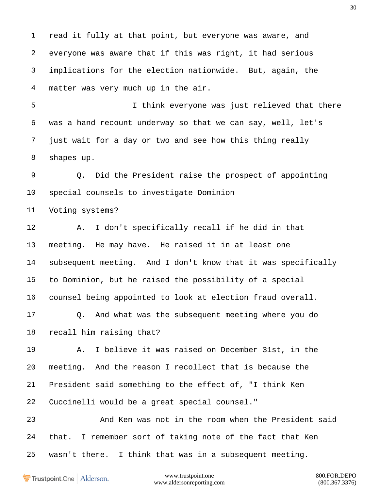read it fully at that point, but everyone was aware, and everyone was aware that if this was right, it had serious implications for the election nationwide. But, again, the matter was very much up in the air.

 I think everyone was just relieved that there was a hand recount underway so that we can say, well, let's just wait for a day or two and see how this thing really shapes up.

 Q. Did the President raise the prospect of appointing special counsels to investigate Dominion

Voting systems?

 A. I don't specifically recall if he did in that meeting. He may have. He raised it in at least one subsequent meeting. And I don't know that it was specifically to Dominion, but he raised the possibility of a special counsel being appointed to look at election fraud overall.

 Q. And what was the subsequent meeting where you do recall him raising that?

 A. I believe it was raised on December 31st, in the meeting. And the reason I recollect that is because the President said something to the effect of, "I think Ken Cuccinelli would be a great special counsel."

 And Ken was not in the room when the President said that. I remember sort of taking note of the fact that Ken wasn't there. I think that was in a subsequent meeting.

Trustpoint.One Alderson.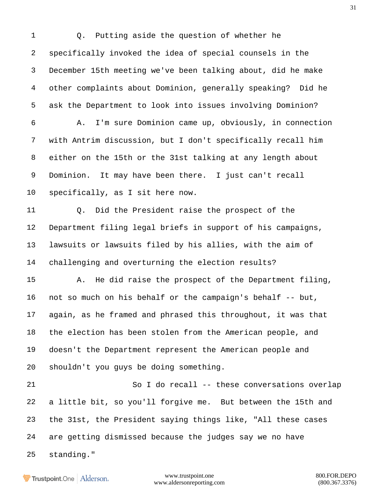Q. Putting aside the question of whether he specifically invoked the idea of special counsels in the December 15th meeting we've been talking about, did he make other complaints about Dominion, generally speaking? Did he ask the Department to look into issues involving Dominion? A. I'm sure Dominion came up, obviously, in connection with Antrim discussion, but I don't specifically recall him either on the 15th or the 31st talking at any length about Dominion. It may have been there. I just can't recall specifically, as I sit here now. Q. Did the President raise the prospect of the Department filing legal briefs in support of his campaigns, lawsuits or lawsuits filed by his allies, with the aim of challenging and overturning the election results? A. He did raise the prospect of the Department filing, not so much on his behalf or the campaign's behalf -- but, again, as he framed and phrased this throughout, it was that the election has been stolen from the American people, and doesn't the Department represent the American people and shouldn't you guys be doing something. So I do recall -- these conversations overlap a little bit, so you'll forgive me. But between the 15th and the 31st, the President saying things like, "All these cases are getting dismissed because the judges say we no have standing."

Trustpoint.One Alderson.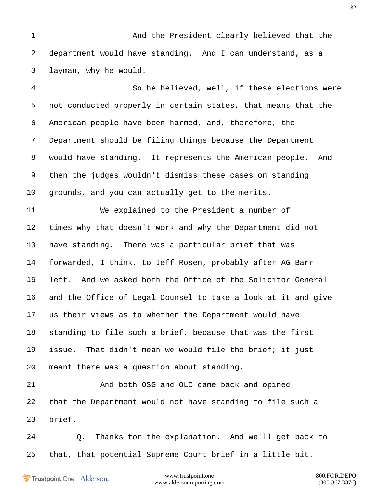And the President clearly believed that the department would have standing. And I can understand, as a layman, why he would.

 So he believed, well, if these elections were not conducted properly in certain states, that means that the American people have been harmed, and, therefore, the Department should be filing things because the Department would have standing. It represents the American people. And then the judges wouldn't dismiss these cases on standing grounds, and you can actually get to the merits.

 We explained to the President a number of times why that doesn't work and why the Department did not have standing. There was a particular brief that was forwarded, I think, to Jeff Rosen, probably after AG Barr left. And we asked both the Office of the Solicitor General and the Office of Legal Counsel to take a look at it and give us their views as to whether the Department would have standing to file such a brief, because that was the first issue. That didn't mean we would file the brief; it just meant there was a question about standing.

 And both OSG and OLC came back and opined that the Department would not have standing to file such a brief.

 Q. Thanks for the explanation. And we'll get back to that, that potential Supreme Court brief in a little bit.

Trustpoint.One Alderson.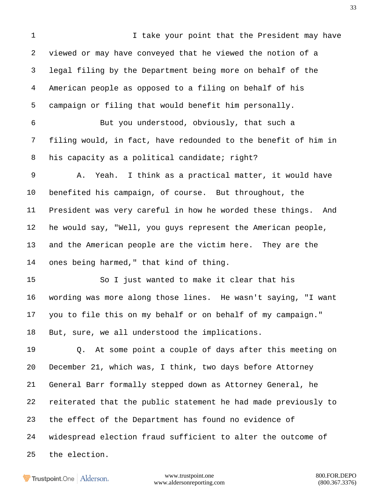I take your point that the President may have viewed or may have conveyed that he viewed the notion of a legal filing by the Department being more on behalf of the American people as opposed to a filing on behalf of his campaign or filing that would benefit him personally. But you understood, obviously, that such a filing would, in fact, have redounded to the benefit of him in 8 his capacity as a political candidate; right? A. Yeah. I think as a practical matter, it would have benefited his campaign, of course. But throughout, the President was very careful in how he worded these things. And he would say, "Well, you guys represent the American people, and the American people are the victim here. They are the ones being harmed," that kind of thing. So I just wanted to make it clear that his wording was more along those lines. He wasn't saying, "I want you to file this on my behalf or on behalf of my campaign." But, sure, we all understood the implications. Q. At some point a couple of days after this meeting on December 21, which was, I think, two days before Attorney General Barr formally stepped down as Attorney General, he reiterated that the public statement he had made previously to the effect of the Department has found no evidence of widespread election fraud sufficient to alter the outcome of the election.

Trustpoint.One Alderson.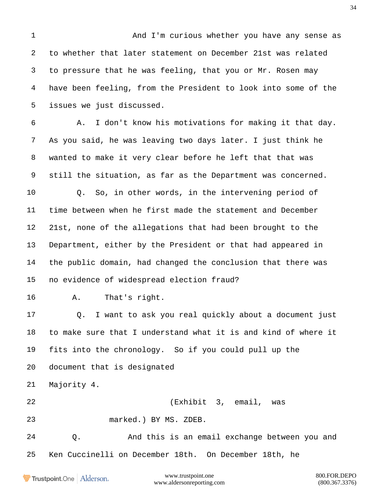And I'm curious whether you have any sense as to whether that later statement on December 21st was related to pressure that he was feeling, that you or Mr. Rosen may have been feeling, from the President to look into some of the issues we just discussed.

 A. I don't know his motivations for making it that day. As you said, he was leaving two days later. I just think he wanted to make it very clear before he left that that was still the situation, as far as the Department was concerned. Q. So, in other words, in the intervening period of time between when he first made the statement and December 21st, none of the allegations that had been brought to the Department, either by the President or that had appeared in the public domain, had changed the conclusion that there was no evidence of widespread election fraud?

A. That's right.

 Q. I want to ask you real quickly about a document just to make sure that I understand what it is and kind of where it fits into the chronology. So if you could pull up the document that is designated

Majority 4.

(Exhibit 3, email, was

marked.) BY MS. ZDEB.

 Q. And this is an email exchange between you and Ken Cuccinelli on December 18th. On December 18th, he

Trustpoint.One Alderson.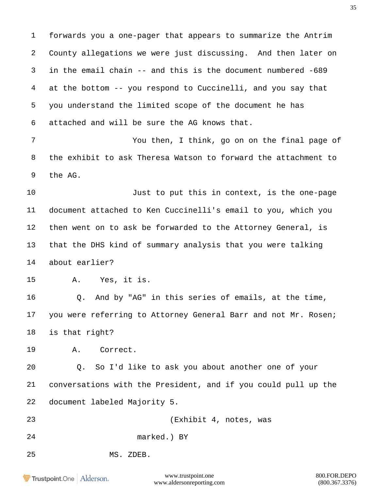forwards you a one-pager that appears to summarize the Antrim County allegations we were just discussing. And then later on in the email chain -- and this is the document numbered -689 at the bottom -- you respond to Cuccinelli, and you say that you understand the limited scope of the document he has attached and will be sure the AG knows that.

 You then, I think, go on on the final page of the exhibit to ask Theresa Watson to forward the attachment to the AG.

 Just to put this in context, is the one-page document attached to Ken Cuccinelli's email to you, which you then went on to ask be forwarded to the Attorney General, is that the DHS kind of summary analysis that you were talking about earlier?

A. Yes, it is.

 Q. And by "AG" in this series of emails, at the time, you were referring to Attorney General Barr and not Mr. Rosen; is that right?

A. Correct.

 Q. So I'd like to ask you about another one of your conversations with the President, and if you could pull up the document labeled Majority 5.

 (Exhibit 4, notes, was marked.) BY

MS. ZDEB.

Trustpoint.One Alderson.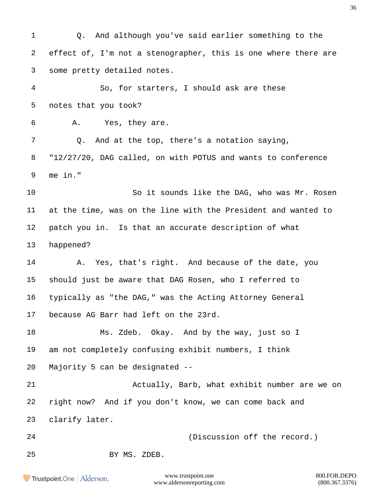Q. And although you've said earlier something to the effect of, I'm not a stenographer, this is one where there are some pretty detailed notes.

 So, for starters, I should ask are these notes that you took?

A. Yes, they are.

 Q. And at the top, there's a notation saying, "12/27/20, DAG called, on with POTUS and wants to conference me in."

 So it sounds like the DAG, who was Mr. Rosen at the time, was on the line with the President and wanted to patch you in. Is that an accurate description of what happened?

14 A. Yes, that's right. And because of the date, you should just be aware that DAG Rosen, who I referred to typically as "the DAG," was the Acting Attorney General because AG Barr had left on the 23rd.

 Ms. Zdeb. Okay. And by the way, just so I am not completely confusing exhibit numbers, I think Majority 5 can be designated --

 Actually, Barb, what exhibit number are we on right now? And if you don't know, we can come back and clarify later.

(Discussion off the record.)

BY MS. ZDEB.

Trustpoint.One Alderson.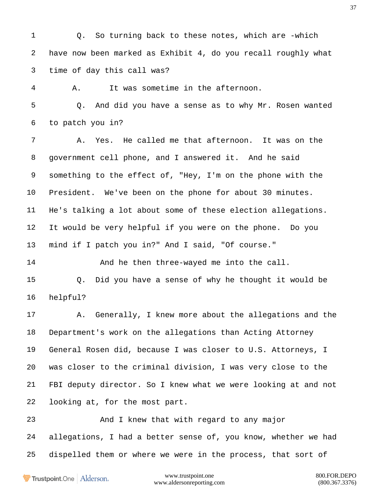Q. So turning back to these notes, which are -which have now been marked as Exhibit 4, do you recall roughly what time of day this call was?

A. It was sometime in the afternoon.

 Q. And did you have a sense as to why Mr. Rosen wanted to patch you in?

 A. Yes. He called me that afternoon. It was on the government cell phone, and I answered it. And he said something to the effect of, "Hey, I'm on the phone with the President. We've been on the phone for about 30 minutes. He's talking a lot about some of these election allegations. It would be very helpful if you were on the phone. Do you mind if I patch you in?" And I said, "Of course."

14 And he then three-wayed me into the call. Q. Did you have a sense of why he thought it would be helpful?

 A. Generally, I knew more about the allegations and the Department's work on the allegations than Acting Attorney General Rosen did, because I was closer to U.S. Attorneys, I was closer to the criminal division, I was very close to the FBI deputy director. So I knew what we were looking at and not looking at, for the most part.

 And I knew that with regard to any major allegations, I had a better sense of, you know, whether we had dispelled them or where we were in the process, that sort of

Trustpoint.One Alderson.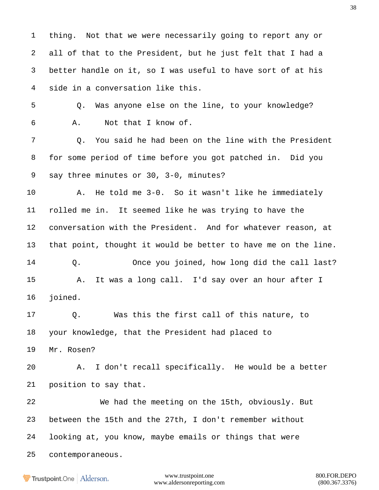thing. Not that we were necessarily going to report any or all of that to the President, but he just felt that I had a better handle on it, so I was useful to have sort of at his side in a conversation like this.

 Q. Was anyone else on the line, to your knowledge? A. Not that I know of.

 Q. You said he had been on the line with the President for some period of time before you got patched in. Did you say three minutes or 30, 3-0, minutes?

 A. He told me 3-0. So it wasn't like he immediately rolled me in. It seemed like he was trying to have the conversation with the President. And for whatever reason, at that point, thought it would be better to have me on the line. Q. Once you joined, how long did the call last? A. It was a long call. I'd say over an hour after I joined.

 Q. Was this the first call of this nature, to your knowledge, that the President had placed to Mr. Rosen?

 A. I don't recall specifically. He would be a better position to say that.

 We had the meeting on the 15th, obviously. But between the 15th and the 27th, I don't remember without looking at, you know, maybe emails or things that were contemporaneous.

Trustpoint.One Alderson.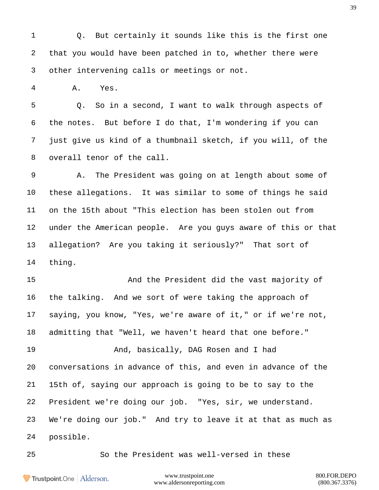Q. But certainly it sounds like this is the first one that you would have been patched in to, whether there were other intervening calls or meetings or not.

A. Yes.

 Q. So in a second, I want to walk through aspects of the notes. But before I do that, I'm wondering if you can just give us kind of a thumbnail sketch, if you will, of the overall tenor of the call.

 A. The President was going on at length about some of these allegations. It was similar to some of things he said on the 15th about "This election has been stolen out from under the American people. Are you guys aware of this or that allegation? Are you taking it seriously?" That sort of thing.

 And the President did the vast majority of the talking. And we sort of were taking the approach of saying, you know, "Yes, we're aware of it," or if we're not, admitting that "Well, we haven't heard that one before."

 And, basically, DAG Rosen and I had conversations in advance of this, and even in advance of the 15th of, saying our approach is going to be to say to the President we're doing our job. "Yes, sir, we understand. We're doing our job." And try to leave it at that as much as possible.

So the President was well-versed in these

Trustpoint.One Alderson.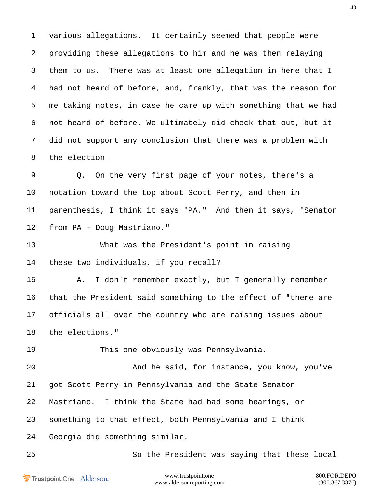various allegations. It certainly seemed that people were providing these allegations to him and he was then relaying them to us. There was at least one allegation in here that I had not heard of before, and, frankly, that was the reason for me taking notes, in case he came up with something that we had not heard of before. We ultimately did check that out, but it did not support any conclusion that there was a problem with the election.

 Q. On the very first page of your notes, there's a notation toward the top about Scott Perry, and then in parenthesis, I think it says "PA." And then it says, "Senator from PA - Doug Mastriano."

 What was the President's point in raising these two individuals, if you recall?

 A. I don't remember exactly, but I generally remember that the President said something to the effect of "there are officials all over the country who are raising issues about the elections."

This one obviously was Pennsylvania.

 And he said, for instance, you know, you've got Scott Perry in Pennsylvania and the State Senator Mastriano. I think the State had had some hearings, or something to that effect, both Pennsylvania and I think Georgia did something similar.

So the President was saying that these local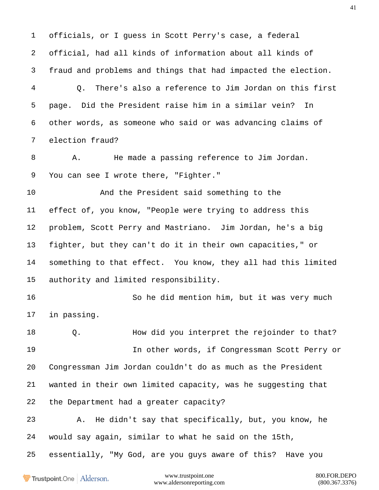officials, or I guess in Scott Perry's case, a federal official, had all kinds of information about all kinds of fraud and problems and things that had impacted the election. Q. There's also a reference to Jim Jordan on this first page. Did the President raise him in a similar vein? In other words, as someone who said or was advancing claims of election fraud? A. He made a passing reference to Jim Jordan. You can see I wrote there, "Fighter." And the President said something to the effect of, you know, "People were trying to address this problem, Scott Perry and Mastriano. Jim Jordan, he's a big fighter, but they can't do it in their own capacities," or something to that effect. You know, they all had this limited authority and limited responsibility. So he did mention him, but it was very much in passing. Q. How did you interpret the rejoinder to that? In other words, if Congressman Scott Perry or Congressman Jim Jordan couldn't do as much as the President wanted in their own limited capacity, was he suggesting that the Department had a greater capacity? A. He didn't say that specifically, but, you know, he would say again, similar to what he said on the 15th, essentially, "My God, are you guys aware of this? Have you

Trustpoint.One Alderson.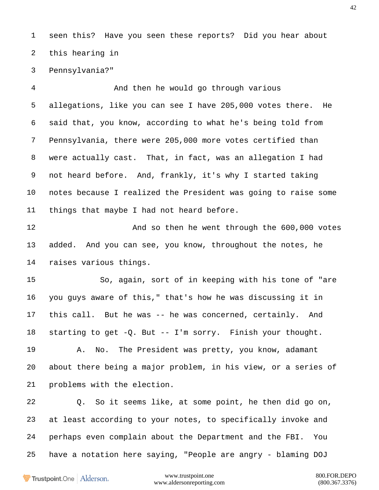seen this? Have you seen these reports? Did you hear about this hearing in

Pennsylvania?"

 And then he would go through various allegations, like you can see I have 205,000 votes there. He said that, you know, according to what he's being told from Pennsylvania, there were 205,000 more votes certified than were actually cast. That, in fact, was an allegation I had not heard before. And, frankly, it's why I started taking notes because I realized the President was going to raise some things that maybe I had not heard before.

12 And so then he went through the 600,000 votes added. And you can see, you know, throughout the notes, he raises various things.

 So, again, sort of in keeping with his tone of "are you guys aware of this," that's how he was discussing it in this call. But he was -- he was concerned, certainly. And starting to get -Q. But -- I'm sorry. Finish your thought.

 A. No. The President was pretty, you know, adamant about there being a major problem, in his view, or a series of problems with the election.

 Q. So it seems like, at some point, he then did go on, at least according to your notes, to specifically invoke and perhaps even complain about the Department and the FBI. You have a notation here saying, "People are angry - blaming DOJ

Trustpoint.One Alderson.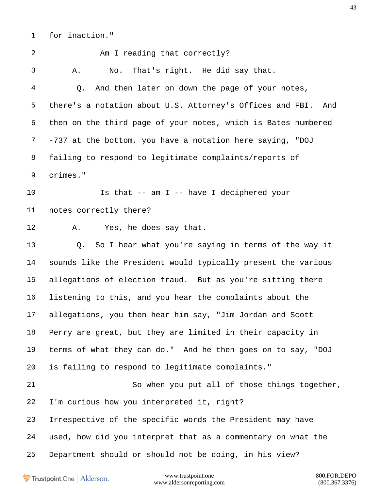for inaction."

2 Am I reading that correctly? A. No. That's right. He did say that. Q. And then later on down the page of your notes, there's a notation about U.S. Attorney's Offices and FBI. And then on the third page of your notes, which is Bates numbered -737 at the bottom, you have a notation here saying, "DOJ failing to respond to legitimate complaints/reports of crimes." Is that -- am I -- have I deciphered your notes correctly there? A. Yes, he does say that. Q. So I hear what you're saying in terms of the way it sounds like the President would typically present the various allegations of election fraud. But as you're sitting there listening to this, and you hear the complaints about the allegations, you then hear him say, "Jim Jordan and Scott Perry are great, but they are limited in their capacity in terms of what they can do." And he then goes on to say, "DOJ is failing to respond to legitimate complaints." So when you put all of those things together, I'm curious how you interpreted it, right? Irrespective of the specific words the President may have used, how did you interpret that as a commentary on what the Department should or should not be doing, in his view?

Trustpoint.One Alderson.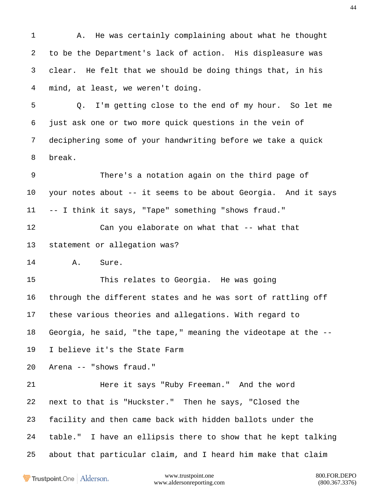A. He was certainly complaining about what he thought to be the Department's lack of action. His displeasure was clear. He felt that we should be doing things that, in his mind, at least, we weren't doing.

 Q. I'm getting close to the end of my hour. So let me just ask one or two more quick questions in the vein of deciphering some of your handwriting before we take a quick break.

 There's a notation again on the third page of your notes about -- it seems to be about Georgia. And it says -- I think it says, "Tape" something "shows fraud."

 Can you elaborate on what that -- what that statement or allegation was?

A. Sure.

 This relates to Georgia. He was going through the different states and he was sort of rattling off these various theories and allegations. With regard to Georgia, he said, "the tape," meaning the videotape at the --

I believe it's the State Farm

Arena -- "shows fraud."

 Here it says "Ruby Freeman." And the word next to that is "Huckster." Then he says, "Closed the facility and then came back with hidden ballots under the table." I have an ellipsis there to show that he kept talking about that particular claim, and I heard him make that claim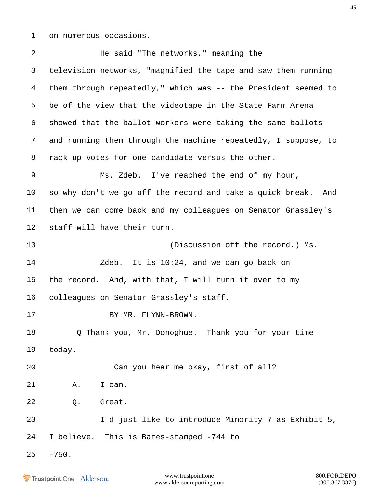on numerous occasions.

 He said "The networks," meaning the television networks, "magnified the tape and saw them running them through repeatedly," which was -- the President seemed to be of the view that the videotape in the State Farm Arena showed that the ballot workers were taking the same ballots and running them through the machine repeatedly, I suppose, to rack up votes for one candidate versus the other. Ms. Zdeb. I've reached the end of my hour, so why don't we go off the record and take a quick break. And then we can come back and my colleagues on Senator Grassley's staff will have their turn. 13 (Discussion off the record.) Ms. Zdeb. It is 10:24, and we can go back on the record. And, with that, I will turn it over to my colleagues on Senator Grassley's staff. 17 BY MR. FLYNN-BROWN. Q Thank you, Mr. Donoghue. Thank you for your time today. Can you hear me okay, first of all? A. I can. Q. Great. I'd just like to introduce Minority 7 as Exhibit 5, I believe. This is Bates-stamped -744 to  $25 - 750.$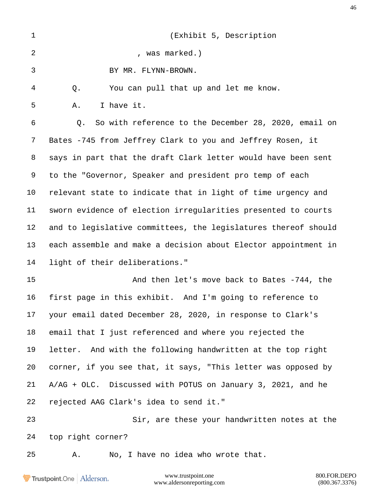| $\mathbf{1}$ | (Exhibit 5, Description                                        |
|--------------|----------------------------------------------------------------|
| 2            | , was marked.)                                                 |
| 3            | BY MR. FLYNN-BROWN.                                            |
| 4            | You can pull that up and let me know.<br>Q.                    |
| 5            | I have it.<br>Α.                                               |
| 6            | So with reference to the December 28, 2020, email on<br>Q.     |
| 7            | Bates -745 from Jeffrey Clark to you and Jeffrey Rosen, it     |
| 8            | says in part that the draft Clark letter would have been sent  |
| 9            | to the "Governor, Speaker and president pro temp of each       |
| $10 \,$      | relevant state to indicate that in light of time urgency and   |
| 11           | sworn evidence of election irregularities presented to courts  |
| 12           | and to legislative committees, the legislatures thereof should |
| 13           | each assemble and make a decision about Elector appointment in |
| 14           | light of their deliberations."                                 |
| 15           | And then let's move back to Bates -744, the                    |
| 16           | first page in this exhibit. And I'm going to reference to      |
| 17           | your email dated December 28, 2020, in response to Clark's     |
| 18           | email that I just referenced and where you rejected the        |
| 19           | letter. And with the following handwritten at the top right    |
| 20           | corner, if you see that, it says, "This letter was opposed by  |
| 21           | A/AG + OLC. Discussed with POTUS on January 3, 2021, and he    |
| 22           | rejected AAG Clark's idea to send it."                         |
| 23           | Sir, are these your handwritten notes at the                   |
| 24           | top right corner?                                              |
| 25           | No, I have no idea who wrote that.<br>Α.                       |

Trustpoint.One | Alderson.

www.trustpoint.one 800.FOR.DEPO<br>w.aldersonreporting.com (800.367.3376) www.aldersonreporting.com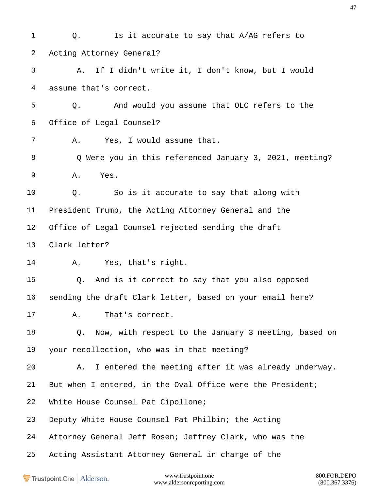1 Q. Is it accurate to say that A/AG refers to Acting Attorney General? A. If I didn't write it, I don't know, but I would assume that's correct. Q. And would you assume that OLC refers to the Office of Legal Counsel? A. Yes, I would assume that. Q Were you in this referenced January 3, 2021, meeting? A. Yes. Q. So is it accurate to say that along with President Trump, the Acting Attorney General and the Office of Legal Counsel rejected sending the draft Clark letter? A. Yes, that's right. Q. And is it correct to say that you also opposed sending the draft Clark letter, based on your email here? A. That's correct. Q. Now, with respect to the January 3 meeting, based on your recollection, who was in that meeting? A. I entered the meeting after it was already underway. But when I entered, in the Oval Office were the President; White House Counsel Pat Cipollone; Deputy White House Counsel Pat Philbin; the Acting Attorney General Jeff Rosen; Jeffrey Clark, who was the Acting Assistant Attorney General in charge of the

**Trustpoint**.One Alderson.

www.trustpoint.one 800.FOR.DEPO www.aldersonreporting.com (800.367.3376)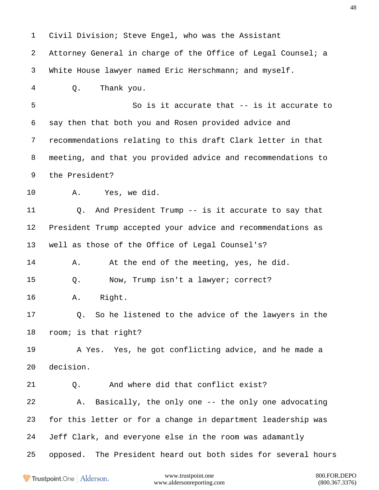Civil Division; Steve Engel, who was the Assistant Attorney General in charge of the Office of Legal Counsel; a White House lawyer named Eric Herschmann; and myself. Q. Thank you. So is it accurate that -- is it accurate to say then that both you and Rosen provided advice and recommendations relating to this draft Clark letter in that meeting, and that you provided advice and recommendations to the President? A. Yes, we did. Q. And President Trump -- is it accurate to say that President Trump accepted your advice and recommendations as well as those of the Office of Legal Counsel's? A. At the end of the meeting, yes, he did. Q. Now, Trump isn't a lawyer; correct? A. Right. Q. So he listened to the advice of the lawyers in the room; is that right? A Yes. Yes, he got conflicting advice, and he made a decision. Q. And where did that conflict exist? A. Basically, the only one -- the only one advocating for this letter or for a change in department leadership was Jeff Clark, and everyone else in the room was adamantly opposed. The President heard out both sides for several hours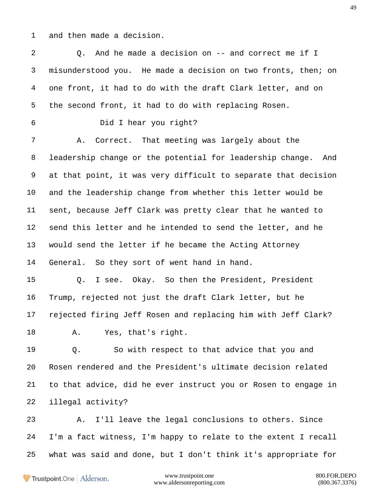and then made a decision.

 Q. And he made a decision on -- and correct me if I misunderstood you. He made a decision on two fronts, then; on one front, it had to do with the draft Clark letter, and on the second front, it had to do with replacing Rosen. Did I hear you right? A. Correct. That meeting was largely about the leadership change or the potential for leadership change. And at that point, it was very difficult to separate that decision and the leadership change from whether this letter would be sent, because Jeff Clark was pretty clear that he wanted to send this letter and he intended to send the letter, and he would send the letter if he became the Acting Attorney General. So they sort of went hand in hand. Q. I see. Okay. So then the President, President Trump, rejected not just the draft Clark letter, but he rejected firing Jeff Rosen and replacing him with Jeff Clark? A. Yes, that's right. Q. So with respect to that advice that you and Rosen rendered and the President's ultimate decision related to that advice, did he ever instruct you or Rosen to engage in illegal activity? A. I'll leave the legal conclusions to others. Since I'm a fact witness, I'm happy to relate to the extent I recall what was said and done, but I don't think it's appropriate for

Trustpoint.One Alderson.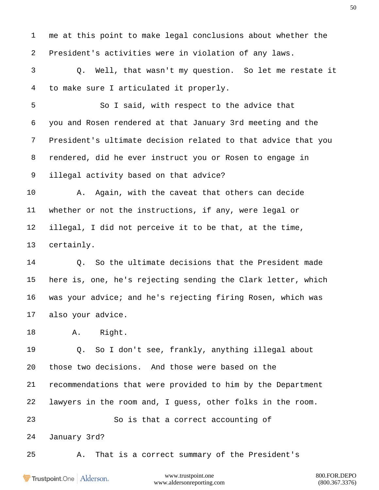me at this point to make legal conclusions about whether the President's activities were in violation of any laws.

 Q. Well, that wasn't my question. So let me restate it to make sure I articulated it properly.

 So I said, with respect to the advice that you and Rosen rendered at that January 3rd meeting and the President's ultimate decision related to that advice that you rendered, did he ever instruct you or Rosen to engage in illegal activity based on that advice?

 A. Again, with the caveat that others can decide whether or not the instructions, if any, were legal or illegal, I did not perceive it to be that, at the time, certainly.

 Q. So the ultimate decisions that the President made here is, one, he's rejecting sending the Clark letter, which was your advice; and he's rejecting firing Rosen, which was also your advice.

A. Right.

 Q. So I don't see, frankly, anything illegal about those two decisions. And those were based on the recommendations that were provided to him by the Department lawyers in the room and, I guess, other folks in the room. So is that a correct accounting of January 3rd?

A. That is a correct summary of the President's

Trustpoint.One Alderson.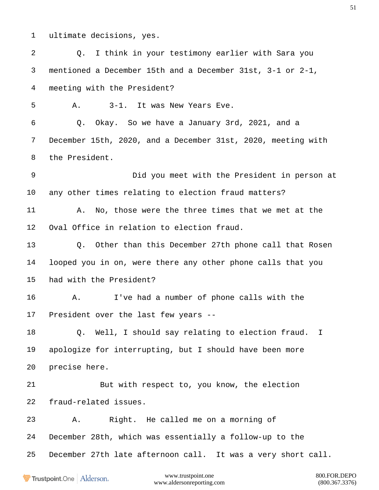ultimate decisions, yes.

www.trustpoint.one 800.FOR.DEPO Q. I think in your testimony earlier with Sara you mentioned a December 15th and a December 31st, 3-1 or 2-1, meeting with the President? A. 3-1. It was New Years Eve. Q. Okay. So we have a January 3rd, 2021, and a December 15th, 2020, and a December 31st, 2020, meeting with the President. Did you meet with the President in person at any other times relating to election fraud matters? A. No, those were the three times that we met at the Oval Office in relation to election fraud. Q. Other than this December 27th phone call that Rosen looped you in on, were there any other phone calls that you had with the President? A. I've had a number of phone calls with the President over the last few years -- Q. Well, I should say relating to election fraud. I apologize for interrupting, but I should have been more precise here. But with respect to, you know, the election fraud-related issues. A. Right. He called me on a morning of December 28th, which was essentially a follow-up to the December 27th late afternoon call. It was a very short call.

Trustpoint.One Alderson.

www.aldersonreporting.com (800.367.3376)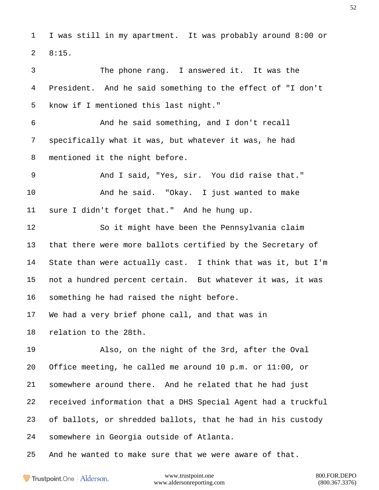I was still in my apartment. It was probably around 8:00 or 8:15.

 The phone rang. I answered it. It was the President. And he said something to the effect of "I don't know if I mentioned this last night."

 And he said something, and I don't recall specifically what it was, but whatever it was, he had mentioned it the night before.

 And I said, "Yes, sir. You did raise that." And he said. "Okay. I just wanted to make sure I didn't forget that." And he hung up.

 So it might have been the Pennsylvania claim that there were more ballots certified by the Secretary of State than were actually cast. I think that was it, but I'm not a hundred percent certain. But whatever it was, it was something he had raised the night before.

We had a very brief phone call, and that was in

relation to the 28th.

 Also, on the night of the 3rd, after the Oval Office meeting, he called me around 10 p.m. or 11:00, or somewhere around there. And he related that he had just received information that a DHS Special Agent had a truckful of ballots, or shredded ballots, that he had in his custody somewhere in Georgia outside of Atlanta.

And he wanted to make sure that we were aware of that.

Trustpoint.One Alderson.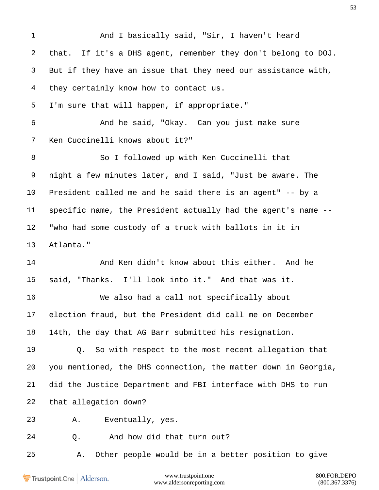And I basically said, "Sir, I haven't heard that. If it's a DHS agent, remember they don't belong to DOJ. But if they have an issue that they need our assistance with, they certainly know how to contact us. I'm sure that will happen, if appropriate." And he said, "Okay. Can you just make sure Ken Cuccinelli knows about it?" So I followed up with Ken Cuccinelli that night a few minutes later, and I said, "Just be aware. The President called me and he said there is an agent" -- by a specific name, the President actually had the agent's name -- "who had some custody of a truck with ballots in it in Atlanta." 14 And Ken didn't know about this either. And he said, "Thanks. I'll look into it." And that was it. We also had a call not specifically about election fraud, but the President did call me on December 14th, the day that AG Barr submitted his resignation. Q. So with respect to the most recent allegation that you mentioned, the DHS connection, the matter down in Georgia, did the Justice Department and FBI interface with DHS to run that allegation down? A. Eventually, yes. Q. And how did that turn out? A. Other people would be in a better position to give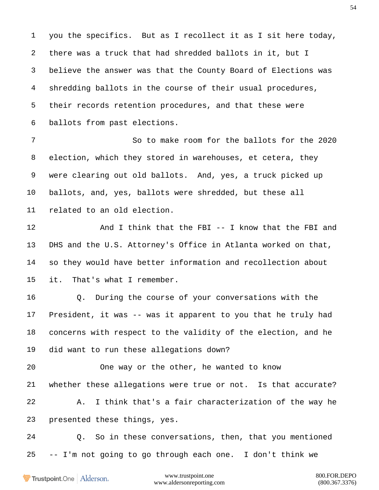you the specifics. But as I recollect it as I sit here today, there was a truck that had shredded ballots in it, but I believe the answer was that the County Board of Elections was shredding ballots in the course of their usual procedures, their records retention procedures, and that these were ballots from past elections.

 So to make room for the ballots for the 2020 election, which they stored in warehouses, et cetera, they were clearing out old ballots. And, yes, a truck picked up ballots, and, yes, ballots were shredded, but these all related to an old election.

12 And I think that the FBI -- I know that the FBI and DHS and the U.S. Attorney's Office in Atlanta worked on that, so they would have better information and recollection about it. That's what I remember.

 Q. During the course of your conversations with the President, it was -- was it apparent to you that he truly had concerns with respect to the validity of the election, and he did want to run these allegations down?

 One way or the other, he wanted to know whether these allegations were true or not. Is that accurate? A. I think that's a fair characterization of the way he presented these things, yes.

 Q. So in these conversations, then, that you mentioned -- I'm not going to go through each one. I don't think we

Trustpoint.One Alderson.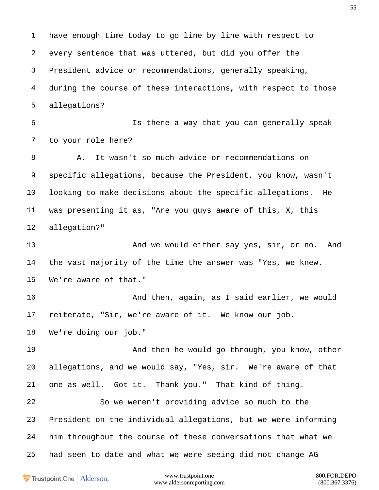have enough time today to go line by line with respect to every sentence that was uttered, but did you offer the President advice or recommendations, generally speaking, during the course of these interactions, with respect to those allegations? Is there a way that you can generally speak to your role here? A. It wasn't so much advice or recommendations on specific allegations, because the President, you know, wasn't looking to make decisions about the specific allegations. He was presenting it as, "Are you guys aware of this, X, this allegation?" 13 And we would either say yes, sir, or no. And the vast majority of the time the answer was "Yes, we knew. We're aware of that." And then, again, as I said earlier, we would reiterate, "Sir, we're aware of it. We know our job. We're doing our job." And then he would go through, you know, other allegations, and we would say, "Yes, sir. We're aware of that one as well. Got it. Thank you." That kind of thing. So we weren't providing advice so much to the President on the individual allegations, but we were informing him throughout the course of these conversations that what we had seen to date and what we were seeing did not change AG

Trustpoint.One Alderson.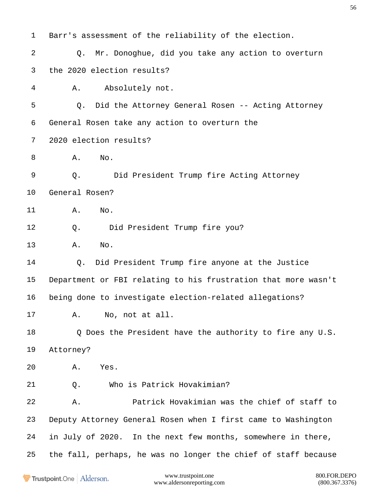Barr's assessment of the reliability of the election. Q. Mr. Donoghue, did you take any action to overturn the 2020 election results? A. Absolutely not. Q. Did the Attorney General Rosen -- Acting Attorney General Rosen take any action to overturn the 2020 election results? **A.** No. Q. Did President Trump fire Acting Attorney General Rosen? A. No. Q. Did President Trump fire you? A. No. Q. Did President Trump fire anyone at the Justice Department or FBI relating to his frustration that more wasn't being done to investigate election-related allegations? A. No, not at all. Q Does the President have the authority to fire any U.S. Attorney? A. Yes. Q. Who is Patrick Hovakimian? A. Patrick Hovakimian was the chief of staff to Deputy Attorney General Rosen when I first came to Washington in July of 2020. In the next few months, somewhere in there, the fall, perhaps, he was no longer the chief of staff because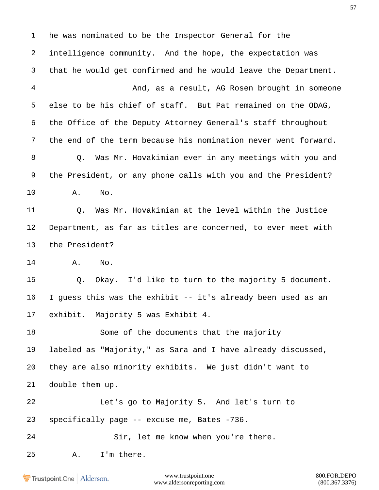he was nominated to be the Inspector General for the intelligence community. And the hope, the expectation was that he would get confirmed and he would leave the Department. And, as a result, AG Rosen brought in someone else to be his chief of staff. But Pat remained on the ODAG, the Office of the Deputy Attorney General's staff throughout the end of the term because his nomination never went forward. Q. Was Mr. Hovakimian ever in any meetings with you and the President, or any phone calls with you and the President? A. No. Q. Was Mr. Hovakimian at the level within the Justice Department, as far as titles are concerned, to ever meet with the President? A. No. Q. Okay. I'd like to turn to the majority 5 document. I guess this was the exhibit -- it's already been used as an exhibit. Majority 5 was Exhibit 4. 18 Some of the documents that the majority labeled as "Majority," as Sara and I have already discussed, they are also minority exhibits. We just didn't want to double them up. Let's go to Majority 5. And let's turn to specifically page -- excuse me, Bates -736. Sir, let me know when you're there. A. I'm there.

Trustpoint.One Alderson.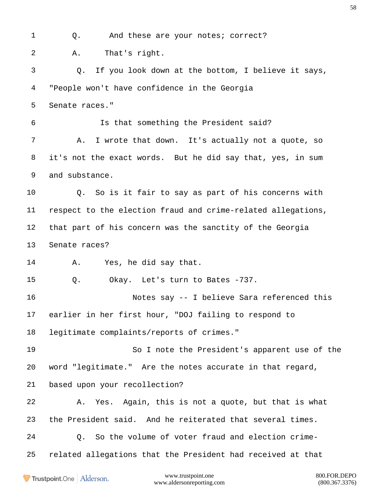1 Q. And these are your notes; correct? A. That's right. Q. If you look down at the bottom, I believe it says, "People won't have confidence in the Georgia Senate races." Is that something the President said? A. I wrote that down. It's actually not a quote, so it's not the exact words. But he did say that, yes, in sum and substance. Q. So is it fair to say as part of his concerns with respect to the election fraud and crime-related allegations, that part of his concern was the sanctity of the Georgia Senate races? A. Yes, he did say that. Q. Okay. Let's turn to Bates -737. Notes say -- I believe Sara referenced this earlier in her first hour, "DOJ failing to respond to legitimate complaints/reports of crimes." So I note the President's apparent use of the word "legitimate." Are the notes accurate in that regard, based upon your recollection? A. Yes. Again, this is not a quote, but that is what the President said. And he reiterated that several times. Q. So the volume of voter fraud and election crime-related allegations that the President had received at that

Trustpoint.One Alderson.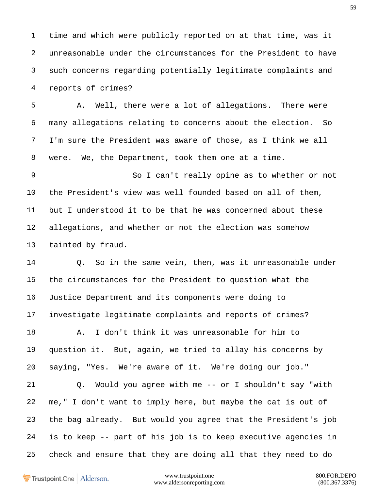time and which were publicly reported on at that time, was it unreasonable under the circumstances for the President to have such concerns regarding potentially legitimate complaints and reports of crimes?

 A. Well, there were a lot of allegations. There were many allegations relating to concerns about the election. So I'm sure the President was aware of those, as I think we all were. We, the Department, took them one at a time.

 So I can't really opine as to whether or not the President's view was well founded based on all of them, but I understood it to be that he was concerned about these allegations, and whether or not the election was somehow tainted by fraud.

 Q. So in the same vein, then, was it unreasonable under the circumstances for the President to question what the Justice Department and its components were doing to investigate legitimate complaints and reports of crimes?

 A. I don't think it was unreasonable for him to question it. But, again, we tried to allay his concerns by saying, "Yes. We're aware of it. We're doing our job."

 Q. Would you agree with me -- or I shouldn't say "with me," I don't want to imply here, but maybe the cat is out of the bag already. But would you agree that the President's job is to keep -- part of his job is to keep executive agencies in check and ensure that they are doing all that they need to do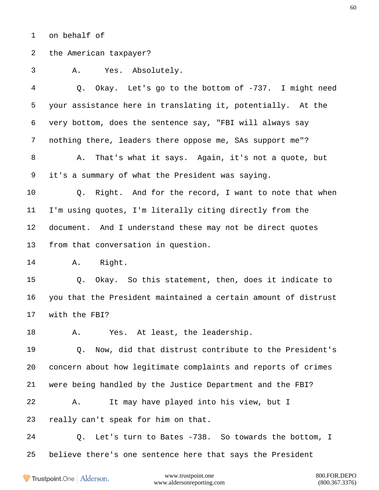on behalf of

the American taxpayer?

A. Yes. Absolutely.

 Q. Okay. Let's go to the bottom of -737. I might need your assistance here in translating it, potentially. At the very bottom, does the sentence say, "FBI will always say nothing there, leaders there oppose me, SAs support me"? A. That's what it says. Again, it's not a quote, but it's a summary of what the President was saying.

 Q. Right. And for the record, I want to note that when I'm using quotes, I'm literally citing directly from the document. And I understand these may not be direct quotes from that conversation in question.

A. Right.

 Q. Okay. So this statement, then, does it indicate to you that the President maintained a certain amount of distrust with the FBI?

18 A. Yes. At least, the leadership.

 Q. Now, did that distrust contribute to the President's concern about how legitimate complaints and reports of crimes were being handled by the Justice Department and the FBI?

 A. It may have played into his view, but I really can't speak for him on that.

 Q. Let's turn to Bates -738. So towards the bottom, I believe there's one sentence here that says the President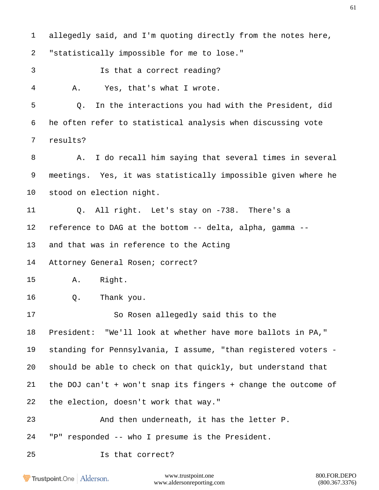allegedly said, and I'm quoting directly from the notes here, "statistically impossible for me to lose." Is that a correct reading? A. Yes, that's what I wrote. Q. In the interactions you had with the President, did he often refer to statistical analysis when discussing vote results? A. I do recall him saying that several times in several meetings. Yes, it was statistically impossible given where he stood on election night. Q. All right. Let's stay on -738. There's a reference to DAG at the bottom -- delta, alpha, gamma -- and that was in reference to the Acting Attorney General Rosen; correct? A. Right. Q. Thank you. So Rosen allegedly said this to the President: "We'll look at whether have more ballots in PA," standing for Pennsylvania, I assume, "than registered voters - should be able to check on that quickly, but understand that the DOJ can't + won't snap its fingers + change the outcome of the election, doesn't work that way." And then underneath, it has the letter P. "P" responded -- who I presume is the President. Is that correct?

Trustpoint.One Alderson.

www.trustpoint.one 800.FOR.DEPO www.aldersonreporting.com (800.367.3376)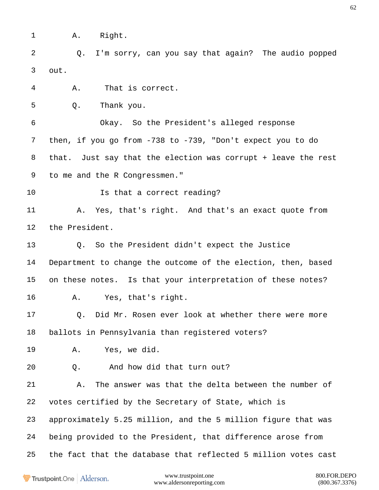A. Right.

 Q. I'm sorry, can you say that again? The audio popped out.

A. That is correct.

Q. Thank you.

 Okay. So the President's alleged response then, if you go from -738 to -739, "Don't expect you to do that. Just say that the election was corrupt + leave the rest to me and the R Congressmen."

**Is that a correct reading?** 

 A. Yes, that's right. And that's an exact quote from the President.

 Q. So the President didn't expect the Justice Department to change the outcome of the election, then, based on these notes. Is that your interpretation of these notes? A. Yes, that's right.

 Q. Did Mr. Rosen ever look at whether there were more ballots in Pennsylvania than registered voters?

A. Yes, we did.

Q. And how did that turn out?

 A. The answer was that the delta between the number of votes certified by the Secretary of State, which is approximately 5.25 million, and the 5 million figure that was being provided to the President, that difference arose from the fact that the database that reflected 5 million votes cast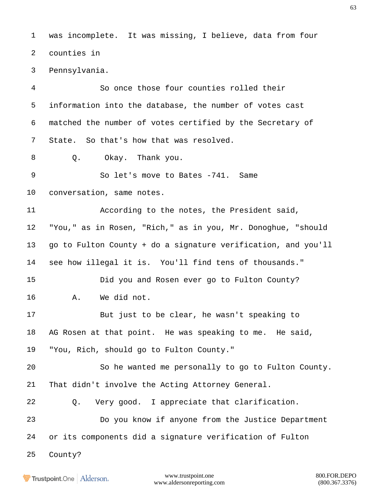was incomplete. It was missing, I believe, data from four counties in

Pennsylvania.

 So once those four counties rolled their information into the database, the number of votes cast matched the number of votes certified by the Secretary of State. So that's how that was resolved.

Q. Okay. Thank you.

9 So let's move to Bates -741. Same

conversation, same notes.

 According to the notes, the President said, "You," as in Rosen, "Rich," as in you, Mr. Donoghue, "should go to Fulton County + do a signature verification, and you'll see how illegal it is. You'll find tens of thousands."

 Did you and Rosen ever go to Fulton County? A. We did not.

 But just to be clear, he wasn't speaking to AG Rosen at that point. He was speaking to me. He said, "You, Rich, should go to Fulton County."

 So he wanted me personally to go to Fulton County. That didn't involve the Acting Attorney General.

Q. Very good. I appreciate that clarification.

 Do you know if anyone from the Justice Department or its components did a signature verification of Fulton

County?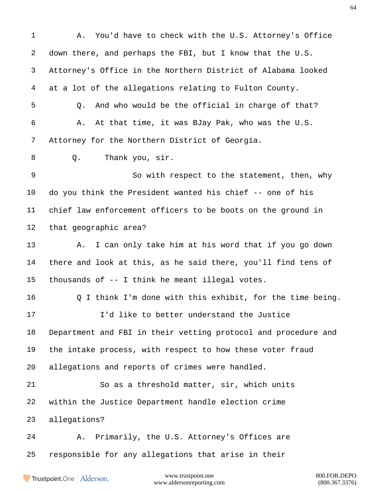www.trustpoint.one 800.FOR.DEPO A. You'd have to check with the U.S. Attorney's Office down there, and perhaps the FBI, but I know that the U.S. Attorney's Office in the Northern District of Alabama looked at a lot of the allegations relating to Fulton County. Q. And who would be the official in charge of that? A. At that time, it was BJay Pak, who was the U.S. Attorney for the Northern District of Georgia. Q. Thank you, sir. So with respect to the statement, then, why do you think the President wanted his chief -- one of his chief law enforcement officers to be boots on the ground in that geographic area? A. I can only take him at his word that if you go down there and look at this, as he said there, you'll find tens of thousands of -- I think he meant illegal votes. Q I think I'm done with this exhibit, for the time being. I'd like to better understand the Justice Department and FBI in their vetting protocol and procedure and the intake process, with respect to how these voter fraud allegations and reports of crimes were handled. So as a threshold matter, sir, which units within the Justice Department handle election crime allegations? A. Primarily, the U.S. Attorney's Offices are responsible for any allegations that arise in their

Trustpoint.One Alderson.

www.aldersonreporting.com (800.367.3376)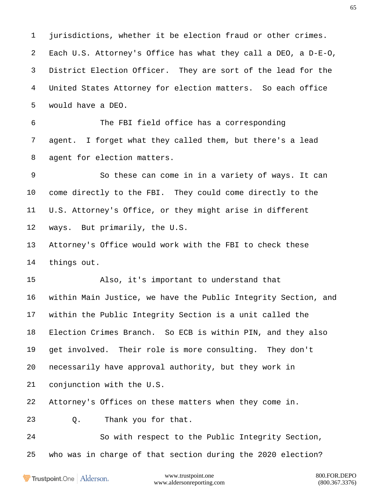jurisdictions, whether it be election fraud or other crimes. Each U.S. Attorney's Office has what they call a DEO, a D-E-O, District Election Officer. They are sort of the lead for the United States Attorney for election matters. So each office would have a DEO.

 The FBI field office has a corresponding agent. I forget what they called them, but there's a lead agent for election matters.

 So these can come in in a variety of ways. It can come directly to the FBI. They could come directly to the U.S. Attorney's Office, or they might arise in different ways. But primarily, the U.S.

 Attorney's Office would work with the FBI to check these things out.

 Also, it's important to understand that within Main Justice, we have the Public Integrity Section, and within the Public Integrity Section is a unit called the Election Crimes Branch. So ECB is within PIN, and they also get involved. Their role is more consulting. They don't necessarily have approval authority, but they work in conjunction with the U.S.

Attorney's Offices on these matters when they come in.

Q. Thank you for that.

 So with respect to the Public Integrity Section, who was in charge of that section during the 2020 election?

Trustpoint.One Alderson.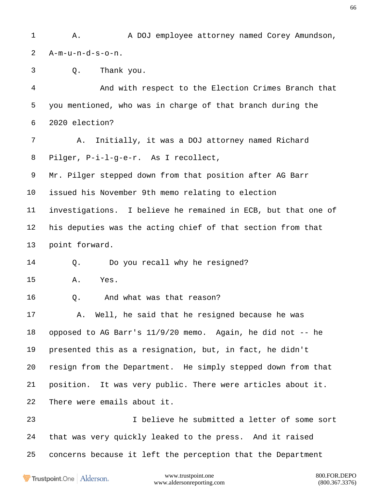1 A. A DOJ employee attorney named Corey Amundson, A-m-u-n-d-s-o-n. Q. Thank you. And with respect to the Election Crimes Branch that you mentioned, who was in charge of that branch during the 2020 election? A. Initially, it was a DOJ attorney named Richard Pilger, P-i-l-g-e-r. As I recollect, Mr. Pilger stepped down from that position after AG Barr issued his November 9th memo relating to election investigations. I believe he remained in ECB, but that one of his deputies was the acting chief of that section from that point forward. 14 0. Do you recall why he resigned? A. Yes. Q. And what was that reason? A. Well, he said that he resigned because he was opposed to AG Barr's 11/9/20 memo. Again, he did not -- he presented this as a resignation, but, in fact, he didn't resign from the Department. He simply stepped down from that position. It was very public. There were articles about it. There were emails about it. I believe he submitted a letter of some sort that was very quickly leaked to the press. And it raised concerns because it left the perception that the Department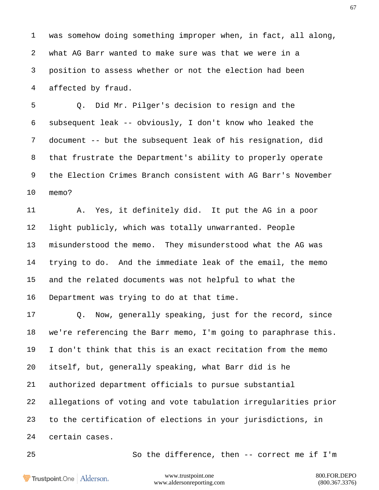was somehow doing something improper when, in fact, all along, what AG Barr wanted to make sure was that we were in a position to assess whether or not the election had been affected by fraud.

 Q. Did Mr. Pilger's decision to resign and the subsequent leak -- obviously, I don't know who leaked the document -- but the subsequent leak of his resignation, did that frustrate the Department's ability to properly operate the Election Crimes Branch consistent with AG Barr's November memo?

 A. Yes, it definitely did. It put the AG in a poor light publicly, which was totally unwarranted. People misunderstood the memo. They misunderstood what the AG was trying to do. And the immediate leak of the email, the memo and the related documents was not helpful to what the Department was trying to do at that time.

 Q. Now, generally speaking, just for the record, since we're referencing the Barr memo, I'm going to paraphrase this. I don't think that this is an exact recitation from the memo itself, but, generally speaking, what Barr did is he authorized department officials to pursue substantial allegations of voting and vote tabulation irregularities prior to the certification of elections in your jurisdictions, in certain cases.

So the difference, then -- correct me if I'm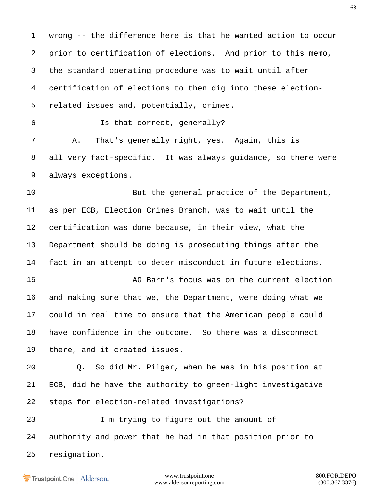wrong -- the difference here is that he wanted action to occur prior to certification of elections. And prior to this memo, the standard operating procedure was to wait until after certification of elections to then dig into these election- related issues and, potentially, crimes. Is that correct, generally? A. That's generally right, yes. Again, this is all very fact-specific. It was always guidance, so there were always exceptions. 10 But the general practice of the Department, as per ECB, Election Crimes Branch, was to wait until the certification was done because, in their view, what the Department should be doing is prosecuting things after the fact in an attempt to deter misconduct in future elections. AG Barr's focus was on the current election and making sure that we, the Department, were doing what we could in real time to ensure that the American people could have confidence in the outcome. So there was a disconnect

there, and it created issues.

 Q. So did Mr. Pilger, when he was in his position at ECB, did he have the authority to green-light investigative steps for election-related investigations?

 I'm trying to figure out the amount of authority and power that he had in that position prior to resignation.

Trustpoint.One Alderson.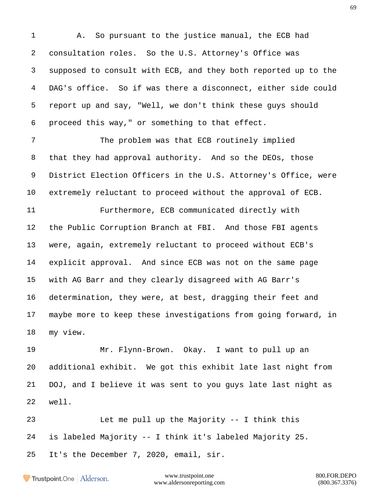A. So pursuant to the justice manual, the ECB had consultation roles. So the U.S. Attorney's Office was supposed to consult with ECB, and they both reported up to the DAG's office. So if was there a disconnect, either side could report up and say, "Well, we don't think these guys should proceed this way," or something to that effect.

 The problem was that ECB routinely implied that they had approval authority. And so the DEOs, those District Election Officers in the U.S. Attorney's Office, were extremely reluctant to proceed without the approval of ECB.

 Furthermore, ECB communicated directly with the Public Corruption Branch at FBI. And those FBI agents were, again, extremely reluctant to proceed without ECB's explicit approval. And since ECB was not on the same page with AG Barr and they clearly disagreed with AG Barr's determination, they were, at best, dragging their feet and maybe more to keep these investigations from going forward, in my view.

 Mr. Flynn-Brown. Okay. I want to pull up an additional exhibit. We got this exhibit late last night from DOJ, and I believe it was sent to you guys late last night as well.

 Let me pull up the Majority -- I think this is labeled Majority -- I think it's labeled Majority 25. It's the December 7, 2020, email, sir.

Trustpoint.One Alderson.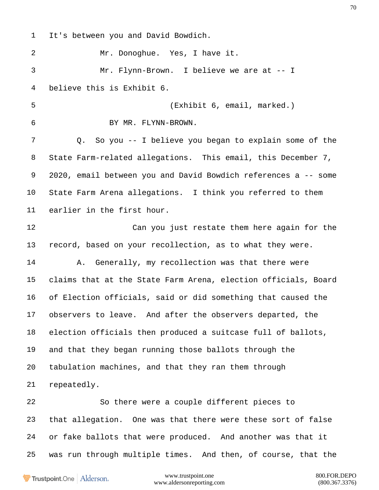It's between you and David Bowdich.

 Mr. Donoghue. Yes, I have it. Mr. Flynn-Brown. I believe we are at -- I believe this is Exhibit 6.

(Exhibit 6, email, marked.)

 BY MR. FLYNN-BROWN. Q. So you -- I believe you began to explain some of the State Farm-related allegations. This email, this December 7, 2020, email between you and David Bowdich references a -- some State Farm Arena allegations. I think you referred to them earlier in the first hour.

 Can you just restate them here again for the record, based on your recollection, as to what they were.

 A. Generally, my recollection was that there were claims that at the State Farm Arena, election officials, Board of Election officials, said or did something that caused the observers to leave. And after the observers departed, the election officials then produced a suitcase full of ballots, and that they began running those ballots through the tabulation machines, and that they ran them through repeatedly.

 So there were a couple different pieces to that allegation. One was that there were these sort of false or fake ballots that were produced. And another was that it was run through multiple times. And then, of course, that the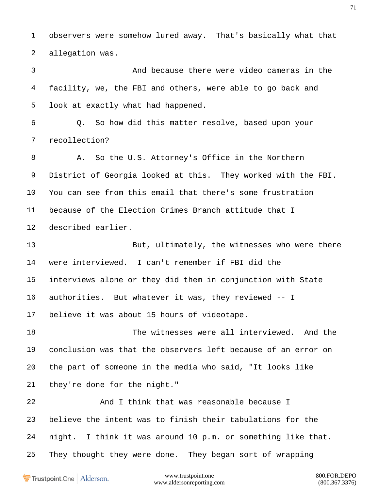observers were somehow lured away. That's basically what that allegation was.

 And because there were video cameras in the facility, we, the FBI and others, were able to go back and look at exactly what had happened.

 Q. So how did this matter resolve, based upon your recollection?

 A. So the U.S. Attorney's Office in the Northern District of Georgia looked at this. They worked with the FBI. You can see from this email that there's some frustration because of the Election Crimes Branch attitude that I described earlier.

 But, ultimately, the witnesses who were there were interviewed. I can't remember if FBI did the interviews alone or they did them in conjunction with State authorities. But whatever it was, they reviewed -- I believe it was about 15 hours of videotape.

 The witnesses were all interviewed. And the conclusion was that the observers left because of an error on the part of someone in the media who said, "It looks like they're done for the night."

 And I think that was reasonable because I believe the intent was to finish their tabulations for the night. I think it was around 10 p.m. or something like that. They thought they were done. They began sort of wrapping

Trustpoint.One Alderson.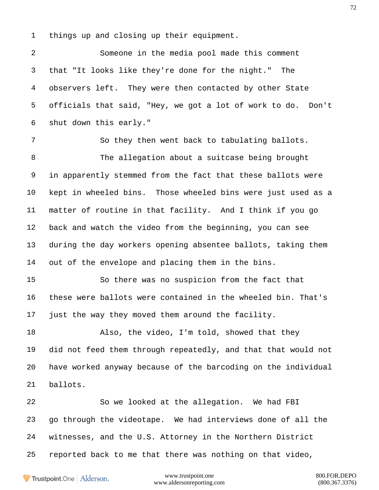things up and closing up their equipment.

 Someone in the media pool made this comment that "It looks like they're done for the night." The observers left. They were then contacted by other State officials that said, "Hey, we got a lot of work to do. Don't shut down this early."

 So they then went back to tabulating ballots. The allegation about a suitcase being brought in apparently stemmed from the fact that these ballots were kept in wheeled bins. Those wheeled bins were just used as a matter of routine in that facility. And I think if you go back and watch the video from the beginning, you can see during the day workers opening absentee ballots, taking them out of the envelope and placing them in the bins.

 So there was no suspicion from the fact that these were ballots were contained in the wheeled bin. That's just the way they moved them around the facility.

18 Also, the video, I'm told, showed that they did not feed them through repeatedly, and that that would not have worked anyway because of the barcoding on the individual ballots.

 So we looked at the allegation. We had FBI go through the videotape. We had interviews done of all the witnesses, and the U.S. Attorney in the Northern District reported back to me that there was nothing on that video,

Trustpoint.One Alderson.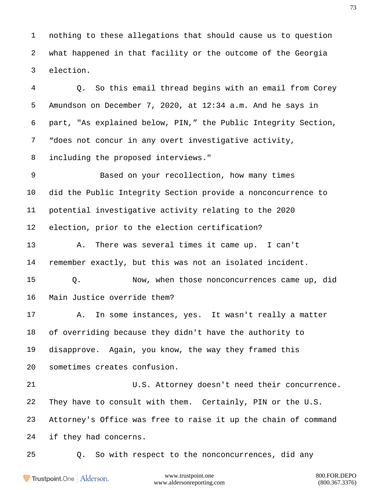nothing to these allegations that should cause us to question what happened in that facility or the outcome of the Georgia election.

 Q. So this email thread begins with an email from Corey Amundson on December 7, 2020, at 12:34 a.m. And he says in part, "As explained below, PIN," the Public Integrity Section, "does not concur in any overt investigative activity, including the proposed interviews."

 Based on your recollection, how many times did the Public Integrity Section provide a nonconcurrence to potential investigative activity relating to the 2020 election, prior to the election certification?

 A. There was several times it came up. I can't remember exactly, but this was not an isolated incident.

 Q. Now, when those nonconcurrences came up, did Main Justice override them?

 A. In some instances, yes. It wasn't really a matter of overriding because they didn't have the authority to disapprove. Again, you know, the way they framed this sometimes creates confusion.

 U.S. Attorney doesn't need their concurrence. They have to consult with them. Certainly, PIN or the U.S. Attorney's Office was free to raise it up the chain of command if they had concerns.

Q. So with respect to the nonconcurrences, did any

Trustpoint.One Alderson.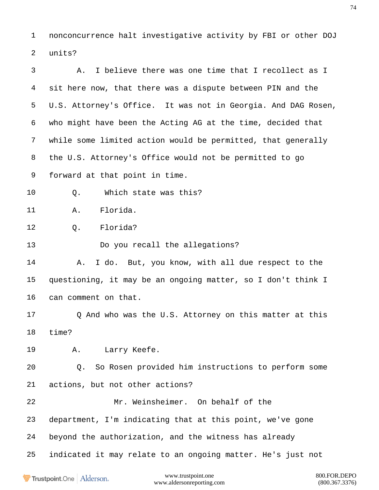nonconcurrence halt investigative activity by FBI or other DOJ units?

 A. I believe there was one time that I recollect as I sit here now, that there was a dispute between PIN and the U.S. Attorney's Office. It was not in Georgia. And DAG Rosen, who might have been the Acting AG at the time, decided that while some limited action would be permitted, that generally the U.S. Attorney's Office would not be permitted to go forward at that point in time. Q. Which state was this? A. Florida. Q. Florida? Do you recall the allegations? A. I do. But, you know, with all due respect to the questioning, it may be an ongoing matter, so I don't think I can comment on that. 17 Q And who was the U.S. Attorney on this matter at this time? A. Larry Keefe. Q. So Rosen provided him instructions to perform some actions, but not other actions? Mr. Weinsheimer. On behalf of the department, I'm indicating that at this point, we've gone beyond the authorization, and the witness has already indicated it may relate to an ongoing matter. He's just notwww.trustpoint.one 800.FOR.DEPO Trustpoint.One Alderson.

www.aldersonreporting.com (800.367.3376)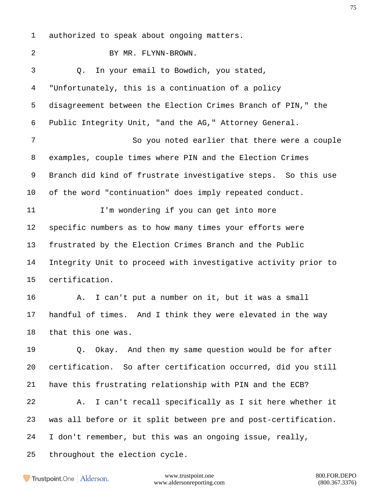authorized to speak about ongoing matters.

 BY MR. FLYNN-BROWN. Q. In your email to Bowdich, you stated, "Unfortunately, this is a continuation of a policy disagreement between the Election Crimes Branch of PIN," the Public Integrity Unit, "and the AG," Attorney General. So you noted earlier that there were a couple examples, couple times where PIN and the Election Crimes Branch did kind of frustrate investigative steps. So this use of the word "continuation" does imply repeated conduct. 11 I'm wondering if you can get into more specific numbers as to how many times your efforts were frustrated by the Election Crimes Branch and the Public Integrity Unit to proceed with investigative activity prior to certification. A. I can't put a number on it, but it was a small handful of times. And I think they were elevated in the way that this one was. Q. Okay. And then my same question would be for after certification. So after certification occurred, did you still have this frustrating relationship with PIN and the ECB? A. I can't recall specifically as I sit here whether it was all before or it split between pre and post-certification. I don't remember, but this was an ongoing issue, really, throughout the election cycle.

Trustpoint.One Alderson.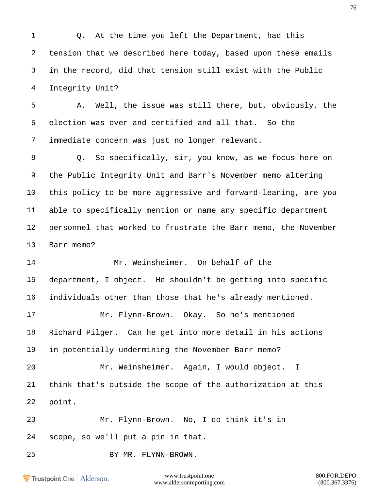Q. At the time you left the Department, had this tension that we described here today, based upon these emails in the record, did that tension still exist with the Public Integrity Unit? A. Well, the issue was still there, but, obviously, the election was over and certified and all that. So the immediate concern was just no longer relevant. Q. So specifically, sir, you know, as we focus here on the Public Integrity Unit and Barr's November memo altering this policy to be more aggressive and forward-leaning, are you able to specifically mention or name any specific department personnel that worked to frustrate the Barr memo, the November Barr memo? Mr. Weinsheimer. On behalf of the department, I object. He shouldn't be getting into specific individuals other than those that he's already mentioned. Mr. Flynn-Brown. Okay. So he's mentioned Richard Pilger. Can he get into more detail in his actions in potentially undermining the November Barr memo? Mr. Weinsheimer. Again, I would object. I think that's outside the scope of the authorization at this point. Mr. Flynn-Brown. No, I do think it's in scope, so we'll put a pin in that. BY MR. FLYNN-BROWN.www.trustpoint.one 800.FOR.DEPO Trustpoint.One Alderson.

www.aldersonreporting.com (800.367.3376)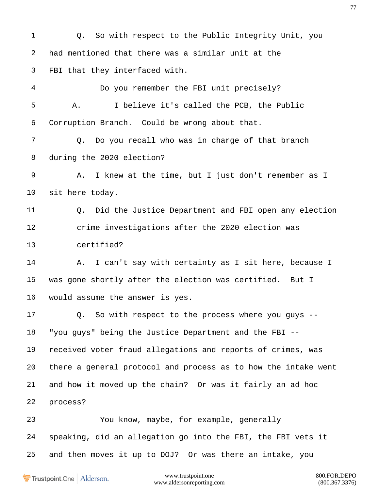Q. So with respect to the Public Integrity Unit, you had mentioned that there was a similar unit at the FBI that they interfaced with. Do you remember the FBI unit precisely? A. I believe it's called the PCB, the Public Corruption Branch. Could be wrong about that. Q. Do you recall who was in charge of that branch during the 2020 election? A. I knew at the time, but I just don't remember as I sit here today. Q. Did the Justice Department and FBI open any election crime investigations after the 2020 election was certified? A. I can't say with certainty as I sit here, because I was gone shortly after the election was certified. But I would assume the answer is yes. Q. So with respect to the process where you guys -- "you guys" being the Justice Department and the FBI -- received voter fraud allegations and reports of crimes, was there a general protocol and process as to how the intake went and how it moved up the chain? Or was it fairly an ad hoc process? You know, maybe, for example, generally speaking, did an allegation go into the FBI, the FBI vets it and then moves it up to DOJ? Or was there an intake, you

Trustpoint.One Alderson.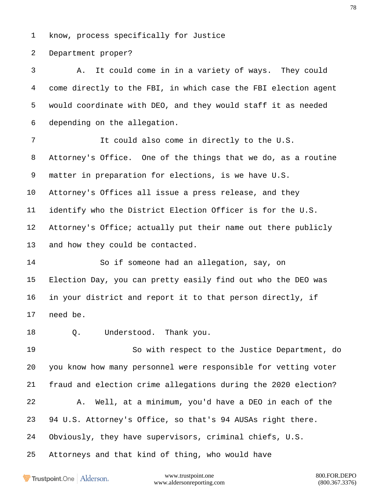know, process specifically for Justice

Department proper?

 A. It could come in in a variety of ways. They could come directly to the FBI, in which case the FBI election agent would coordinate with DEO, and they would staff it as needed depending on the allegation.

 It could also come in directly to the U.S. Attorney's Office. One of the things that we do, as a routine matter in preparation for elections, is we have U.S. Attorney's Offices all issue a press release, and they identify who the District Election Officer is for the U.S. Attorney's Office; actually put their name out there publicly and how they could be contacted.

 So if someone had an allegation, say, on Election Day, you can pretty easily find out who the DEO was in your district and report it to that person directly, if need be.

Q. Understood. Thank you.

 So with respect to the Justice Department, do you know how many personnel were responsible for vetting voter fraud and election crime allegations during the 2020 election? A. Well, at a minimum, you'd have a DEO in each of the 94 U.S. Attorney's Office, so that's 94 AUSAs right there. Obviously, they have supervisors, criminal chiefs, U.S.

Attorneys and that kind of thing, who would have

Trustpoint.One Alderson.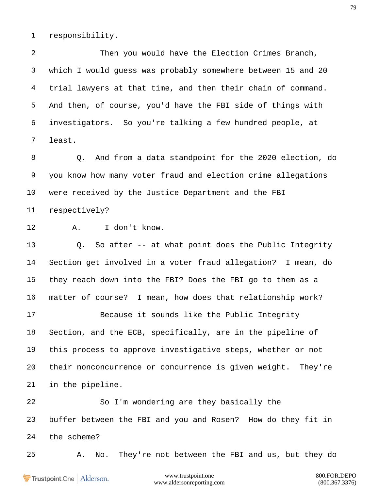responsibility.

 Then you would have the Election Crimes Branch, which I would guess was probably somewhere between 15 and 20 trial lawyers at that time, and then their chain of command. And then, of course, you'd have the FBI side of things with investigators. So you're talking a few hundred people, at least.

 Q. And from a data standpoint for the 2020 election, do you know how many voter fraud and election crime allegations were received by the Justice Department and the FBI respectively?

A. I don't know.

 Q. So after -- at what point does the Public Integrity Section get involved in a voter fraud allegation? I mean, do they reach down into the FBI? Does the FBI go to them as a matter of course? I mean, how does that relationship work? Because it sounds like the Public Integrity Section, and the ECB, specifically, are in the pipeline of this process to approve investigative steps, whether or not their nonconcurrence or concurrence is given weight. They're in the pipeline.

 So I'm wondering are they basically the buffer between the FBI and you and Rosen? How do they fit in the scheme?

A. No. They're not between the FBI and us, but they do

Trustpoint.One Alderson.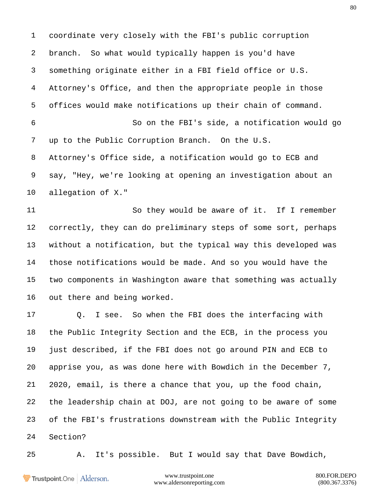coordinate very closely with the FBI's public corruption branch. So what would typically happen is you'd have something originate either in a FBI field office or U.S. Attorney's Office, and then the appropriate people in those offices would make notifications up their chain of command. So on the FBI's side, a notification would go up to the Public Corruption Branch. On the U.S. Attorney's Office side, a notification would go to ECB and say, "Hey, we're looking at opening an investigation about an allegation of X."

 So they would be aware of it. If I remember correctly, they can do preliminary steps of some sort, perhaps without a notification, but the typical way this developed was those notifications would be made. And so you would have the two components in Washington aware that something was actually out there and being worked.

 Q. I see. So when the FBI does the interfacing with the Public Integrity Section and the ECB, in the process you just described, if the FBI does not go around PIN and ECB to apprise you, as was done here with Bowdich in the December 7, 2020, email, is there a chance that you, up the food chain, the leadership chain at DOJ, are not going to be aware of some of the FBI's frustrations downstream with the Public Integrity Section?

A. It's possible. But I would say that Dave Bowdich,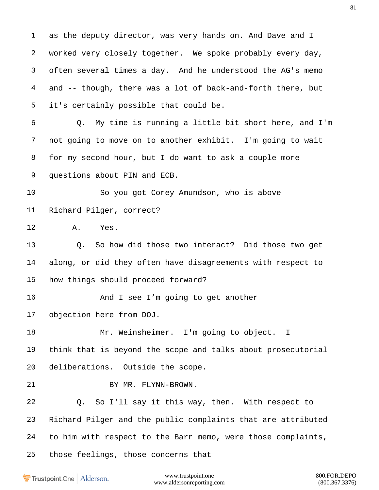as the deputy director, was very hands on. And Dave and I worked very closely together. We spoke probably every day, often several times a day. And he understood the AG's memo and -- though, there was a lot of back-and-forth there, but it's certainly possible that could be. Q. My time is running a little bit short here, and I'm not going to move on to another exhibit. I'm going to wait for my second hour, but I do want to ask a couple more questions about PIN and ECB. So you got Corey Amundson, who is above Richard Pilger, correct? A. Yes. Q. So how did those two interact? Did those two get along, or did they often have disagreements with respect to how things should proceed forward? 16 And I see I'm going to get another objection here from DOJ. Mr. Weinsheimer. I'm going to object. I think that is beyond the scope and talks about prosecutorial deliberations. Outside the scope. 21 BY MR. FLYNN-BROWN. Q. So I'll say it this way, then. With respect to Richard Pilger and the public complaints that are attributed to him with respect to the Barr memo, were those complaints, those feelings, those concerns that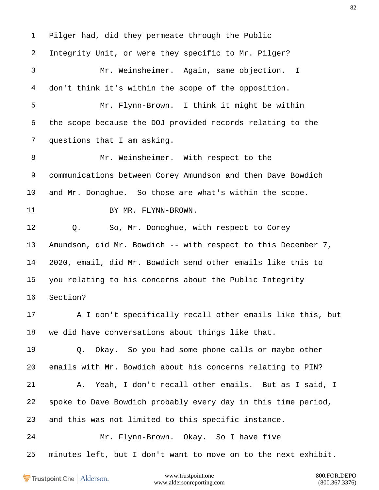Pilger had, did they permeate through the Public Integrity Unit, or were they specific to Mr. Pilger? Mr. Weinsheimer. Again, same objection. I don't think it's within the scope of the opposition. Mr. Flynn-Brown. I think it might be within the scope because the DOJ provided records relating to the questions that I am asking. Mr. Weinsheimer. With respect to the communications between Corey Amundson and then Dave Bowdich and Mr. Donoghue. So those are what's within the scope. 11 BY MR. FLYNN-BROWN. Q. So, Mr. Donoghue, with respect to Corey Amundson, did Mr. Bowdich -- with respect to this December 7, 2020, email, did Mr. Bowdich send other emails like this to you relating to his concerns about the Public Integrity Section? A I don't specifically recall other emails like this, but we did have conversations about things like that. Q. Okay. So you had some phone calls or maybe other emails with Mr. Bowdich about his concerns relating to PIN? A. Yeah, I don't recall other emails. But as I said, I spoke to Dave Bowdich probably every day in this time period, and this was not limited to this specific instance. Mr. Flynn-Brown. Okay. So I have five minutes left, but I don't want to move on to the next exhibit.

Trustpoint.One Alderson.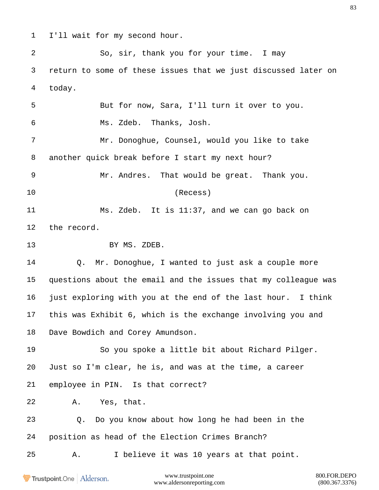- 
- I'll wait for my second hour.

 So, sir, thank you for your time. I may return to some of these issues that we just discussed later on today. But for now, Sara, I'll turn it over to you. Ms. Zdeb. Thanks, Josh. Mr. Donoghue, Counsel, would you like to take another quick break before I start my next hour? Mr. Andres. That would be great. Thank you. (Recess) Ms. Zdeb. It is 11:37, and we can go back on the record. 13 BY MS. ZDEB. Q. Mr. Donoghue, I wanted to just ask a couple more questions about the email and the issues that my colleague was just exploring with you at the end of the last hour. I think this was Exhibit 6, which is the exchange involving you and

Dave Bowdich and Corey Amundson.

 So you spoke a little bit about Richard Pilger. Just so I'm clear, he is, and was at the time, a career employee in PIN. Is that correct?

A. Yes, that.

 Q. Do you know about how long he had been in the position as head of the Election Crimes Branch?

A. I believe it was 10 years at that point.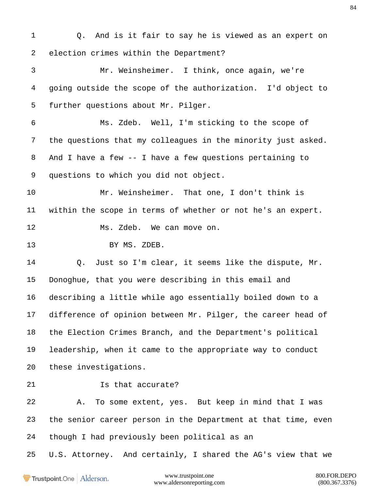Q. And is it fair to say he is viewed as an expert on election crimes within the Department? Mr. Weinsheimer. I think, once again, we're going outside the scope of the authorization. I'd object to further questions about Mr. Pilger. Ms. Zdeb. Well, I'm sticking to the scope of the questions that my colleagues in the minority just asked. And I have a few -- I have a few questions pertaining to questions to which you did not object. Mr. Weinsheimer. That one, I don't think is within the scope in terms of whether or not he's an expert. Ms. Zdeb. We can move on. 13 BY MS. ZDEB. Q. Just so I'm clear, it seems like the dispute, Mr. Donoghue, that you were describing in this email and describing a little while ago essentially boiled down to a difference of opinion between Mr. Pilger, the career head of the Election Crimes Branch, and the Department's political leadership, when it came to the appropriate way to conduct these investigations. **Is that accurate?**  A. To some extent, yes. But keep in mind that I was the senior career person in the Department at that time, even though I had previously been political as an U.S. Attorney. And certainly, I shared the AG's view that we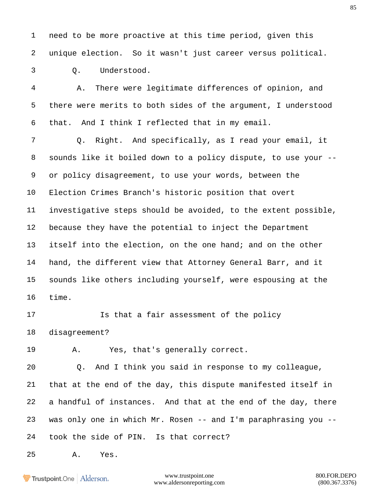need to be more proactive at this time period, given this unique election. So it wasn't just career versus political.

Q. Understood.

 A. There were legitimate differences of opinion, and there were merits to both sides of the argument, I understood that. And I think I reflected that in my email.

 Q. Right. And specifically, as I read your email, it sounds like it boiled down to a policy dispute, to use your -- or policy disagreement, to use your words, between the Election Crimes Branch's historic position that overt investigative steps should be avoided, to the extent possible, because they have the potential to inject the Department itself into the election, on the one hand; and on the other hand, the different view that Attorney General Barr, and it sounds like others including yourself, were espousing at the time.

**Is that a fair assessment of the policy** disagreement?

A. Yes, that's generally correct.

 Q. And I think you said in response to my colleague, that at the end of the day, this dispute manifested itself in a handful of instances. And that at the end of the day, there was only one in which Mr. Rosen -- and I'm paraphrasing you -- took the side of PIN. Is that correct?

A. Yes.

Trustpoint.One Alderson.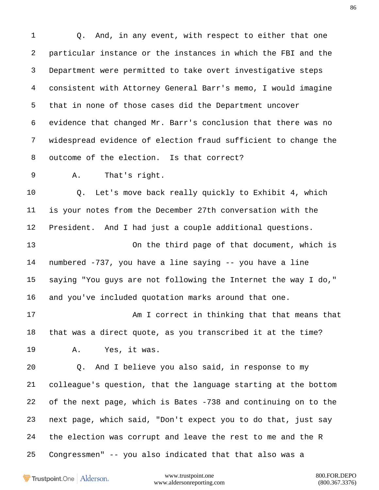1 0. And, in any event, with respect to either that one particular instance or the instances in which the FBI and the Department were permitted to take overt investigative steps consistent with Attorney General Barr's memo, I would imagine that in none of those cases did the Department uncover evidence that changed Mr. Barr's conclusion that there was no widespread evidence of election fraud sufficient to change the outcome of the election. Is that correct? A. That's right. Q. Let's move back really quickly to Exhibit 4, which is your notes from the December 27th conversation with the President. And I had just a couple additional questions. On the third page of that document, which is numbered -737, you have a line saying -- you have a line saying "You guys are not following the Internet the way I do," and you've included quotation marks around that one. 17 Am I correct in thinking that that means that that was a direct quote, as you transcribed it at the time? A. Yes, it was. Q. And I believe you also said, in response to my colleague's question, that the language starting at the bottom of the next page, which is Bates -738 and continuing on to the next page, which said, "Don't expect you to do that, just say the election was corrupt and leave the rest to me and the R Congressmen" -- you also indicated that that also was a

Trustpoint.One Alderson.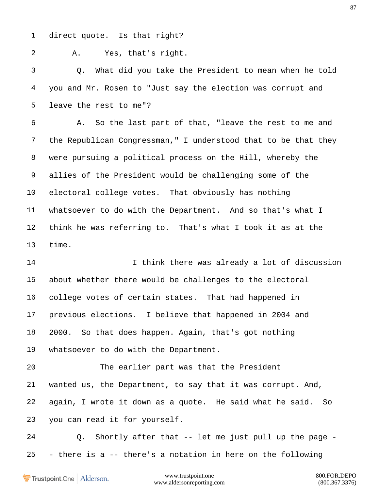direct quote. Is that right?

A. Yes, that's right.

 Q. What did you take the President to mean when he told you and Mr. Rosen to "Just say the election was corrupt and leave the rest to me"?

 A. So the last part of that, "leave the rest to me and the Republican Congressman," I understood that to be that they were pursuing a political process on the Hill, whereby the allies of the President would be challenging some of the electoral college votes. That obviously has nothing whatsoever to do with the Department. And so that's what I think he was referring to. That's what I took it as at the time.

 I think there was already a lot of discussion about whether there would be challenges to the electoral college votes of certain states. That had happened in previous elections. I believe that happened in 2004 and 2000. So that does happen. Again, that's got nothing whatsoever to do with the Department.

 The earlier part was that the President wanted us, the Department, to say that it was corrupt. And, again, I wrote it down as a quote. He said what he said. So you can read it for yourself.

 Q. Shortly after that -- let me just pull up the page - - there is a -- there's a notation in here on the following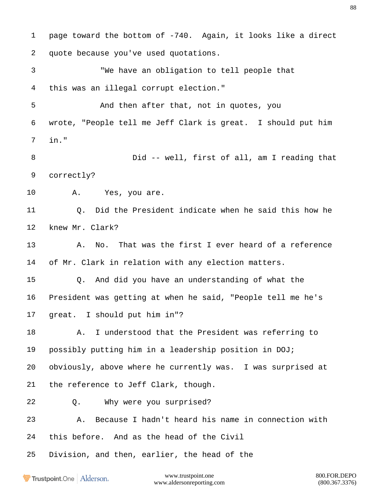page toward the bottom of -740. Again, it looks like a direct quote because you've used quotations. "We have an obligation to tell people that this was an illegal corrupt election." And then after that, not in quotes, you wrote, "People tell me Jeff Clark is great. I should put him in." Did -- well, first of all, am I reading that correctly? A. Yes, you are. Q. Did the President indicate when he said this how he knew Mr. Clark? A. No. That was the first I ever heard of a reference of Mr. Clark in relation with any election matters. Q. And did you have an understanding of what the President was getting at when he said, "People tell me he's great. I should put him in"? A. I understood that the President was referring to possibly putting him in a leadership position in DOJ; obviously, above where he currently was. I was surprised at the reference to Jeff Clark, though. Q. Why were you surprised? A. Because I hadn't heard his name in connection with this before. And as the head of the Civil Division, and then, earlier, the head of the

Trustpoint.One Alderson.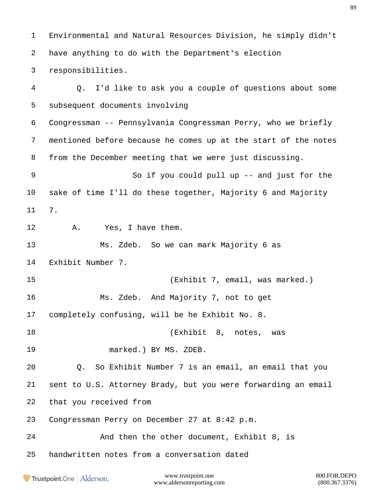Environmental and Natural Resources Division, he simply didn't have anything to do with the Department's election responsibilities. Q. I'd like to ask you a couple of questions about some subsequent documents involving Congressman -- Pennsylvania Congressman Perry, who we briefly mentioned before because he comes up at the start of the notes from the December meeting that we were just discussing. So if you could pull up -- and just for the sake of time I'll do these together, Majority 6 and Majority 7. A. Yes, I have them. Ms. Zdeb. So we can mark Majority 6 as Exhibit Number 7. (Exhibit 7, email, was marked.) Ms. Zdeb. And Majority 7, not to get completely confusing, will be he Exhibit No. 8. (Exhibit 8, notes, was marked.) BY MS. ZDEB. Q. So Exhibit Number 7 is an email, an email that you sent to U.S. Attorney Brady, but you were forwarding an email that you received from Congressman Perry on December 27 at 8:42 p.m. And then the other document, Exhibit 8, is handwritten notes from a conversation dated

Trustpoint.One Alderson.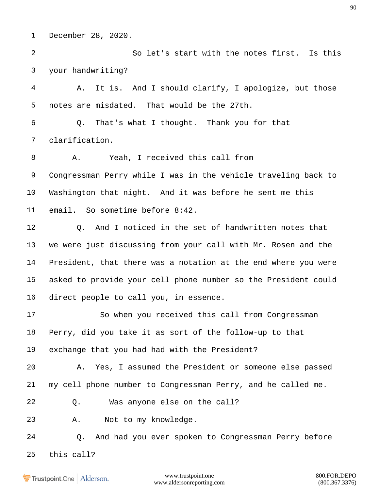December 28, 2020.

 So let's start with the notes first. Is this your handwriting?

 A. It is. And I should clarify, I apologize, but those notes are misdated. That would be the 27th.

 Q. That's what I thought. Thank you for that clarification.

 A. Yeah, I received this call from Congressman Perry while I was in the vehicle traveling back to Washington that night. And it was before he sent me this email. So sometime before 8:42.

 Q. And I noticed in the set of handwritten notes that we were just discussing from your call with Mr. Rosen and the President, that there was a notation at the end where you were asked to provide your cell phone number so the President could direct people to call you, in essence.

 So when you received this call from Congressman Perry, did you take it as sort of the follow-up to that exchange that you had had with the President?

 A. Yes, I assumed the President or someone else passed my cell phone number to Congressman Perry, and he called me.

Q. Was anyone else on the call?

A. Not to my knowledge.

Q. And had you ever spoken to Congressman Perry before

this call?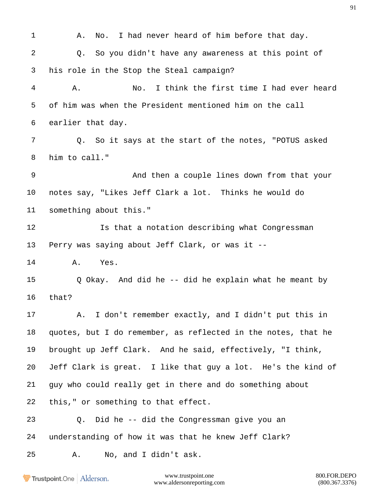1 A. No. I had never heard of him before that day. Q. So you didn't have any awareness at this point of his role in the Stop the Steal campaign? A. No. I think the first time I had ever heard of him was when the President mentioned him on the call earlier that day. Q. So it says at the start of the notes, "POTUS asked him to call." And then a couple lines down from that your notes say, "Likes Jeff Clark a lot. Thinks he would do something about this." **Is that a notation describing what Congressman**  Perry was saying about Jeff Clark, or was it -- A. Yes. Q Okay. And did he -- did he explain what he meant by that? A. I don't remember exactly, and I didn't put this in quotes, but I do remember, as reflected in the notes, that he brought up Jeff Clark. And he said, effectively, "I think, Jeff Clark is great. I like that guy a lot. He's the kind of guy who could really get in there and do something about this," or something to that effect. Q. Did he -- did the Congressman give you an understanding of how it was that he knew Jeff Clark? A. No, and I didn't ask.

Trustpoint.One Alderson.

www.trustpoint.one 800.FOR.DEPO www.aldersonreporting.com (800.367.3376)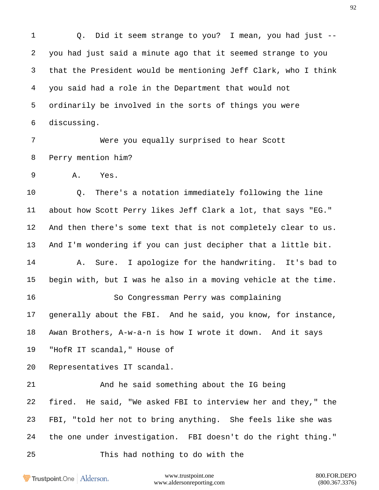Q. Did it seem strange to you? I mean, you had just -- you had just said a minute ago that it seemed strange to you that the President would be mentioning Jeff Clark, who I think you said had a role in the Department that would not ordinarily be involved in the sorts of things you were discussing.

 Were you equally surprised to hear Scott Perry mention him?

A. Yes.

 Q. There's a notation immediately following the line about how Scott Perry likes Jeff Clark a lot, that says "EG." And then there's some text that is not completely clear to us. And I'm wondering if you can just decipher that a little bit.

 A. Sure. I apologize for the handwriting. It's bad to begin with, but I was he also in a moving vehicle at the time.

 So Congressman Perry was complaining generally about the FBI. And he said, you know, for instance, Awan Brothers, A-w-a-n is how I wrote it down. And it says

"HofR IT scandal," House of

Representatives IT scandal.

 And he said something about the IG being fired. He said, "We asked FBI to interview her and they," the FBI, "told her not to bring anything. She feels like she was the one under investigation. FBI doesn't do the right thing."

This had nothing to do with the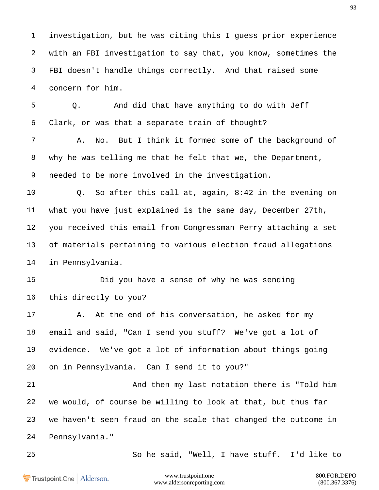investigation, but he was citing this I guess prior experience with an FBI investigation to say that, you know, sometimes the FBI doesn't handle things correctly. And that raised some concern for him.

 Q. And did that have anything to do with Jeff Clark, or was that a separate train of thought?

 A. No. But I think it formed some of the background of why he was telling me that he felt that we, the Department, needed to be more involved in the investigation.

 Q. So after this call at, again, 8:42 in the evening on what you have just explained is the same day, December 27th, you received this email from Congressman Perry attaching a set of materials pertaining to various election fraud allegations in Pennsylvania.

 Did you have a sense of why he was sending this directly to you?

17 A. At the end of his conversation, he asked for my email and said, "Can I send you stuff? We've got a lot of evidence. We've got a lot of information about things going on in Pennsylvania. Can I send it to you?"

 And then my last notation there is "Told him we would, of course be willing to look at that, but thus far we haven't seen fraud on the scale that changed the outcome in Pennsylvania."

So he said, "Well, I have stuff. I'd like to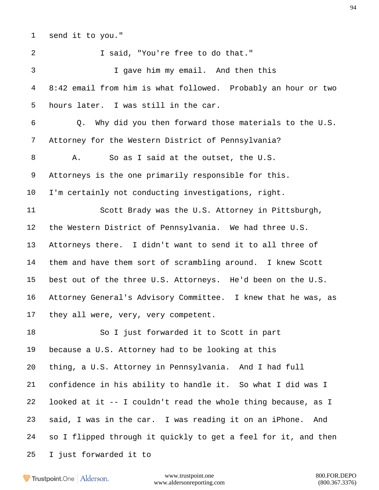send it to you."

 I said, "You're free to do that." I gave him my email. And then this 8:42 email from him is what followed. Probably an hour or two hours later. I was still in the car. Q. Why did you then forward those materials to the U.S. Attorney for the Western District of Pennsylvania? A. So as I said at the outset, the U.S. Attorneys is the one primarily responsible for this. I'm certainly not conducting investigations, right. Scott Brady was the U.S. Attorney in Pittsburgh, the Western District of Pennsylvania. We had three U.S. Attorneys there. I didn't want to send it to all three of them and have them sort of scrambling around. I knew Scott best out of the three U.S. Attorneys. He'd been on the U.S. Attorney General's Advisory Committee. I knew that he was, as they all were, very, very competent. So I just forwarded it to Scott in part because a U.S. Attorney had to be looking at this thing, a U.S. Attorney in Pennsylvania. And I had full confidence in his ability to handle it. So what I did was I looked at it -- I couldn't read the whole thing because, as I said, I was in the car. I was reading it on an iPhone. And so I flipped through it quickly to get a feel for it, and then I just forwarded it to

Trustpoint.One Alderson.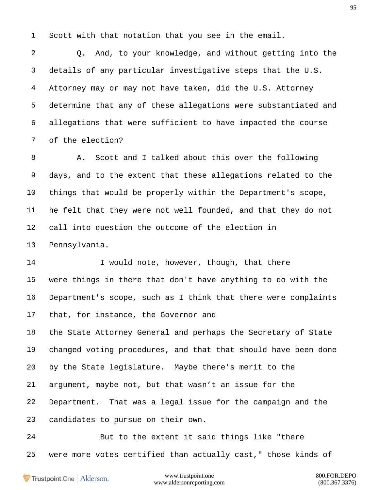Scott with that notation that you see in the email.

 Q. And, to your knowledge, and without getting into the details of any particular investigative steps that the U.S. Attorney may or may not have taken, did the U.S. Attorney determine that any of these allegations were substantiated and allegations that were sufficient to have impacted the course of the election?

 A. Scott and I talked about this over the following days, and to the extent that these allegations related to the things that would be properly within the Department's scope, he felt that they were not well founded, and that they do not call into question the outcome of the election in Pennsylvania.

14 I would note, however, though, that there were things in there that don't have anything to do with the Department's scope, such as I think that there were complaints that, for instance, the Governor and

 the State Attorney General and perhaps the Secretary of State changed voting procedures, and that that should have been done by the State legislature. Maybe there's merit to the argument, maybe not, but that wasn't an issue for the Department. That was a legal issue for the campaign and the candidates to pursue on their own.

 But to the extent it said things like "there were more votes certified than actually cast," those kinds of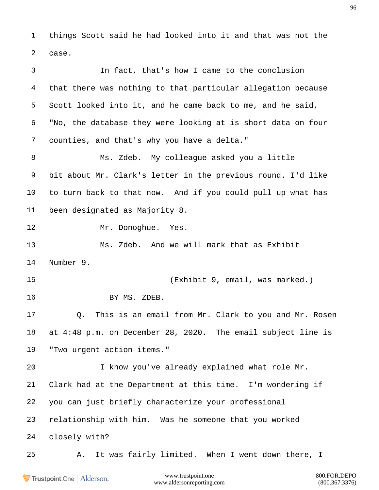things Scott said he had looked into it and that was not the case.

www.trustpoint.one 800.FOR.DEPO In fact, that's how I came to the conclusion that there was nothing to that particular allegation because Scott looked into it, and he came back to me, and he said, "No, the database they were looking at is short data on four counties, and that's why you have a delta." Ms. Zdeb. My colleague asked you a little bit about Mr. Clark's letter in the previous round. I'd like to turn back to that now. And if you could pull up what has been designated as Majority 8. 12 Mr. Donoghue. Yes. Ms. Zdeb. And we will mark that as Exhibit Number 9. (Exhibit 9, email, was marked.) BY MS. ZDEB. Q. This is an email from Mr. Clark to you and Mr. Rosen at 4:48 p.m. on December 28, 2020. The email subject line is "Two urgent action items." I know you've already explained what role Mr. Clark had at the Department at this time. I'm wondering if you can just briefly characterize your professional relationship with him. Was he someone that you worked closely with? A. It was fairly limited. When I went down there, I

Trustpoint.One Alderson.

www.aldersonreporting.com (800.367.3376)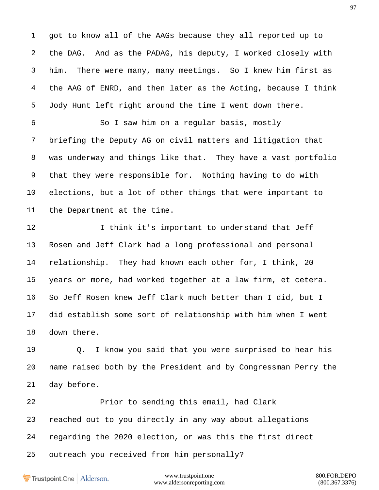got to know all of the AAGs because they all reported up to the DAG. And as the PADAG, his deputy, I worked closely with him. There were many, many meetings. So I knew him first as the AAG of ENRD, and then later as the Acting, because I think Jody Hunt left right around the time I went down there.

 So I saw him on a regular basis, mostly briefing the Deputy AG on civil matters and litigation that was underway and things like that. They have a vast portfolio that they were responsible for. Nothing having to do with elections, but a lot of other things that were important to the Department at the time.

12 I think it's important to understand that Jeff Rosen and Jeff Clark had a long professional and personal relationship. They had known each other for, I think, 20 years or more, had worked together at a law firm, et cetera. So Jeff Rosen knew Jeff Clark much better than I did, but I did establish some sort of relationship with him when I went down there.

 Q. I know you said that you were surprised to hear his name raised both by the President and by Congressman Perry the day before.

 Prior to sending this email, had Clark reached out to you directly in any way about allegations regarding the 2020 election, or was this the first direct outreach you received from him personally?

Trustpoint.One Alderson.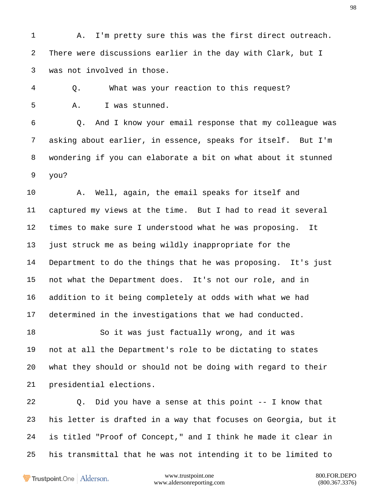A. I'm pretty sure this was the first direct outreach. There were discussions earlier in the day with Clark, but I was not involved in those.

 Q. What was your reaction to this request? A. I was stunned.

 Q. And I know your email response that my colleague was asking about earlier, in essence, speaks for itself. But I'm wondering if you can elaborate a bit on what about it stunned you?

 A. Well, again, the email speaks for itself and captured my views at the time. But I had to read it several times to make sure I understood what he was proposing. It just struck me as being wildly inappropriate for the Department to do the things that he was proposing. It's just not what the Department does. It's not our role, and in addition to it being completely at odds with what we had determined in the investigations that we had conducted.

 So it was just factually wrong, and it was not at all the Department's role to be dictating to states what they should or should not be doing with regard to their presidential elections.

 Q. Did you have a sense at this point -- I know that his letter is drafted in a way that focuses on Georgia, but it is titled "Proof of Concept," and I think he made it clear in his transmittal that he was not intending it to be limited to

Trustpoint.One Alderson.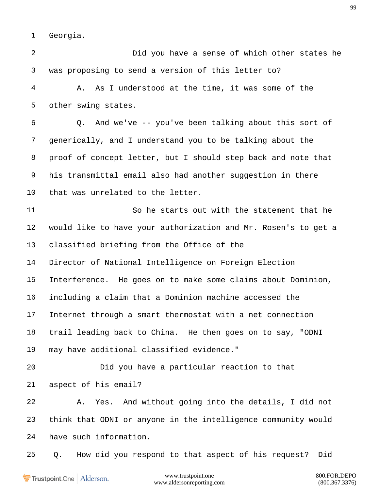Georgia.

 Did you have a sense of which other states he was proposing to send a version of this letter to? A. As I understood at the time, it was some of the other swing states. Q. And we've -- you've been talking about this sort of generically, and I understand you to be talking about the proof of concept letter, but I should step back and note that his transmittal email also had another suggestion in there that was unrelated to the letter. So he starts out with the statement that he would like to have your authorization and Mr. Rosen's to get a classified briefing from the Office of the Director of National Intelligence on Foreign Election Interference. He goes on to make some claims about Dominion, including a claim that a Dominion machine accessed the Internet through a smart thermostat with a net connection trail leading back to China. He then goes on to say, "ODNI may have additional classified evidence." Did you have a particular reaction to that aspect of his email? A. Yes. And without going into the details, I did not think that ODNI or anyone in the intelligence community would have such information. Q. How did you respond to that aspect of his request? Didwww.trustpoint.one 800.FOR.DEPO Trustpoint.One Alderson.

www.aldersonreporting.com (800.367.3376)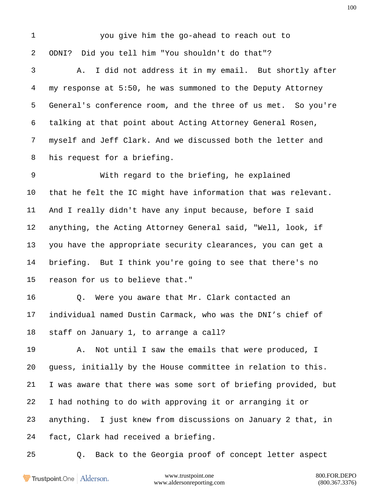you give him the go-ahead to reach out to ODNI? Did you tell him "You shouldn't do that"? A. I did not address it in my email. But shortly after my response at 5:50, he was summoned to the Deputy Attorney General's conference room, and the three of us met. So you're talking at that point about Acting Attorney General Rosen, myself and Jeff Clark. And we discussed both the letter and his request for a briefing. With regard to the briefing, he explained that he felt the IC might have information that was relevant. And I really didn't have any input because, before I said anything, the Acting Attorney General said, "Well, look, if you have the appropriate security clearances, you can get a briefing. But I think you're going to see that there's no reason for us to believe that." Q. Were you aware that Mr. Clark contacted an individual named Dustin Carmack, who was the DNI's chief of staff on January 1, to arrange a call? A. Not until I saw the emails that were produced, I guess, initially by the House committee in relation to this. I was aware that there was some sort of briefing provided, but I had nothing to do with approving it or arranging it or anything. I just knew from discussions on January 2 that, in fact, Clark had received a briefing.

Q. Back to the Georgia proof of concept letter aspect

Trustpoint.One Alderson.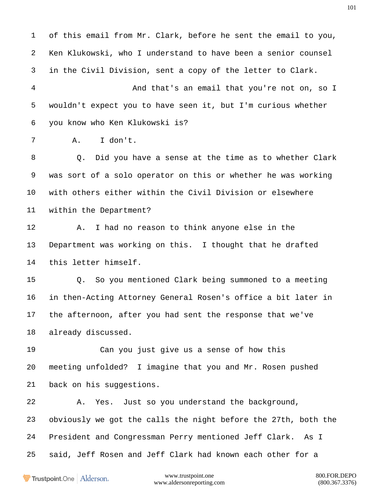of this email from Mr. Clark, before he sent the email to you, Ken Klukowski, who I understand to have been a senior counsel in the Civil Division, sent a copy of the letter to Clark. And that's an email that you're not on, so I wouldn't expect you to have seen it, but I'm curious whether you know who Ken Klukowski is? A. I don't. Q. Did you have a sense at the time as to whether Clark was sort of a solo operator on this or whether he was working with others either within the Civil Division or elsewhere within the Department? A. I had no reason to think anyone else in the Department was working on this. I thought that he drafted this letter himself. Q. So you mentioned Clark being summoned to a meeting in then-Acting Attorney General Rosen's office a bit later in the afternoon, after you had sent the response that we've already discussed. Can you just give us a sense of how this meeting unfolded? I imagine that you and Mr. Rosen pushed

back on his suggestions.

 A. Yes. Just so you understand the background, obviously we got the calls the night before the 27th, both the President and Congressman Perry mentioned Jeff Clark. As I said, Jeff Rosen and Jeff Clark had known each other for a

Trustpoint.One Alderson.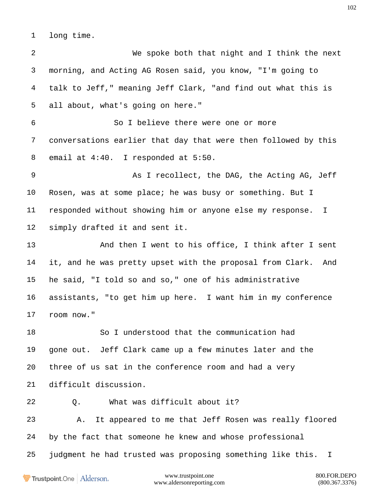long time.

 We spoke both that night and I think the next morning, and Acting AG Rosen said, you know, "I'm going to talk to Jeff," meaning Jeff Clark, "and find out what this is all about, what's going on here." So I believe there were one or more conversations earlier that day that were then followed by this email at 4:40. I responded at 5:50. 9 As I recollect, the DAG, the Acting AG, Jeff Rosen, was at some place; he was busy or something. But I responded without showing him or anyone else my response. I simply drafted it and sent it. 13 And then I went to his office, I think after I sent it, and he was pretty upset with the proposal from Clark. And he said, "I told so and so," one of his administrative assistants, "to get him up here. I want him in my conference room now." So I understood that the communication had gone out. Jeff Clark came up a few minutes later and the three of us sat in the conference room and had a very difficult discussion. 22 0. What was difficult about it? A. It appeared to me that Jeff Rosen was really floored by the fact that someone he knew and whose professional judgment he had trusted was proposing something like this. I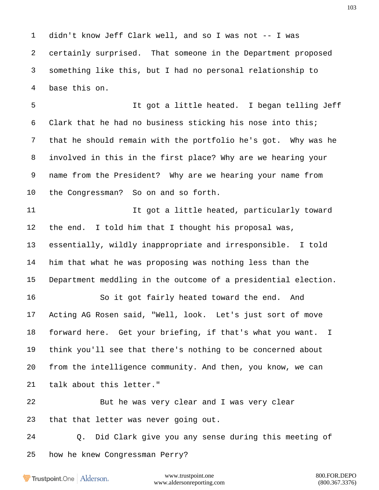didn't know Jeff Clark well, and so I was not -- I was certainly surprised. That someone in the Department proposed something like this, but I had no personal relationship to base this on.

 It got a little heated. I began telling Jeff Clark that he had no business sticking his nose into this; that he should remain with the portfolio he's got. Why was he involved in this in the first place? Why are we hearing your name from the President? Why are we hearing your name from the Congressman? So on and so forth.

11 11 It got a little heated, particularly toward the end. I told him that I thought his proposal was, essentially, wildly inappropriate and irresponsible. I told him that what he was proposing was nothing less than the Department meddling in the outcome of a presidential election.

 So it got fairly heated toward the end. And Acting AG Rosen said, "Well, look. Let's just sort of move forward here. Get your briefing, if that's what you want. I think you'll see that there's nothing to be concerned about from the intelligence community. And then, you know, we can talk about this letter."

 But he was very clear and I was very clear that that letter was never going out.

 Q. Did Clark give you any sense during this meeting of how he knew Congressman Perry?

Trustpoint.One Alderson.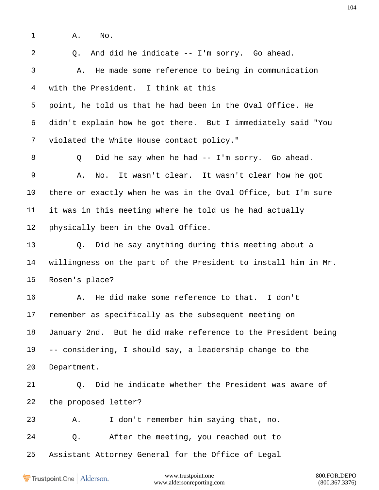A. No.

Q. And did he indicate -- I'm sorry. Go ahead.

 A. He made some reference to being in communication with the President. I think at this

 point, he told us that he had been in the Oval Office. He didn't explain how he got there. But I immediately said "You violated the White House contact policy."

 Q Did he say when he had -- I'm sorry. Go ahead. A. No. It wasn't clear. It wasn't clear how he got there or exactly when he was in the Oval Office, but I'm sure it was in this meeting where he told us he had actually physically been in the Oval Office.

 Q. Did he say anything during this meeting about a willingness on the part of the President to install him in Mr. Rosen's place?

 A. He did make some reference to that. I don't remember as specifically as the subsequent meeting on January 2nd. But he did make reference to the President being -- considering, I should say, a leadership change to the Department.

 Q. Did he indicate whether the President was aware of the proposed letter?

 A. I don't remember him saying that, no. Q. After the meeting, you reached out to Assistant Attorney General for the Office of Legal

Trustpoint.One Alderson.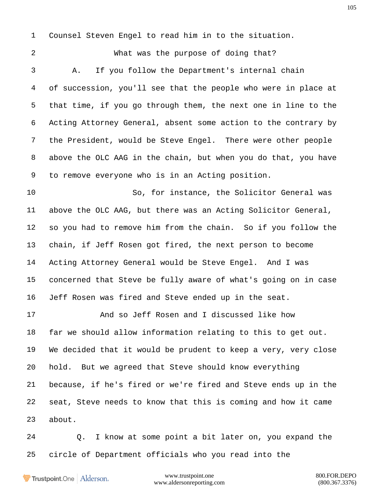Counsel Steven Engel to read him in to the situation.

 What was the purpose of doing that? A. If you follow the Department's internal chain of succession, you'll see that the people who were in place at that time, if you go through them, the next one in line to the Acting Attorney General, absent some action to the contrary by the President, would be Steve Engel. There were other people above the OLC AAG in the chain, but when you do that, you have to remove everyone who is in an Acting position.

 So, for instance, the Solicitor General was above the OLC AAG, but there was an Acting Solicitor General, so you had to remove him from the chain. So if you follow the chain, if Jeff Rosen got fired, the next person to become Acting Attorney General would be Steve Engel. And I was concerned that Steve be fully aware of what's going on in case Jeff Rosen was fired and Steve ended up in the seat.

 And so Jeff Rosen and I discussed like how far we should allow information relating to this to get out. We decided that it would be prudent to keep a very, very close hold. But we agreed that Steve should know everything because, if he's fired or we're fired and Steve ends up in the seat, Steve needs to know that this is coming and how it came about.

 Q. I know at some point a bit later on, you expand the circle of Department officials who you read into the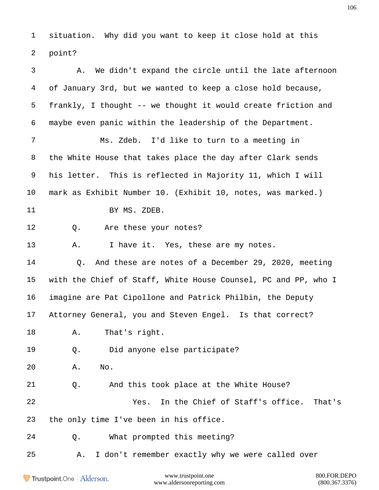situation. Why did you want to keep it close hold at this point?

| 3       | A. We didn't expand the circle until the late afternoon        |
|---------|----------------------------------------------------------------|
| 4       | of January 3rd, but we wanted to keep a close hold because,    |
| 5       | frankly, I thought -- we thought it would create friction and  |
| 6       | maybe even panic within the leadership of the Department.      |
| 7       | Ms. Zdeb. I'd like to turn to a meeting in                     |
| 8       | the White House that takes place the day after Clark sends     |
| 9       | his letter. This is reflected in Majority 11, which I will     |
| $10 \,$ | mark as Exhibit Number 10. (Exhibit 10, notes, was marked.)    |
| 11      | BY MS. ZDEB.                                                   |
| 12      | Are these your notes?<br>Q.                                    |
| 13      | Α.<br>I have it. Yes, these are my notes.                      |
| 14      | Q. And these are notes of a December 29, 2020, meeting         |
| 15      | with the Chief of Staff, White House Counsel, PC and PP, who I |
| 16      | imagine are Pat Cipollone and Patrick Philbin, the Deputy      |
| 17      | Attorney General, you and Steven Engel. Is that correct?       |
| 18      | That's right.<br>Α.                                            |
| 19      | Did anyone else participate?<br>Q.                             |
| 20      | No.<br>Α.                                                      |
| 21      | And this took place at the White House?<br>Q.                  |
| 22      | In the Chief of Staff's office.<br>That's<br>Yes.              |
| 23      | the only time I've been in his office.                         |
| 24      | What prompted this meeting?<br>$Q$ .                           |
| 25      | I don't remember exactly why we were called over<br>Α.         |
|         |                                                                |

Trustpoint.One | Alderson.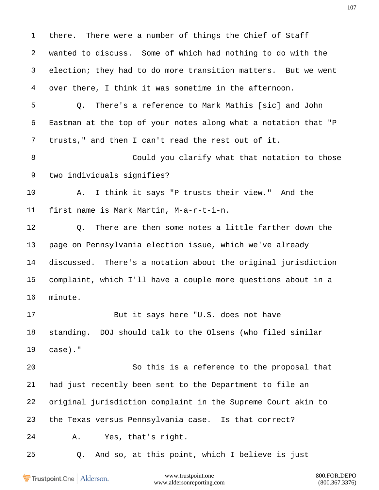there. There were a number of things the Chief of Staff wanted to discuss. Some of which had nothing to do with the election; they had to do more transition matters. But we went over there, I think it was sometime in the afternoon. Q. There's a reference to Mark Mathis [sic] and John Eastman at the top of your notes along what a notation that "P trusts," and then I can't read the rest out of it. Could you clarify what that notation to those two individuals signifies? A. I think it says "P trusts their view." And the first name is Mark Martin, M-a-r-t-i-n. Q. There are then some notes a little farther down the page on Pennsylvania election issue, which we've already discussed. There's a notation about the original jurisdiction complaint, which I'll have a couple more questions about in a minute. But it says here "U.S. does not have standing. DOJ should talk to the Olsens (who filed similar case)." So this is a reference to the proposal that had just recently been sent to the Department to file an original jurisdiction complaint in the Supreme Court akin to the Texas versus Pennsylvania case. Is that correct? A. Yes, that's right. Q. And so, at this point, which I believe is just

Trustpoint.One Alderson.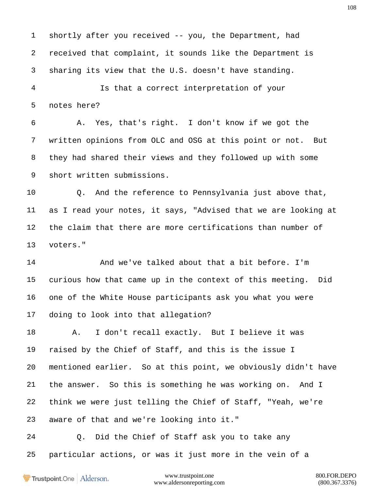shortly after you received -- you, the Department, had received that complaint, it sounds like the Department is sharing its view that the U.S. doesn't have standing.

 Is that a correct interpretation of your notes here?

 A. Yes, that's right. I don't know if we got the written opinions from OLC and OSG at this point or not. But they had shared their views and they followed up with some short written submissions.

 Q. And the reference to Pennsylvania just above that, as I read your notes, it says, "Advised that we are looking at the claim that there are more certifications than number of voters."

 And we've talked about that a bit before. I'm curious how that came up in the context of this meeting. Did one of the White House participants ask you what you were doing to look into that allegation?

 A. I don't recall exactly. But I believe it was raised by the Chief of Staff, and this is the issue I mentioned earlier. So at this point, we obviously didn't have the answer. So this is something he was working on. And I think we were just telling the Chief of Staff, "Yeah, we're aware of that and we're looking into it."

 Q. Did the Chief of Staff ask you to take any particular actions, or was it just more in the vein of a

Trustpoint.One Alderson.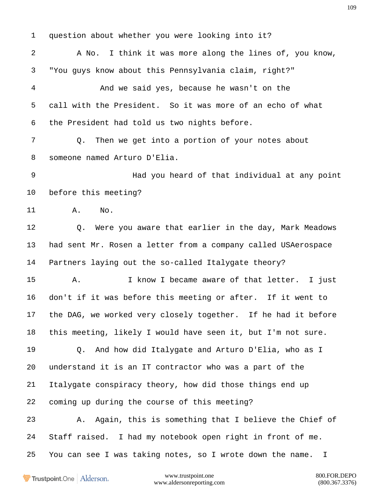question about whether you were looking into it? A No. I think it was more along the lines of, you know, "You guys know about this Pennsylvania claim, right?" And we said yes, because he wasn't on the call with the President. So it was more of an echo of what the President had told us two nights before. Q. Then we get into a portion of your notes about someone named Arturo D'Elia. Had you heard of that individual at any point before this meeting? A. No. Q. Were you aware that earlier in the day, Mark Meadows had sent Mr. Rosen a letter from a company called USAerospace Partners laying out the so-called Italygate theory? A. I know I became aware of that letter. I just don't if it was before this meeting or after. If it went to the DAG, we worked very closely together. If he had it before this meeting, likely I would have seen it, but I'm not sure. Q. And how did Italygate and Arturo D'Elia, who as I understand it is an IT contractor who was a part of the Italygate conspiracy theory, how did those things end up coming up during the course of this meeting? A. Again, this is something that I believe the Chief of Staff raised. I had my notebook open right in front of me. You can see I was taking notes, so I wrote down the name. I

Trustpoint.One Alderson.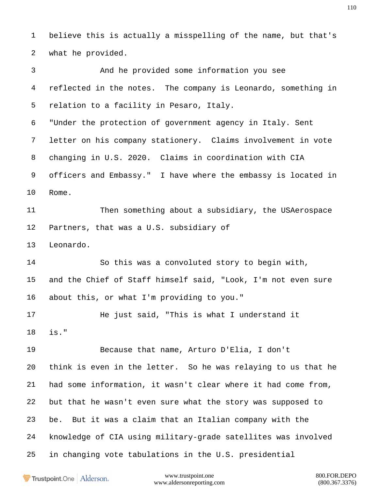believe this is actually a misspelling of the name, but that's what he provided.

 And he provided some information you see reflected in the notes. The company is Leonardo, something in relation to a facility in Pesaro, Italy. "Under the protection of government agency in Italy. Sent letter on his company stationery. Claims involvement in vote changing in U.S. 2020. Claims in coordination with CIA officers and Embassy." I have where the embassy is located in Rome. Then something about a subsidiary, the USAerospace Partners, that was a U.S. subsidiary of Leonardo. So this was a convoluted story to begin with, and the Chief of Staff himself said, "Look, I'm not even sure about this, or what I'm providing to you." He just said, "This is what I understand it is." Because that name, Arturo D'Elia, I don't think is even in the letter. So he was relaying to us that he had some information, it wasn't clear where it had come from, but that he wasn't even sure what the story was supposed to be. But it was a claim that an Italian company with the knowledge of CIA using military-grade satellites was involved in changing vote tabulations in the U.S. presidential

Trustpoint.One Alderson.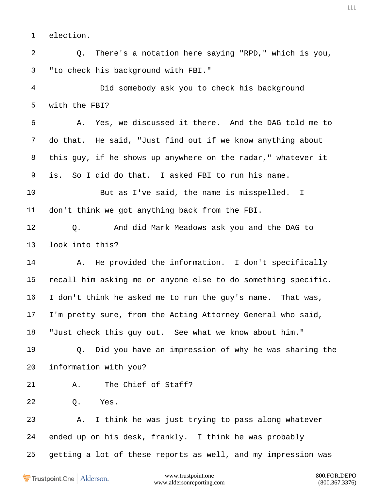election.

 Q. There's a notation here saying "RPD," which is you, "to check his background with FBI."

 Did somebody ask you to check his background with the FBI?

 A. Yes, we discussed it there. And the DAG told me to do that. He said, "Just find out if we know anything about this guy, if he shows up anywhere on the radar," whatever it is. So I did do that. I asked FBI to run his name.

 But as I've said, the name is misspelled. I don't think we got anything back from the FBI.

 Q. And did Mark Meadows ask you and the DAG to look into this?

 A. He provided the information. I don't specifically recall him asking me or anyone else to do something specific. I don't think he asked me to run the guy's name. That was, I'm pretty sure, from the Acting Attorney General who said, "Just check this guy out. See what we know about him."

 Q. Did you have an impression of why he was sharing the information with you?

A. The Chief of Staff?

Q. Yes.

 A. I think he was just trying to pass along whatever ended up on his desk, frankly. I think he was probably getting a lot of these reports as well, and my impression was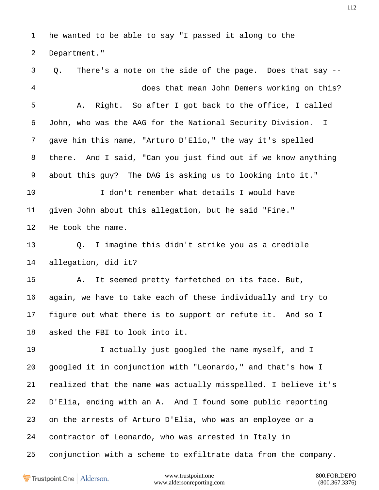he wanted to be able to say "I passed it along to the Department."

 Q. There's a note on the side of the page. Does that say -- does that mean John Demers working on this? A. Right. So after I got back to the office, I called John, who was the AAG for the National Security Division. I gave him this name, "Arturo D'Elio," the way it's spelled there. And I said, "Can you just find out if we know anything about this guy? The DAG is asking us to looking into it." I don't remember what details I would have given John about this allegation, but he said "Fine." He took the name. Q. I imagine this didn't strike you as a credible allegation, did it? A. It seemed pretty farfetched on its face. But, again, we have to take each of these individually and try to figure out what there is to support or refute it. And so I asked the FBI to look into it. I actually just googled the name myself, and I googled it in conjunction with "Leonardo," and that's how I realized that the name was actually misspelled. I believe it's D'Elia, ending with an A. And I found some public reporting on the arrests of Arturo D'Elia, who was an employee or a contractor of Leonardo, who was arrested in Italy in conjunction with a scheme to exfiltrate data from the company.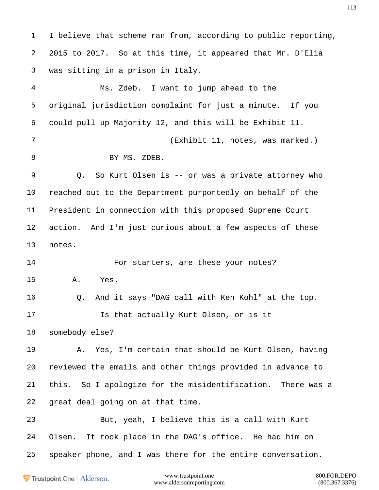I believe that scheme ran from, according to public reporting, 2015 to 2017. So at this time, it appeared that Mr. D'Elia was sitting in a prison in Italy. Ms. Zdeb. I want to jump ahead to the original jurisdiction complaint for just a minute. If you could pull up Majority 12, and this will be Exhibit 11. (Exhibit 11, notes, was marked.) 8 BY MS. ZDEB. Q. So Kurt Olsen is -- or was a private attorney who reached out to the Department purportedly on behalf of the President in connection with this proposed Supreme Court action. And I'm just curious about a few aspects of these notes. 14 For starters, are these your notes? A. Yes. Q. And it says "DAG call with Ken Kohl" at the top. Is that actually Kurt Olsen, or is it somebody else? A. Yes, I'm certain that should be Kurt Olsen, having reviewed the emails and other things provided in advance to this. So I apologize for the misidentification. There was a great deal going on at that time. But, yeah, I believe this is a call with Kurt Olsen. It took place in the DAG's office. He had him on speaker phone, and I was there for the entire conversation.

**Trustpoint**.One Alderson.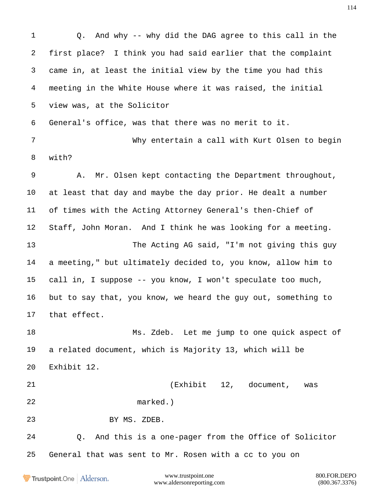Q. And why -- why did the DAG agree to this call in the first place? I think you had said earlier that the complaint came in, at least the initial view by the time you had this meeting in the White House where it was raised, the initial view was, at the Solicitor General's office, was that there was no merit to it. Why entertain a call with Kurt Olsen to begin with? A. Mr. Olsen kept contacting the Department throughout, at least that day and maybe the day prior. He dealt a number of times with the Acting Attorney General's then-Chief of Staff, John Moran. And I think he was looking for a meeting. The Acting AG said, "I'm not giving this guy a meeting," but ultimately decided to, you know, allow him to call in, I suppose -- you know, I won't speculate too much, but to say that, you know, we heard the guy out, something to that effect. Ms. Zdeb. Let me jump to one quick aspect of a related document, which is Majority 13, which will be Exhibit 12. (Exhibit 12, document, was marked.) BY MS. ZDEB. Q. And this is a one-pager from the Office of Solicitor General that was sent to Mr. Rosen with a cc to you onwww.trustpoint.one 800.FOR.DEPO Trustpoint.One Alderson.

www.aldersonreporting.com (800.367.3376)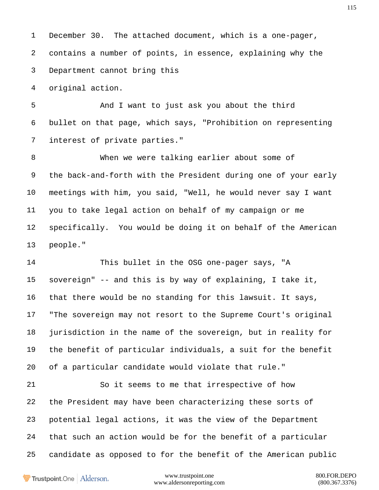December 30. The attached document, which is a one-pager, contains a number of points, in essence, explaining why the Department cannot bring this

original action.

 And I want to just ask you about the third bullet on that page, which says, "Prohibition on representing interest of private parties."

 When we were talking earlier about some of the back-and-forth with the President during one of your early meetings with him, you said, "Well, he would never say I want you to take legal action on behalf of my campaign or me specifically. You would be doing it on behalf of the American people."

 This bullet in the OSG one-pager says, "A sovereign" -- and this is by way of explaining, I take it, that there would be no standing for this lawsuit. It says, "The sovereign may not resort to the Supreme Court's original jurisdiction in the name of the sovereign, but in reality for the benefit of particular individuals, a suit for the benefit of a particular candidate would violate that rule."

 So it seems to me that irrespective of how the President may have been characterizing these sorts of potential legal actions, it was the view of the Department that such an action would be for the benefit of a particular candidate as opposed to for the benefit of the American public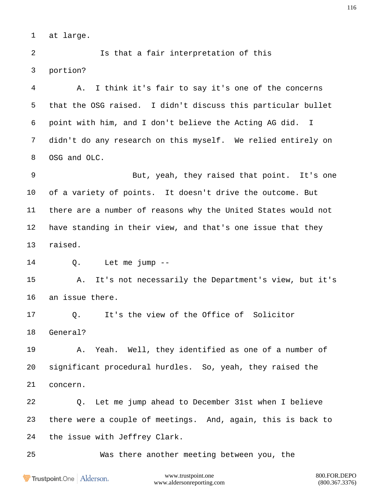at large.

 Is that a fair interpretation of this portion?

 A. I think it's fair to say it's one of the concerns that the OSG raised. I didn't discuss this particular bullet point with him, and I don't believe the Acting AG did. I didn't do any research on this myself. We relied entirely on OSG and OLC.

 But, yeah, they raised that point. It's one of a variety of points. It doesn't drive the outcome. But there are a number of reasons why the United States would not have standing in their view, and that's one issue that they raised.

Q. Let me jump --

 A. It's not necessarily the Department's view, but it's an issue there.

 Q. It's the view of the Office of Solicitor General?

 A. Yeah. Well, they identified as one of a number of significant procedural hurdles. So, yeah, they raised the concern.

 Q. Let me jump ahead to December 31st when I believe there were a couple of meetings. And, again, this is back to the issue with Jeffrey Clark.

Was there another meeting between you, the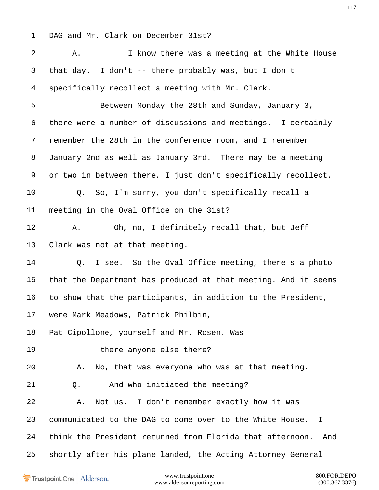DAG and Mr. Clark on December 31st?

 A. I know there was a meeting at the White House that day. I don't -- there probably was, but I don't specifically recollect a meeting with Mr. Clark. Between Monday the 28th and Sunday, January 3, there were a number of discussions and meetings. I certainly remember the 28th in the conference room, and I remember January 2nd as well as January 3rd. There may be a meeting or two in between there, I just don't specifically recollect. Q. So, I'm sorry, you don't specifically recall a meeting in the Oval Office on the 31st? A. Oh, no, I definitely recall that, but Jeff Clark was not at that meeting. Q. I see. So the Oval Office meeting, there's a photo that the Department has produced at that meeting. And it seems to show that the participants, in addition to the President, were Mark Meadows, Patrick Philbin, Pat Cipollone, yourself and Mr. Rosen. Was there anyone else there? A. No, that was everyone who was at that meeting. Q. And who initiated the meeting? A. Not us. I don't remember exactly how it was communicated to the DAG to come over to the White House. I think the President returned from Florida that afternoon. And shortly after his plane landed, the Acting Attorney General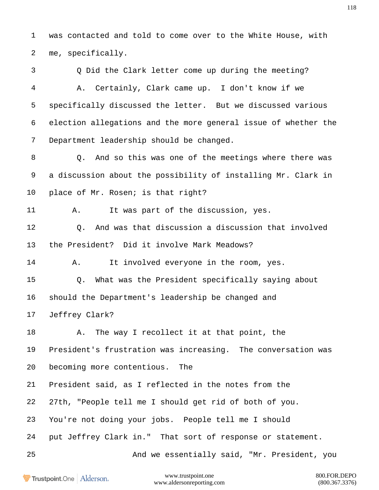was contacted and told to come over to the White House, with me, specifically.

 Q Did the Clark letter come up during the meeting? A. Certainly, Clark came up. I don't know if we specifically discussed the letter. But we discussed various election allegations and the more general issue of whether the Department leadership should be changed.

 Q. And so this was one of the meetings where there was a discussion about the possibility of installing Mr. Clark in 10 place of Mr. Rosen; is that right?

A. It was part of the discussion, yes.

 Q. And was that discussion a discussion that involved the President? Did it involve Mark Meadows?

A. It involved everyone in the room, yes.

Q. What was the President specifically saying about

should the Department's leadership be changed and

Jeffrey Clark?

 A. The way I recollect it at that point, the President's frustration was increasing. The conversation was

becoming more contentious. The

President said, as I reflected in the notes from the

27th, "People tell me I should get rid of both of you.

You're not doing your jobs. People tell me I should

put Jeffrey Clark in." That sort of response or statement.

And we essentially said, "Mr. President, you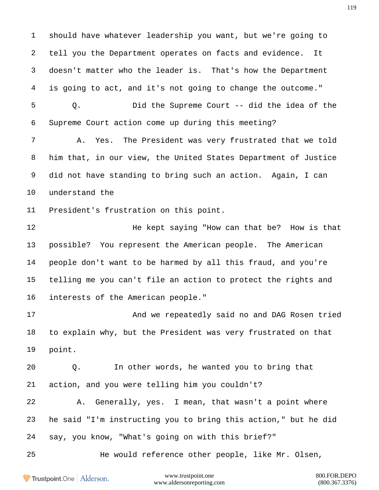should have whatever leadership you want, but we're going to tell you the Department operates on facts and evidence. It doesn't matter who the leader is. That's how the Department is going to act, and it's not going to change the outcome."

 Q. Did the Supreme Court -- did the idea of the Supreme Court action come up during this meeting?

 A. Yes. The President was very frustrated that we told him that, in our view, the United States Department of Justice did not have standing to bring such an action. Again, I can understand the

President's frustration on this point.

**He kept saying "How can that be?** How is that possible? You represent the American people. The American people don't want to be harmed by all this fraud, and you're telling me you can't file an action to protect the rights and interests of the American people."

17 And we repeatedly said no and DAG Rosen tried to explain why, but the President was very frustrated on that point.

 Q. In other words, he wanted you to bring that action, and you were telling him you couldn't?

 A. Generally, yes. I mean, that wasn't a point where he said "I'm instructing you to bring this action," but he did say, you know, "What's going on with this brief?"

He would reference other people, like Mr. Olsen,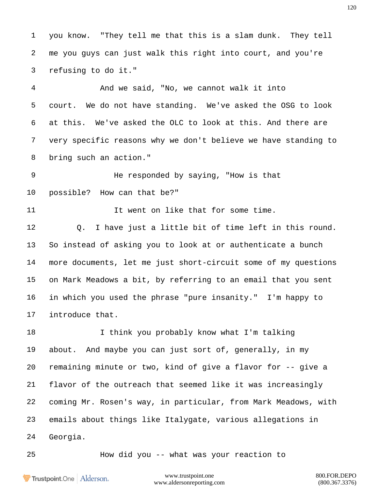you know. "They tell me that this is a slam dunk. They tell me you guys can just walk this right into court, and you're refusing to do it."

 And we said, "No, we cannot walk it into court. We do not have standing. We've asked the OSG to look at this. We've asked the OLC to look at this. And there are very specific reasons why we don't believe we have standing to bring such an action."

 He responded by saying, "How is that possible? How can that be?"

11 11 It went on like that for some time.

 Q. I have just a little bit of time left in this round. So instead of asking you to look at or authenticate a bunch more documents, let me just short-circuit some of my questions on Mark Meadows a bit, by referring to an email that you sent in which you used the phrase "pure insanity." I'm happy to introduce that.

18 I think you probably know what I'm talking about. And maybe you can just sort of, generally, in my remaining minute or two, kind of give a flavor for -- give a flavor of the outreach that seemed like it was increasingly coming Mr. Rosen's way, in particular, from Mark Meadows, with emails about things like Italygate, various allegations in Georgia.

How did you -- what was your reaction to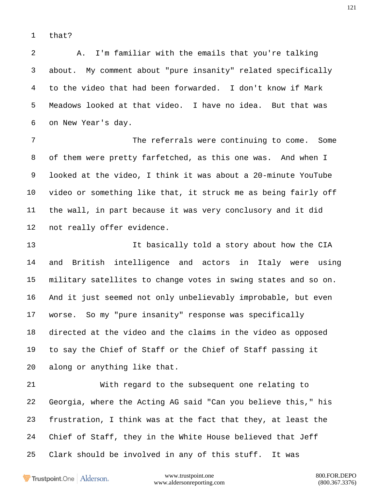that?

 A. I'm familiar with the emails that you're talking about. My comment about "pure insanity" related specifically to the video that had been forwarded. I don't know if Mark Meadows looked at that video. I have no idea. But that was on New Year's day.

 The referrals were continuing to come. Some of them were pretty farfetched, as this one was. And when I looked at the video, I think it was about a 20-minute YouTube video or something like that, it struck me as being fairly off the wall, in part because it was very conclusory and it did not really offer evidence.

 It basically told a story about how the CIA and British intelligence and actors in Italy were using military satellites to change votes in swing states and so on. And it just seemed not only unbelievably improbable, but even worse. So my "pure insanity" response was specifically directed at the video and the claims in the video as opposed to say the Chief of Staff or the Chief of Staff passing it along or anything like that.

 With regard to the subsequent one relating to Georgia, where the Acting AG said "Can you believe this," his frustration, I think was at the fact that they, at least the Chief of Staff, they in the White House believed that Jeff Clark should be involved in any of this stuff. It was

Trustpoint.One Alderson.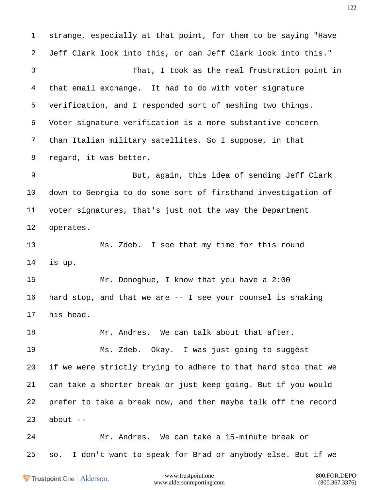strange, especially at that point, for them to be saying "Have Jeff Clark look into this, or can Jeff Clark look into this." That, I took as the real frustration point in that email exchange. It had to do with voter signature verification, and I responded sort of meshing two things. Voter signature verification is a more substantive concern than Italian military satellites. So I suppose, in that regard, it was better. But, again, this idea of sending Jeff Clark down to Georgia to do some sort of firsthand investigation of voter signatures, that's just not the way the Department operates. Ms. Zdeb. I see that my time for this round is up. 15 Mr. Donoghue, I know that you have a 2:00 hard stop, and that we are -- I see your counsel is shaking his head. 18 Mr. Andres. We can talk about that after. Ms. Zdeb. Okay. I was just going to suggest if we were strictly trying to adhere to that hard stop that we can take a shorter break or just keep going. But if you would prefer to take a break now, and then maybe talk off the record about  $-$  Mr. Andres. We can take a 15-minute break or so. I don't want to speak for Brad or anybody else. But if we

**Trustpoint**.One Alderson.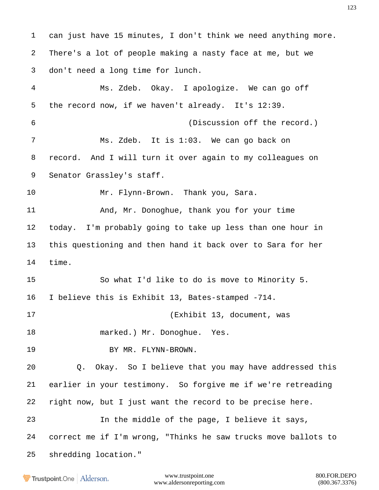can just have 15 minutes, I don't think we need anything more. There's a lot of people making a nasty face at me, but we don't need a long time for lunch. Ms. Zdeb. Okay. I apologize. We can go off the record now, if we haven't already. It's 12:39. (Discussion off the record.) Ms. Zdeb. It is 1:03. We can go back on record. And I will turn it over again to my colleagues on Senator Grassley's staff. Mr. Flynn-Brown. Thank you, Sara. 11 And, Mr. Donoghue, thank you for your time today. I'm probably going to take up less than one hour in this questioning and then hand it back over to Sara for her time. So what I'd like to do is move to Minority 5. I believe this is Exhibit 13, Bates-stamped -714. (Exhibit 13, document, was 18 marked.) Mr. Donoghue. Yes. 19 BY MR. FLYNN-BROWN. Q. Okay. So I believe that you may have addressed this earlier in your testimony. So forgive me if we're retreading right now, but I just want the record to be precise here. In the middle of the page, I believe it says, correct me if I'm wrong, "Thinks he saw trucks move ballots to shredding location."

**Trustpoint**.One Alderson.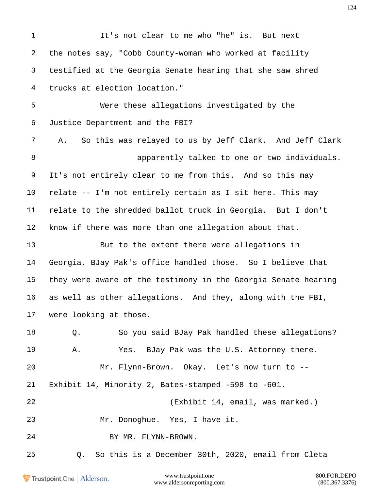It's not clear to me who "he" is. But next the notes say, "Cobb County-woman who worked at facility testified at the Georgia Senate hearing that she saw shred trucks at election location." Were these allegations investigated by the Justice Department and the FBI? A. So this was relayed to us by Jeff Clark. And Jeff Clark apparently talked to one or two individuals. It's not entirely clear to me from this. And so this may relate -- I'm not entirely certain as I sit here. This may relate to the shredded ballot truck in Georgia. But I don't know if there was more than one allegation about that. But to the extent there were allegations in Georgia, BJay Pak's office handled those. So I believe that they were aware of the testimony in the Georgia Senate hearing as well as other allegations. And they, along with the FBI, were looking at those. Q. So you said BJay Pak handled these allegations? A. Yes. BJay Pak was the U.S. Attorney there. Mr. Flynn-Brown. Okay. Let's now turn to -- Exhibit 14, Minority 2, Bates-stamped -598 to -601. (Exhibit 14, email, was marked.) Mr. Donoghue. Yes, I have it. BY MR. FLYNN-BROWN. Q. So this is a December 30th, 2020, email from Cleta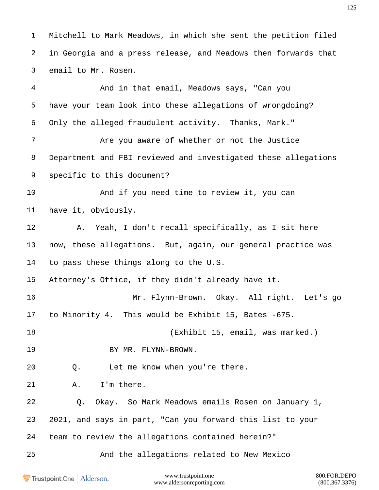Mitchell to Mark Meadows, in which she sent the petition filed in Georgia and a press release, and Meadows then forwards that email to Mr. Rosen.

 And in that email, Meadows says, "Can you have your team look into these allegations of wrongdoing? Only the alleged fraudulent activity. Thanks, Mark." Are you aware of whether or not the Justice Department and FBI reviewed and investigated these allegations specific to this document? 10 And if you need time to review it, you can have it, obviously. A. Yeah, I don't recall specifically, as I sit here now, these allegations. But, again, our general practice was to pass these things along to the U.S. Attorney's Office, if they didn't already have it. Mr. Flynn-Brown. Okay. All right. Let's go to Minority 4. This would be Exhibit 15, Bates -675. (Exhibit 15, email, was marked.) 19 BY MR. FLYNN-BROWN. Q. Let me know when you're there. A. I'm there. Q. Okay. So Mark Meadows emails Rosen on January 1, 2021, and says in part, "Can you forward this list to your team to review the allegations contained herein?" And the allegations related to New Mexico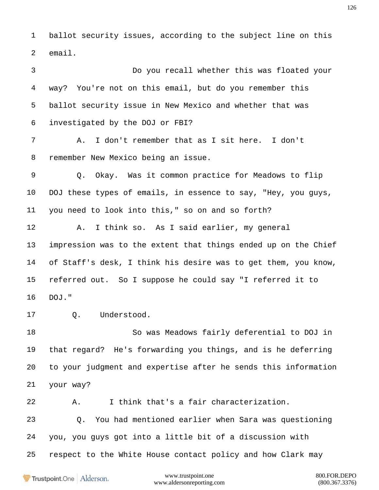ballot security issues, according to the subject line on this email.

 Do you recall whether this was floated your way? You're not on this email, but do you remember this ballot security issue in New Mexico and whether that was investigated by the DOJ or FBI? A. I don't remember that as I sit here. I don't remember New Mexico being an issue. Q. Okay. Was it common practice for Meadows to flip DOJ these types of emails, in essence to say, "Hey, you guys, you need to look into this," so on and so forth? A. I think so. As I said earlier, my general impression was to the extent that things ended up on the Chief of Staff's desk, I think his desire was to get them, you know, referred out. So I suppose he could say "I referred it to DOJ." Q. Understood. So was Meadows fairly deferential to DOJ in that regard? He's forwarding you things, and is he deferring to your judgment and expertise after he sends this information your way?

A. I think that's a fair characterization.

 Q. You had mentioned earlier when Sara was questioning you, you guys got into a little bit of a discussion with respect to the White House contact policy and how Clark may

Trustpoint.One Alderson.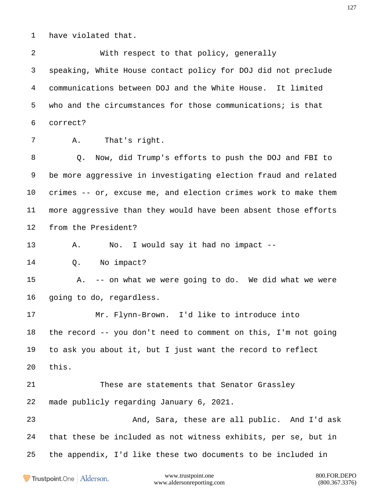have violated that.

 With respect to that policy, generally speaking, White House contact policy for DOJ did not preclude communications between DOJ and the White House. It limited who and the circumstances for those communications; is that correct?

A. That's right.

 Q. Now, did Trump's efforts to push the DOJ and FBI to be more aggressive in investigating election fraud and related crimes -- or, excuse me, and election crimes work to make them more aggressive than they would have been absent those efforts from the President?

A. No. I would say it had no impact --

Q. No impact?

 A. -- on what we were going to do. We did what we were going to do, regardless.

 Mr. Flynn-Brown. I'd like to introduce into the record -- you don't need to comment on this, I'm not going to ask you about it, but I just want the record to reflect this.

 These are statements that Senator Grassley made publicly regarding January 6, 2021.

 And, Sara, these are all public. And I'd ask that these be included as not witness exhibits, per se, but in the appendix, I'd like these two documents to be included in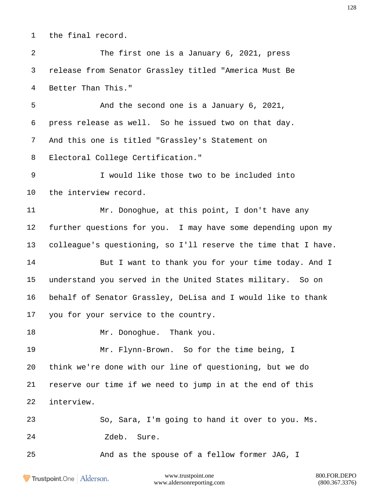the final record.

 The first one is a January 6, 2021, press release from Senator Grassley titled "America Must Be Better Than This." And the second one is a January 6, 2021, press release as well. So he issued two on that day. And this one is titled "Grassley's Statement on Electoral College Certification." I would like those two to be included into the interview record. Mr. Donoghue, at this point, I don't have any further questions for you. I may have some depending upon my colleague's questioning, so I'll reserve the time that I have. 14 But I want to thank you for your time today. And I understand you served in the United States military. So on behalf of Senator Grassley, DeLisa and I would like to thank you for your service to the country. 18 Mr. Donoghue. Thank you. Mr. Flynn-Brown. So for the time being, I think we're done with our line of questioning, but we do reserve our time if we need to jump in at the end of this interview. So, Sara, I'm going to hand it over to you. Ms. Zdeb. Sure. And as the spouse of a fellow former JAG, I

Trustpoint.One Alderson.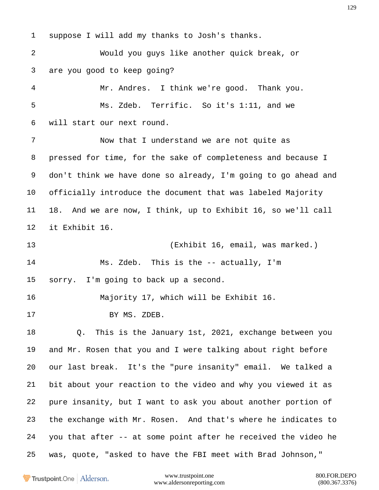suppose I will add my thanks to Josh's thanks. Would you guys like another quick break, or are you good to keep going? Mr. Andres. I think we're good. Thank you. Ms. Zdeb. Terrific. So it's 1:11, and we will start our next round. Now that I understand we are not quite as pressed for time, for the sake of completeness and because I don't think we have done so already, I'm going to go ahead and officially introduce the document that was labeled Majority 18. And we are now, I think, up to Exhibit 16, so we'll call it Exhibit 16. (Exhibit 16, email, was marked.) Ms. Zdeb. This is the -- actually, I'm sorry. I'm going to back up a second. Majority 17, which will be Exhibit 16. BY MS. ZDEB. Q. This is the January 1st, 2021, exchange between you and Mr. Rosen that you and I were talking about right before our last break. It's the "pure insanity" email. We talked a bit about your reaction to the video and why you viewed it as pure insanity, but I want to ask you about another portion of the exchange with Mr. Rosen. And that's where he indicates to you that after -- at some point after he received the video he was, quote, "asked to have the FBI meet with Brad Johnson,"

Trustpoint.One Alderson.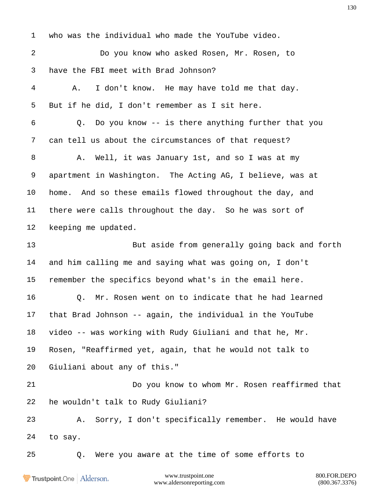www.trustpoint.one 800.FOR.DEPO who was the individual who made the YouTube video. Do you know who asked Rosen, Mr. Rosen, to have the FBI meet with Brad Johnson? A. I don't know. He may have told me that day. But if he did, I don't remember as I sit here. Q. Do you know -- is there anything further that you can tell us about the circumstances of that request? 8 A. Well, it was January 1st, and so I was at my apartment in Washington. The Acting AG, I believe, was at home. And so these emails flowed throughout the day, and there were calls throughout the day. So he was sort of keeping me updated. But aside from generally going back and forth and him calling me and saying what was going on, I don't remember the specifics beyond what's in the email here. 16 6 10 O. Mr. Rosen went on to indicate that he had learned that Brad Johnson -- again, the individual in the YouTube video -- was working with Rudy Giuliani and that he, Mr. Rosen, "Reaffirmed yet, again, that he would not talk to Giuliani about any of this." Do you know to whom Mr. Rosen reaffirmed that he wouldn't talk to Rudy Giuliani? A. Sorry, I don't specifically remember. He would have to say. Q. Were you aware at the time of some efforts to

Trustpoint.One Alderson.

www.aldersonreporting.com (800.367.3376)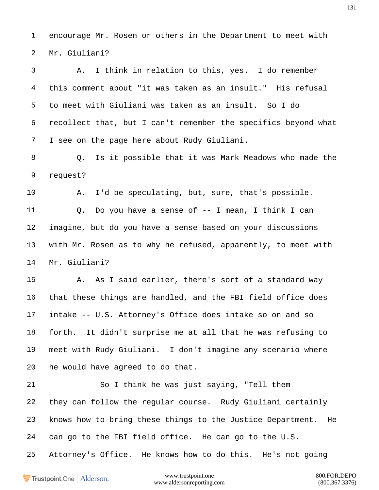encourage Mr. Rosen or others in the Department to meet with Mr. Giuliani?

 A. I think in relation to this, yes. I do remember this comment about "it was taken as an insult." His refusal to meet with Giuliani was taken as an insult. So I do recollect that, but I can't remember the specifics beyond what I see on the page here about Rudy Giuliani.

 Q. Is it possible that it was Mark Meadows who made the request?

 A. I'd be speculating, but, sure, that's possible. Q. Do you have a sense of -- I mean, I think I can imagine, but do you have a sense based on your discussions with Mr. Rosen as to why he refused, apparently, to meet with Mr. Giuliani?

 A. As I said earlier, there's sort of a standard way that these things are handled, and the FBI field office does intake -- U.S. Attorney's Office does intake so on and so forth. It didn't surprise me at all that he was refusing to meet with Rudy Giuliani. I don't imagine any scenario where he would have agreed to do that.

 So I think he was just saying, "Tell them they can follow the regular course. Rudy Giuliani certainly knows how to bring these things to the Justice Department. He can go to the FBI field office. He can go to the U.S. Attorney's Office. He knows how to do this. He's not going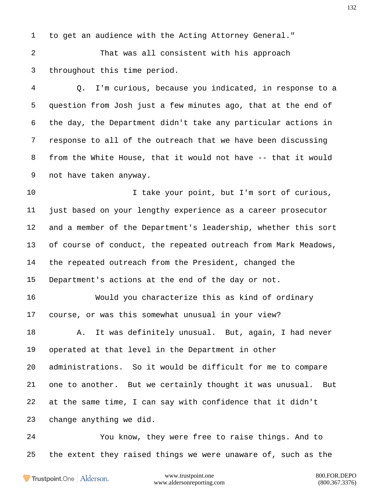to get an audience with the Acting Attorney General."

 That was all consistent with his approach throughout this time period.

 Q. I'm curious, because you indicated, in response to a question from Josh just a few minutes ago, that at the end of the day, the Department didn't take any particular actions in response to all of the outreach that we have been discussing from the White House, that it would not have -- that it would not have taken anyway.

10 10 I take your point, but I'm sort of curious, just based on your lengthy experience as a career prosecutor and a member of the Department's leadership, whether this sort of course of conduct, the repeated outreach from Mark Meadows, the repeated outreach from the President, changed the Department's actions at the end of the day or not.

 Would you characterize this as kind of ordinary course, or was this somewhat unusual in your view?

18 A. It was definitely unusual. But, again, I had never operated at that level in the Department in other administrations. So it would be difficult for me to compare one to another. But we certainly thought it was unusual. But at the same time, I can say with confidence that it didn't change anything we did.

 You know, they were free to raise things. And to the extent they raised things we were unaware of, such as the

Trustpoint.One Alderson.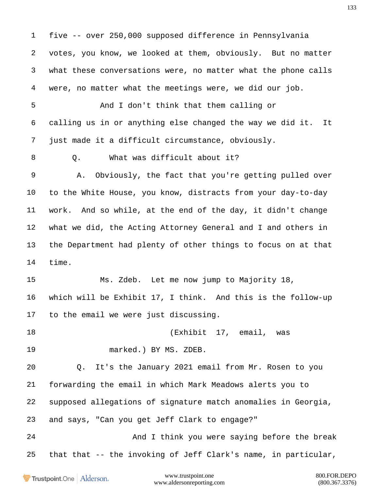five -- over 250,000 supposed difference in Pennsylvania votes, you know, we looked at them, obviously. But no matter what these conversations were, no matter what the phone calls were, no matter what the meetings were, we did our job. And I don't think that them calling or calling us in or anything else changed the way we did it. It just made it a difficult circumstance, obviously. 8 0. What was difficult about it? A. Obviously, the fact that you're getting pulled over to the White House, you know, distracts from your day-to-day work. And so while, at the end of the day, it didn't change what we did, the Acting Attorney General and I and others in the Department had plenty of other things to focus on at that time. Ms. Zdeb. Let me now jump to Majority 18, which will be Exhibit 17, I think. And this is the follow-up to the email we were just discussing. (Exhibit 17, email, was marked.) BY MS. ZDEB. Q. It's the January 2021 email from Mr. Rosen to you forwarding the email in which Mark Meadows alerts you to supposed allegations of signature match anomalies in Georgia, and says, "Can you get Jeff Clark to engage?" And I think you were saying before the break that that -- the invoking of Jeff Clark's name, in particular,www.trustpoint.one 800.FOR.DEPO Trustpoint.One Alderson.

www.aldersonreporting.com (800.367.3376)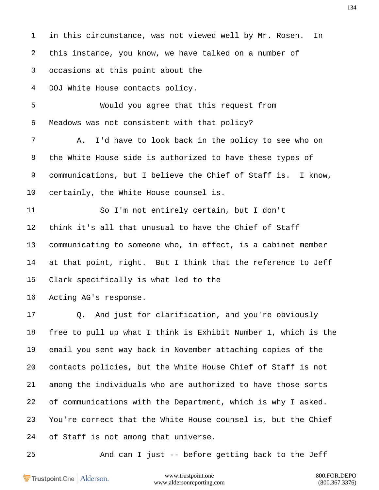in this circumstance, was not viewed well by Mr. Rosen. In this instance, you know, we have talked on a number of occasions at this point about the DOJ White House contacts policy. Would you agree that this request from Meadows was not consistent with that policy? A. I'd have to look back in the policy to see who on the White House side is authorized to have these types of communications, but I believe the Chief of Staff is. I know, certainly, the White House counsel is. So I'm not entirely certain, but I don't think it's all that unusual to have the Chief of Staff communicating to someone who, in effect, is a cabinet member at that point, right. But I think that the reference to Jeff Clark specifically is what led to the Acting AG's response. Q. And just for clarification, and you're obviously free to pull up what I think is Exhibit Number 1, which is the email you sent way back in November attaching copies of the contacts policies, but the White House Chief of Staff is not among the individuals who are authorized to have those sorts of communications with the Department, which is why I asked. You're correct that the White House counsel is, but the Chief of Staff is not among that universe. And can I just -- before getting back to the Jeff

Trustpoint.One Alderson.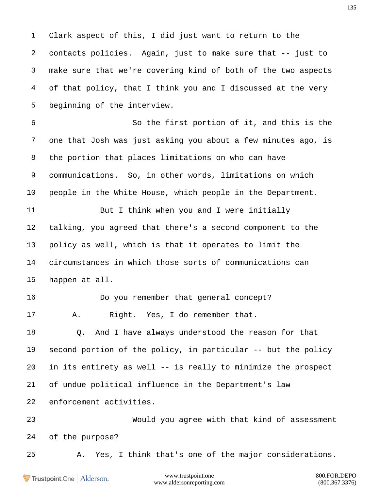Clark aspect of this, I did just want to return to the contacts policies. Again, just to make sure that -- just to make sure that we're covering kind of both of the two aspects of that policy, that I think you and I discussed at the very beginning of the interview. So the first portion of it, and this is the one that Josh was just asking you about a few minutes ago, is the portion that places limitations on who can have communications. So, in other words, limitations on which people in the White House, which people in the Department. But I think when you and I were initially talking, you agreed that there's a second component to the policy as well, which is that it operates to limit the circumstances in which those sorts of communications can happen at all. Do you remember that general concept? A. Right. Yes, I do remember that. Q. And I have always understood the reason for that second portion of the policy, in particular -- but the policy in its entirety as well -- is really to minimize the prospect of undue political influence in the Department's law enforcement activities. Would you agree with that kind of assessment of the purpose? A. Yes, I think that's one of the major considerations.

Trustpoint.One Alderson.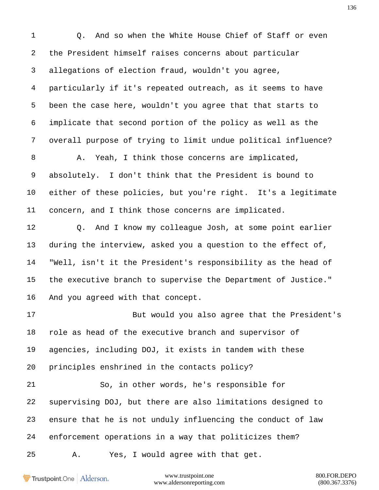1 0. And so when the White House Chief of Staff or even the President himself raises concerns about particular allegations of election fraud, wouldn't you agree, particularly if it's repeated outreach, as it seems to have been the case here, wouldn't you agree that that starts to implicate that second portion of the policy as well as the overall purpose of trying to limit undue political influence? A. Yeah, I think those concerns are implicated, absolutely. I don't think that the President is bound to either of these policies, but you're right. It's a legitimate concern, and I think those concerns are implicated. Q. And I know my colleague Josh, at some point earlier during the interview, asked you a question to the effect of, "Well, isn't it the President's responsibility as the head of the executive branch to supervise the Department of Justice." And you agreed with that concept. But would you also agree that the President's role as head of the executive branch and supervisor of agencies, including DOJ, it exists in tandem with these principles enshrined in the contacts policy? So, in other words, he's responsible for supervising DOJ, but there are also limitations designed to ensure that he is not unduly influencing the conduct of law enforcement operations in a way that politicizes them? A. Yes, I would agree with that get.

Trustpoint.One Alderson.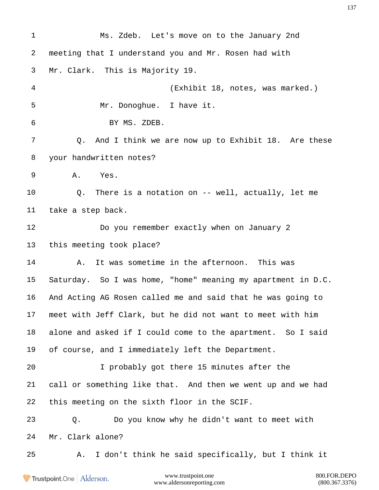Ms. Zdeb. Let's move on to the January 2nd meeting that I understand you and Mr. Rosen had with Mr. Clark. This is Majority 19. (Exhibit 18, notes, was marked.) Mr. Donoghue. I have it. BY MS. ZDEB. Q. And I think we are now up to Exhibit 18. Are these your handwritten notes? A. Yes. Q. There is a notation on -- well, actually, let me take a step back. Do you remember exactly when on January 2 this meeting took place? 14 A. It was sometime in the afternoon. This was Saturday. So I was home, "home" meaning my apartment in D.C. And Acting AG Rosen called me and said that he was going to meet with Jeff Clark, but he did not want to meet with him alone and asked if I could come to the apartment. So I said of course, and I immediately left the Department. I probably got there 15 minutes after the call or something like that. And then we went up and we had this meeting on the sixth floor in the SCIF. Q. Do you know why he didn't want to meet with Mr. Clark alone? A. I don't think he said specifically, but I think it

Trustpoint.One Alderson.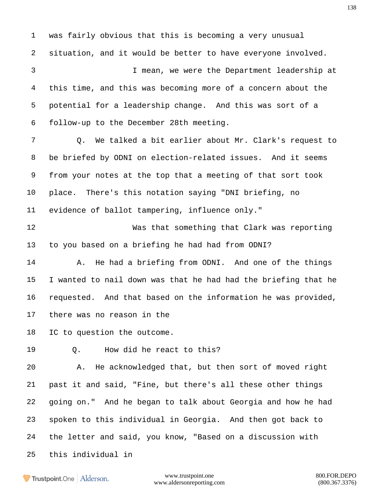was fairly obvious that this is becoming a very unusual situation, and it would be better to have everyone involved. I mean, we were the Department leadership at this time, and this was becoming more of a concern about the potential for a leadership change. And this was sort of a follow-up to the December 28th meeting. Q. We talked a bit earlier about Mr. Clark's request to be briefed by ODNI on election-related issues. And it seems from your notes at the top that a meeting of that sort took place. There's this notation saying "DNI briefing, no evidence of ballot tampering, influence only." Was that something that Clark was reporting to you based on a briefing he had had from ODNI? 14 A. He had a briefing from ODNI. And one of the things I wanted to nail down was that he had had the briefing that he requested. And that based on the information he was provided, there was no reason in the IC to question the outcome. 19 0. How did he react to this? A. He acknowledged that, but then sort of moved right past it and said, "Fine, but there's all these other things going on." And he began to talk about Georgia and how he had spoken to this individual in Georgia. And then got back to the letter and said, you know, "Based on a discussion with this individual in

Trustpoint.One Alderson.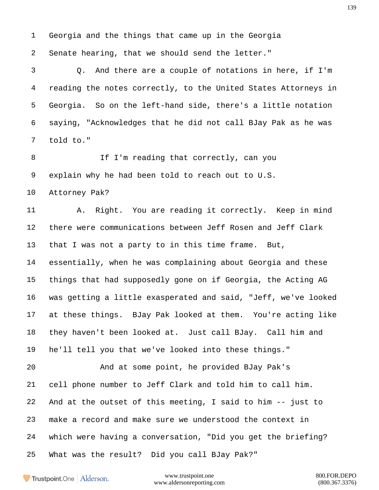Georgia and the things that came up in the Georgia

Senate hearing, that we should send the letter."

 Q. And there are a couple of notations in here, if I'm reading the notes correctly, to the United States Attorneys in Georgia. So on the left-hand side, there's a little notation saying, "Acknowledges that he did not call BJay Pak as he was told to."

8 If I'm reading that correctly, can you explain why he had been told to reach out to U.S.

Attorney Pak?

11 A. Right. You are reading it correctly. Keep in mind there were communications between Jeff Rosen and Jeff Clark that I was not a party to in this time frame. But, essentially, when he was complaining about Georgia and these things that had supposedly gone on if Georgia, the Acting AG was getting a little exasperated and said, "Jeff, we've looked at these things. BJay Pak looked at them. You're acting like they haven't been looked at. Just call BJay. Call him and he'll tell you that we've looked into these things." And at some point, he provided BJay Pak's cell phone number to Jeff Clark and told him to call him. And at the outset of this meeting, I said to him -- just to make a record and make sure we understood the context in

which were having a conversation, "Did you get the briefing?

What was the result? Did you call BJay Pak?"

Trustpoint.One Alderson.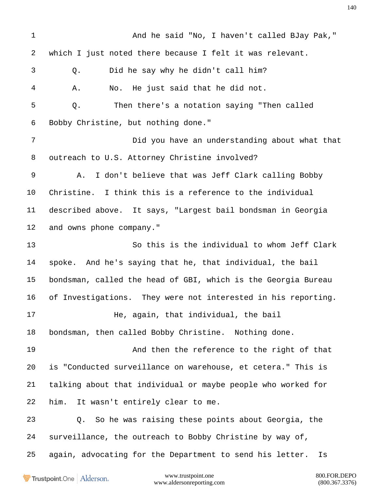And he said "No, I haven't called BJay Pak," which I just noted there because I felt it was relevant. Q. Did he say why he didn't call him? A. No. He just said that he did not. Q. Then there's a notation saying "Then called Bobby Christine, but nothing done." Did you have an understanding about what that outreach to U.S. Attorney Christine involved? A. I don't believe that was Jeff Clark calling Bobby Christine. I think this is a reference to the individual described above. It says, "Largest bail bondsman in Georgia and owns phone company." So this is the individual to whom Jeff Clark spoke. And he's saying that he, that individual, the bail bondsman, called the head of GBI, which is the Georgia Bureau of Investigations. They were not interested in his reporting. He, again, that individual, the bail bondsman, then called Bobby Christine. Nothing done. And then the reference to the right of that is "Conducted surveillance on warehouse, et cetera." This is talking about that individual or maybe people who worked for him. It wasn't entirely clear to me. Q. So he was raising these points about Georgia, the surveillance, the outreach to Bobby Christine by way of, again, advocating for the Department to send his letter. Is

Trustpoint.One Alderson.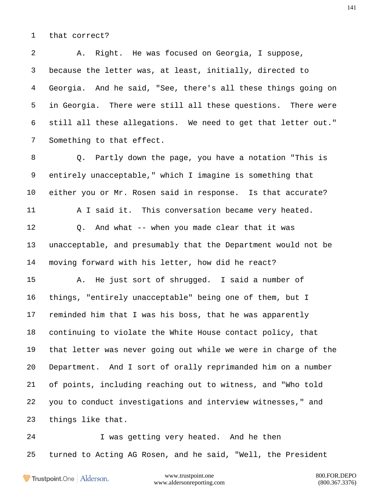that correct?

 A. Right. He was focused on Georgia, I suppose, because the letter was, at least, initially, directed to Georgia. And he said, "See, there's all these things going on in Georgia. There were still all these questions. There were still all these allegations. We need to get that letter out." Something to that effect.

 Q. Partly down the page, you have a notation "This is entirely unacceptable," which I imagine is something that either you or Mr. Rosen said in response. Is that accurate? A I said it. This conversation became very heated. Q. And what -- when you made clear that it was unacceptable, and presumably that the Department would not be moving forward with his letter, how did he react? A. He just sort of shrugged. I said a number of things, "entirely unacceptable" being one of them, but I

 reminded him that I was his boss, that he was apparently continuing to violate the White House contact policy, that that letter was never going out while we were in charge of the Department. And I sort of orally reprimanded him on a number of points, including reaching out to witness, and "Who told you to conduct investigations and interview witnesses," and things like that.

 I was getting very heated. And he then turned to Acting AG Rosen, and he said, "Well, the President

Trustpoint.One Alderson.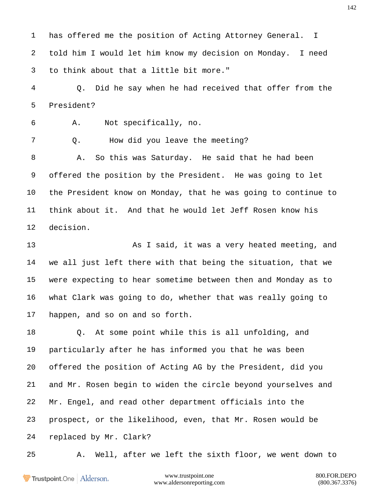has offered me the position of Acting Attorney General. I told him I would let him know my decision on Monday. I need to think about that a little bit more."

 Q. Did he say when he had received that offer from the President?

A. Not specifically, no.

Q. How did you leave the meeting?

 A. So this was Saturday. He said that he had been offered the position by the President. He was going to let the President know on Monday, that he was going to continue to think about it. And that he would let Jeff Rosen know his decision.

**As I said, it was a very heated meeting, and**  we all just left there with that being the situation, that we were expecting to hear sometime between then and Monday as to what Clark was going to do, whether that was really going to happen, and so on and so forth.

 Q. At some point while this is all unfolding, and particularly after he has informed you that he was been offered the position of Acting AG by the President, did you and Mr. Rosen begin to widen the circle beyond yourselves and Mr. Engel, and read other department officials into the prospect, or the likelihood, even, that Mr. Rosen would be replaced by Mr. Clark?

A. Well, after we left the sixth floor, we went down to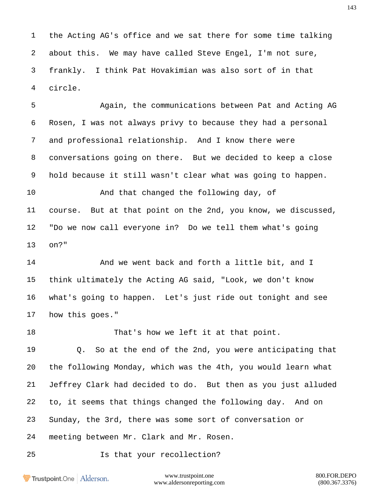the Acting AG's office and we sat there for some time talking about this. We may have called Steve Engel, I'm not sure, frankly. I think Pat Hovakimian was also sort of in that circle.

 Again, the communications between Pat and Acting AG Rosen, I was not always privy to because they had a personal and professional relationship. And I know there were conversations going on there. But we decided to keep a close hold because it still wasn't clear what was going to happen. And that changed the following day, of course. But at that point on the 2nd, you know, we discussed, "Do we now call everyone in? Do we tell them what's going on?"

14 And we went back and forth a little bit, and I think ultimately the Acting AG said, "Look, we don't know what's going to happen. Let's just ride out tonight and see how this goes."

That's how we left it at that point.

 Q. So at the end of the 2nd, you were anticipating that the following Monday, which was the 4th, you would learn what Jeffrey Clark had decided to do. But then as you just alluded to, it seems that things changed the following day. And on Sunday, the 3rd, there was some sort of conversation or meeting between Mr. Clark and Mr. Rosen.

Is that your recollection?

Trustpoint.One Alderson.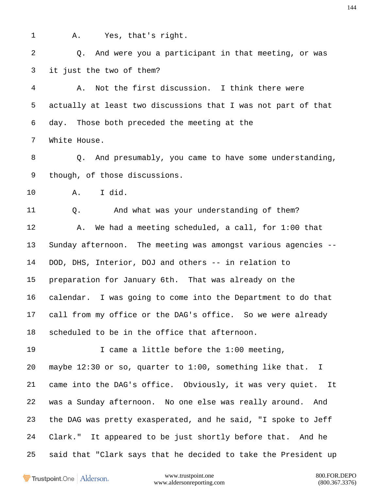A. Yes, that's right.

 Q. And were you a participant in that meeting, or was it just the two of them?

 A. Not the first discussion. I think there were actually at least two discussions that I was not part of that day. Those both preceded the meeting at the White House.

 Q. And presumably, you came to have some understanding, though, of those discussions.

A. I did.

 Q. And what was your understanding of them? A. We had a meeting scheduled, a call, for 1:00 that Sunday afternoon. The meeting was amongst various agencies -- DOD, DHS, Interior, DOJ and others -- in relation to preparation for January 6th. That was already on the calendar. I was going to come into the Department to do that call from my office or the DAG's office. So we were already scheduled to be in the office that afternoon.

 I came a little before the 1:00 meeting, maybe 12:30 or so, quarter to 1:00, something like that. I came into the DAG's office. Obviously, it was very quiet. It was a Sunday afternoon. No one else was really around. And the DAG was pretty exasperated, and he said, "I spoke to Jeff Clark." It appeared to be just shortly before that. And he said that "Clark says that he decided to take the President up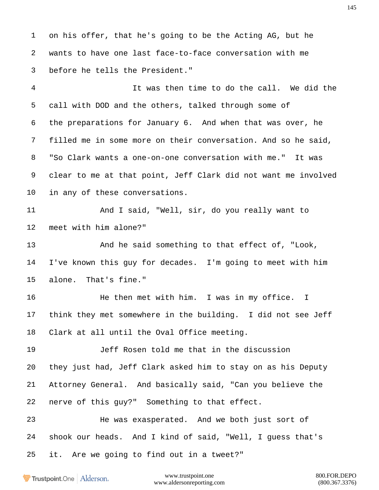on his offer, that he's going to be the Acting AG, but he wants to have one last face-to-face conversation with me before he tells the President."

 It was then time to do the call. We did the call with DOD and the others, talked through some of the preparations for January 6. And when that was over, he filled me in some more on their conversation. And so he said, "So Clark wants a one-on-one conversation with me." It was clear to me at that point, Jeff Clark did not want me involved in any of these conversations.

11 And I said, "Well, sir, do you really want to meet with him alone?"

 And he said something to that effect of, "Look, I've known this guy for decades. I'm going to meet with him alone. That's fine."

16 He then met with him. I was in my office. I think they met somewhere in the building. I did not see Jeff Clark at all until the Oval Office meeting.

 Jeff Rosen told me that in the discussion they just had, Jeff Clark asked him to stay on as his Deputy Attorney General. And basically said, "Can you believe the nerve of this guy?" Something to that effect.

 He was exasperated. And we both just sort of shook our heads. And I kind of said, "Well, I guess that's it. Are we going to find out in a tweet?"

Trustpoint.One Alderson.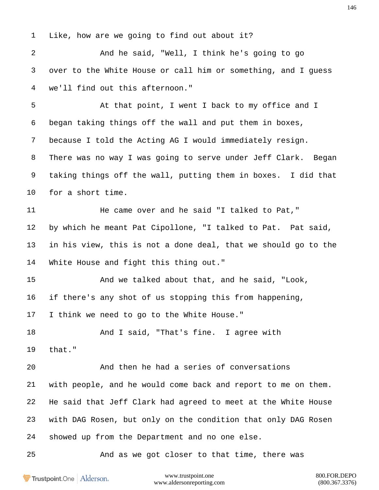Like, how are we going to find out about it?

 And he said, "Well, I think he's going to go over to the White House or call him or something, and I guess we'll find out this afternoon."

 At that point, I went I back to my office and I began taking things off the wall and put them in boxes, because I told the Acting AG I would immediately resign. There was no way I was going to serve under Jeff Clark. Began taking things off the wall, putting them in boxes. I did that for a short time.

11 He came over and he said "I talked to Pat," by which he meant Pat Cipollone, "I talked to Pat. Pat said, in his view, this is not a done deal, that we should go to the White House and fight this thing out."

 And we talked about that, and he said, "Look, if there's any shot of us stopping this from happening, I think we need to go to the White House."

18 And I said, "That's fine. I agree with that."

 And then he had a series of conversations with people, and he would come back and report to me on them. He said that Jeff Clark had agreed to meet at the White House with DAG Rosen, but only on the condition that only DAG Rosen showed up from the Department and no one else.

And as we got closer to that time, there was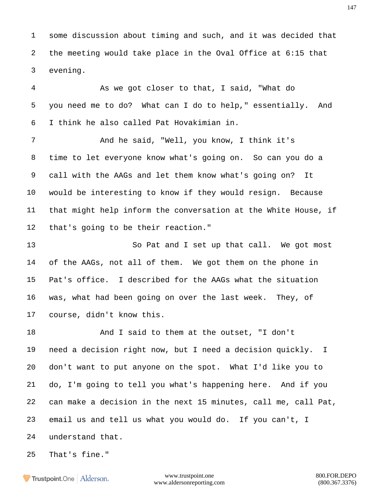some discussion about timing and such, and it was decided that the meeting would take place in the Oval Office at 6:15 that evening.

 As we got closer to that, I said, "What do you need me to do? What can I do to help," essentially. And I think he also called Pat Hovakimian in.

 And he said, "Well, you know, I think it's time to let everyone know what's going on. So can you do a call with the AAGs and let them know what's going on? It would be interesting to know if they would resign. Because that might help inform the conversation at the White House, if that's going to be their reaction."

13 So Pat and I set up that call. We got most of the AAGs, not all of them. We got them on the phone in Pat's office. I described for the AAGs what the situation was, what had been going on over the last week. They, of course, didn't know this.

 And I said to them at the outset, "I don't need a decision right now, but I need a decision quickly. I don't want to put anyone on the spot. What I'd like you to do, I'm going to tell you what's happening here. And if you can make a decision in the next 15 minutes, call me, call Pat, email us and tell us what you would do. If you can't, I understand that.

That's fine."

**Frustpoint.One** Alderson.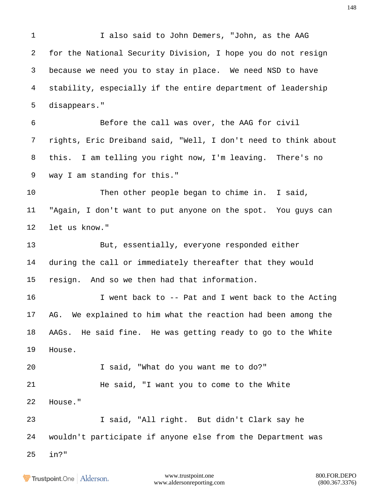I also said to John Demers, "John, as the AAG for the National Security Division, I hope you do not resign because we need you to stay in place. We need NSD to have stability, especially if the entire department of leadership disappears." Before the call was over, the AAG for civil rights, Eric Dreiband said, "Well, I don't need to think about this. I am telling you right now, I'm leaving. There's no way I am standing for this." Then other people began to chime in. I said, "Again, I don't want to put anyone on the spot. You guys can let us know." But, essentially, everyone responded either during the call or immediately thereafter that they would resign. And so we then had that information. 16 I went back to -- Pat and I went back to the Acting AG. We explained to him what the reaction had been among the AAGs. He said fine. He was getting ready to go to the White House. I said, "What do you want me to do?" He said, "I want you to come to the White House." I said, "All right. But didn't Clark say he wouldn't participate if anyone else from the Department was in?"

www.trustpoint.one 800.FOR.DEPO www.aldersonreporting.com (800.367.3376)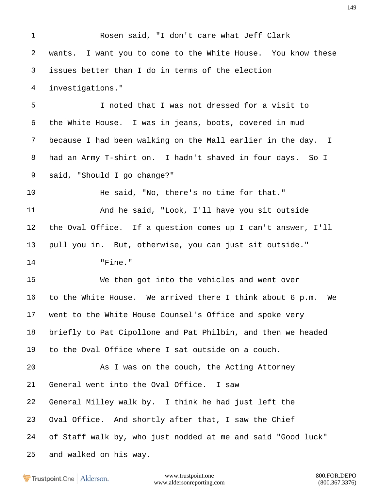Rosen said, "I don't care what Jeff Clark wants. I want you to come to the White House. You know these issues better than I do in terms of the election investigations." I noted that I was not dressed for a visit to the White House. I was in jeans, boots, covered in mud because I had been walking on the Mall earlier in the day. I had an Army T-shirt on. I hadn't shaved in four days. So I said, "Should I go change?" He said, "No, there's no time for that." 11 And he said, "Look, I'll have you sit outside the Oval Office. If a question comes up I can't answer, I'll pull you in. But, otherwise, you can just sit outside." "Fine." We then got into the vehicles and went over to the White House. We arrived there I think about 6 p.m. We went to the White House Counsel's Office and spoke very briefly to Pat Cipollone and Pat Philbin, and then we headed to the Oval Office where I sat outside on a couch. As I was on the couch, the Acting Attorney General went into the Oval Office. I saw General Milley walk by. I think he had just left the Oval Office. And shortly after that, I saw the Chief of Staff walk by, who just nodded at me and said "Good luck" and walked on his way.

Trustpoint.One Alderson.

www.trustpoint.one 800.FOR.DEPO www.aldersonreporting.com (800.367.3376)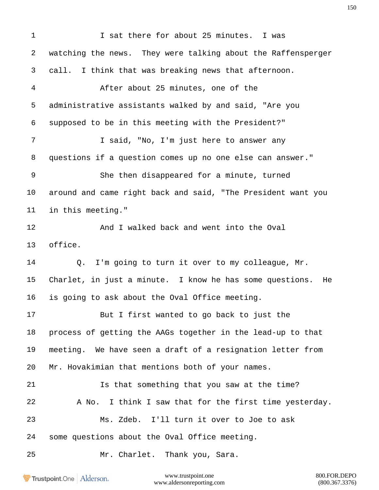I sat there for about 25 minutes. I was watching the news. They were talking about the Raffensperger call. I think that was breaking news that afternoon. After about 25 minutes, one of the administrative assistants walked by and said, "Are you supposed to be in this meeting with the President?" 7 I said, "No, I'm just here to answer any questions if a question comes up no one else can answer." She then disappeared for a minute, turned around and came right back and said, "The President want you in this meeting." 12 And I walked back and went into the Oval office. Q. I'm going to turn it over to my colleague, Mr. Charlet, in just a minute. I know he has some questions. He is going to ask about the Oval Office meeting. But I first wanted to go back to just the process of getting the AAGs together in the lead-up to that meeting. We have seen a draft of a resignation letter from Mr. Hovakimian that mentions both of your names. Is that something that you saw at the time? A No. I think I saw that for the first time yesterday. Ms. Zdeb. I'll turn it over to Joe to ask some questions about the Oval Office meeting. Mr. Charlet. Thank you, Sara.

Trustpoint.One Alderson.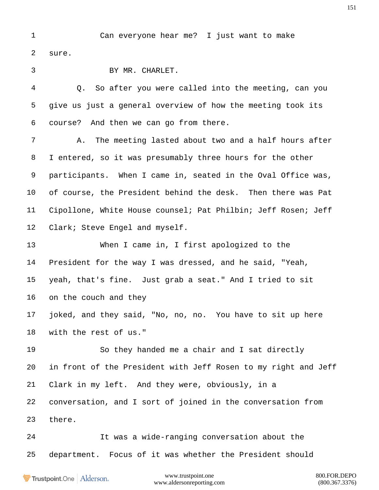Can everyone hear me? I just want to make sure.

BY MR. CHARLET.

 Q. So after you were called into the meeting, can you give us just a general overview of how the meeting took its course? And then we can go from there.

 A. The meeting lasted about two and a half hours after I entered, so it was presumably three hours for the other participants. When I came in, seated in the Oval Office was, of course, the President behind the desk. Then there was Pat Cipollone, White House counsel; Pat Philbin; Jeff Rosen; Jeff Clark; Steve Engel and myself.

 When I came in, I first apologized to the President for the way I was dressed, and he said, "Yeah, yeah, that's fine. Just grab a seat." And I tried to sit on the couch and they

 joked, and they said, "No, no, no. You have to sit up here with the rest of us."

 So they handed me a chair and I sat directly in front of the President with Jeff Rosen to my right and Jeff Clark in my left. And they were, obviously, in a conversation, and I sort of joined in the conversation from there.

 It was a wide-ranging conversation about the department. Focus of it was whether the President should

Trustpoint.One Alderson.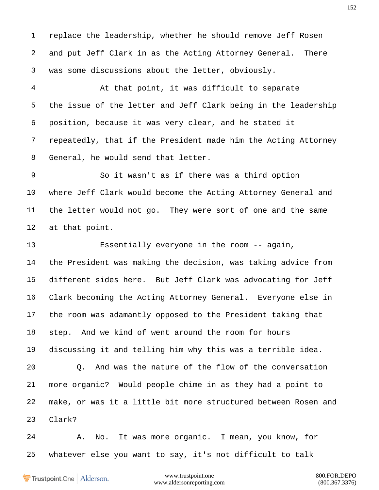replace the leadership, whether he should remove Jeff Rosen and put Jeff Clark in as the Acting Attorney General. There was some discussions about the letter, obviously.

 At that point, it was difficult to separate the issue of the letter and Jeff Clark being in the leadership position, because it was very clear, and he stated it repeatedly, that if the President made him the Acting Attorney General, he would send that letter.

 So it wasn't as if there was a third option where Jeff Clark would become the Acting Attorney General and the letter would not go. They were sort of one and the same at that point.

 Essentially everyone in the room -- again, the President was making the decision, was taking advice from different sides here. But Jeff Clark was advocating for Jeff Clark becoming the Acting Attorney General. Everyone else in the room was adamantly opposed to the President taking that step. And we kind of went around the room for hours discussing it and telling him why this was a terrible idea. Q. And was the nature of the flow of the conversation more organic? Would people chime in as they had a point to make, or was it a little bit more structured between Rosen and Clark?

 A. No. It was more organic. I mean, you know, for whatever else you want to say, it's not difficult to talk

Trustpoint.One Alderson.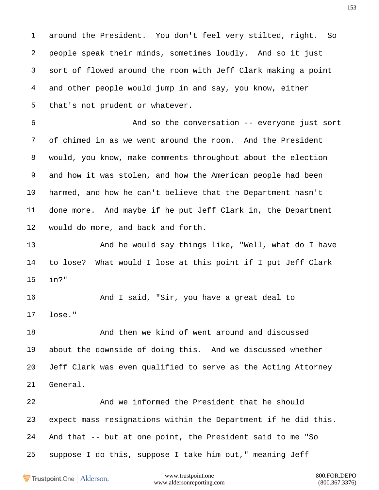around the President. You don't feel very stilted, right. So people speak their minds, sometimes loudly. And so it just sort of flowed around the room with Jeff Clark making a point and other people would jump in and say, you know, either that's not prudent or whatever.

 And so the conversation -- everyone just sort of chimed in as we went around the room. And the President would, you know, make comments throughout about the election and how it was stolen, and how the American people had been harmed, and how he can't believe that the Department hasn't done more. And maybe if he put Jeff Clark in, the Department would do more, and back and forth.

13 And he would say things like, "Well, what do I have to lose? What would I lose at this point if I put Jeff Clark in?"

16 And I said, "Sir, you have a great deal to lose."

 And then we kind of went around and discussed about the downside of doing this. And we discussed whether Jeff Clark was even qualified to serve as the Acting Attorney General.

 And we informed the President that he should expect mass resignations within the Department if he did this. And that -- but at one point, the President said to me "So suppose I do this, suppose I take him out," meaning Jeff

Trustpoint.One Alderson.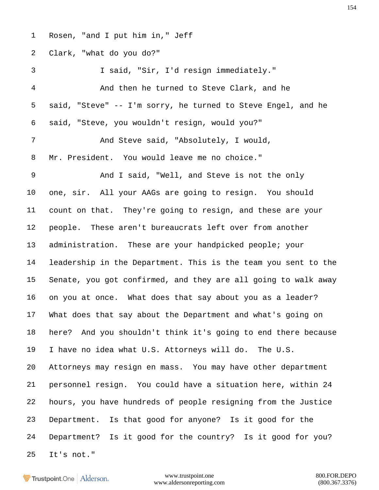Rosen, "and I put him in," Jeff

Clark, "what do you do?"

 I said, "Sir, I'd resign immediately." And then he turned to Steve Clark, and he said, "Steve" -- I'm sorry, he turned to Steve Engel, and he said, "Steve, you wouldn't resign, would you?" And Steve said, "Absolutely, I would, Mr. President. You would leave me no choice." And I said, "Well, and Steve is not the only one, sir. All your AAGs are going to resign. You should count on that. They're going to resign, and these are your people. These aren't bureaucrats left over from another administration. These are your handpicked people; your leadership in the Department. This is the team you sent to the Senate, you got confirmed, and they are all going to walk away on you at once. What does that say about you as a leader? What does that say about the Department and what's going on here? And you shouldn't think it's going to end there because I have no idea what U.S. Attorneys will do. The U.S. Attorneys may resign en mass. You may have other department personnel resign. You could have a situation here, within 24 hours, you have hundreds of people resigning from the Justice Department. Is that good for anyone? Is it good for the Department? Is it good for the country? Is it good for you? It's not."

**Trustpoint**.One Alderson.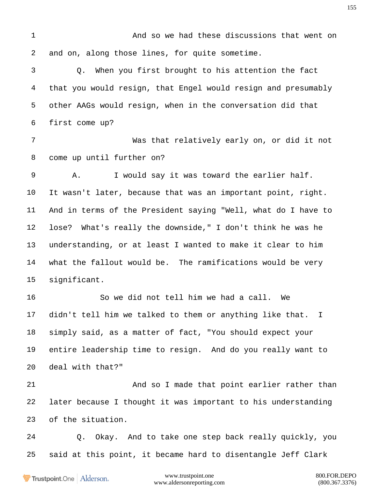And so we had these discussions that went on and on, along those lines, for quite sometime. Q. When you first brought to his attention the fact that you would resign, that Engel would resign and presumably other AAGs would resign, when in the conversation did that first come up? Was that relatively early on, or did it not come up until further on? A. I would say it was toward the earlier half. It wasn't later, because that was an important point, right. And in terms of the President saying "Well, what do I have to lose? What's really the downside," I don't think he was he understanding, or at least I wanted to make it clear to him what the fallout would be. The ramifications would be very significant. So we did not tell him we had a call. We didn't tell him we talked to them or anything like that. I simply said, as a matter of fact, "You should expect your entire leadership time to resign. And do you really want to deal with that?" And so I made that point earlier rather than later because I thought it was important to his understanding of the situation. Q. Okay. And to take one step back really quickly, you said at this point, it became hard to disentangle Jeff Clark

Trustpoint.One Alderson.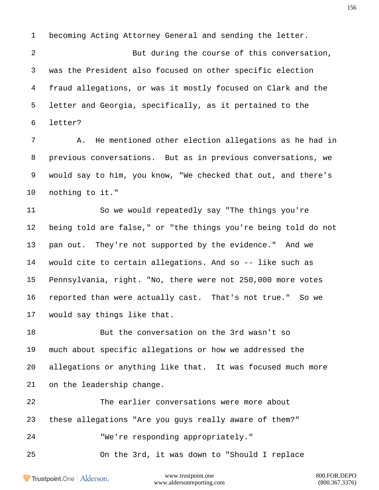becoming Acting Attorney General and sending the letter.

 But during the course of this conversation, was the President also focused on other specific election fraud allegations, or was it mostly focused on Clark and the letter and Georgia, specifically, as it pertained to the letter?

 A. He mentioned other election allegations as he had in previous conversations. But as in previous conversations, we would say to him, you know, "We checked that out, and there's nothing to it."

 So we would repeatedly say "The things you're being told are false," or "the things you're being told do not pan out. They're not supported by the evidence." And we would cite to certain allegations. And so -- like such as Pennsylvania, right. "No, there were not 250,000 more votes reported than were actually cast. That's not true." So we would say things like that.

 But the conversation on the 3rd wasn't so much about specific allegations or how we addressed the allegations or anything like that. It was focused much more on the leadership change.

 The earlier conversations were more about these allegations "Are you guys really aware of them?" "We're responding appropriately."

On the 3rd, it was down to "Should I replace

Trustpoint.One Alderson.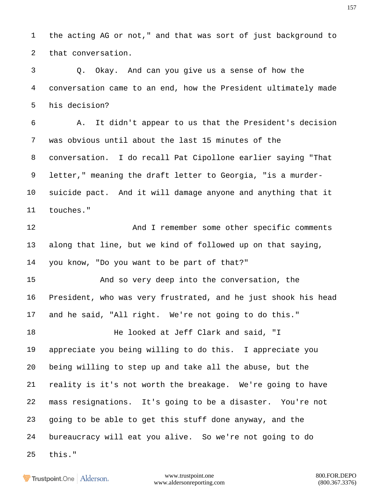the acting AG or not," and that was sort of just background to that conversation.

 Q. Okay. And can you give us a sense of how the conversation came to an end, how the President ultimately made his decision?

 A. It didn't appear to us that the President's decision was obvious until about the last 15 minutes of the conversation. I do recall Pat Cipollone earlier saying "That letter," meaning the draft letter to Georgia, "is a murder- suicide pact. And it will damage anyone and anything that it touches."

12 And I remember some other specific comments along that line, but we kind of followed up on that saying, you know, "Do you want to be part of that?"

 And so very deep into the conversation, the President, who was very frustrated, and he just shook his head and he said, "All right. We're not going to do this."

 He looked at Jeff Clark and said, "I appreciate you being willing to do this. I appreciate you being willing to step up and take all the abuse, but the reality is it's not worth the breakage. We're going to have mass resignations. It's going to be a disaster. You're not going to be able to get this stuff done anyway, and the bureaucracy will eat you alive. So we're not going to do this."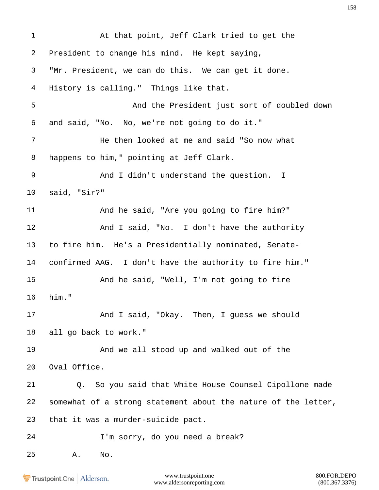At that point, Jeff Clark tried to get the President to change his mind. He kept saying, "Mr. President, we can do this. We can get it done. History is calling." Things like that. And the President just sort of doubled down and said, "No. No, we're not going to do it." He then looked at me and said "So now what happens to him," pointing at Jeff Clark. And I didn't understand the question. I said, "Sir?" And he said, "Are you going to fire him?" 12 And I said, "No. I don't have the authority to fire him. He's a Presidentially nominated, Senate- confirmed AAG. I don't have the authority to fire him." And he said, "Well, I'm not going to fire him." And I said, "Okay. Then, I guess we should all go back to work." And we all stood up and walked out of the Oval Office. Q. So you said that White House Counsel Cipollone made somewhat of a strong statement about the nature of the letter, that it was a murder-suicide pact. I'm sorry, do you need a break? A. No.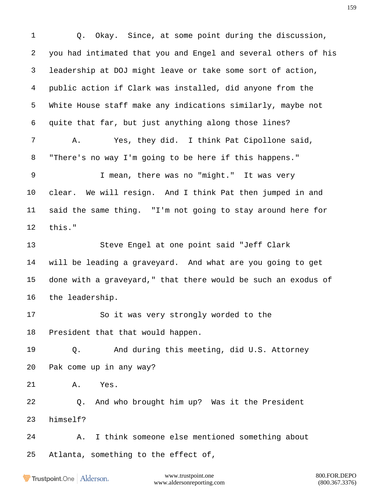Q. Okay. Since, at some point during the discussion, you had intimated that you and Engel and several others of his leadership at DOJ might leave or take some sort of action, public action if Clark was installed, did anyone from the White House staff make any indications similarly, maybe not quite that far, but just anything along those lines? A. Yes, they did. I think Pat Cipollone said, "There's no way I'm going to be here if this happens." I mean, there was no "might." It was very clear. We will resign. And I think Pat then jumped in and said the same thing. "I'm not going to stay around here for this." Steve Engel at one point said "Jeff Clark will be leading a graveyard. And what are you going to get done with a graveyard," that there would be such an exodus of the leadership. So it was very strongly worded to the President that that would happen. Q. And during this meeting, did U.S. Attorney Pak come up in any way? A. Yes. Q. And who brought him up? Was it the President himself? A. I think someone else mentioned something about Atlanta, something to the effect of,

Trustpoint.One Alderson.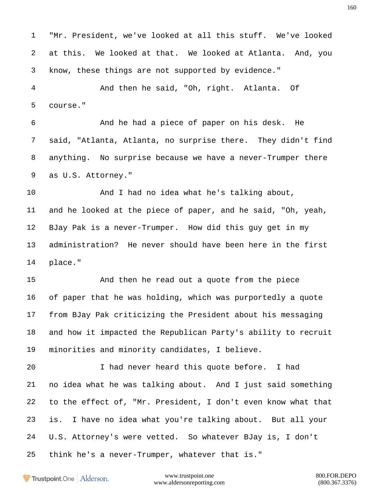"Mr. President, we've looked at all this stuff. We've looked at this. We looked at that. We looked at Atlanta. And, you know, these things are not supported by evidence."

 And then he said, "Oh, right. Atlanta. Of course."

 And he had a piece of paper on his desk. He said, "Atlanta, Atlanta, no surprise there. They didn't find anything. No surprise because we have a never-Trumper there as U.S. Attorney."

 And I had no idea what he's talking about, and he looked at the piece of paper, and he said, "Oh, yeah, BJay Pak is a never-Trumper. How did this guy get in my administration? He never should have been here in the first place."

 And then he read out a quote from the piece of paper that he was holding, which was purportedly a quote from BJay Pak criticizing the President about his messaging and how it impacted the Republican Party's ability to recruit minorities and minority candidates, I believe.

 I had never heard this quote before. I had no idea what he was talking about. And I just said something to the effect of, "Mr. President, I don't even know what that is. I have no idea what you're talking about. But all your U.S. Attorney's were vetted. So whatever BJay is, I don't think he's a never-Trumper, whatever that is."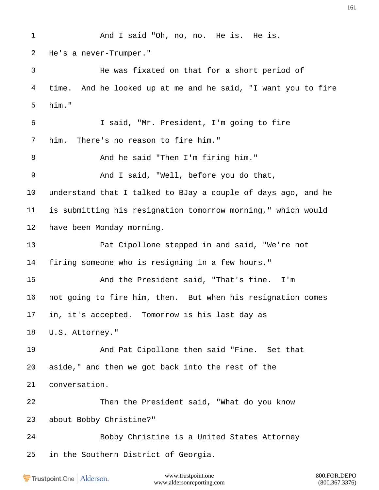And I said "Oh, no, no. He is. He is. He's a never-Trumper." He was fixated on that for a short period of time. And he looked up at me and he said, "I want you to fire him." I said, "Mr. President, I'm going to fire him. There's no reason to fire him." 8 And he said "Then I'm firing him." And I said, "Well, before you do that, understand that I talked to BJay a couple of days ago, and he is submitting his resignation tomorrow morning," which would have been Monday morning. Pat Cipollone stepped in and said, "We're not firing someone who is resigning in a few hours." And the President said, "That's fine. I'm not going to fire him, then. But when his resignation comes in, it's accepted. Tomorrow is his last day as U.S. Attorney." And Pat Cipollone then said "Fine. Set that aside," and then we got back into the rest of the conversation. Then the President said, "What do you know about Bobby Christine?" Bobby Christine is a United States Attorney in the Southern District of Georgia.

Trustpoint.One Alderson.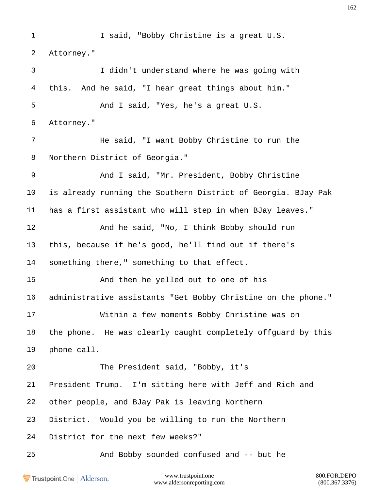I said, "Bobby Christine is a great U.S. Attorney." I didn't understand where he was going with this. And he said, "I hear great things about him." And I said, "Yes, he's a great U.S. Attorney." He said, "I want Bobby Christine to run the Northern District of Georgia." And I said, "Mr. President, Bobby Christine is already running the Southern District of Georgia. BJay Pak has a first assistant who will step in when BJay leaves." 12 And he said, "No, I think Bobby should run this, because if he's good, he'll find out if there's something there," something to that effect. And then he yelled out to one of his administrative assistants "Get Bobby Christine on the phone." Within a few moments Bobby Christine was on the phone. He was clearly caught completely offguard by this phone call. The President said, "Bobby, it's President Trump. I'm sitting here with Jeff and Rich and other people, and BJay Pak is leaving Northern District. Would you be willing to run the Northern District for the next few weeks?" And Bobby sounded confused and -- but he

Trustpoint.One Alderson.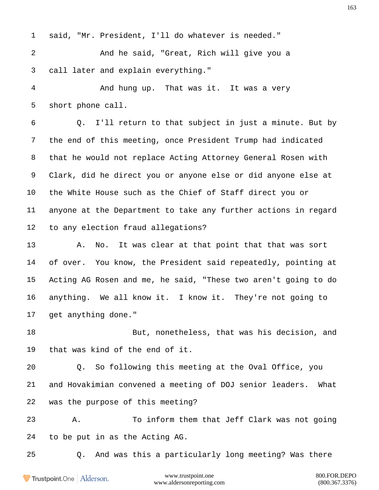said, "Mr. President, I'll do whatever is needed." And he said, "Great, Rich will give you a call later and explain everything." And hung up. That was it. It was a very short phone call. Q. I'll return to that subject in just a minute. But by the end of this meeting, once President Trump had indicated that he would not replace Acting Attorney General Rosen with Clark, did he direct you or anyone else or did anyone else at the White House such as the Chief of Staff direct you or

 anyone at the Department to take any further actions in regard to any election fraud allegations?

13 A. No. It was clear at that point that that was sort of over. You know, the President said repeatedly, pointing at Acting AG Rosen and me, he said, "These two aren't going to do anything. We all know it. I know it. They're not going to get anything done."

 But, nonetheless, that was his decision, and that was kind of the end of it.

 Q. So following this meeting at the Oval Office, you and Hovakimian convened a meeting of DOJ senior leaders. What was the purpose of this meeting?

 A. To inform them that Jeff Clark was not going to be put in as the Acting AG.

Q. And was this a particularly long meeting? Was there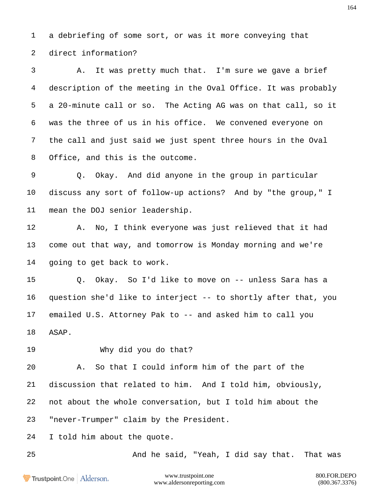a debriefing of some sort, or was it more conveying that direct information?

 A. It was pretty much that. I'm sure we gave a brief description of the meeting in the Oval Office. It was probably a 20-minute call or so. The Acting AG was on that call, so it was the three of us in his office. We convened everyone on the call and just said we just spent three hours in the Oval Office, and this is the outcome.

 Q. Okay. And did anyone in the group in particular discuss any sort of follow-up actions? And by "the group," I mean the DOJ senior leadership.

 A. No, I think everyone was just relieved that it had come out that way, and tomorrow is Monday morning and we're going to get back to work.

 Q. Okay. So I'd like to move on -- unless Sara has a question she'd like to interject -- to shortly after that, you emailed U.S. Attorney Pak to -- and asked him to call you ASAP.

Why did you do that?

 A. So that I could inform him of the part of the discussion that related to him. And I told him, obviously, not about the whole conversation, but I told him about the "never-Trumper" claim by the President.

I told him about the quote.

And he said, "Yeah, I did say that. That was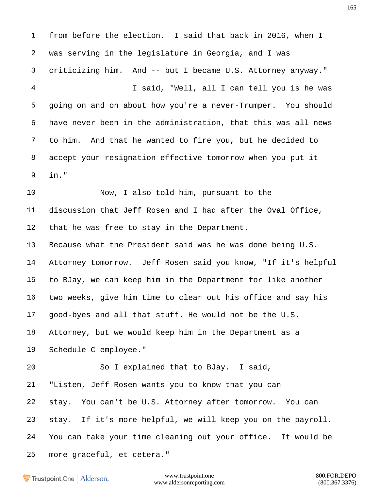from before the election. I said that back in 2016, when I was serving in the legislature in Georgia, and I was criticizing him. And -- but I became U.S. Attorney anyway." I said, "Well, all I can tell you is he was going on and on about how you're a never-Trumper. You should have never been in the administration, that this was all news to him. And that he wanted to fire you, but he decided to accept your resignation effective tomorrow when you put it in." Now, I also told him, pursuant to the discussion that Jeff Rosen and I had after the Oval Office, that he was free to stay in the Department. Because what the President said was he was done being U.S. Attorney tomorrow. Jeff Rosen said you know, "If it's helpful to BJay, we can keep him in the Department for like another two weeks, give him time to clear out his office and say his good-byes and all that stuff. He would not be the U.S. Attorney, but we would keep him in the Department as a Schedule C employee." So I explained that to BJay. I said, "Listen, Jeff Rosen wants you to know that you can stay. You can't be U.S. Attorney after tomorrow. You can stay. If it's more helpful, we will keep you on the payroll. You can take your time cleaning out your office. It would be more graceful, et cetera."

Trustpoint.One Alderson.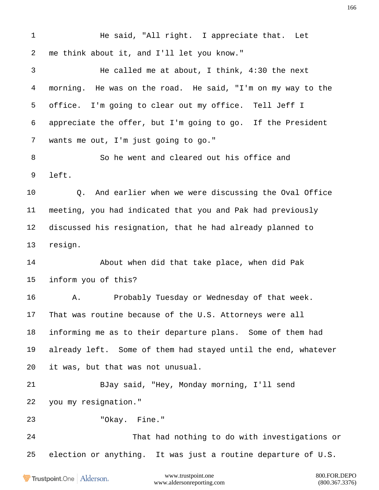1 He said, "All right. I appreciate that. Let me think about it, and I'll let you know." He called me at about, I think, 4:30 the next morning. He was on the road. He said, "I'm on my way to the office. I'm going to clear out my office. Tell Jeff I appreciate the offer, but I'm going to go. If the President wants me out, I'm just going to go." So he went and cleared out his office and left. Q. And earlier when we were discussing the Oval Office meeting, you had indicated that you and Pak had previously discussed his resignation, that he had already planned to resign. About when did that take place, when did Pak inform you of this? A. Probably Tuesday or Wednesday of that week. That was routine because of the U.S. Attorneys were all informing me as to their departure plans. Some of them had already left. Some of them had stayed until the end, whatever it was, but that was not unusual. BJay said, "Hey, Monday morning, I'll send you my resignation." "Okay. Fine." That had nothing to do with investigations or election or anything. It was just a routine departure of U.S.www.trustpoint.one 800.FOR.DEPO Trustpoint.One Alderson.

www.aldersonreporting.com (800.367.3376)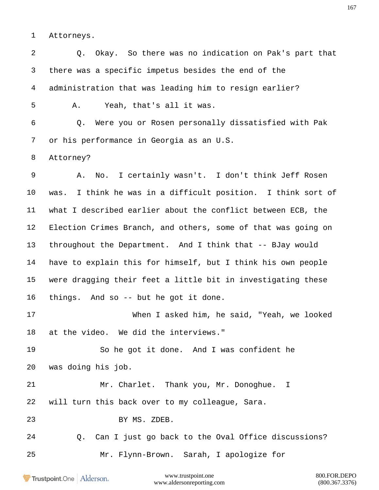Attorneys.

 Q. Okay. So there was no indication on Pak's part that there was a specific impetus besides the end of the administration that was leading him to resign earlier? A. Yeah, that's all it was. Q. Were you or Rosen personally dissatisfied with Pak or his performance in Georgia as an U.S. Attorney? A. No. I certainly wasn't. I don't think Jeff Rosen was. I think he was in a difficult position. I think sort of what I described earlier about the conflict between ECB, the Election Crimes Branch, and others, some of that was going on throughout the Department. And I think that -- BJay would have to explain this for himself, but I think his own people were dragging their feet a little bit in investigating these things. And so -- but he got it done. When I asked him, he said, "Yeah, we looked at the video. We did the interviews." So he got it done. And I was confident he was doing his job. Mr. Charlet. Thank you, Mr. Donoghue. I will turn this back over to my colleague, Sara. BY MS. ZDEB. Q. Can I just go back to the Oval Office discussions? Mr. Flynn-Brown. Sarah, I apologize for

Trustpoint.One Alderson.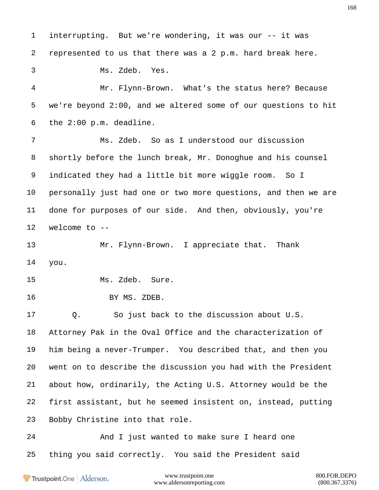interrupting. But we're wondering, it was our -- it was represented to us that there was a 2 p.m. hard break here. Ms. Zdeb. Yes. Mr. Flynn-Brown. What's the status here? Because we're beyond 2:00, and we altered some of our questions to hit the 2:00 p.m. deadline. Ms. Zdeb. So as I understood our discussion shortly before the lunch break, Mr. Donoghue and his counsel indicated they had a little bit more wiggle room. So I personally just had one or two more questions, and then we are done for purposes of our side. And then, obviously, you're welcome to -- Mr. Flynn-Brown. I appreciate that. Thank you. Ms. Zdeb. Sure. BY MS. ZDEB. Q. So just back to the discussion about U.S. Attorney Pak in the Oval Office and the characterization of him being a never-Trumper. You described that, and then you went on to describe the discussion you had with the President about how, ordinarily, the Acting U.S. Attorney would be the first assistant, but he seemed insistent on, instead, putting Bobby Christine into that role. 24 And I just wanted to make sure I heard one thing you said correctly. You said the President said

Trustpoint.One Alderson.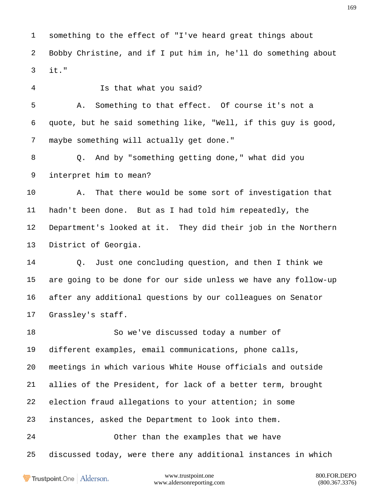something to the effect of "I've heard great things about Bobby Christine, and if I put him in, he'll do something about it."

 Is that what you said? A. Something to that effect. Of course it's not a quote, but he said something like, "Well, if this guy is good, maybe something will actually get done." Q. And by "something getting done," what did you interpret him to mean? A. That there would be some sort of investigation that hadn't been done. But as I had told him repeatedly, the Department's looked at it. They did their job in the Northern

District of Georgia.

 Q. Just one concluding question, and then I think we are going to be done for our side unless we have any follow-up after any additional questions by our colleagues on Senator Grassley's staff.

 So we've discussed today a number of different examples, email communications, phone calls, meetings in which various White House officials and outside allies of the President, for lack of a better term, brought election fraud allegations to your attention; in some instances, asked the Department to look into them. Other than the examples that we have discussed today, were there any additional instances in which

Trustpoint.One Alderson.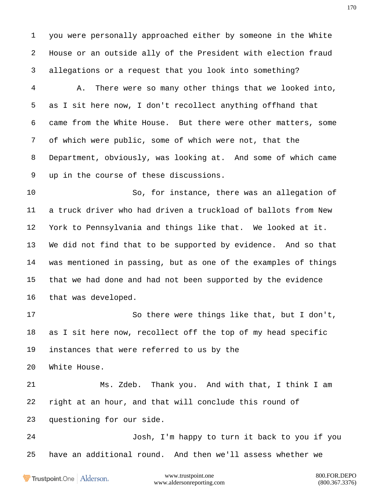you were personally approached either by someone in the White House or an outside ally of the President with election fraud allegations or a request that you look into something?

 A. There were so many other things that we looked into, as I sit here now, I don't recollect anything offhand that came from the White House. But there were other matters, some of which were public, some of which were not, that the Department, obviously, was looking at. And some of which came up in the course of these discussions.

 So, for instance, there was an allegation of a truck driver who had driven a truckload of ballots from New York to Pennsylvania and things like that. We looked at it. We did not find that to be supported by evidence. And so that was mentioned in passing, but as one of the examples of things that we had done and had not been supported by the evidence that was developed.

 So there were things like that, but I don't, as I sit here now, recollect off the top of my head specific instances that were referred to us by the

White House.

 Ms. Zdeb. Thank you. And with that, I think I am right at an hour, and that will conclude this round of questioning for our side.

 Josh, I'm happy to turn it back to you if you have an additional round. And then we'll assess whether we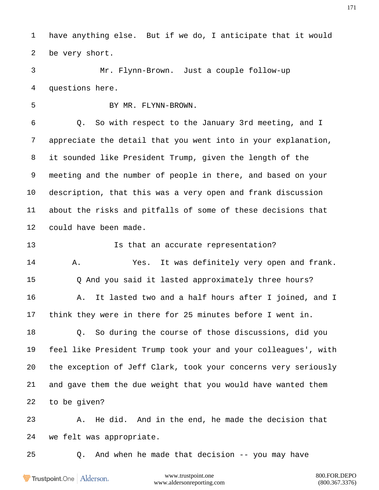have anything else. But if we do, I anticipate that it would be very short.

 Mr. Flynn-Brown. Just a couple follow-up questions here.

5 BY MR. FLYNN-BROWN.

 Q. So with respect to the January 3rd meeting, and I appreciate the detail that you went into in your explanation, it sounded like President Trump, given the length of the meeting and the number of people in there, and based on your description, that this was a very open and frank discussion about the risks and pitfalls of some of these decisions that could have been made.

 Is that an accurate representation? A. Yes. It was definitely very open and frank. Q And you said it lasted approximately three hours? A. It lasted two and a half hours after I joined, and I think they were in there for 25 minutes before I went in. Q. So during the course of those discussions, did you feel like President Trump took your and your colleagues', with the exception of Jeff Clark, took your concerns very seriously and gave them the due weight that you would have wanted them to be given?

 A. He did. And in the end, he made the decision that we felt was appropriate.

Q. And when he made that decision -- you may have

Trustpoint.One Alderson.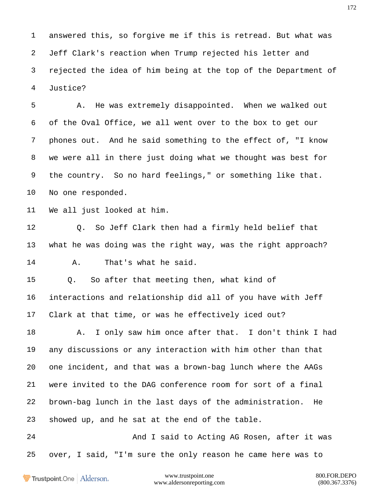answered this, so forgive me if this is retread. But what was Jeff Clark's reaction when Trump rejected his letter and rejected the idea of him being at the top of the Department of Justice?

 A. He was extremely disappointed. When we walked out of the Oval Office, we all went over to the box to get our phones out. And he said something to the effect of, "I know we were all in there just doing what we thought was best for the country. So no hard feelings," or something like that. No one responded.

We all just looked at him.

 Q. So Jeff Clark then had a firmly held belief that what he was doing was the right way, was the right approach? A. That's what he said.

 Q. So after that meeting then, what kind of interactions and relationship did all of you have with Jeff Clark at that time, or was he effectively iced out?

18 A. I only saw him once after that. I don't think I had any discussions or any interaction with him other than that one incident, and that was a brown-bag lunch where the AAGs were invited to the DAG conference room for sort of a final brown-bag lunch in the last days of the administration. He showed up, and he sat at the end of the table.

24 And I said to Acting AG Rosen, after it was over, I said, "I'm sure the only reason he came here was to

Trustpoint.One Alderson.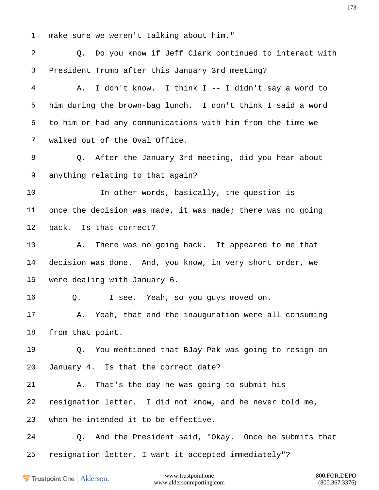make sure we weren't talking about him."

 Q. Do you know if Jeff Clark continued to interact with President Trump after this January 3rd meeting? A. I don't know. I think I -- I didn't say a word to him during the brown-bag lunch. I don't think I said a word to him or had any communications with him from the time we walked out of the Oval Office. Q. After the January 3rd meeting, did you hear about anything relating to that again? In other words, basically, the question is once the decision was made, it was made; there was no going back. Is that correct? A. There was no going back. It appeared to me that decision was done. And, you know, in very short order, we were dealing with January 6. Q. I see. Yeah, so you guys moved on. A. Yeah, that and the inauguration were all consuming from that point. Q. You mentioned that BJay Pak was going to resign on January 4. Is that the correct date? A. That's the day he was going to submit his resignation letter. I did not know, and he never told me, when he intended it to be effective. Q. And the President said, "Okay. Once he submits that resignation letter, I want it accepted immediately"?

Trustpoint.One Alderson.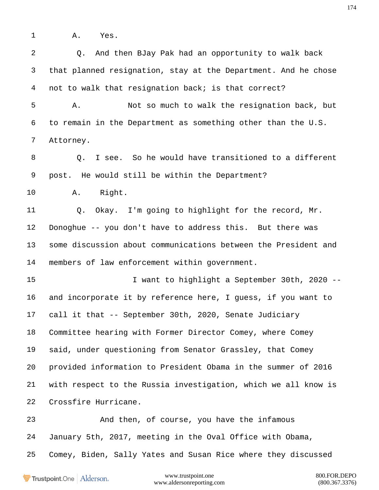A. Yes.

 Q. And then BJay Pak had an opportunity to walk back that planned resignation, stay at the Department. And he chose not to walk that resignation back; is that correct? A. Not so much to walk the resignation back, but to remain in the Department as something other than the U.S. Attorney. 8 0. I see. So he would have transitioned to a different post. He would still be within the Department? A. Right. Q. Okay. I'm going to highlight for the record, Mr. Donoghue -- you don't have to address this. But there was some discussion about communications between the President and members of law enforcement within government. I want to highlight a September 30th, 2020 -- and incorporate it by reference here, I guess, if you want to call it that -- September 30th, 2020, Senate Judiciary Committee hearing with Former Director Comey, where Comey said, under questioning from Senator Grassley, that Comey provided information to President Obama in the summer of 2016 with respect to the Russia investigation, which we all know is Crossfire Hurricane. And then, of course, you have the infamous January 5th, 2017, meeting in the Oval Office with Obama, Comey, Biden, Sally Yates and Susan Rice where they discussed

Trustpoint.One Alderson.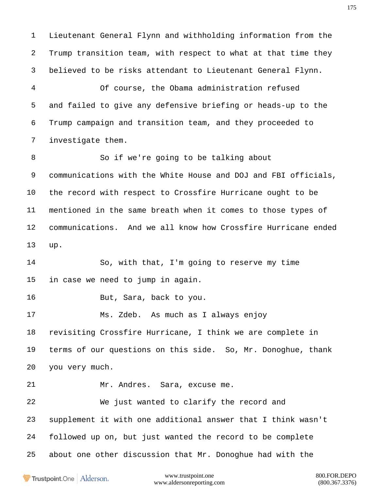Lieutenant General Flynn and withholding information from the Trump transition team, with respect to what at that time they believed to be risks attendant to Lieutenant General Flynn.

 Of course, the Obama administration refused and failed to give any defensive briefing or heads-up to the Trump campaign and transition team, and they proceeded to investigate them.

 So if we're going to be talking about communications with the White House and DOJ and FBI officials, the record with respect to Crossfire Hurricane ought to be mentioned in the same breath when it comes to those types of communications. And we all know how Crossfire Hurricane ended up.

 So, with that, I'm going to reserve my time in case we need to jump in again.

But, Sara, back to you.

 Ms. Zdeb. As much as I always enjoy revisiting Crossfire Hurricane, I think we are complete in

 terms of our questions on this side. So, Mr. Donoghue, thank you very much.

Mr. Andres. Sara, excuse me.

 We just wanted to clarify the record and supplement it with one additional answer that I think wasn't followed up on, but just wanted the record to be complete about one other discussion that Mr. Donoghue had with the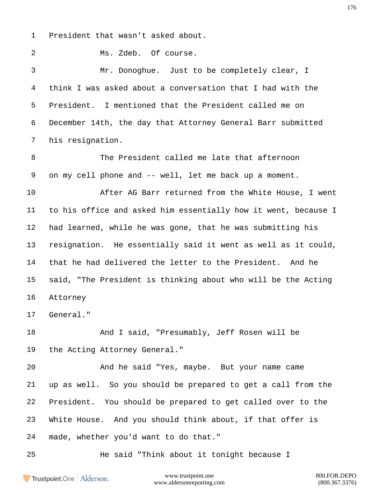President that wasn't asked about.

Ms. Zdeb. Of course.

 Mr. Donoghue. Just to be completely clear, I think I was asked about a conversation that I had with the President. I mentioned that the President called me on December 14th, the day that Attorney General Barr submitted his resignation.

 The President called me late that afternoon on my cell phone and -- well, let me back up a moment.

 After AG Barr returned from the White House, I went to his office and asked him essentially how it went, because I had learned, while he was gone, that he was submitting his resignation. He essentially said it went as well as it could, that he had delivered the letter to the President. And he said, "The President is thinking about who will be the Acting Attorney

General."

 And I said, "Presumably, Jeff Rosen will be the Acting Attorney General."

 And he said "Yes, maybe. But your name came up as well. So you should be prepared to get a call from the President. You should be prepared to get called over to the White House. And you should think about, if that offer is made, whether you'd want to do that."

He said "Think about it tonight because I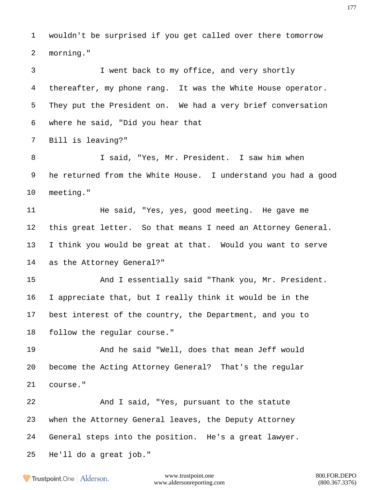wouldn't be surprised if you get called over there tomorrow morning."

 I went back to my office, and very shortly thereafter, my phone rang. It was the White House operator. They put the President on. We had a very brief conversation where he said, "Did you hear that Bill is leaving?" I said, "Yes, Mr. President. I saw him when he returned from the White House. I understand you had a good meeting." 11 He said, "Yes, yes, good meeting. He gave me this great letter. So that means I need an Attorney General.

 I think you would be great at that. Would you want to serve as the Attorney General?"

 And I essentially said "Thank you, Mr. President. I appreciate that, but I really think it would be in the best interest of the country, the Department, and you to follow the regular course."

 And he said "Well, does that mean Jeff would become the Acting Attorney General? That's the regular course."

 And I said, "Yes, pursuant to the statute when the Attorney General leaves, the Deputy Attorney General steps into the position. He's a great lawyer. He'll do a great job."

**Trustpoint**.One Alderson.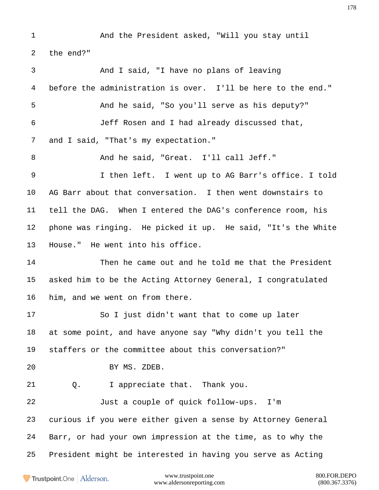And the President asked, "Will you stay until the end?" And I said, "I have no plans of leaving before the administration is over. I'll be here to the end." And he said, "So you'll serve as his deputy?" Jeff Rosen and I had already discussed that, 7 and I said, "That's my expectation." And he said, "Great. I'll call Jeff." I then left. I went up to AG Barr's office. I told AG Barr about that conversation. I then went downstairs to tell the DAG. When I entered the DAG's conference room, his phone was ringing. He picked it up. He said, "It's the White House." He went into his office. Then he came out and he told me that the President asked him to be the Acting Attorney General, I congratulated him, and we went on from there. So I just didn't want that to come up later at some point, and have anyone say "Why didn't you tell the staffers or the committee about this conversation?" BY MS. ZDEB. Q. I appreciate that. Thank you. Just a couple of quick follow-ups. I'm curious if you were either given a sense by Attorney General Barr, or had your own impression at the time, as to why the President might be interested in having you serve as Acting

Trustpoint.One Alderson.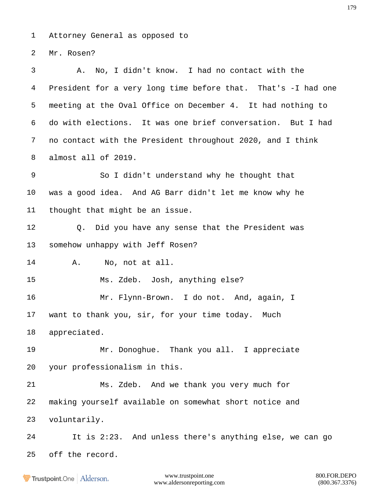Attorney General as opposed to

Mr. Rosen?

 A. No, I didn't know. I had no contact with the President for a very long time before that. That's -I had one meeting at the Oval Office on December 4. It had nothing to do with elections. It was one brief conversation. But I had no contact with the President throughout 2020, and I think almost all of 2019. So I didn't understand why he thought that was a good idea. And AG Barr didn't let me know why he thought that might be an issue. Q. Did you have any sense that the President was somehow unhappy with Jeff Rosen? A. No, not at all. Ms. Zdeb. Josh, anything else? Mr. Flynn-Brown. I do not. And, again, I want to thank you, sir, for your time today. Much appreciated. Mr. Donoghue. Thank you all. I appreciate your professionalism in this. Ms. Zdeb. And we thank you very much for making yourself available on somewhat short notice and voluntarily. It is 2:23. And unless there's anything else, we can go off the record.

**Frustpoint.One** Alderson.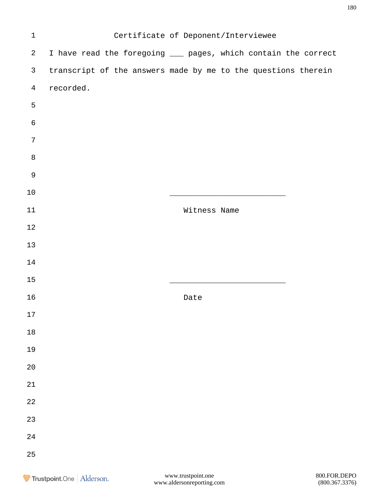| $\mathbf 1$    |                                                                |              | Certificate of Deponent/Interviewee |  |
|----------------|----------------------------------------------------------------|--------------|-------------------------------------|--|
| $\overline{a}$ | I have read the foregoing ___ pages, which contain the correct |              |                                     |  |
| $\mathsf{3}$   | transcript of the answers made by me to the questions therein  |              |                                     |  |
| $\overline{4}$ | recorded.                                                      |              |                                     |  |
| 5              |                                                                |              |                                     |  |
| $\epsilon$     |                                                                |              |                                     |  |
| $\sqrt{ }$     |                                                                |              |                                     |  |
| $\, 8$         |                                                                |              |                                     |  |
| $\mathsf 9$    |                                                                |              |                                     |  |
| $10$           |                                                                |              |                                     |  |
| $11\,$         |                                                                | Witness Name |                                     |  |
| 12             |                                                                |              |                                     |  |
| 13             |                                                                |              |                                     |  |
| 14             |                                                                |              |                                     |  |
| 15             |                                                                |              |                                     |  |
| 16             |                                                                | Date         |                                     |  |
| $17\,$         |                                                                |              |                                     |  |
| $18\,$         |                                                                |              |                                     |  |
| 19             |                                                                |              |                                     |  |
| $20\,$         |                                                                |              |                                     |  |
| $21\,$         |                                                                |              |                                     |  |
| 22             |                                                                |              |                                     |  |
| 23             |                                                                |              |                                     |  |
| 24             |                                                                |              |                                     |  |
| 25             |                                                                |              |                                     |  |
|                |                                                                |              |                                     |  |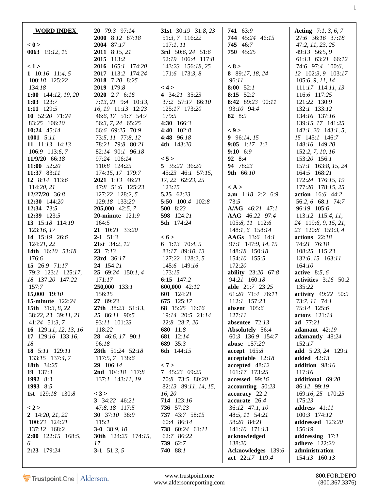| <b>WORD INDEX</b>                        | 20 79:3 97:14                            | <b>31st</b> $30:19$ $31:8,23$            | 741 63:9                                  | <b>Acting</b> $7:1, 3, 6, 7$              |
|------------------------------------------|------------------------------------------|------------------------------------------|-------------------------------------------|-------------------------------------------|
|                                          | 2000 8:12 87:18                          | 51:3, 7 116:22                           | 744 45:24 46:15                           | 27:6 36:16 37:18                          |
| < 0                                      | 2004 87:17                               | 117:1, 11                                | 745 46:7                                  | 47:2, 11, 23, 25                          |
| 0063 19:12, 15                           | <b>2011</b> 8:15, 21<br>2015 113:2       | 3rd $50:6, 24$ 51:6<br>52:19 106:4 117:8 | 750 45:25                                 | 49:13 56:5, 9<br>61:13 63:21 66:12        |
| 1>                                       | 2016 165:1 174:20                        | 143:23 156:18, 25                        | < 8 >                                     | 74:6 97:4 100:6,                          |
| 1 $10:16$ $11:4, 5$                      | 2017 113:2 174:24                        | 171:6 173:3, 8                           | 8 89:17, 18, 24                           | 12 102:3, 9 103:17                        |
| 100:18 125:22                            | 2018 7:20 8:25                           |                                          | 96:11                                     | 105:6, 9, 11, 14                          |
| 134:18                                   | 2019 179:8                               | < 4 >                                    | $8:00$ 52:1                               | $111:17$ $114:11$ , $13$                  |
| 1:00 144:12, 19, 20                      | 2020 2:7 6:16                            | 4 34:21 35:23                            | 8:15 52:2                                 | 116:6 117:25                              |
| 1:03 $123:7$                             | $7:13, 21$ 9:4 10:13,                    | 37:2 57:17 86:10                         | 8:42 89:23 90:11<br>93:10 94:4            | 121:22 130:9                              |
| 1:11 129:5<br>10 52:20 71:24             | 16, 19 11:13 12:23<br>46:6, 17 51:7 54:7 | 125:17 173:20<br>179:5                   | 82 8:9                                    | 132:1 133:12<br>134:16 137:16             |
| 83:25 106:10                             | 56:3, 7, 24 65:25                        | 4:30 166:3                               |                                           | 139:15, 17 141:25                         |
| 10:24 45:14                              | 66:6 69:25 70:9                          | 4:40 102:8                               | $\langle 9 \rangle$                       | $142:1, 20$ 143:1, 5,                     |
| 1001 $5:11$                              | 73:5, 11 77:8, 12                        | 4:48 96:18                               | 9 $96:14, 15$                             | 15 145:1 146:7                            |
| 11 $11:13$ $14:13$                       | 78:21 79:8 80:21                         | <b>4th</b> 143:20                        | 9:05 $1:17$ 2:2                           | 148:16 149:20                             |
| 106:9 113:6, 7                           | 82:14 90:1 96:18                         |                                          | $9:10$ 6:9                                | 152:2, 7, 10, 16                          |
| 11/9/20 66:18                            | 97:24 106:14                             | < 5 >                                    | 92 8:4                                    | 153:20 156:1                              |
| 11:00 52:20<br>11:37 83:11               | 110:8 124:25<br>174:15, 17 179:7         | 5 35:22 36:20<br>45:23 46:1 57:15,       | 94 78:23<br>9th 66:10                     | 157:1 163:8, 15, 24<br>164:5 168:21       |
| 12 8:14 113:6                            | 2021 1:13 46:21                          | 17, 22 62:23, 25                         |                                           | 172:24 176:15, 19                         |
| 114:20, 21                               | 47:8 51:6 125:23                         | 123:15                                   | $\langle A \rangle$                       | 177:20 178:15, 25                         |
| 12/27/20 36:8                            | 127:22 128:2, 5                          | 5.25 $62:23$                             | <b>a.m</b> $1:18$ 2:2 6:9                 | <b>action</b> 16:6 44:2                   |
| 12:30 $144:20$                           | 129:18 133:20                            | 5:50 100:4 102:8                         | 73:5                                      | 56:2, 6 68:1 74:7                         |
| 12:34 $73:5$                             | <b>205,000</b> 42:5, 7                   | 500 8:23                                 | $A/AG$ 46:21 47:1                         | 96:19 105:6                               |
| 12:39 123:5<br>13 15:18 114:19           | <b>20-minute</b> 121:9<br>164:5          | 598 124:21<br>5th 174:24                 | AAG 46:22 97:4                            | $113:12$ $115:4$ , $11$ ,                 |
| 123:16,17                                | 21 10:21 33:20                           |                                          | 105:8, 11 112:6<br>148:1, 6 158:14        | 24 119:6, 9, 15, 21,<br>23 120:8 159:3, 4 |
| 14 15:19 26:6                            | $2-1$ 51:3                               | < 6 >                                    | AAGs 13:6 14:1                            | actions $22:18$                           |
| 124:21,22                                | 21st 34:2, 12                            | 6 1:13 70:4, 5                           | 97:1 147:9, 14, 15                        | 74:21 76:18                               |
| 14th 16:10 53:18                         | $23 \t 7:13$                             | 83:17 89:10, 13                          | 148:18 150:18                             | 108:25 115:23                             |
| 176:6                                    | 23rd 36:17                               | 127:22 128:2, 5                          | 154:10 155:5                              | 132:6, 15 163:11                          |
| 15 26:9 71:17                            | 24 154:21                                | 145:6 149:16                             | 172:20                                    | 164:10                                    |
| 79:3 123:1 125:17,<br>18 137:20 147:22   | 25 69:24 150:1, 4<br>171:17              | 173:15<br>6:15 $147:2$                   | <b>ability</b> 23:20 67:8<br>94:21 160:18 | active $8:5,6$<br>activities $3:16$ 50:2  |
| 157:7                                    | 250,000 133:1                            | 600,000 42:12                            | <b>able</b> 21:7 23:25                    | 135:22                                    |
| 15,000 19:10                             | 156:15                                   | 601 124:21                               | 61:20 71:4 76:11                          | activity 49:22 50:9                       |
| <b>15-minute</b> 122:24                  | 27 89:23                                 | 675 125:17                               | 112:1 157:23                              | 73:7, 11 74:1                             |
| 15th $31:3, 8, 22$                       | 27th 38:23 51:13,                        | 68 15:25 16:16                           | absent $105:6$                            | 75:14 125:6                               |
| 38:22, 23 39:11, 21                      | 25 86:11 90:5                            | 19:14 20:5 21:14                         | 127:11                                    | actors $121:14$                           |
| 41:24 51:3, 7<br>16 $129:11, 12, 13, 16$ | 93:11 101:23<br>118:22                   | 22:8 28:7, 20<br>680 11:8                | absentee $72:13$<br>Absolutely 56:4       | ad 77:21<br>adamant 42:19                 |
| 17 $129:16$ 133:16,                      | 28 46:6, 17 90:1                         | 681 12:14                                | 60:3 136:9 154:7                          | adamantly 48:24                           |
| 18                                       | 96:18                                    | 689 35:3                                 | <b>abuse</b> 157:20                       | 152:17                                    |
| 18 5:11 129:11                           | 28th 51:24 52:18                         | 6th 144:15                               | accept 165:8                              | add 5:23, 24 129:1                        |
| 133:15 137:4, 7                          | 117:5, 7 138:6                           |                                          | $acceptable$ 12:18                        | added $42:13$                             |
| 18th 34:25                               | 29 106:14                                | < 7 ><br>7 45:23 69:25                   | accepted 48:12                            | addition 98:16                            |
| 19 $137:3$<br>1992 8:3                   | 2nd 104:18 117:8<br>137:1 143:11, 19     | 70:8 73:5 80:20                          | 161:17 173:25<br>accessed 99:16           | 117:16<br>additional 69:20                |
| 1993 8:5                                 |                                          | 82:13 89:11, 14, 15,                     | $\textbf{accounting} \quad 50:23$         | 86:12 99:19                               |
| <b>1st</b> 129:18 130:8                  | < 3 >                                    | 16, 20                                   | accuracy 22:2                             | 169:16, 25 170:25                         |
|                                          | 3 34:22 46:21                            | 714 123:16                               | accurate 26:4                             | 175:23                                    |
| < 2 >                                    | 47:8, 18 117:5                           | 736 57:23                                | 36:12 47:1, 10                            | address 41:11                             |
| 2 $14:20, 21, 22$                        | <b>30</b> 37:10 38:9                     | 737 43:7 58:15                           | 48:5, 11 54:21                            | 100:3 174:12                              |
| 100:23 124:21<br>137:12 168:2            | 115:1<br>3-0 38:9, $10$                  | 60:4 86:14<br>738 60:24 61:11            | 58:20 84:21<br>141:10 171:13              | addressed 123:20<br>156:19                |
| <b>2:00</b> $122:15$ 168:5,              | <b>30th</b> 124:25 174:15,               | 62:7 86:22                               | acknowledged                              | addressing 17:1                           |
| 6                                        | 17                                       | 739 62:7                                 | 138:20                                    | <b>adhere</b> 122:20                      |
| 2:23 179:24                              | 3-1 $51:3, 5$                            | 740 88:1                                 | Acknowledges 139:6                        | administration                            |
|                                          |                                          |                                          | act 22:17 119:4                           | 154:13 160:13                             |

www.trustpoint.one 800.FOR.DEPO<br>w.aldersonreporting.com (800.367.3376) www.aldersonreporting.com

1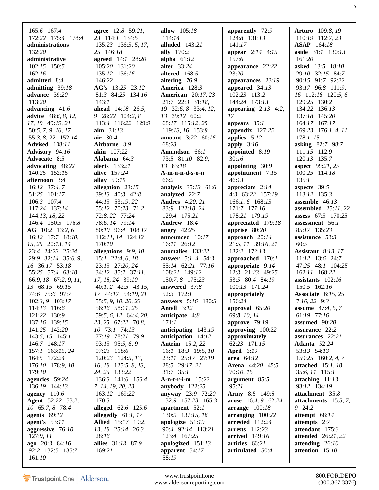| 165:6 167:4                                 | <b>agree</b> 12:8 59:21,              | allow $105:18$                                 | apparently 72:9                              | Arturo 109:8, 19                   |
|---------------------------------------------|---------------------------------------|------------------------------------------------|----------------------------------------------|------------------------------------|
| 172:22 175:4 178:4                          | 23 114:1 134:5                        | 114:14                                         | 124:8 131:13                                 | 110:19 112:7, 23                   |
| administrations                             | 135:23 136:3, 5, 17,                  | alluded $143:21$                               | 141:17                                       | <b>ASAP</b> 164:18                 |
| 132:20                                      | 25 146:18                             | ally 170:2                                     | <b>appear</b> $2:14$ 4:15                    | aside 31:1 130:13                  |
| administrative                              | <b>agreed</b> 14:1 28:20              | alpha $61:12$                                  | 157:6                                        | 161:20                             |
| $102:15$ 150:5                              | 105:20 131:20                         | alter 33:24                                    | appearance 22:22                             | asked 13:5 18:10                   |
| 162:16                                      | 135:12 136:16                         | altered 168:5                                  | 23:20                                        | 29:10 32:15 84:7                   |
| admitted 8:4                                | 146:22                                | altering 76:9                                  | appearances 23:19                            | 90:15 91:7 92:22                   |
| admitting $39:18$                           | AG's 13:25 23:12                      | America 128:3                                  | appeared $34:13$                             | 93:17 96:8 111:9,                  |
| advance 39:20                               | 81:3 84:25 134:16                     | <b>American</b> 20:17, 23                      | 102:23 113:2                                 | 16 112:18 120:5, 6                 |
| 113:20                                      | 143:1                                 | 21:7 22:3 31:18,                               | 144:24 173:13                                | 129:25 130:2                       |
| advancing $41:6$                            | ahead $14:18$ 26:5,                   | 19 32:6, 8 33:4, 12,                           | appearing $2:13$ 4:2,                        | 134:22 136:13                      |
| advice 48:6, 8, 12,                         | 9 28:22 104:2, 8                      | 13 39:12 60:2                                  | 17                                           | 137:18 145:20                      |
| 17, 19 49:19, 21                            | 113:4 116:22 129:9                    | 68:17 115:12, 25                               | appears $35:1$                               | 164:17 167:17                      |
| 50:5, 7, 9, 16, 17                          | $\text{aim} \quad 31:13$              | 119:13, 16 153:9                               | appendix $127:25$                            | 169:23 176:1, 4, 11                |
| 55:3, 8, 22 152:14                          | air $30:4$                            | <b>amount</b> $3:22$ 60:16                     | applies $5:12$                               | 178:1, 15                          |
| <b>Advised</b> 108:11                       | Airborne 8:9                          | 68:23                                          | apply $3:16$                                 | asking 82:7 98:7                   |
| Advisory 94:16                              | akin 107:22                           | Amundson 66:1                                  | appointed 8:19                               | 111:15 112:9                       |
| Advocate 8:5                                | Alabama $64:3$                        | 73:5 81:10 82:9,                               | 30:16                                        | 120:13 135:7                       |
| advocating 48:22                            | <b>alerts</b> 133:21                  | 13 83:18                                       | appointing 30:9                              | <b>aspect</b> 99:21, 25            |
| 140:25 152:15                               | <b>alive</b> 157:24                   | A-m-u-n-d-s-o-n                                | appointment 7:15                             | 100:25 114:18                      |
| afternoon 3:4                               | allay 59:19                           | 66:2                                           | 46:13                                        | 135:1                              |
| $16:12$ 37:4, 7                             | allegation $23:15$                    | analysis 35:13 61:6                            | appreciate $2:14$                            | aspects 39:5                       |
| 51:25 101:17                                | 39:13 40:3 42:8                       | analyzed 22:7                                  | 4:3 63:22 157:19                             | 113:12 135:3                       |
| 106:3 107:4                                 | 44:13 53:19, 22                       | <b>Andres</b> 4:20, 21                         | $166:1, 6$ $168:13$                          | assemble $46:13$                   |
| 117:24 137:14                               | 55:12 70:23 71:2                      | 83:9 122:18, 24                                | 171:7 177:16                                 | assembled $25:11,22$               |
| 144:13, 18, 22                              | 72:8, 22 77:24                        | 129:4 175:21                                   | 178:21 179:19                                | <b>assess</b> $67:3$ 170:25        |
| 146:4 150:3 176:8                           | 78:6, 14 79:14                        | Andrew 18:4                                    | appreciated 179:18                           | assessment 56:1                    |
| AG 10:2 13:2, 6                             | 80:10 96:4 108:17                     | angry $42:25$                                  | apprise $80:20$                              | 85:17 135:23                       |
| 16:12 17:7 18:10,                           | 112:11, 14 124:12                     | announced 10:17                                | approach $20:14$                             | assistance 53:3                    |
| 15, 25 20:13, 14                            | 170:10                                | 16:11 26:12                                    | 21:5, 11 39:16, 21                           | 60:5                               |
| 23:4 24:23 25:24                            | allegations 9:9, 10                   | anomalies 133:22                               | 132:2 172:13                                 | Assistant $8:13, 17$               |
| 29:9 32:14 35:6, 9,                         | $15:1$ 22:4, 6, 18<br>23:13 27:20, 24 | <b>answer</b> 5:1, 4 54:3<br>55:14 62:21 77:16 | approached 170:1                             | $11:12$ 13:6 24:7                  |
| 16 36:17 53:18<br>55:25 57:4 63:18          | 34:12 35:2 37:11,                     | 108:21 149:12                                  | appropriate $9:14$<br>12:3 21:23 49:25       | 47:25 48:1 104:25<br>162:11 168:22 |
| 66:9, 18 67:2, 9, 11,                       | 17, 18, 24 39:10                      | 150:7, 8 175:23                                | 53:5 80:4 84:19                              | assistants $102:16$                |
| 13 68:15 69:15                              | $40:1, 2$ $42:5$ $43:15$ ,            | answered 37:8                                  | 100:13 171:24                                | 150:5 162:16                       |
| 74:6 75:6 97:7                              | 17 44:17 54:19, 21                    | 52:3 172:1                                     | appropriately                                | Associate $6:15,25$                |
| 102:3, 9 103:17                             | 55:5, 9, 10, 20, 23                   | <b>answers</b> 5:16 180:3                      | 156:24                                       | $7:16, 22$ 9:3                     |
| 114:13 116:6                                | 56:16 58:11, 25                       | Antell 3:12                                    | approval 65:20                               | <b>assume</b> $47:4, 5, 7$         |
| 121:22 130:9                                | 59:5, 6, 12 64:4, 20,                 | anticipate $4:8$                               | 69:8, 10, 14                                 | 61:19 77:16                        |
| 137:16 139:15                               | 23, 25 67:22 70:8,                    | 171:1                                          | approve $79:19$                              | assumed 90:20                      |
| 141:25 142:20                               | 10 73:1 74:13                         | anticipating 143:19                            | approving 100:22                             | assurance 22:2                     |
| $143:5, 15$ $145:1$                         | 77:19 78:21 79:9                      | anticipation 14:12                             | approximately                                | assurances 22:21                   |
| 146:7 148:17                                | 93:13 95:5, 6, 9                      | <b>Antrim</b> 15:2, 22                         | 62:23 171:15                                 | Atlanta 52:24                      |
| 157:1 163:15, 24                            | 97:23 118:6                           | 16:1 18:3 19:5, 10                             | <b>April</b> 6:19                            | 53:13 54:13                        |
| 164:5 172:24                                | 120:23 124:5, 13,                     | 23:11 25:17 27:19                              | area 64:12                                   | 159:25 160:2, 4, 7                 |
| 176:10 178:9, 10                            | 16, 18 125:5, 8, 13,                  | 28:5 29:17, 21                                 | <b>Arena</b> 44:20 45:5                      | attached $15:1, 18$                |
| 179:10                                      | 24, 25 133:22                         | $31:7$ $35:1$                                  | 70:10, 15                                    | 35:6, 11 115:1                     |
| agencies 59:24                              | 136:3 141:6 156:4,                    | A-n-t-r-i-m 15:22                              | argument 85:5                                | attaching $11:13$                  |
| 136:19 144:13                               | 7, 14, 19, 20, 23                     | anybody $122:25$                               | 95:21                                        | 93:12 134:19                       |
| agency $110:6$                              | 163:12 169:22<br>170:3                | <b>anyway</b> 23:9 72:20<br>132:9 157:23 165:3 | <b>Army</b> 8:5 149:8<br>arose 16:4, 9 62:24 | attachment 35:8                    |
| <b>Agent</b> 52:22 53:2,<br>10 65:7, 8 78:4 | alleged 62:6 125:6                    | apartment $52:1$                               | arrange $100:18$                             | attachments 15:5, 7,<br>9 24:2     |
| agents $69:12$                              | allegedly $61:1, 17$                  | 130:9 137:15, 18                               | arranging 100:22                             | attempt 68:14                      |
| agent's $53:11$                             | <b>Allied</b> 15:17 19:2,             | apologize $51:19$                              | arrested 112:24                              | attempts 2:7                       |
| aggressive 76:10                            | 13, 18 25:14 26:3                     | 90:4 92:14 113:21                              | arrests $112:23$                             | attendant 175:3                    |
| 127:9, 11                                   | 28:16                                 | 123:4 167:25                                   | <b>arrived</b> 149:16                        | <b>attended</b> 26:21, 22          |
| ago 20:3 84:16                              | allies 31:13 87:9                     | apologized 151:13                              | articles 66:21                               | attending $26:10$                  |
| 92:2 132:5 135:7                            | 169:21                                | apparent $54:17$                               | articulated 50:4                             | attention 15:10                    |
| 161:10                                      |                                       | 58:19                                          |                                              |                                    |

800.FOR.DEPO  $(800.367.3376)$ 

Trustpoint.One | Alderson.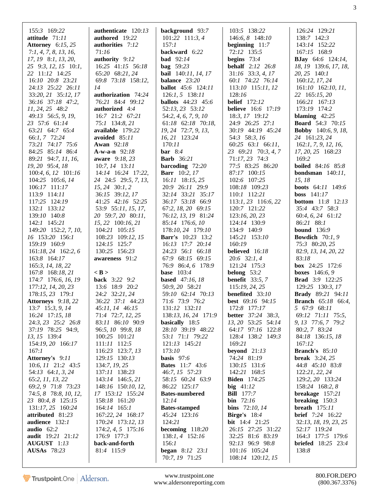| 155:3 169:22                  | authenticate 120:13                      | background 93:7                      | 103:5 138:22                  | 126:24 129:21                                      |
|-------------------------------|------------------------------------------|--------------------------------------|-------------------------------|----------------------------------------------------|
| attitude 71:11                | authored 19:22                           | $101:22$ $111:3,4$                   | 146:6, 8 148:10               | 138:7 142:3                                        |
| <b>Attorney</b> 6:15, 25      | authorities 7:12                         | 157:1                                | beginning $11:7$              | 143:14 152:22                                      |
| 7:1, 4, 7, 8, 13, 16,         | 71:16                                    | backward 6:22                        | 72:12 135:5                   | 167:15 168:9                                       |
| 17, 19 8:1, 13, 20,           | authority 9:12                           | <b>bad</b> 92:14                     | begins $73:4$                 | <b>BJay</b> 64:6 124:14,                           |
| 25 9:3, 12, 15 10:1,          | 16:25 41:15 56:18                        | bag $59:23$                          | <b>behalf</b> 2:12 26:8       | 18, 19 139:6, 17, 18,                              |
| 22 11:12 14:25                | 65:20 68:21, 24                          | <b>bail</b> 140:11, 14, 17           | $31:16$ $33:3, 4, 17$         | 20, 25 140:1                                       |
| 16:10 20:8 23:21              | 69:8 73:18 158:12,                       | balance 23:20                        | 60:1 74:22 76:14              | 160:12, 17, 24                                     |
| 24:13 25:22 26:11             | 14                                       | <b>ballot</b> 45:6 124:11            | 113:10 115:11, 12             | 161:10 162:10, 11,                                 |
| 33:20, 21 35:12, 17           | authorization 74:24                      | $126:1, 5$ 138:11                    | 128:16                        | 22 165:15, 20                                      |
| 36:16 37:18 47:2,             | 76:21 84:4 99:12                         | <b>ballots</b> $44:23$ $45:6$        | <b>belief</b> 172:12          | 166:21 167:13                                      |
| 11, 24, 25 48:2               | authorized 4:4                           | 52:13, 23 53:12                      | <b>believe</b> 16:6 17:19     | 173:19 174:2                                       |
| 49:13 56:5, 9, 19,            | 16:7 21:2 67:21                          | 54:2, 4, 6, 7, 9, 10                 | 18:3, 17 19:12                | blaming $42:25$                                    |
| 23 57:6 61:14                 | 75:1 134:8, 21                           | $61:18$ $62:18$ $70:18$ ,            | 24:9 26:25 27:1               | <b>Board</b> 54:3 70:15                            |
| 63:21 64:7 65:4               | available 179:22                         | 19, 24 72:7, 9, 13,                  | 30:19 44:19 45:24             | <b>Bobby</b> 140:6, 9, 18,                         |
| 66:1, 7 72:24                 | avoided 85:11                            | 16, 21 123:24                        | 54:3 58:3, 16                 | 24 161:23, 24                                      |
| 73:21 74:17 75:6              | <b>Awan</b> 92:18                        | 170:11                               | $60:25$ $63:1$ $66:11$ ,      | 162:1, 7, 9, 12, 16,                               |
| 84:25 85:14 86:4              | $A-w-a-n$ 92:18                          | bar $8:4$                            | 23 69:21 70:3, 4, 7           | 17, 20, 25 168:23                                  |
| 89:21 94:7, 11, 16,           | aware 9:18, 23                           | <b>Barb</b> 36:21                    | 71:17, 23 74:3                | 169:2                                              |
| 19, 20 95:4, 18               | $10:7, 14$ 13:11                         | barcoding $72:20$                    | 77:5 83:25 86:20              | <b>boiled</b> 84:16 85:8                           |
| 100:4, 6, 12 101:16           | 14:14 16:24 17:22,                       | <b>Barr</b> 10:2, 17                 | 87:17 100:15                  | <b>bondsman</b> $140:11$ ,                         |
| 104:25 105:6, 14              | 24 24:5 29:5, 7, 13,<br>$15, 24$ 30:1, 2 | $16:11$ 18:15, 25                    | 102:6 107:25                  | 15, 18                                             |
| 106:17 111:17                 |                                          | 20:9 26:11 29:9<br>32:14 33:21 35:17 | 108:18 109:23<br>110:1 112:21 | <b>boots</b> 64:11 149:6                           |
| 113:9 114:11<br>117:25 124:19 | 36:15 39:12, 17<br>41:25 42:16 52:25     | 36:17 53:18 66:9                     | 113:1, 23 116:6, 22           | boss $141:17$<br><b>bottom</b> 11:8 12:13          |
| 132:1 133:12                  | 53:9 55:11, 15, 17,                      | 67:2, 18, 20 69:15                   | 120:7 121:22                  | 35:4 43:7 58:3                                     |
| 139:10 140:8                  | 20 59:7, 20 80:11,                       | 76:12, 13, 19 81:24                  | 123:16, 20, 23                | 60:4, 6, 24 61:12                                  |
| 142:1 145:21                  | 15, 22 100:16, 21                        | 85:14 176:6, 10                      | 124:14 130:9                  | 86:21 88:1                                         |
| 149:20 152:2, 7, 10,          | 104:21 105:15                            | 178:10, 24 179:10                    | 134:9 140:9                   | <b>bound</b> 136:9                                 |
| 16 153:20 156:1               | 108:23 109:12, 15                        | <b>Barr's</b> 10:23 13:2             | 145:21 153:10                 | <b>Bowdich</b> $70:1, 9$                           |
| 159:19 160:9                  | 124:15 125:7                             | 16:13 17:7 20:14                     | 160:19                        | 75:3 80:20, 25                                     |
| $161:18, 24$ $162:2, 6$       | 130:25 156:23                            | 24:23 56:1 66:18                     | believed 16:18                | 82:9, 13, 14, 20, 22                               |
| 163:8 164:17                  | awareness 91:2                           | 67:9 68:15 69:15                     | $20:6$ 32:1, 4                | 83:18                                              |
| 165:3, 14, 18, 22             |                                          | 76:9 86:4, 6 178:9                   | 121:24 175:3                  | <b>box</b> 24:25 172:6                             |
| 167:8 168:18, 21              | $<$ B $>$                                | <b>base</b> 103:4                    | belong $53:2$                 | <b>boxes</b> 146:6, 9                              |
| 174:7 176:6, 16, 19           | <b>back</b> 3:22 9:2                     | <b>based</b> 47:16, 18               | <b>benefit</b> $33:5, 7$      | <b>Brad</b> 3:9 122:25                             |
| 177:12, 14, 20, 23            | 13:6 18:9 20:2                           | 50:9, 20 58:21                       | 115:19, 24, 25                | 129:25 130:3, 17                                   |
| 178:15, 23 179:1              | 24:2 32:21, 24                           | 59:10 62:14 70:13                    | benefited 33:10               | <b>Brady</b> 89:21 94:11                           |
| <b>Attorneys</b> 9:18, 22     | 36:22 37:1 44:23                         | 71:6 73:9 76:2                       | best 69:16 94:15              | <b>Branch</b> 65:18 66:4,                          |
| $13:7$ 15:3, 9, 14            | 45:11, 14 46:15                          | 131:12 132:11                        | 172:8 177:17                  | 5 67:9 68:11                                       |
| 16:24 17:15, 18               | 71:4 72:7, 12, 25                        | 138:13, 16, 24 171:9                 | <b>better</b> 37:24 38:3,     | 69:12 71:11 75:5,                                  |
| 24:3, 23 25:2 26:8            | 83:11 86:10 90:9                         | basically 18:5                       | 13, 20 53:25 54:14            | 9, 13 77:6, 7 79:2                                 |
| 37:19 78:25 94:9,             | 96:5, 10 99:8, 18                        | 28:10 39:19 48:22                    | 64:17 97:16 122:8             | 80:2, 7 83:24                                      |
| 13, 15 139:4                  | 100:25 101:21                            | 53:1 71:1 79:22                      | 128:4 138:2 149:3             | 84:18 136:15, 18                                   |
| 154:19, 20 166:17             | 111:11 112:5                             | 121:13 145:21<br>173:10              | 169:21                        | 167:12                                             |
| 167:1<br>Attorney's 9:11      | 116:23 123:7, 13<br>129:15 130:13        | basis $97:6$                         | beyond $21:13$<br>74:24 81:19 | <b>Branch's</b> $85:10$<br><b>break</b> $3:24, 25$ |
| $10:6$ , $11$ $21:2$ $43:5$   | 134:7, 19, 25                            | <b>Bates</b> 11:7 43:6               | 130:15 131:6                  | 44:8 45:10 83:8                                    |
| 54:13 64:1, 3, 24             | 137:11 138:23                            | 46:7, 15 57:23                       | 142:21 168:5                  | 122:21, 22, 24                                     |
| 65:2, 11, 13, 22              | 143:14 146:5, 21                         | 58:15 60:24 63:9                     | <b>Biden</b> 174:25           | 129:2, 20 133:24                                   |
| 69:2, 9 71:8 73:23            | 148:16 150:10, 12,                       | 86:22 125:17                         | big $41:12$                   | 158:24 168:2, 8                                    |
| 74:5, 8 78:8, 10, 12,         | 17 153:12 155:24                         | <b>Bates-numbered</b>                | <b>Bill</b> 177:7             | breakage $157:21$                                  |
| 23 80:4, 8 125:15             | 158:18 161:20                            | 12:14                                | <b>bin</b> $72:16$            | breaking $150:3$                                   |
| 131:17, 25 160:24             | $164:14$ $165:1$                         | <b>Bates-stamped</b>                 | bins $72:10, 14$              | breath $175:11$                                    |
| attributed 81:23              | 167:22, 24 168:17                        | 45:24 123:16                         | <b>Birge's</b> $18:4$         | <b>brief</b> 7:24 16:22                            |
| audience 132:1                | 170:24 173:12, 13                        | 124:21                               | <b>bit</b> 14:4 21:25         | 32:13, 18, 19, 23, 25                              |
| audio $62:2$                  | 174:2, 4, 5 175:16                       | becoming $118:20$                    | 26:15 27:25 31:22             | 52:17 119:24                                       |
| audit 19:21 21:12             | 176:9 177:3                              | $138:1, 4$ 152:16                    | 32:25 81:6 83:19              | 164:3 177:5 179:6                                  |
| AUGUST 1:13                   | back-and-forth                           | 156:1                                | 92:13 96:9 98:8               | <b>briefed</b> $18:25$ $23:4$                      |
| <b>AUSAs</b> 78:23            | 81:4 115:9                               | <b>began</b> $8:12$ $23:1$           | 101:16 105:24                 | 138:8                                              |
|                               |                                          | 70:7, 19 71:25                       | 108:14 120:12, 15             |                                                    |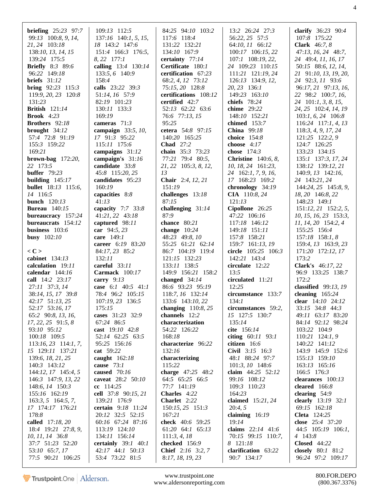| <b>briefing</b> $25:23$ 97:7 | 109:13 112:5                        | 84:25 94:10 103:2                              | 13:2 26:24 27:3                    | clarify $36:23$ 90:4                   |
|------------------------------|-------------------------------------|------------------------------------------------|------------------------------------|----------------------------------------|
| 99:13 100:8, 9, 14,          | $137:16$ 140:1, 5, 15,              | 117:6 118:4                                    | 56:22, 25 57:5                     | 107:8 175:22                           |
| 21, 24 103:18                | 18 143:2 147:6                      | 131:22 132:21                                  | 64:10, 11 66:12                    | <b>Clark</b> $46:7, 8$                 |
| 138:10, 13, 14, 15           | 151:4 166:3 176:5,                  | 134:10 167:9                                   | 100:17 106:15, 22                  | 47:13, 16, 24 48:7,                    |
| 139:24 175:5                 | 8, 22 177:1                         | certainty 77:14                                | 107:1 108:19, 22,                  | 24 49:4, 11, 16, 17                    |
|                              |                                     |                                                |                                    |                                        |
| <b>Briefly</b> 8:3 89:6      | calling 13:4 130:14                 | Certificate 180:1                              | 24 109:23 110:15                   | 50:15 88:6, 12, 14,                    |
| 96:22 149:18                 | 133:5, 6 140:9                      | certification 67:23                            | 111:21 121:19, 24                  | 21 91:10, 13, 19, 20,                  |
| briefs $31:12$               | 158:4                               | 68:2, 4, 12 73:12                              | 126:13 134:9, 12,                  | 24 92:3, 11 93:6                       |
| <b>bring</b> $92:23$ 115:3   | calls 23:22 39:3                    | 75:15, 20 128:8                                | 20, 23 136:1                       | 96:17, 21 97:13, 16,                   |
| 119:9, 20, 23 120:8          | 51:14, 16 57:9                      | certifications 108:12                          | 149:23 163:10                      | 22 98:2 100:7, 16,                     |
| 131:23                       | 82:19 101:23                        | certified $42:7$                               | chiefs $78:24$                     | 24 101:1, 3, 8, 15,                    |
|                              |                                     |                                                |                                    |                                        |
| <b>British</b> 121:14        | 130:11 133:3                        | 52:13 62:22 63:6                               | <b>chime</b> 29:22                 | 24, 25 102:4, 14, 19                   |
| <b>Brook</b> $4:23$          | 169:19                              | 76:6 77:13, 15                                 | 148:10 152:21                      | $103:1, 6, 24$ 106:8                   |
| Brothers 92:18               | cameras $71:3$                      | 95:25                                          | chimed $153:7$                     | 116:24 117:1, 4, 13                    |
| brought $34:12$              | campaign 33:5, 10,                  | cetera 54:8 97:15                              | China $99:18$                      | 118:3, 4, 9, 17, 24                    |
| 57:4 72:8 91:19              | 17 91:3 95:22                       | 140:20 165:25                                  | choice $154:8$                     | 121:25 122:2, 9                        |
| 155:3 159:22                 | 115:11 175:6                        | <b>Chad</b> 27:2                               | choose $4:17$                      | 124:7 126:25                           |
| 169:21                       | campaigns 31:12                     | chain 35:3 73:23                               | chose $174:3$                      | 133:23 134:15                          |
|                              |                                     |                                                |                                    |                                        |
| brown-bag $172:20$ ,         | campaign's 31:16                    | 77:21 79:4 80:5,                               | <b>Christine</b> $140:6, 8$ ,      | 135:1 137:3, 17, 24                    |
| 22 173:5                     | candidate 33:8                      | 21, 22 105:3, 8, 12,                           | 10, 18, 24 161:23,                 | 138:12 139:12, 21                      |
| buffer $79:23$               | 45:8 115:20, 25                     | 13                                             | 24 162:1, 7, 9, 16,                | $140:9, 13$ $142:16,$                  |
| building $145:17$            | candidates 95:23                    | Chair 2:4, 12, 21                              | 17 168:23 169:2                    | 24 143:21, 24                          |
| <b>bullet</b> 18:13 115:6,   | 160:19                              | 151:19                                         | chronology 34:19                   | 144:24, 25 145:8, 9,                   |
| 14 116:5                     | capacities 8:8                      | challenges 13:18                               | CIA 110:8, 24                      | 18, 20 146:8, 22                       |
| <b>bunch</b> 120:13          | 41:13                               | 87:15                                          | 121:13                             |                                        |
|                              |                                     |                                                |                                    | 148:23 149:1                           |
| <b>Bureau</b> 140:15         | capacity $7:7$ 33:8                 | challenging $31:14$                            | Cipollone 26:25                    | 151:12, 21 152:2, 5,                   |
| bureaucracy 157:24           | 41:21, 22 43:18                     | 87:9                                           | 47:22 106:16                       | 10, 15, 16, 23 153:3,                  |
| bureaucrats 154:12           | captured 98:11                      | chance 80:21                                   | 117:18 146:12                      | 11, 14, 20 154:2, 4                    |
| business $103:6$             | car 94:5, 23                        | change $10:24$                                 | 149:18 151:11                      | 155:25 156:4                           |
| busy $102:10$                | care $149:1$                        | 48:23 49:8, 10                                 | 157:8 158:21                       | $157:18$ 158:1, 8                      |
|                              | career 6:19 83:20                   | 55:25 61:21 62:14                              | 159:7 161:13, 19                   | 159:4, 13 163:9, 23                    |
| $<$ C $>$                    |                                     | 86:7 104:19 119:4                              | circle 105:25 106:3                |                                        |
|                              | 84:17, 23 85:2                      |                                                |                                    | 171:20 172:12, 17                      |
| cabinet 134:13               | 132:11                              | 121:15 132:23                                  | 142:21 143:4                       | 173:2                                  |
| calculation 19:11            | careful $33:11$                     | 133:11 138:5                                   | circulate 12:22                    | Clark's 46:17, 22                      |
| calendar $144:16$            | <b>Carmack</b> 100:17               | 149:9 156:21 158:2                             | 13:5                               | 96:9 133:25 138:7                      |
| call 14:2 23:17              | carry $9:13$                        | changed $34:14$                                | circulated 11:21                   | 172:2                                  |
| 27:11 37:3, 14               | case $6:1$ 40:5 41:1                | 86:6 93:23 95:19                               | 12:25                              | classified $99:13, 19$                 |
| 38:14, 15, 17 39:8           | 78:4 96:2 105:15                    | 118:7, 16 132:14                               | circumstance 133:7                 | cleaning $165:24$                      |
| 42:17 51:13, 25              | 107:19, 23 136:5                    | 133:6 143:10, 22                               | 134:1                              | clear 14:10 24:12                      |
|                              |                                     |                                                |                                    |                                        |
| 52:17 53:16, 17              | 175:15                              | changing $110:8,25$                            | circumstances 59:2,                | 33:15 34:8 44:3                        |
| 65:2 90:8, 13, 16,           | cases 31:23 32:9                    | channels 12:2                                  | 15 127:5 130:7                     | 49:11 63:17 83:20                      |
| $17, 22, 25$ $91:5, 8$       | 67:24 86:5                          | characterization                               | 135:14                             | 84:14 92:12 98:24                      |
| 93:10 95:12                  | cast 19:10 42:8                     | 54:22 126:22                                   | cite 156:14                        | 103:22 104:9                           |
| 100:18 109:5                 | 52:14 62:25 63:5                    | 168:18                                         | citing $60:11$ 93:1                | 110:21 124:1, 9                        |
| $113:16,23$ 114:1, 7,        | 95:25 156:16                        | characterize 96:22                             | citizen 16:6                       | 140:22 141:12                          |
| 15 129:11 137:21             | cat 59:22                           | 132:16                                         | Civil 3:15 16:3                    | 143:9 145:9 152:6                      |
|                              |                                     |                                                |                                    |                                        |
| 139:6, 18, 21, 25            | caught 162:18                       | characterizing                                 | 48:1 88:24 97:7                    | 155:13 159:10                          |
| 140:3 143:12                 | cause $73:1$                        | 115:22                                         | 101:3, 10 148:6                    | 163:13 165:16                          |
| 144:12, 17 145:4, 5          | caused 70:16                        | charge 47:25 48:2                              | claim 44:25 52:12                  | 166:5 176:3                            |
| 146:3 147:9, 13, 22          | caveat 28:2 50:10                   | 64:5 65:25 66:5                                | 99:16 108:12                       | clearances 100:13                      |
| 148:6, 14 150:3              | $cc$ 114:25                         | 77:7 141:19                                    | 109:3 110:23                       | cleared $166:8$                        |
| 155:16 162:19                | cell 37:8 90:15, 21                 | Charles 4:22                                   | 164:23                             | clearing 54:9                          |
| $163:3, 5$ 164:5, 7,         | 139:21 176:9                        | Charlet 2:22                                   | claimed $15:21, 24$                | clearly 13:19 32:1                     |
|                              |                                     |                                                |                                    |                                        |
| 17 174:17 176:21             | certain 9:18 11:24                  | 150:15, 25 151:3                               | 20:4,5                             | 69:15 162:18                           |
| 178:8                        | 20:12 32:5 52:15                    | 167:21                                         | claiming $16:19$                   | <b>Cleta</b> 124:25                    |
| called 17:18, 20             | 60:16 67:24 87:16                   | check 40:6 59:25                               | 19:14                              | close 25:4 37:20                       |
| 18:4 19:21 27:8, 9,          | 113:19 124:10                       | 61:20 64:1 65:13                               | claims $22:14$ 41:6                | 44:5 105:19 106:1,                     |
| 10, 11, 14 36:8              | 134:11 156:14                       | 111:3, 4, 18                                   | 70:15 99:15 110:7,                 | 4 143:8                                |
| 37:7 51:23 52:20             | certainly $39:1$ 40:1               | checked 156:9                                  | 8 121:18                           | <b>Closed</b> 44:22                    |
| 53:10 65:7, 17               |                                     |                                                |                                    |                                        |
|                              |                                     |                                                |                                    |                                        |
| 77:5 90:21 106:25            | 42:17 44:1 50:13<br>53:4 73:22 81:5 | <b>Chief</b> $2:16$ 3:2, 7<br>8:17, 18, 19, 23 | clarification 63:22<br>90:7 134:17 | closely 80:1 81:2<br>96:24 97:2 109:17 |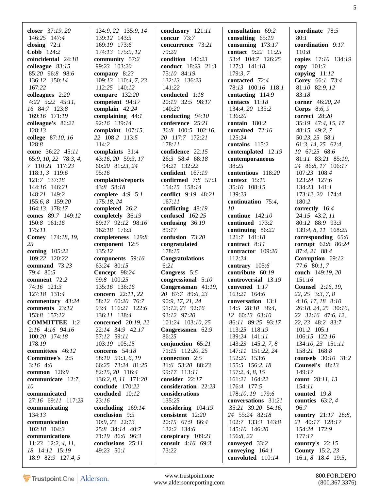| closer 37:19, 20                     | 134:9, 22 135:9, 14                  | conclusory 121:11                       | consultation 69:2                       | coordinate 78:5                              |
|--------------------------------------|--------------------------------------|-----------------------------------------|-----------------------------------------|----------------------------------------------|
| 146:25 147:4                         | 139:12 143:5                         | concur 73:7                             | consulting $65:19$                      | 80:1                                         |
| closing $72:1$                       | 169:19 173:6                         | concurrence 73:21                       | consuming $173:17$                      | coordination 9:17                            |
| <b>Cobb</b> 124:2                    | 174:13 175:9, 12                     | 79:20                                   | contact 9:22 11:25                      | 110:8                                        |
| coincidental 24:18                   | community 57:2                       | condition 146:23                        | 53:4 104:7 126:25                       | copies 17:10 134:19                          |
| colleague $83:15$                    | 99:23 103:20                         | <b>conduct</b> 18:23 21:3               | 127:3 141:18                            | copy $101:3$                                 |
| 85:20 96:8 98:6                      | company $8:23$                       | 75:10 84:19                             | 179:3,7                                 | copying $11:12$                              |
| 136:12 150:14<br>167:22              | 109:13 110:4, 7, 23<br>112:25 140:12 | 132:13 136:23<br>141:22                 | contacted 72:4<br>78:13 100:16 118:1    | Corey 66:1 73:4<br>81:10 82:9, 12            |
| colleagues $2:20$                    | compare 132:20                       | conducted 1:18                          | contacting $114:9$                      | 83:18                                        |
| $4:22$ $5:22$ $45:11$ ,              | competent 94:17                      | 20:19 32:5 98:17                        | contacts 11:18                          | corner 46:20, 24                             |
| 16 84:7 123:8                        | complain $42:24$                     | 140:20                                  | 134:4, 20 135:2                         | Corps 8:6, 9                                 |
| 169:16 171:19                        | complaining $44:1$                   | conducting 94:10                        | 136:20                                  | correct 28:20                                |
| colleague's 86:21                    | 92:16 139:14                         | conference 25:21                        | contain 180:2                           | 35:19 47:4, 15, 17                           |
| 128:13                               | complaint $107:15$ ,                 | 36:8 100:5 102:16,                      | contained 72:16                         | 48:15 49:2, 7                                |
| college 87:10, 16                    | 22 108:2 113:5                       | 20 117:7 172:21                         | 125:24                                  | 50:23, 25 58:1                               |
| 128:8                                | 114:2                                | 178:11                                  | contains 115:2                          | 61:3, 14, 25 62:4,                           |
| come 36:22 45:11                     | complaints 31:4                      | confidence 22:15                        | contemplated 12:19                      | 10 67:25 68:6                                |
| 65:9, 10, 22 78:3, 4,                | 43:16, 20 59:3, 17                   | 26:3 58:4 68:18                         | contemporaneous                         | 81:11 83:21 85:19,                           |
| 7 110:21 117:23<br>118:1, 3 119:6    | 60:20 81:23, 24<br>95:16             | 94:21 132:22<br>confident 167:19        | 38:25                                   | 24 86:8, 17 106:17<br>107:23 108:4           |
| 121:7 137:18                         | complaints/reports                   | confirmed 7:8 57:3                      | contentious 118:20<br>context 15:15     | 123:24 127:6                                 |
| 144:16 146:21                        | 43:8 58:18                           | 154:15 158:14                           | 35:10 108:15                            | 134:23 141:1                                 |
| 148:21 149:2                         | complete $4:9$ 5:1                   | conflict 9:19 48:21                     | 139:23                                  | 173:12, 20 174:4                             |
| 155:6, 8 159:20                      | 175:18, 24                           | 167:11                                  | continuation 75:4,                      | 180:2                                        |
| 164:13 178:17                        | completed 26:2                       | conflicting 48:19                       | 10                                      | correctly 16:4                               |
| comes 89:7 149:12                    | completely 36:19                     | confused 162:25                         | continue $142:10$                       | 24:15 43:2, 11                               |
| 150:8 161:16                         | 89:17 92:12 98:16                    | confusing $36:19$                       | continued 173:2                         | 80:12 88:9 93:3                              |
| 175:11                               | 162:18 176:3                         | 89:17                                   | continuing 86:22                        | 139:4, 8, 11 168:25                          |
| Comey 174:18, 19,                    | completeness 129:8                   | confusion 73:20                         | 121:7 141:18                            | corresponding 65:6                           |
| 25                                   | component 12:5                       | congratulated                           | contract 8:11                           | corrupt 62:8 86:24                           |
| coming 105:22<br>109:22 120:22       | 135:12<br>components 59:16           | 178:15<br>Congratulations               | contractor 109:20<br>112:24             | 87:4, 21 88:4<br>Corruption 69:12            |
| command 73:23                        | 63:24 80:15                          | 6:21                                    | contrary 105:6                          | 77:6 80:1, 7                                 |
| 79:4 80:5                            | Concept 98:24                        | Congress 5:5                            | contribute 60:19                        | couch 149:19, 20                             |
| comment 72:2                         | 99:8 100:25                          | congressional 5:10                      | controversial 13:19                     | 151:16                                       |
| 74:16 121:3                          | 135:16 136:16                        | Congressman 41:19,                      | convened $1:17$                         | <b>Counsel</b> 2:16, 19,                     |
| 127:18 131:4                         | concern 22:11, 22                    | 20 87:7 89:6, 23                        | 163:21 164:6                            | 22, 25 3:3, 7, 8                             |
| commentary 43:24                     | 58:12 60:20 76:7                     | 90:9, 17, 21, 24                        | conversation 13:1                       | $4:16, 17, 18$ 8:10                          |
| comments 23:12                       | 93:4 116:21 122:6                    | 91:12, 23 92:16                         | 14:5 28:10 38:4,                        | 26:18, 24, 25 30:16,                         |
| 153:8 157:12                         | 136:11 138:4                         | 93:12 97:20                             | $12 \quad 60:13 \quad 63:10$            | 22 32:16 47:6, 12,                           |
| <b>COMMITTEE</b> 1:2                 | concerned 20:19, 22                  | 101:24 103:10, 25                       | 86:11 89:25 93:17                       | 22, 23 48:2 83:7                             |
| 2:16 4:16 94:16                      | 22:14 34:9 42:17                     | Congressmen 62:9                        | 113:25 118:19                           | $101:2$ $105:1$                              |
| 100:20 174:18                        | 57:12 59:11                          | 86:25                                   | 139:24 141:11                           | 106:15 122:16                                |
| 178:19<br>committees 46:12           | 103:19 105:15<br>concerns 54:18      | conjunction $65:21$<br>71:15 112:20, 25 | 143:23 145:2, 7, 8<br>147:11 151:22, 24 | 134:10, 23 151:11<br>158:21 168:8            |
| Committee's 2:5                      | 58:10 59:3, 6, 19                    | connection 2:5                          | 152:20 153:6                            | counsels 30:10 31:2                          |
| $3:16$ 4:6                           | 66:25 73:24 81:25                    | 31:6 53:20 88:23                        | 155:5 156:2, 18                         | Counsel's $48:13$                            |
| common 126:9                         | 82:15, 20 116:4                      | 99:17 113:11                            | 157:2, 4, 8, 15                         | 149:17                                       |
| communicate 12:7,                    | 136:2, 8, 11 171:20                  | consider 22:17                          | 161:21 164:22                           | count 28:11, 13                              |
| 10                                   | conclude 170:22                      | consideration 22:23                     | 176:4 177:5                             | 154:11                                       |
| communicated                         | concluded 10:12                      | considerations                          | 178:10, 19 179:6                        | counted 19:8                                 |
| 27:16 69:11 117:23                   | 23:16                                | 135:25                                  | conversations 31:21                     | counties $63:2,4$                            |
| communicating                        | concluding $169:14$                  | considering 104:19                      | 35:21 39:20 54:16,                      | 96:7                                         |
| 134:13                               |                                      |                                         |                                         |                                              |
|                                      | conclusion 9:5                       | consistent 12:20                        | 24 55:24 82:18                          | country 21:17 28:8,                          |
| communication                        | $10:9, 23$ $22:13$                   | 20:15 67:9 86:4                         | 102:7 133:3 143:8                       | 21 40:17 128:17                              |
| 102:18 104:3                         | 25:8 34:14 40:7                      | 132:2 134:6                             | 145:10 146:20                           | 154:24 172:9                                 |
| communications                       | 71:19 86:6 96:3                      | conspiracy 109:21                       | 156:8, 22                               | 177:17                                       |
| $11:23$ $12:2, 4, 11,$               | conclusions 25:11                    | consult 4:16 69:3                       | conveyed 33:2                           | country's $22:15$                            |
| 18 14:12 15:19<br>18:9 82:9 127:4, 5 | 49:23 50:1                           | 73:22                                   | conveying 164:1<br>convoluted 110:14    | <b>County</b> 15:2, 23<br>16:1, 8 18:4 19:5, |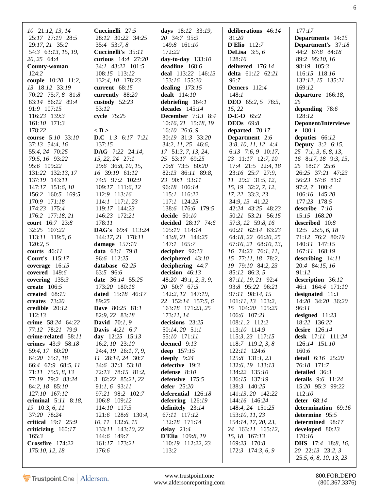| 10 21:12, 13, 14<br>25:17 27:19 28:5<br>29:17, 21 35:2<br>54:3 63:13, 15, 19,<br>20, 25 64:4<br>County-woman<br>124:2<br>couple 10:20 11:2,<br>13 18:12 33:19<br>70:22 75:7, 8 81:8<br>83:14 86:12 89:4<br>91:9 107:15<br>116:23 139:3<br>161:10 171:3<br>178:22<br>course 5:10 33:10<br>37:13 54:4, 16<br>55:4, 24 70:25<br>79:5, 16 93:22<br>95:6 109:22<br>131:22 132:13, 17                                  | Cuccinelli 27:5<br>28:12 30:22 34:25<br>35:4 53:7, 8<br>Cuccinelli's 35:11<br>curious 14:4 27:20<br>34:1 43:22 101:5<br>108:15 113:12<br>132:4, 10 178:23<br>current $68:15$<br>currently 88:20<br>custody $52:23$<br>53:12<br>cycle 75:25<br>$<$ D $>$<br><b>D.C</b> 1:3 6:17 7:21<br>137:15<br><b>DAG</b> 7:22 24:14,<br>$15, 22, 24$ $27:1$<br>29:6 36:8, 10, 15,<br>16 39:19 61:12                                          | days $18:12$ 33:19,<br>20 34:7 95:9<br>149:8 161:10<br>172:22<br>day-to-day $133:10$<br>deadline 168:6<br>deal 113:22 146:13<br>153:16 155:20<br>dealing $173:15$<br>dealt $114:10$<br>debriefing $164:1$<br>decades $145:14$<br><b>December</b> 7:13 8:4<br>10:16, 21 15:18, 19<br>$16:10$ 26:6, 9<br>30:19 31:3 33:20<br>$34:2, 11, 25$ 46:6,<br>17 51:3, 7, 13, 24,<br>25 53:17 69:25<br>70:8 73:5 80:20<br>$82:13$ $86:11$ $89:8$ , | deliberations 46:14<br>81:20<br>D'Elio $112:7$<br>DeLisa $3:5, 6$<br>128:16<br>delivered 176:14<br>delta 61:12 62:21<br>96:7<br><b>Demers</b> 112:4<br>148:1<br><b>DEO</b> 65:2, 5 78:5,<br>15, 22<br><b>D-E-O</b> $65:2$<br><b>DEOs</b> 69:8<br>departed $70:17$<br><b>Department</b> 2:6<br>$3:8, 10, 11, 12$ 4:4<br>$6:13$ 7:6, 9 10:17,<br>23 11:17 12:7, 10<br>$17:4$ $21:5$ $22:4$ , $18$<br>23:16 25:7 27:9, | 177:17<br><b>Departments</b> 14:15<br><b>Department's</b> 37:18<br>44:2 67:8 84:18<br>89:2 95:10, 16<br>98:19 105:3<br>116:15 118:16<br>132:12, 15 135:21<br>169:12<br>departure $166:18$ ,<br>25<br>depending 78:6<br>128:12<br>Deponent/Interviewe<br><b>e</b> $180:1$<br>deputies 66:12<br><b>Deputy</b> 3:2 6:15,<br>$25 \quad 7:1, 3, 6, 8, 13,$<br>16 8:17, 18 9:3, 15,<br>25 18:17 25:6<br>26:25 37:21 47:23 |
|------------------------------------------------------------------------------------------------------------------------------------------------------------------------------------------------------------------------------------------------------------------------------------------------------------------------------------------------------------------------------------------------------------------|---------------------------------------------------------------------------------------------------------------------------------------------------------------------------------------------------------------------------------------------------------------------------------------------------------------------------------------------------------------------------------------------------------------------------------|-----------------------------------------------------------------------------------------------------------------------------------------------------------------------------------------------------------------------------------------------------------------------------------------------------------------------------------------------------------------------------------------------------------------------------------------|---------------------------------------------------------------------------------------------------------------------------------------------------------------------------------------------------------------------------------------------------------------------------------------------------------------------------------------------------------------------------------------------------------------------|---------------------------------------------------------------------------------------------------------------------------------------------------------------------------------------------------------------------------------------------------------------------------------------------------------------------------------------------------------------------------------------------------------------------|
| 137:19 143:11<br>147:17 151:6, 10<br>156:2 160:5 169:5<br>170:9 171:18<br>174:23 175:4<br>176:2 177:18, 21<br>court 16:7 23:8<br>32:25 107:22<br>$113:11$ 119:5, 6<br>120:2, 5<br>courts $46:11$<br>Court's $115:17$<br>coverage $16:15$<br>covered 149:6<br>covering $135:3$<br>create $106:5$<br>created $68:19$<br>creates $73:20$                                                                            | 74:5 97:2 102:9<br>$109:17$ 111:6, 12<br>112:9 113:16<br>$114:1$ 117:1, 23<br>119:17 144:23<br>146:23 172:21<br>178:11<br><b>DAG's</b> 69:4 113:24<br>144:17, 21 178:11<br>damage $157:10$<br><b>data</b> $63:1$ 79:8<br>96:6 112:25<br>database $62:25$<br>63:5 96:6<br>date 36:14 55:25<br>173:20 180:16<br>dated 15:18 46:17<br>89:25                                                                                        | 23 90:1 93:11<br>96:18 106:14<br>$115:1$ 116:22<br>$117:1$ $124:25$<br>138:6 176:6 179:5<br>decide $50:10$<br>decided 28:17 74:6<br>105:19 114:14<br>143:8, 21 144:25<br>$147:1$ 165:7<br>decipher $92:13$<br>deciphered $43:10$<br>deciphering $44:7$<br>decision $46:13$<br>$48:20$ $49:1, 2, 3, 9$ ,<br>20 50:7 67:5<br>142:2, 12 147:19,<br>22 152:14 157:5, 6                                                                      | 11 29:2 31:5, 12,<br>15, 19 32:2, 7, 12,<br>17, 22 33:3, 23<br>34:9, 13 41:22<br>42:24 43:25 48:23<br>50:21 53:21 56:15<br>57:3, 12 59:8, 16<br>60:21 62:14 63:23<br>64:18, 22 66:20, 25<br>67:16, 21 68:10, 13,<br>$16$ 74:23 76:1, 11,<br>15 77:11, 18 78:2,<br>19 79:10 84:2, 23<br>85:12 86:3, 5<br>87:11, 19, 21 92:4<br>93:8 95:22 96:21<br>97:11 98:14, 15<br>101:11, 13 103:2,                              | 56:23 57:6 81:1<br>97:2, 7 100:4<br>106:16 145:20<br>177:23 178:5<br>describe $7:10$<br>15:15 168:20<br>described $10:8$<br>$12:5$ $25:5, 6, 18$<br>71:12 76:2 80:19<br>140:11 147:15<br>167:11 168:19<br>describing $14:11$<br>20:4 84:15, 16<br>91:12<br>description 36:12<br>46:1 164:4 171:10<br>designated $11:3$<br>14:20 34:20 36:20                                                                         |
| credible $20:12$<br>112:13<br>crime 58:24 64:22<br>77:12 78:21 79:9<br>crime-related 58:11<br>crimes 43:9 58:18<br>59:4, 17 60:20<br>64:20 65:1, 18<br>66:4 67:9 68:5, 11<br>71:11 75:5, 8, 13<br>77:19 79:2 83:24<br>84:2, 18 85:10<br>127:10 167:12<br>criminal $5:11$ 8:18,<br>19 10:3, 6, 11<br>37:20 78:24<br>critical $19:1$ $25:9$<br>criticizing $160:17$<br>165:3<br>Crossfire 174:22<br>175:10, 12, 18 | <b>Dave</b> 80:25 81:1<br>82:9, 22 83:18<br><b>David</b> $70:1, 9$<br><b>Davis</b> 4:21 6:7<br>day $12:25$ $15:13$<br>16:2, 10 23:10<br>24:4, 19 26:1, 7, 9,<br>11 28:14, 24 30:7<br>34:6 37:3 53:18<br>72:13 78:15 81:2,<br>3 82:22 85:21, 22<br>$91:1, 6$ $93:11$<br>97:21 98:2 102:7<br>106:8 109:12<br>114:10 117:3<br>121:6 128:6 130:4,<br>10, 11 132:6, 15<br>133:11 143:10, 22<br>144:6 149:7<br>161:17 173:21<br>176:6 | 163:18 171:23, 25<br>173:11,14<br>decisions 23:25<br>50:14, 20 51:1<br>55:10 171:11<br>deemed $9:13$<br>deep 157:15<br>deeply $9:24$<br>defective 19:3<br>defense 8:10<br>defensive 175:5<br>defer $25:20$<br>deferential 126:18<br>deferring 126:19<br>definitely $23:14$<br>67:11 117:12<br>132:18 171:14<br>delay $21:4$<br><b>D'Elia</b> 109:8, 19<br>110:19 112:22, 23<br>113:2                                                    | 15 104:20 105:25<br>106:6 107:21<br>$108:1, 2$ 112:2<br>113:10 114:9<br>$115:3, 23$ $117:15$<br>118:7 119:2, 3, 8<br>122:11 124:6<br>125:8 131:1, 23<br>132:6, 19 133:13<br>134:22 135:10<br>136:15 137:19<br>138:3 140:25<br>141:13, 20 142:22<br>144:16 146:24<br>148:4, 24 151:25<br>153:10, 11, 23<br>154:14, 17, 20, 23,<br>24 163:11 165:12,<br>15, 18 167:13<br>169:23 170:8<br>172:3 174:3, 6, 9            | 96:11<br>designed $11:23$<br>18:22 136:22<br>desire $126:14$<br>desk 17:11 111:24<br>$126:14$ $151:10$<br>160:6<br>detail 6:16 25:20<br>76:18 171:7<br>detailed 36:3<br>details 9:6 11:24<br>15:20 95:3 99:22<br>112:10<br>deter $68:14$<br>determination 69:16<br>determine 95:5<br>determined 98:17<br>developed $80:13$<br>170:16<br><b>DHS</b> 17:4 18:8, 16,<br>20 22:13 23:2, 3<br>25:5, 6, 8, 10, 13, 23     |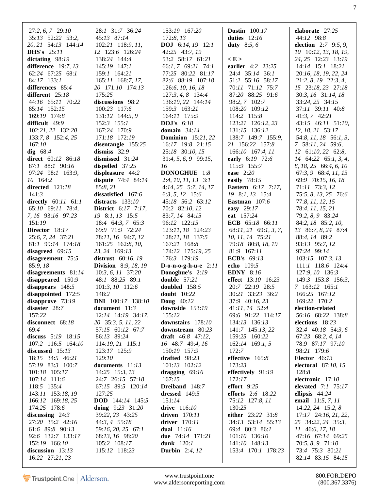| $27:2, 6, 7$ 29:10       | 28:1 31:7 36:24             | 153:19 167:20                | <b>Dustin</b> $100:17$    | elaborate 27:25                    |
|--------------------------|-----------------------------|------------------------------|---------------------------|------------------------------------|
| 35:13 52:22 53:2,        | 45:13 87:14                 | 172:8, 13                    | duties $12:16$            | 44:12 98:8                         |
| 20, 21 54:13 144:14      | 102:21 118:9, 11,           | <b>DOJ</b> 6:14, 19 12:1     | duty $8:5, 6$             | election $2:7$ 9:5, 9,             |
| <b>DHS's</b> 25:11       | 12 123:6 126:24             | 42:25 43:7, 19               |                           | 10 10:12, 13, 18, 19,              |
| dictating 98:19          | 138:24 144:4                | 53:2 58:17 61:21             | E >                       | 24, 25 12:23 13:19                 |
| difference $19:7, 13$    | $145:19$ $147:1$            | $66:1, 7$ $69:21$ 74:1       | earlier 4:2 23:25         | $14:14$ 15:1 18:21                 |
| 62:24 67:25 68:1         | 159:1 164:21                | 77:25 80:22 81:17            | 24:4 35:14 36:1           | 20:16, 18, 19, 22, 24              |
| 84:17 133:1              | 165:11 168:7, 17,           | 82:6 88:19 107:18            | 51:2 55:16 58:17          | $21:2, 8, 19$ $22:3, 4,$           |
| differences 85:4         | 20 171:10 174:13            | 126:6, 10, 16, 18            | 70:11 71:12 75:7          | 15 23:18, 23 27:18                 |
| different $25:18$        | 175:25                      | 127:3, 4, 8 134:4            | 87:20 88:25 91:6          | 30:3, 16 31:14, 18                 |
| 44:16 65:11 70:22        | discussions 98:2            | 136:19, 22 144:14            | 98:2, 7 102:7             | 33:24, 25 34:15                    |
| 85:14 152:15             | 100:23 117:6                | 159:3 163:21                 | 108:20 109:12             | 37:11 39:11 40:8                   |
| 169:19 174:8             | 131:12 144:5, 9             | 164:11 175:9                 | 114:2 115:8               | $41:3, 7$ $42:21$                  |
| difficult 49:9           | $152:3$ $155:1$             | <b>DOJ's</b> 6:18            | 123:21 126:12, 23         | 43:15 46:11 51:10,                 |
| 102:21, 22 132:20        | 167:24 170:9                | domain $34:14$               | 131:15 136:12             | 12, 18, 21 53:17                   |
| 133:7, 8 152:4, 25       | 171:18 172:19               | <b>Dominion</b> 15:21, 22    | 138:7 149:7 155:9,        | 54:8, 11, 18 56:1, 3,              |
| 167:10                   | disentangle 155:25          | 16:17 19:8 21:15             | 21 156:22 157:8           | 7 58:11, 24 59:6,                  |
| dig $68:4$               | dismiss $32:9$              | 25:18 30:10, 15              | 166:10 167:4, 11          | $12 \quad 61:10, 22 \quad 62:8,$   |
| direct 60:12 86:18       | dismissed 31:24             | $31:4, 5, 6, 9$ 99:15,       | early 6:19 72:6           | $14 \quad 64:22 \quad 65:1, 3, 4,$ |
| 87:1 88:1 90:16          | dispelled $37:25$           | 16                           | 115:9 155:7               | 8, 18, 25 66:4, 6, 10              |
| 97:24 98:1 163:9,        | displeasure 44:2            | DONOGHUE 1:8                 | ease $2:20$               | 67:3, 9 68:4, 11, 15               |
| 10 164:2                 | dispute $74:484:14$         | $2:4, 10, 11, 13$ 3:1        | easily $78:15$            | 69:9 70:15, 16, 18                 |
| directed $121:18$        | 85:8, 21                    | $4:14, 25 \quad 5:7, 14, 17$ | <b>Eastern</b> 6:17 7:17, | 71:11 73:3, 12                     |
| 141:3                    | dissatisfied 167:6          | 6:3, 5, 12 15:6              | 19 8:1, 13 15:4           | 75:5, 8, 13, 25 76:6               |
| directly $60:11$ $61:1$  | distracts $133:10$          | 45:18 56:2 63:12             | Eastman $107:6$           | 77:8, 11, 12, 15                   |
| $65:10$ $69:11$ $78:4$ , | <b>District</b> 6:17 7:17,  | 70:2 82:10, 12               | easy 29:17                | 78:4, 11, 15, 21                   |
| 7, 16 93:16 97:23        | 19 8:1, 13 15:5             |                              | eat 157:24                |                                    |
| 151:19                   |                             | 83:7, 14 84:15               | <b>ECB</b> 65:18 66:11    | 79:2, 8, 9 83:24                   |
|                          | 18:4 $64:3, 7$ $65:3$       | 96:12 122:15                 |                           | 84:2, 18 85:2, 10,                 |
| Director 18:17           | 69:9 71:9 72:24             | 123:11, 18 124:23            | 68:11, 21 69:1, 3, 7,     | 13 86:7, 8, 24 87:4                |
| 25:6, 7, 24 37:21        | 78:11, 16 94:7, 12          | 128:11, 18 137:5             | 10, 11, 14 75:21          | 88:4, 14 89:2                      |
| 81:1 99:14 174:18        | 161:25 162:8, 10,           | 167:21 168:8                 | 79:18 80:8, 18, 19        | 93:13 95:7, 12                     |
| disagreed $69:15$        | 23, 24 169:13               | 174:12 175:19, 25            | 81:9 167:11               | 97:24 99:14                        |
| disagreement $75:5$      | distrust 60:16, 19          | 176:3 179:19                 | ECB's $69:13$             | $103:15$ $107:3$ , $13$            |
| 85:9, 18                 | <b>Division</b> 8:9, 18, 19 | D-0-n-0-g-h-u-e $2:11$       | <b>echo</b> 109:5         | $111:1$ 118:6 124:4                |
| disagreements $81:14$    | $10:3, 6, 11$ 37:20         | Donoghue's 2:19              | <b>EDNY</b> 8:16          | 127:9, 10 136:3                    |
| disappeared 150:9        | 48:1 88:25 89:1             | double $57:21$               | effect 13:10 16:23        | 149:3 153:8 156:3,                 |
| disappears 148:5         | 101:3, 10 112:6             | doubled $158:5$              | 20:7 22:19 28:5           | 7 163:12 165:1                     |
| disappointed $172:5$     | 148:2                       | <b>doubt</b> 10:22           | 30:21 33:23 36:2          | 166:25 167:12                      |
| disapprove 73:19         | <b>DNI</b> 100:17 138:10    | <b>Doug</b> $40:12$          | 37:9 40:16, 23            | 169:22 170:2                       |
| disaster 28:7            | document 11:3               | downside $153:19$            | $41:11, 14$ 52:4          | election-related                   |
| 157:22                   | 12:14 14:19 34:17,          | 155:12                       | 69:6 91:22 114:17         | 56:16 68:22 138:8                  |
| disconnect 68:18         | 20 35:3, 5, 11, 22          | downstairs 178:10            | 134:13 136:13             | elections 18:23                    |
| 69:4                     | 57:15 60:12 67:7            | downstream 80:23             | 141:7 145:13, 22          | 32:4 40:18 54:3, 6                 |
| discuss $5:19$ 18:15     | 86:13 89:24                 | draft $46:8$ $47:12$ ,       | 159:25 160:22             | 67:23 68:2, 4, 14                  |
| 107:2 116:5 164:10       | 114:19, 21 115:1            | 16 48:7 49:4, 16             | 162:14 169:1, 5           | 78:9 87:17 97:10                   |
| discussed 15:13          | 123:17 125:9                | 150:19 157:9                 | 172:7                     | 98:21 179:6                        |
| 18:15 34:5 46:21         | 129:10                      | drafted 98:23                | effective 165:8           | <b>Elector</b> 46:13               |
| 57:19 83:3 100:7         | documents 11:13             | 101:13 102:12                | 173:23                    | electoral 87:10, 15                |
| 101:18 105:17            | 14:25 15:3, 13              | dragging $69:16$             | effectively 91:19         | 128:8                              |
| 107:14 111:6             | 24:7 26:15 57:18            | 167:15                       | 172:17                    | electronic 17:10                   |
| 118:5 135:4              | 67:15 89:5 120:14           | Dreiband 148:7               | effort $9:25$             | elevated $7:1$ $75:17$             |
| 143:11 153:18, 19        | 127:25                      | dressed 149:5                | <b>efforts</b> 2:6 18:22  | ellipsis 44:24                     |
| 166:12 169:18, 25        | <b>DOD</b> 144:14 145:5     | 151:14                       | 75:12 127:8, 11           | email 11:5, 7, 11                  |
| 174:25 178:6             | doing $9:23$ 31:20          | drive $116:10$               | 130:25                    | 14:22, 24 15:2, 8                  |
| discussing $24:3$        | 39:22, 23 43:25             | driven $170:11$              | either 23:22 31:8         | $17:17$ $24:16, 21, 22,$           |
| 27:20 35:2 42:16         | 44:3, 4 55:18               | driver $170:11$              | 34:13 53:14 55:13         | 25 34:22, 24 35:3,                 |
| 61:6 89:8 90:13          | 59:16, 20, 25 67:1          | dual $11:16$                 | 69:4 80:3 86:1            | 11 46:6, 17, 18                    |
| 92:6 132:7 133:17        | 68:13, 16 98:20             | due 74:14 171:21             | 101:10 136:10             | 47:16 67:14 69:25                  |
| 152:19 166:10            | 105:2 108:17                | <b>dunk</b> 120:1            | 141:10 148:13             | 70:5, 8, 9 71:10                   |
| discussion $13:13$       | 115:12 118:23               | <b>Durbin</b> 2:4, 12        | 153:4 170:1 178:23        | 73:4 75:3 80:21                    |
| 16:22 27:21, 23          |                             |                              |                           | 82:14 83:15 84:15                  |
|                          |                             |                              |                           |                                    |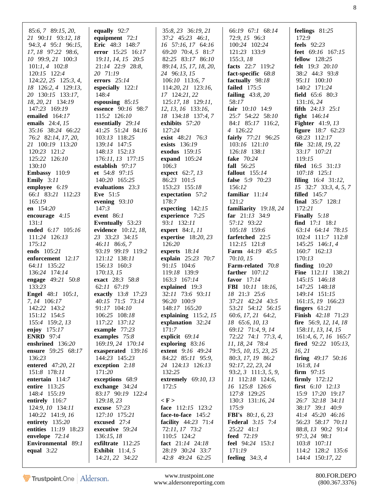| 85:6, 7 89:15, 20,       | equally 92:7                         | 35:8, 23 36:19, 21                   | 66:19 67:1 68:14            | feelings 81:25                        |
|--------------------------|--------------------------------------|--------------------------------------|-----------------------------|---------------------------------------|
| 21 90:11 93:12, 18       | equipment $72:1$                     | $37:2$ $45:23$ $46:1$ ,              | 72:9, 15 96:3               | 172:9                                 |
| 94:3, 4 95:1 96:15,      | Eric 48:3 148:7                      | 16 57:16, 17 64:16                   | 100:24 102:24               | feels $92:23$                         |
|                          |                                      |                                      |                             |                                       |
| 17, 18 97:22 98:6,       | error 15:25 16:17                    | 69:20 70:4, 5 81:7                   | 121:23 133:9                | feet $69:16$ $167:15$                 |
| 10 99:9, 21 100:3        | 19:11, 14, 15 20:5                   | 82:25 83:17 86:10                    | 155:3, 18                   | <b>fellow</b> 128:25                  |
| $101:1, 4$ 102:8         | 21:14 22:9 28:8,                     | 89:14, 15, 17, 18, 20,               | facts 22:7 119:2            | <b>felt</b> 19:3 20:10                |
| 120:15 122:4             | 20 71:19                             | 24 96:13, 15                         | fact-specific 68:8          | 38:2 44:3 93:8                        |
| $124:22, 25$ $125:3, 4,$ | errors $25:14$                       | $106:10$ 113:6, 7                    | factually 98:18             | 95:11 100:10                          |
|                          |                                      |                                      |                             |                                       |
| 18 126:2, 4 129:13,      | especially $122:1$                   | 114:20, 21 123:16,                   | <b>failed</b> 175:5         | 140:2 171:24                          |
| 20 130:15 133:17,        | 148:4                                | 17 124:21, 22                        | failing $43:8,20$           | field 65:6 80:3                       |
| 18, 20, 21 134:19        | espousing $85:15$                    | 125:17, 18 129:11,                   | 58:17                       | 131:16,24                             |
| 147:23 169:19            | essence 90:16 98:7                   | 12, 13, 16 133:16,                   | fair 10:10 14:9             | <b>fifth</b> $24:13$ $25:1$           |
| emailed 164:17           | 115:2 126:10                         | 18 134:18 137:4, 7                   | 25:7 54:22 58:10            | fight $146:14$                        |
|                          |                                      |                                      |                             |                                       |
| emails 24:4, 15          | essentially 29:14                    | exhibits 57:20                       | 84:1 85:17 116:2,           | <b>Fighter</b> $41:9, 13$             |
| 35:16 38:24 66:22        | 41:25 51:24 84:16                    | 127:24                               | 4 126:22                    | <b>figure</b> 18:7 62:23              |
| 76:2 82:14, 17, 20,      | 103:13 118:25                        | exist 48:21 76:3                     | fairly 77:21 96:25          | 68:23 112:17                          |
| 21 100:19 113:20         | 139:14 147:5                         | exists 136:19                        | 103:16 121:10               | <b>file</b> $32:18, 19, 22$           |
|                          |                                      |                                      |                             |                                       |
| 120:23 121:2             | 148:13 152:13                        | exodus 159:15                        | 126:18 138:1                | 33:17 107:21                          |
| 125:22 126:10            | 176:11, 13 177:15                    | expand $105:24$                      | <b>fake</b> 70:24           | 119:15                                |
| 130:10                   | establish 97:17                      | 106:3                                | fall 56:25                  | <b>filed</b> 16:5 31:13               |
| Embassy 110:9            | et 54:8 97:15                        | expect 62:7, 13                      | fallout $155:14$            | 107:18 125:1                          |
| <b>Emily</b> $3:11$      | 140:20 165:25                        | 86:23 101:5                          | false 5:9 70:23             | filing $16:4$ 31:12,                  |
|                          |                                      |                                      |                             |                                       |
| employee 6:19            | evaluations 23:3                     | 153:23 155:18                        | 156:12                      | $15$ 32:7 33:3, 4, 5, 7               |
| 66:1 83:21 112:23        | Eve 51:5                             | expectation 57:2                     | familiar $11:14$            | filled $145:7$                        |
| 165:19                   | evening $93:10$                      | 178:7                                | 121:2                       | final $35:7$ 128:1                    |
| en $154:20$              | 147:3                                | expecting $142:15$                   | familiarity 19:18, 24       | 172:21                                |
|                          |                                      |                                      |                             |                                       |
| encourage $4:15$         | event $86:1$                         | experience 7:25                      | far $21:13$ 34:9            | <b>Finally</b> $5:18$                 |
| 131:1                    | Eventually 53:23                     | 93:1 132:11                          | 57:12 93:22                 | find 17:1 18:1                        |
| ended 6:17 105:16        | evidence 10:12, 18,                  | expert 84:1, 11                      | 105:18 159:6                | 63:14 64:14 78:15                     |
| 111:24 126:13            | 23 33:23 34:15                       | expertise $18:20, 23$                | farfetched 22:5             | 102:4 111:7 112:8                     |
| 175:12                   | 46:11 86:6, 7                        | 126:20                               | 112:15 121:8                | 145:25 146:1, 4                       |
|                          |                                      |                                      |                             |                                       |
| ends 105:21              | 93:19 99:19 119:2                    | experts 18:14                        | <b>Farm</b> 44:19 45:5      | 160:7 162:13                          |
| enforcement 12:17        | 121:12 138:11                        | explain 25:23 70:7                   | 70:10, 15                   | 170:13                                |
| 64:11 135:22             | 156:13 160:3                         | 91:15 104:6                          | Farm-related 70:8           | finding $10:20$                       |
| 136:24 174:14            | 170:13, 15                           | 119:18 139:9                         | farther $107:12$            | Fine 112:11 138:21                    |
|                          | exact 28:3 58:8                      |                                      |                             |                                       |
| engage 49:21 50:8        |                                      | 163:3 167:14                         | favor $17:14$               | 145:15 146:18                         |
| 133:23                   | 62:11 67:19                          | explained $19:3$                     | <b>FBI</b> 10:11 18:16,     | 147:25 148:18                         |
| <b>Engel</b> 48:1 105:1, | exactly 13:8 17:23                   | 32:11 73:6 93:11                     | 18 21:3 25:6                | 149:14 151:15                         |
| 7, 14 106:17             | 40:15 71:5 73:14                     | 96:20 100:9                          | 37:21 42:24 43:5            | 161:15, 19 166:23                     |
| 142:22 143:2             | 91:17 104:10                         | 148:17 165:20                        | 53:21 54:12 56:15           | fingers $61:21$                       |
|                          |                                      |                                      |                             |                                       |
| 151:12 154:5             | 106:25 108:18                        | explaining $115:2, 15$               | 60:6, 17, 21 64:2,          | <b>Finish</b> 42:18 71:23             |
| 155:4 159:2, 13          | 117:22 137:12                        | explanation 32:24                    | 18 65:6, 10, 13             | fire $56:9$ , 12, 14, 18              |
| enjoy $175:17$           | example 77:23                        | 171:7                                | 69:12 71:4, 9, 14           | 158:11, 13, 14, 15                    |
| <b>ENRD</b> 97:4         | examples 75:8                        | explicit 69:14                       | 72:22 74:1 77:3, 4,         | $161:4, 6, 7, 16$ $165:7$             |
| enshrined 136:20         | 169:19, 24 170:14                    | exploring $83:16$                    | 11, 18, 24 78:4             | <b>fired</b> $92:22$ $105:13$ ,       |
| ensure 59:25 68:17       |                                      | <b>extent</b> 9:16 49:24             | 79:5, 10, 15, 23, 25        | 16, 21                                |
|                          | exasperated 139:16                   |                                      |                             |                                       |
| 136:23                   | 144:23 145:23                        | 84:22 85:11 95:9,                    | 80:3, 17, 19 86:2           | firing $49:17$ 50:16                  |
| entered 47:20, 21        | exception $2:18$                     | 24 124:13 126:13                     | 92:17, 22, 23, 24           | 161:8, 14                             |
| 151:8 178:11             | 171:20                               | 132:25                               | $93:2, 3$ 111:3, 5, 9,      | <b>firm</b> $97:15$                   |
| entertain $114:7$        | exceptions 68:9                      | extremely 69:10, 13                  | $11$ 112:18 124:6,          | firmly $172:12$                       |
|                          |                                      |                                      |                             |                                       |
| entire 113:25            | exchange 34:24                       | 172:5                                | 16 125:8 126:6              | <b>first</b> $6:10$ $12:13$           |
| 148:4 155:19             | 83:17 90:19 122:4                    |                                      | 127:8 129:25                | 15:9 17:20 19:17                      |
| entirely 116:7           | 129:18, 23                           | $\langle F \rangle$                  | 130:3 131:16, 24            | 26:7 32:18 34:11                      |
| 124:9, 10 134:11         | excuse $57:23$                       | face $112:15$ 123:2                  | 175:9                       | 38:17 39:1 40:9                       |
| 140:22 141:9, 16         | 127:10 175:21                        | face-to-face 145:2                   | <b>FBI's</b> 80:1, 6, 23    | 41:4 45:20 46:16                      |
| entirety $135:20$        | excused $27:4$                       | facility 44:23 71:4                  | <b>Federal</b> 3:15 7:4     | 56:23 58:17 70:11                     |
|                          |                                      |                                      |                             |                                       |
| entities 11:19 18:23     | executive 59:24                      | 72:11, 17 73:2                       | 25:22 41:1                  | 88:8, 13 90:2 91:4                    |
| envelope 72:14           |                                      |                                      |                             | 97:3, 24 98:1                         |
|                          | 136:15, 18                           | 110:5 124:2                          | feed $72:19$                |                                       |
| Environmental 89:1       | exfiltrate 112:25                    | fact $21:14$ $24:18$                 | feel 94:24 153:1            | 103:8 107:11                          |
|                          |                                      |                                      |                             |                                       |
| equal $3:22$             | Exhibit $11:4, 5$<br>14:21, 22 34:22 | 28:19 30:24 33:7<br>42:8 49:24 62:25 | 171:19<br>feeling $34:3, 4$ | 114:2 128:2 135:6<br>144:4 150:17, 22 |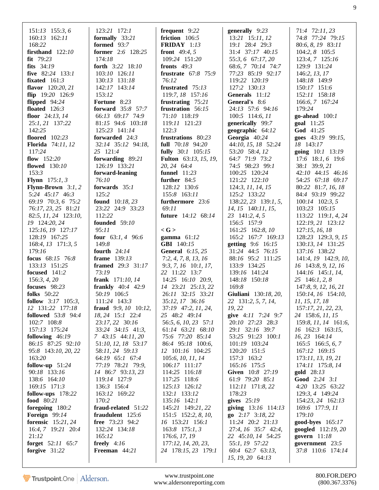| $151:13$ 155:3, 6<br>160:13 162:11<br>168:22<br>firsthand $122:10$ | 123:21 172:1<br>formally $33:21$<br>formed $93:7$<br>former 2:6 128:25 | frequent 9:22<br>friction 106:5<br><b>FRIDAY</b> $1:13$<br><b>front</b> 49:4, 5 | generally 9:23<br>$13:21$ 15:11, 12<br>19:1 28:4 29:3<br>31:4 37:17 40:15 | 71:4 72:11, 23<br>74:8 77:24 79:15<br>80:6, 8, 19 83:11<br>104:2, 8 105:5 |
|--------------------------------------------------------------------|------------------------------------------------------------------------|---------------------------------------------------------------------------------|---------------------------------------------------------------------------|---------------------------------------------------------------------------|
| $fit$ 79:23                                                        | 174:18                                                                 | 109:24 151:20                                                                   | 55:3, 6 67:17, 20                                                         | 123:4, 7 125:16                                                           |
| fits $34:19$                                                       | forth 3:22 18:10                                                       | fronts $49:3$                                                                   | 68:6, 7 70:14 74:7                                                        | 129:9 131:24                                                              |
| five 82:24 133:1                                                   | 103:10 126:11                                                          | frustrate 67:8 75:9                                                             | 77:23 85:19 92:17                                                         | 146:2, 13, 17                                                             |
| fixated $161:3$                                                    | 130:13 131:18                                                          | 76:12                                                                           | 119:22 120:19                                                             | 148:18 149:9                                                              |
| flavor 120:20, 21                                                  | 142:17 143:14                                                          | frustrated 75:13                                                                | 127:2 130:13                                                              | 150:17 151:6                                                              |
| flip 19:20 126:9                                                   | 153:12                                                                 | 119:7, 18 157:16                                                                | Generals 11:12                                                            | 152:11 158:18                                                             |
| flipped 94:24                                                      | Fortune 8:23                                                           | frustrating 75:21                                                               | General's 8:6                                                             | 166:6, 7 167:24                                                           |
| floated $126:3$                                                    | <b>forward</b> 35:8 57:7                                               | frustration 56:15                                                               | 24:13 57:6 94:16                                                          | 179:24                                                                    |
| floor $24:13, 14$                                                  | 66:13 69:17 74:9                                                       | 71:10 118:19                                                                    | 100:5 114:6, 11                                                           | go-ahead $100:1$                                                          |
| 25:1, 21 137:22                                                    | 81:15 94:6 103:18                                                      | 119:11 121:23                                                                   | generically 99:7                                                          | goal 11:25                                                                |
| 142:25                                                             | 125:23 141:14                                                          | 122:3                                                                           | geographic 64:12                                                          | God 41:25                                                                 |
| floored 102:23                                                     | forwarded 24:3                                                         | frustrations 80:23                                                              | Georgia 40:24                                                             | goes 43:19 99:15,                                                         |
| <b>Florida</b> 74:11, 12                                           | 32:14 35:12 94:18,                                                     | full 70:18 94:20                                                                | 44:10, 15, 18 52:24                                                       | 18 143:17                                                                 |
| 117:24                                                             | 25 121:4                                                               | fully 30:1 105:15                                                               | 53:20 58:4, 12                                                            | going 10:1 13:19                                                          |
| flow $152:20$                                                      | forwarding 89:21                                                       | <b>Fulton</b> 63:13, 15, 19,                                                    | 64:7 71:9 73:2                                                            | 17:6 18:1, 6 19:6                                                         |
| <b>flowed</b> 130:10                                               | 126:19 133:21                                                          | 20, 24 64:4                                                                     | 74:5 98:23 99:1                                                           | 38:1 39:9, 21                                                             |
| 153:3                                                              | forward-leaning                                                        | funnel $11:23$                                                                  | 100:25 120:24                                                             | 42:10 44:15 46:16                                                         |
| <b>Flynn</b> $175:1, 3$                                            | 76:10                                                                  | further 84:5                                                                    | 121:22 122:10                                                             | 54:25 67:18 69:17                                                         |
| Flynn-Brown $3:1, 2$                                               | forwards $35:1$                                                        | 128:12 130:6                                                                    | 124:3, 11, 14, 15                                                         | 80:22 81:7, 16, 18                                                        |
| 5:24 45:17 46:3                                                    | 125:2                                                                  | 155:8 163:11                                                                    | 125:2 133:22                                                              | 84:4 93:19 99:22                                                          |
| 69:19 70:3, 6 75:2                                                 | <b>found</b> 10:18, 23                                                 | furthermore 23:6                                                                | 138:22, 23 139:1, 5,                                                      | $100:14$ $102:3, 5$                                                       |
| 76:17, 23, 25 81:21                                                | 23:22 24:9 33:23                                                       | 69:11                                                                           | 14, 15 140:11, 15,                                                        | 103:23 105:15                                                             |
| 82:5, 11, 24 123:10,                                               | 112:22                                                                 | <b>future</b> 14:12 68:14                                                       | 23 141:2, 4, 5                                                            | 113:22 119:1, 4, 24                                                       |
| 19 124:20, 24                                                      | founded $59:10$                                                        |                                                                                 | 156:5 157:9                                                               | 122:19, 21 123:12                                                         |
| 125:16, 19 127:17                                                  | 95:11                                                                  | $<$ G $>$                                                                       | 161:25 162:8, 10                                                          | 127:15, 16, 18                                                            |
| 128:19 167:25                                                      | four $63:1, 4$ 96:6                                                    | gamma $61:12$                                                                   | 165:2 167:7 169:13                                                        | 128:23 129:3, 9, 15                                                       |
| 168:4, 13 171:3, 5                                                 | 149:8                                                                  | <b>GBI</b> 140:15                                                               | <b>getting</b> 9:6 16:15                                                  | 130:13, 14 131:25                                                         |
| 179:16                                                             | fourth $24:14$                                                         | <b>General</b> 6:15, 25                                                         | 31:24 44:5 76:15                                                          | 137:16 138:22                                                             |
| focus 68:15 76:8                                                   | frame $139:13$                                                         | 7:2, 4, 7, 8, 13, 16                                                            | 88:16 95:2 111:25                                                         | 141:4, 19 142:9, 10,                                                      |
| 133:13 151:25                                                      | framed 29:3 31:17                                                      | $9:3, 7, 16$ 10:1, 17,                                                          | 133:9 134:25                                                              | 16 143:8, 9, 12, 16                                                       |
| focused 141:2                                                      | 73:19                                                                  | 22 11:22 13:7                                                                   | 139:16 141:24                                                             | $144:16$ 145:1, 14,                                                       |
| 156:3, 4, 20                                                       | frank 171:10, 14                                                       | 14:25 16:10 20:9,                                                               | 148:18 150:18                                                             | 25 146:1, 2, 8                                                            |
| focuses 98:23                                                      | <b>frankly</b> $40:4$ $42:9$                                           | 14 23:21 25:13, 22                                                              | 169:8                                                                     | 147:8, 9, 12, 16, 21                                                      |
| folks 50:22                                                        | 50:19 106:5                                                            | 26:11 32:15 33:21                                                               | Giuliani 130:18, 20,                                                      | 150:14, 16 154:10,                                                        |
| follow 3:17 105:3,                                                 | 111:24 143:3                                                           | 35:12, 17 36:16                                                                 | 22 131:2, 5, 7, 14,                                                       | 11, 15, 17, 18                                                            |
| 12 131:22 177:18                                                   | fraud 9:9, 10 10:12,                                                   | 37:19 47:2, 11, 24,                                                             | 19, 22                                                                    | 157:17, 21, 22, 23,                                                       |
| <b>followed</b> 53:8 94:4                                          | 18, 24 15:1 22:4                                                       | 25 48:2 49:14                                                                   | give 4:11 7:24 9:7                                                        | 24 158:6, 11, 15                                                          |
| 102:7 108:8                                                        | 23:17, 22 30:16                                                        | 56:5, 6, 10, 23 57:1                                                            | 20:10 27:23 28:3                                                          | 159:8, 11, 14 161:6,                                                      |
| 157:13 175:24                                                      | 33:24 34:15 41:3,                                                      | 61:14 63:21 68:10                                                               | 29:1 32:16 39:7                                                           | 16 162:3 163:15,                                                          |
| following $46:19$                                                  | $7\quad 43:15\quad 44:11,20$                                           | 75:6 77:20 85:14                                                                | 53:25 91:23 100:1                                                         | 16, 23 164:14                                                             |
| 86:15 87:25 92:10                                                  | 51:10, 12, 18 53:17                                                    | 86:4 95:18 100:6,                                                               | 101:19 103:24                                                             | $165:5$ 166:5, 6, 7                                                       |
| 95:8 143:10, 20, 22                                                | 58:11, 24 59:13                                                        | 12 101:16 104:25                                                                | 120:20 151:5                                                              | 167:12 169:15                                                             |
| 163:20                                                             | 64:19 65:1 67:4                                                        | 105:6, 10, 11, 14                                                               | 157:3 163:2                                                               | 173:11, 13, 19, 21                                                        |
| follow-up $51:24$                                                  | 77:19 78:21 79:9,                                                      | $106:17$ $111:17$                                                               | 165:16 175:5                                                              | 174:11 175:8, 14                                                          |
| 90:18 133:16                                                       | 14 86:7 93:13, 23                                                      | 114:25 116:18                                                                   | Given 10:8 27:19                                                          | gold 28:13                                                                |
| 138:6 164:10                                                       | 119:14 127:9                                                           | 117:25 118:6                                                                    | 61:9 79:20 85:1                                                           | Good 2:24 3:1                                                             |
| 169:15 171:3                                                       | 136:3 156:4                                                            | 125:13 126:12                                                                   | 112:11 171:8, 22                                                          | 4:20 13:25 63:22                                                          |
| follow-ups 178:22<br>food 80:21                                    | 163:12 169:22<br>170:2                                                 | 132:1 133:12<br>135:16 142:1                                                    | 178:23<br>gives $25:19$                                                   | 129:3, 4 149:24                                                           |
|                                                                    |                                                                        | 145:21 149:21, 22                                                               |                                                                           | 154:23, 24 162:13                                                         |
| foregoing 180:2<br>Foreign $99:14$                                 | fraud-related 51:22                                                    |                                                                                 | giving 13:16 114:13<br>go 2:17 3:18, 22                                   | 169:6 177:9, 11<br>179:10                                                 |
| forensic $15:21, 24$                                               | fraudulent 125:6<br>free 73:23 94:2                                    | 151:5 152:2, 8, 10,<br>16 153:21 156:1                                          | 11:24 20:2 21:13                                                          | good-byes 165:17                                                          |
| $16:4, 7$ 19:21 20:4                                               | 132:24 134:18                                                          | $163:8$ 175:1, 3                                                                | 27:4, 16 35:7 42:4,                                                       | googled 112:19, 20                                                        |
| 21:12                                                              | 165:12                                                                 | 176:6, 17, 19                                                                   | 22 45:10, 14 54:25                                                        | govern 11:18                                                              |
| forget 52:11 65:7                                                  | freely $4:16$                                                          | 177:12, 14, 20, 23,                                                             | 55:1, 19 57:22                                                            | government 23:5                                                           |
| forgive $31:22$                                                    | Freeman 44:21                                                          | 24 178:15, 23 179:1                                                             | 60:4 62:7 63:13,                                                          | 37:8 110:6 174:14                                                         |
|                                                                    |                                                                        |                                                                                 | 15, 19, 20 64:13                                                          |                                                                           |
|                                                                    |                                                                        |                                                                                 |                                                                           |                                                                           |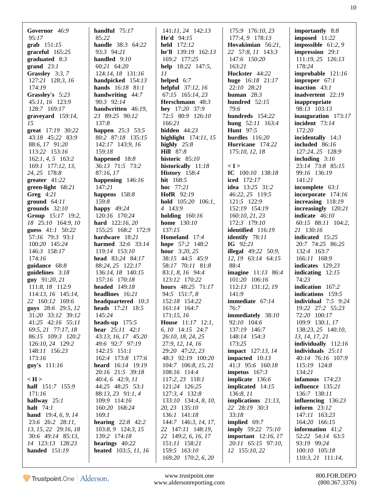| Governor 46:9                         | handful $75:17$                              | $141:11, 24$ $142:13$                    | 175:9 176:10, 23                       | importantly $8:8$                    |
|---------------------------------------|----------------------------------------------|------------------------------------------|----------------------------------------|--------------------------------------|
| 95:17                                 | 85:22                                        | <b>He'd</b> $94:15$                      | 177:4, 9 178:13                        | imposed $11:22$                      |
| $graph 151:15$                        | <b>handle</b> 38:3 64:22                     | held 172:12                              | Hovakimian 56:21,                      | impossible $61:2,9$                  |
| $graceful$ 165:25                     | 93:3 94:21                                   | he'll $139:19$ $162:13$                  | 22 57:8, 11 143:3                      | impression 29:1                      |
| graduated $8:3$                       | handled $9:10$                               | 169:2 177:25                             | 147:6 150:20                           | 111:19, 25 126:13                    |
| grand $23:1$                          | 60:21 64:20                                  | help 18:22 147:5,                        | 163:21                                 | 178:24                               |
| Grassley 3:3, 7                       | 124:14, 18 131:16                            | 11                                       | Huckster 44:22                         | improbable 121:16                    |
| 127:21 128:3, 16                      | handpicked 154:13                            | helped $6:7$                             | huge 16:18 21:17                       | improper $67:1$                      |
| 174:19                                | <b>hands</b> $16:18$ 81:1                    | <b>helpful</b> $37:12, 16$               | 22:10 28:21                            | inaction $43:1$                      |
| Grassley's 5:23                       | handwriting 44:7                             | 67:15 165:14, 23                         | human $28:3$                           | inadvertent 22:19                    |
| 45:11, 16 123:9                       | 90:3 92:14                                   | Herschmann 48:3                          | hundred $52:15$                        | inappropriate                        |
| 128:7 169:17                          | handwritten 46:19,                           | hey 17:20 37:9                           | 79:6                                   | 98:13 103:13                         |
| graveyard $159:14$ ,                  | 23 89:25 90:12                               | 72:5 80:9 126:10                         | hundreds 154:22                        | inauguration $173:17$                |
| 15                                    | 137:8                                        | 166:21<br>hidden $44:23$                 | hung $52:11$ 163:4<br><b>Hunt</b> 97:5 | incident 73:14<br>172:20             |
| great 17:19 30:22<br>43:18 45:22 83:9 | <b>happen</b> 25:3 53:5<br>80:2 87:18 135:15 | highlight $174:11, 15$                   | hurdles $116:20$                       | incidentally $14:3$                  |
| 88:6, 17 91:20                        | 142:17 143:9, 16                             | highly $25:8$                            | Hurricane 174:22                       | included 86:16                       |
| 113:22 153:16                         | 159:18                                       | <b>Hill</b> 87:8                         | 175:10, 12, 18                         | 127:24, 25 128:9                     |
| $162:1, 4, 5$ 163:2                   | happened 18:8                                | historic 85:10                           |                                        | including $3:16$                     |
| 169:1 177:12, 13,                     | 36:13 71:5 73:2                              | historically 11:18                       | < I >                                  | 23:14 73:8 85:15                     |
| 24, 25 178:8                          | 87:16,17                                     | History 158:4                            | IC $100:10$ $138:18$                   | 99:16 136:19                         |
| greater $41:22$                       | happening 146:16                             | <b>hit</b> $168:5$                       | <b>iced</b> 172:17                     | 141:21                               |
| green-light 68:21                     | 147:21                                       | hoc 77:21                                | idea 13:25 31:2                        | incomplete 63:1                      |
| Greg $4:21$                           | happens 158:8                                | HofR 92:19                               | 46:22, 25 119:5                        | incorporate 174:16                   |
| ground $64:11$                        | 159:8                                        | hold $105:20$ $106:1$ ,                  | 121:5 122:9                            | increasing $118:19$                  |
| grounds $32:10$                       | happy $49:24$                                | 4 143:9                                  | 152:19 154:19                          | increasingly $120:21$                |
| Group 15:17 19:2,                     | 120:16 170:24                                | holding $160:16$                         | 160:10, 21, 23                         | indicate $46:10$                     |
| 18 25:10 164:9, 10                    | <b>hard</b> 122:16, 20                       | <b>home</b> 130:10                       | 172:3 179:10                           | 60:15 88:11 104:2,                   |
| guess 41:1 50:22                      | 155:25 168:2 172:9                           | 137:15                                   | <b>identified</b> 116:19               | 21 130:16                            |
| 57:16 79:3 93:1                       | hardware 18:21                               | Homeland 17:4                            | identify 78:11                         | indicated 15:25                      |
| 100:20 145:24                         | harmed 32:6 33:14                            | hope 57:2 148:2                          | IG $92:21$                             | 20:7 74:25 86:25                     |
| 146:3 158:17                          | 119:14 153:10                                | <b>hour</b> $3:20, 25$                   | <b>illegal</b> 49:22 50:9,             | 132:4 163:7                          |
| 174:16                                | head $83:24$ $84:17$                         | 38:15 44:5 45:9                          | 12, 19 63:14 64:15                     | 166:11 168:9                         |
| guidance 68:8                         | 88:24, 25 122:17                             | 58:17 70:11 81:8                         | 88:4                                   | indicates 129:23                     |
| guidelines $3:18$                     | 136:14, 18 140:15<br>157:16 170:18           | 83:1, 8, 16 94:4<br>123:12 170:22        | imagine 11:13 86:4<br>101:20 106:16    | indicating $12:15$<br>74:23          |
| guy 91:20, 21<br>111:8, 18 112:9      | <b>headed</b> 149:18                         | hours 48:25 71:17                        | 112:13 131:12, 19                      | indication 167:2                     |
| 114:13, 16 145:14,                    | headlines 16:21                              | 94:5 151:7, 8                            | 141:9                                  | indications 159:5                    |
| 22 160:12 169:6                       | headquartered $10:3$                         | 152:18 154:22                            | immediate $67:14$                      | <b>individual</b> $7:5$ $9:24$       |
| <b>guys</b> 28:6 29:5, 12             | heads 17:21 18:5                             | 161:14 164:7                             | 76:7                                   | 19:22 27:2 55:23                     |
| 31:20 33:12 39:12                     | 145:24                                       | 171:15,16                                | <b>immediately</b> 38:10               | 72:20 100:17                         |
| 41:25 42:16 55:11                     | heads-up $175:5$                             | <b>House</b> 11:17 12:1,                 | 92:10 104:6                            | 109:9 130:1, 17                      |
| 69:5, 21 77:17, 18                    | <b>hear</b> $25:11$ $42:1$                   | 6, 10 14:15 24:7                         | 137:19 146:7                           | 138:23, 25 140:10,                   |
| 86:15 109:3 120:2                     | 43:13, 16, 17 45:20                          | 26:10, 18, 24, 25                        | 148:14 154:3                           | 13, 14, 17, 21                       |
| 126:10, 24 129:2                      | 49:6 92:7 97:19                              | 27:9, 12, 14, 16                         | 173:25                                 | individually 112:16                  |
| 148:11 156:23                         | $142:15$ $151:1$                             | 29:20 47:22, 23                          | <b>impact</b> 127:13, 14               | individuals $25:11$                  |
| 173:16                                | 162:4 173:8 177:6                            | 48:3 92:19 100:20                        | impacted $10:13$                       | 40:14 76:16 107:9                    |
| <b>guy's</b> 111:16                   | heard 16:14 19:19                            | 104:7 106:8, 15, 21                      | 41:3 95:6 160:18                       | 115:19 124:8                         |
|                                       | 20:16 21:5 39:18                             | 108:16 114:4                             | impetus $167:3$                        | 134:21                               |
| $\langle H \rangle$                   | 40:4, 6 42:9, 11                             | 117:2, 23 118:1                          | implicate 136:6                        | infamous $174:23$                    |
| half 151:7 155:9                      | 44:25 48:25 53:1                             | 121:24 126:25                            | implicated 14:15                       | influence 135:21                     |
| 171:16<br>hallway $25:1$              | 88:13, 23 91:1, 4<br>109:9 114:16            | $127:3, 4$ 132:8<br>133:10 134:4, 8, 10, | 136:8, 11<br>implications $21:13$ ,    | 136:7 138:11<br>influencing $136:23$ |
| halt $74:1$                           | 160:20 168:24                                | 20, 23 135:10                            | 22 28:19 30:3                          | inform $23:12$                       |
| <b>hand</b> $19:4, 6, 9, 14$          | 169:1                                        | 136:1 141:18                             | 33:18                                  | 147:11 163:23                        |
| 23:6 26:2 28:11,                      | <b>hearing</b> $22:8$ 42:2                   | 144:7 146:3, 14, 17,                     | implied 69:7                           | 164:20 166:15                        |
| 13, 15, 22 29:16, 18                  | 103:8, 9 124:3, 15                           | 22 147:11 148:19,                        | <b>imply</b> 59:22 75:10               | information 41:2                     |
| 30:6 49:14 85:13,                     | 139:2 174:18                                 | 22 149:2, 6, 16, 17                      | important $12:16, 17$                  | 52:22 54:14 63:5                     |
| 14 123:13 128:23                      | hearings $40:22$                             | 151:11 158:21                            | 20:11 65:15 97:10,                     | 93:19 99:24                          |
| <b>handed</b> 151:19                  | <b>heated</b> 103:5, 11, 16                  | 159:5 163:10                             | 12 155:10, 22                          | 100:10 105:18                        |
|                                       |                                              | 169:20 170:2, 6, 20                      |                                        | $110:3, 21$ $111:14$ ,               |
|                                       |                                              |                                          |                                        |                                      |

www.trustpoint.one 800.FOR.DEPO<br>w.aldersonreporting.com (800.367.3376) www.aldersonreporting.com (800.367.3376)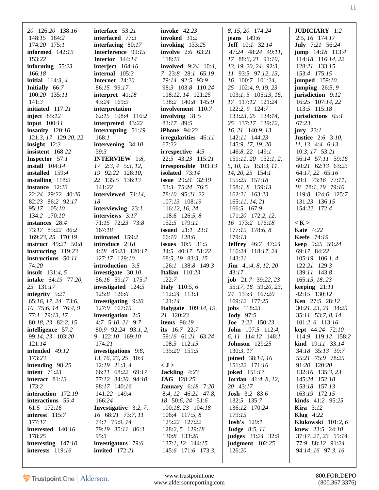|                                                                                                                                                                                                                                                                                                                      | 20 126:20 138:16<br>148:15 164:2<br>174:20 175:1<br><b>informed</b> 142:19<br>153:22<br>informing $55:23$<br>166:18<br>initial $114:3, 4$<br>Initially 66:7<br>100:20 135:11<br>141:3<br>initiated 117:21<br>inject $85:12$<br><b>input</b> 100:11<br>insanity $120:16$<br>121:3, 17 129:20, 22<br>insight $12:3$<br>insistent 168:22<br><b>Inspector</b> 57:1<br>install $104:14$<br>installed 159:4<br>installing 118:9<br>instance $12:13$<br>22:24 29:22 40:20<br>82:23 86:2 92:17<br>95:17 105:10<br>134:2 170:10<br>instances 28:4<br>73:17 85:22 86:2<br>169:23, 25 170:19<br><b>instruct</b> 49:21 50:8<br>instructing $119:23$<br>instructions 50:11<br>74:20<br><b>insult</b> $131:4, 5$<br>intake 64:19 77:20,<br>25 131:17<br>integrity $5:21$<br>65:16, 17, 24 73:6,<br>10 75:6, 14 76:4, 9<br>77:1 79:13, 17<br>80:18, 23 82:2, 15<br>intelligence 57:2<br>99:14, 23 103:20<br>121:14<br>intended $49:12$<br>173:23<br>intending 98:25<br><b>intent</b> 71:23<br>interact 81:13<br>173:2<br>interaction 172:19<br>interactions 55:4<br>61:5 172:16<br>interest 115:7 | interface 53:21<br>interfaced 77:3<br>interfacing $80:17$<br>Interference 99:15<br><b>Interior</b> $144:14$<br>interject $164:16$<br>internal $105:3$<br>Internet 24:20<br>86:15 99:17<br>interpret $41:18$<br>43:24 169:9<br>interpretation<br>62:15 108:4 116:2<br>interpreted 43:22<br>interrupting $51:19$<br>168:1<br>intervening 34:10<br>39:3<br><b>INTERVIEW</b> 1:8,<br>$17$ $2:3, 4$ $5:3, 12,$<br>19 92:22 128:10,<br>22 135:5 136:13<br>141:22<br>interviewed 71:14,<br>18<br>interviewing $23:1$<br>interviews 3:17<br>71:15 72:23 73:8<br>167:18<br>intimated 159:2<br>introduce 2:18<br>4:18 45:23 120:17<br>127:17 129:10<br><b>introduction</b> 3:5<br>investigate 30:10<br>56:16 59:17 175:7<br>investigated 124:5<br>125:8 126:6<br>investigating 9:20<br>127:9 167:15<br>investigation 2:5<br>$4:7$ 5:10, 21 9:7<br>80:9 92:24 93:1, 2,<br>9 122:10 169:10<br>174:21<br>investigations 9:8,<br>13, 16, 23, 25 10:4<br>$12:19$ $21:3,4$<br>66:11 68:22 69:17<br>77:12 84:20 94:10<br>98:17 140:16<br>141:22 149:4<br>166:24<br><b>Investigative</b> $3:2, 7$ ,<br>16 68:21 73:7, 11 | <b>invoke</b> 42:23<br>invoked 31:2<br>invoking $133:25$<br><b>involve</b> 2:6 63:21<br>118:13<br><b>involved</b> 9:24 10:4,<br>7 23:8 28:1 65:19<br>79:14 92:5 93:9<br>98:3 103:8 110:24<br>118:12, 14 121:25<br>138:2 140:8 145:9<br>involvement 110:7<br>involving $31:5$<br>83:17 89:5<br><b>iPhone</b> 94:23<br>irregularities 46:11<br>67:22<br><b>irrespective</b> 4:5<br>22:5 43:23 115:21<br>irresponsible $103:13$<br>isolated $73:14$<br><b>issue</b> 29:21 32:19<br>53:3 75:24 76:5<br>78:10 95:21, 22<br>107:13 108:19<br>116:12, 16, 24<br>118:6 126:5, 8<br>152:5 179:11<br><b>issued</b> $21:1$ $23:1$<br>66:10 128:6<br><b>issues</b> $10:5$ 31:5<br>34:5 40:17 51:22<br>68:5, 19 83:3, 15<br>126:1 138:8 149:3<br>Italian $110:23$<br>122:7<br><b>Italy</b> 110:5, 6<br>112:24 113:3<br>121:14<br><b>Italygate</b> 109:14, 19,<br>21 120:23<br><b>items</b> 96:19<br>its $16:7$ 22:7<br>59:16 61:21 63:24<br>108:3 112:15<br>135:20 151:5<br>< J ><br>Jackling 4:23<br><b>JAG</b> 128:25<br><b>January</b> 6:18 7:20<br>8:4, 12 46:21 47:8,<br>18 50:6, 24 51:6<br>100:18, 23 104:18<br>106:4 117:5, 8 | 8, 15, 20 174:24<br>jeans $149:6$<br><b>Jeff</b> 10:1 32:14<br>47:24 48:24 49:11,<br>17 88:6, 21 91:10,<br>13, 19, 20, 24 92:3,<br>11 93:5 97:12, 13,<br>16 100:7 101:24,<br>25 102:4, 9, 19, 23<br>$103:1, 5$ $105:13, 16$ ,<br>17 117:12 121:24<br>122:2, 9 124:7<br>133:23, 25 134:14,<br>25 137:17 139:12,<br>16, 21 140:9, 13<br>142:11 144:23<br>145:9, 17, 19, 20<br>146:8, 22 149:1<br>$151:11,20$ $152:1,2,$<br>5, 10, 15 153:3, 11,<br>$14, 20, 25$ 154:1<br>155:25 157:18<br>$158:1, 8$ 159:13<br>162:21 163:23<br>165:11, 14, 21<br>166:5 167:9<br>171:20 172:2, 12,<br>16 173:2 176:18<br>177:19 178:6, 8<br>179:13<br><b>Jeffrey</b> 46:7 47:24<br>116:24 118:17, 24<br>143:21<br><b>Jim</b> $41:4, 8, 12, 20$<br>43:17<br><b>job</b> $21:7$ 39:22, 23<br>55:17, 18 59:20, 23,<br>24 133:4 167:20<br>169:12 177:25<br>jobs $118:23$<br><b>Jody</b> 97:5<br><b>Joe</b> 2:22 150:23<br>John 107:5 112:4,<br>6, 11 114:12 148:1<br><b>Johnson</b> 129:25<br>130:3, 17<br>joined 38:14, 16<br>151:22 171:16<br><b>joked</b> 151:17<br><b>Jordan</b> $41:4, 8, 12$ ,<br>20 43:17<br><b>Josh</b> 3:2 83:6<br>132:5 135:7<br>136:12 170:24<br>179:15 | <b>JUDICIARY</b> 1:2<br>$2:5, 16$ 174:17<br><b>July</b> 7:21 56:24<br><b>jump</b> 14:18 113:4<br>114:18 116:14, 22<br>128:21 133:15<br>153:4 175:15<br>jumped 159:10<br>jumping $26:5, 9$<br>jurisdiction 9:12<br>$16:25$ $107:14,22$<br>113:5 115:18<br>jurisdictions $65:1$<br>67:23<br>jury $23:1$<br><b>Justice</b> 2:6 3:10,<br>$11, 13$ 4:4 6:13<br>$10:3, 17$ 53:21<br>56:14 57:11 59:16<br>60:21 62:13 63:23<br>64:17, 22 65:16<br>69:1 73:16 77:11,<br>18 78:1, 19 79:10<br>119:8 124:6 125:7<br>131:23 136:15<br>154:22 172:4<br>$\langle K \rangle$<br><b>Kate</b> 4:22<br><b>Keefe</b> 74:19<br>keep 9:25 59:24<br>69:17 84:22<br>105:19 106:1, 4<br>122:21 129:3<br>139:11 143:8<br>165:15, 18, 23<br>keeping $21:11$<br>42:15 130:12<br>Ken 27:5 28:12<br>30:21, 23, 24 34:25<br>35:11 53:7, 8, 14<br>101:2, 6 113:16<br><b>kept</b> 44:24 72:10<br>114:9 119:12 158:2<br>kind 19:11 33:14<br>34:18 35:13 39:7<br>55:21 75:9 78:25<br>91:20 120:20<br>132:16 135:3, 23<br>145:24 152:18<br>153:18 157:13<br>163:19 172:15<br><b>kinds</b> $41:2$ 95:25<br><b>Kira</b> 3:12<br>Klug $4:22$ |
|----------------------------------------------------------------------------------------------------------------------------------------------------------------------------------------------------------------------------------------------------------------------------------------------------------------------|------------------------------------------------------------------------------------------------------------------------------------------------------------------------------------------------------------------------------------------------------------------------------------------------------------------------------------------------------------------------------------------------------------------------------------------------------------------------------------------------------------------------------------------------------------------------------------------------------------------------------------------------------------------------------------------------------------------------------------------------------------------------------------------------------------------------------------------------------------------------------------------------------------------------------------------------------------------------------------------------------------------------------------------------------------------------------------|--------------------------------------------------------------------------------------------------------------------------------------------------------------------------------------------------------------------------------------------------------------------------------------------------------------------------------------------------------------------------------------------------------------------------------------------------------------------------------------------------------------------------------------------------------------------------------------------------------------------------------------------------------------------------------------------------------------------------------------------------------------------------------------------------------------------------------------------------------------------------------------------------------------------------------------------------------------------------------------------------------------------------------------------------------------------------------------------------------|--------------------------------------------------------------------------------------------------------------------------------------------------------------------------------------------------------------------------------------------------------------------------------------------------------------------------------------------------------------------------------------------------------------------------------------------------------------------------------------------------------------------------------------------------------------------------------------------------------------------------------------------------------------------------------------------------------------------------------------------------------------------------------------------------------------------------------------------------------------------------------------------------------------------------------------------------------------------------------------------------------------------------------------------------------------------------------------------------------------------------|-------------------------------------------------------------------------------------------------------------------------------------------------------------------------------------------------------------------------------------------------------------------------------------------------------------------------------------------------------------------------------------------------------------------------------------------------------------------------------------------------------------------------------------------------------------------------------------------------------------------------------------------------------------------------------------------------------------------------------------------------------------------------------------------------------------------------------------------------------------------------------------------------------------------------------------------------------------------------------------------------------------------------------------------------------------------------------------------------------------------------------------------------------------|---------------------------------------------------------------------------------------------------------------------------------------------------------------------------------------------------------------------------------------------------------------------------------------------------------------------------------------------------------------------------------------------------------------------------------------------------------------------------------------------------------------------------------------------------------------------------------------------------------------------------------------------------------------------------------------------------------------------------------------------------------------------------------------------------------------------------------------------------------------------------------------------------------------------------------------------------------------------------------------------------------------------------------------------------------------------------------------------------------|
| interested 140:16<br>79:19 85:11 86:3<br>128:2, 5 129:18<br><b>Judge</b> 8:5, 11<br>178:25<br>95:3<br><b>judges</b> 31:24 32:9<br>130:8 133:20<br>investigators 79:6<br>interesting $147:10$<br>137:1, 12 144:15<br>judgment $102:25$<br><b>invited</b> 172:21<br>145:6 171:6 173:3,<br>126:20<br>interests $119:16$ | 177:17                                                                                                                                                                                                                                                                                                                                                                                                                                                                                                                                                                                                                                                                                                                                                                                                                                                                                                                                                                                                                                                                             | 74:1 75:9, 14                                                                                                                                                                                                                                                                                                                                                                                                                                                                                                                                                                                                                                                                                                                                                                                                                                                                                                                                                                                                                                                                                          | 125:22 127:22                                                                                                                                                                                                                                                                                                                                                                                                                                                                                                                                                                                                                                                                                                                                                                                                                                                                                                                                                                                                                                                                                                            | <b>Josh's</b> 129:1                                                                                                                                                                                                                                                                                                                                                                                                                                                                                                                                                                                                                                                                                                                                                                                                                                                                                                                                                                                                                                                                                                                                         | <b>Klukowski</b> 101:2, 6<br><b>knew</b> 23:5 24:10<br>37:17, 21, 23 55:14<br>77:9 88:12 91:24<br>94:14, 16 97:3, 16                                                                                                                                                                                                                                                                                                                                                                                                                                                                                                                                                                                                                                                                                                                                                                                                                                                                                                                                                                                    |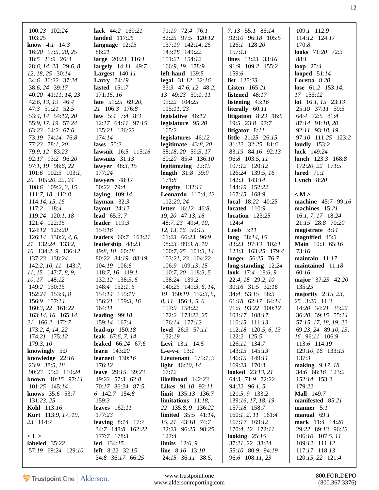| 100:23 102:24                      | lack 44:2 169:21                    | 71:19 72:4 76:1                          | 7, 13 55:1 86:14                        | 109:1 112:9                       |
|------------------------------------|-------------------------------------|------------------------------------------|-----------------------------------------|-----------------------------------|
| 103:25                             | <b>landed</b> 117:25                | 82:25 97:5 120:12                        | 92:10 96:18 105:5                       | 114:12 124:17                     |
| <b>know</b> $4:1$ $14:3$           | language $12:15$                    | 137:19 142:14, 25                        | 126:1 128:20                            | 170:8                             |
| 16:20 17:5, 20, 25                 | 86:21                               | 143:18 149:22                            | 157:13                                  | <b>looks</b> 71:20 72:3           |
| 18:5 21:9 26:3                     | large 20:23 116:1                   | 151:21 154:12                            | lines 13:23 33:16                       | 88:1                              |
| 28:6, 14, 23 29:6, 8,              | <b>largely</b> 14:11 49:7           | 166:9, 19 178:9                          | 91:9 109:2 155:2                        | loop $25:4$                       |
| 12, 18, 25 30:14                   | <b>Largest</b> $140:11$             | $left$ -hand $139:5$                     | 159:6                                   | looped $51:14$                    |
| 34:6 36:22 37:24                   | <b>Larry</b> $74:19$                | legal 31:12 32:16                        | <b>list</b> $125:23$                    | Loretta 8:20                      |
| 38:6, 24 39:17                     | lasted $151:7$                      | $33:3$ 47:6, 12 48:2,                    | <b>Listen</b> $165:21$                  | lose $61:2$ 153:14,               |
| 40:20 41:11, 14, 23                | 171:15,16                           | 13 49:23 50:1, 11                        | listened $48:17$                        | 17 155:12                         |
| 42:6, 13, 19 46:4                  | <b>late</b> $51:25$ 69:20,          | 95:22 104:25                             | listening $43:16$                       | lot 16:1, 15 23:13                |
| 47:3 51:21 52:5                    | 21 106:3 176:8                      | 115:11,23                                | literally 60:11                         | 25:19 37:11 59:5                  |
| 53:4, 14 54:12, 20                 | <b>law</b> 5:4 7:4 8:3              | legislative 46:12                        | litigation $8:23$ 16:5                  | 64:4 72:5 81:4                    |
| 55:9, 17, 19 57:24                 | 12:17 64:11 97:15                   | legislature 95:20                        | 19:5 23:8 97:7                          | 87:14 91:10, 20                   |
| 63:23 64:2 67:6                    | 135:21 136:23                       | 165:2                                    | litigator $8:11$                        | 92:11 93:18, 19                   |
| 73:19 74:14 76:8                   | 174:14                              | legislatures 46:12                       | <b>little</b> 21:25 26:15               | 97:10 111:25 123:2                |
| 77:23 78:1, 20                     | laws $50:2$                         | legitimate $43:8,20$                     | 31:22 32:25 81:6                        | loudly $153:2$                    |
| 79:9, 12 83:23                     | lawsuit 16:5 115:16                 | 58:18, 20 59:3, 17                       | 83:19 84:16 92:13                       | luck $149:24$                     |
| 92:17 93:2 96:20                   | lawsuits $31:13$                    | 60:20 85:4 136:10                        | 96:8 103:5, 11                          | lunch 123:3 168:8                 |
| 97:1, 19 98:6, 22                  | <b>lawyer</b> 48:3, 15              | legitimizing $22:19$                     | 107:12 120:12                           | 172:20, 22 173:5                  |
| $101:6$ $102:3$ $103:1$ ,          | 177:24                              | <b>length</b> 31:8 39:9                  | 126:24 139:5, 16                        | lured $71:1$                      |
| 20 105:20, 22, 24                  | lawyers $48:17$                     | 171:8                                    | 142:3 143:14                            | Lynch $8:20$                      |
| $108:6$ 109:2, 3, 15               | 50:22 79:4                          | lengthy $132:11$                         | 144:19 152:22                           |                                   |
| $111:7, 18$ 112:8                  | laying $109:14$                     | <b>Leonardo</b> 110:4, 13                | 167:15 168:9                            | $\langle M \rangle$               |
| 114:14, 15, 16                     | layman $32:3$                       | 112:20, 24                               | <b>local</b> 18:22 40:25                | machine 45:7 99:16                |
| 117:2 118:4                        | layout $24:12$                      | <b>letter</b> 16:12 46:8,                | located $110:9$                         | machines 15:21                    |
| 119:24 120:1, 18                   | <b>lead</b> $65:3, 7$               | $19, 20$ 47:13, 16                       | location $123:25$                       | $16:1, 7, 17$ 18:24               |
| 121:4 122:15                       | leader $119:3$                      | 48:7, 23 49:4, 10,                       | 124:4                                   | 21:15 28:8 70:20                  |
| 124:12 125:20                      | 154:16                              | 12, 13, 16 50:15                         | <b>Loeb</b> $3:11$                      | magistrate $8:11$                 |
| $126:14$ 130:2, 4, 6,              | <b>leaders</b> 60:7 163:21          | 61:23 66:23 96:9                         | long $38:14, 15$                        | magnified $45:3$                  |
| 21 132:24 133:2,                   | leadership 48:23                    | 98:23 99:3, 8, 10                        | 83:23 97:13 102:1                       | Main 10:3 65:16                   |
| 10 134:2, 9 136:12                 | $49:8, 10$ 60:18                    | $100:7, 25$ $101:3, 14$                  | 123:3 163:25 179:4                      | 73:16                             |
| 137:23 138:24                      | 80:22 84:19 88:19                   | $103:21, 23$ $104:22$                    | <b>longer</b> 56:25 76:7                | maintain $11:17$                  |
| 142:2, 10, 11 143:7,               | 104:19 106:6                        | 106:9 109:13, 15                         | long-standing $12:24$                   | maintained $11:18$                |
| 11, 15 147:7, 8, 9,                | 118:7, 16 119:1                     | 110:7, 20 118:3, 5                       | look 17:4 18:6, 9                       | 60:16                             |
| 10, 17 148:12                      | 132:12 138:3, 5                     | 138:24 139:2                             | 22:4, 18 29:2, 10                       | major 37:23 42:20                 |
| 149:2 150:15                       | $148:4$ 152:1, 5                    | 140:25 141:3, 6, 14,                     | 30:16 31:5 32:16                        | 135:25                            |
| 152:24 153:4, 8                    | 154:14 155:19                       | 19 150:19 152:3, 5,                      | 34:4 53:15 58:3                         | majority $2:15, 23$ ,             |
| 156:9 157:14                       | 156:21 159:3, 16                    | 8, 11 156:1, 5, 6                        | 61:18 62:17 64:14                       | 25 3:20 11:3                      |
| 160:3, 22 161:22                   | 164:11                              | 157:9 158:22                             | 71:5 93:22 100:12                       | 14:20 34:21 35:22                 |
| 163:14, 16 165:14,                 | leading $99:18$                     | 172:2 173:22, 25                         | 103:17 108:17                           | 36:20 39:15 55:14                 |
|                                    | 159:14 167:4                        |                                          |                                         | 57:15, 17, 18, 19, 22             |
| 21 166:2 172:7<br>173:2, 4, 14, 22 | lead-up $150:18$                    | 176:14 177:12<br>level 26:3 57:11        | 110:15 111:13<br>112:18 120:5, 6, 13    | 69:23, 24 89:10, 13,              |
| 174:21 175:12                      | leak $67:6, 7, 14$                  | 132:19                                   | 122:2 125:5                             | 16 96:11 106:9                    |
|                                    |                                     |                                          |                                         |                                   |
| 179:3,10<br>knowingly 5:9          | leaked 66:24 67:6<br>learn $143:20$ | Levi 13:1 14:5<br><b>L</b> -e-v-i $13:1$ | 126:11 134:7<br>143:15 145:13           | 113:6 114:19<br>129:10, 16 133:15 |
| knowledge $22:16$                  |                                     | Lieutenant $175:1, 3$                    | 146:15 149:11                           | 137:3                             |
| 23:9 38:5, 18                      | learned $130:16$                    | light 46:10, 14                          |                                         | making 9:17, 18                   |
| 90:23 95:2 110:24                  | 176:12<br><b>leave</b> 29:15 39:23  | 67:12                                    | 169:23 170:3<br><b>looked</b> 23:13, 21 | 34:6 68:16 123:2                  |
|                                    |                                     |                                          |                                         |                                   |
| known 10:15 97:14                  | 49:23 57:3 62:8                     | likelihood 142:23                        | 64:3 71:9 72:22                         | 152:14 153:3                      |
| 101:25 145:14                      | 70:17 86:24 87:5,                   | Likes 91:10 92:11                        | 94:22 96:1, 5                           | 179:22                            |
| knows 35:6 53:7                    | 6 142:7 154:8                       | limit 135:13 136:7                       | 121:5, 9 133:2                          | <b>Mall</b> 149:7                 |
| 131:23,25                          | 159:3                               | limitations $11:18$ ,                    | 139:16, 17, 18, 19                      | manifested 85:21                  |
| Kohl 113:16                        | leaves 162:11                       | 22 135:8, 9 136:22                       | 157:18 158:7                            | manner $5:1$                      |
| <b>Kurt</b> 113:9, 17, 19,         | 177:23                              | <b>limited</b> $35:5$ 41:14,             | $160:1, 2, 11$ $161:4$                  | manual $69:1$                     |
| 23 114:7                           | leaving $8:14$ 17:7                 | 15, 21 43:18 74:7                        | 167:17 169:12                           | mark 11:4 14:20                   |
|                                    | 34:7 148:8 162:22                   | 82:23 96:25 98:25                        | 170:4, 12 172:11                        | 29:22 89:13 96:13                 |
| < L >                              | 177:7 178:3                         | 127:4                                    | looking $25:15$                         | $106:10$ $107:5, 11$              |
| labeled 35:22                      | $led$ 134:15                        | <b>limits</b> $12:6, 9$                  | 37:21, 22 38:24                         | 109:12 111:12                     |
| 57:19 69:24 129:10                 | <b>left</b> 8:22 32:15              | <b>line</b> $8:16$ 13:10                 | 55:10 80:9 94:19                        | 117:17 118:13                     |
|                                    | 34:8 36:17 66:25                    | 24:15 36:11 38:5,                        | 96:6 108:11, 23                         | 120:15, 22 121:4                  |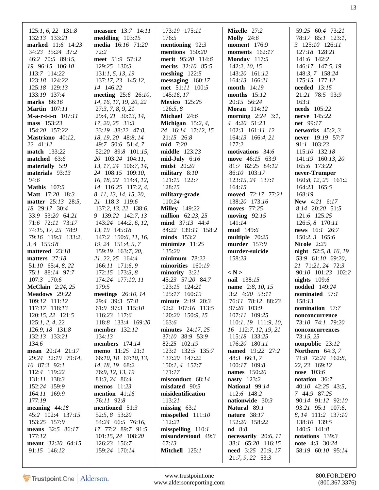| $125:1, 6, 22$ 131:8 | <b>measure</b> $13:7$ $14:11$ | 173:19 175:11              | Mizelle 27:2               | 59:25 60:4 73:21               |
|----------------------|-------------------------------|----------------------------|----------------------------|--------------------------------|
| 132:13 133:21        | meddling $103:15$             | 176:5                      | <b>Molly</b> 24:6          | 78:17 85:1 123:1,              |
| marked 11:6 14:23    | media 16:16 71:20             | mentioning $92:3$          | <b>moment</b> 176:9        | 3 125:10 126:11                |
| 34:23 35:24 37:2     | 72:2                          | mentions 150:20            | moments $162:17$           | 127:18 128:21                  |
| 46:2 70:5 89:15,     | meet 51:9 57:12               | merit 95:20 114:6          | <b>Monday</b> 117:5        | 141:6 142:2                    |
| 19 96:15 106:10      | 129:25 130:3                  | merits 32:10 85:5          | 142:2, 10, 15              | 146:17 147:5, 19               |
| 113:7 114:22         | 131:1, 5, 13, 19              | meshing $122:5$            | 143:20 161:12              | 148:3, 7 158:24                |
| 123:18 124:22        | 137:17, 23 145:12,            | $\text{messageing}$ 160:17 | 164:13 166:21              | 175:15 177:12                  |
| 125:18 129:13        | 14 146:22                     | met 51:11 100:5            | <b>month</b> 14:19         | needed $13:15$                 |
| 133:19 137:4         | meeting 25:6 26:10,           | 145:16,17                  | months $15:12$             | 21:21 78:5 93:9                |
| marks 86:16          | 14, 16, 17, 19, 20, 22        | Mexico 125:25              | 20:15 56:24                | 163:1                          |
| <b>Martin</b> 107:11 | 27:3, 7, 8, 9, 21             | 126:5, 8                   | <b>Moran</b> 114:12        | needs 105:22                   |
| $M-a-r-t-in$ 107:11  |                               | Michael 24:6               | <b>morning</b> $2:24$ 3:1, | <b>nerve</b> 145:22            |
|                      | 29:4, 21 30:13, 14,           |                            |                            |                                |
| mass 153:23          | 17, 20, 25 31:3               | Michigan $15:2, 4$ ,       | 4 4:20 51:23               | <b>net</b> 99:17               |
| 154:20 157:22        | 33:19 38:22 47:8,             | 24 16:14 17:12, 15         | 102:3 161:11, 12           | networks $45:2, 3$             |
| Mastriano 40:12,     | 18, 19, 20 48:8, 14           | $21:15$ 26:8               | $164:13$ $166:4,21$        | never 19:19 57:7               |
| 22 41:12             | 49:7 50:6 51:4, 7             | mid 7:20                   | 177:2                      | 91:1 103:23                    |
| <b>match</b> 133:22  | 52:20 89:8 101:15,            | middle 123:23              | motivations 34:6           | 115:10 132:18                  |
| matched $63:6$       | 20 103:24 104:11,             | $mid$ -July 6:16           | move 46:15 63:9            | 141:19 160:13, 20              |
| materially 5:9       | 13, 17, 24 106:7, 14,         | $midst$ 20:20              | 81:7 82:25 84:12           | 165:6 173:22                   |
| materials $93:13$    | 24 108:15 109:10,             | military $8:10$            | 86:10 103:17               | never-Trumper                  |
| 94:6                 | 16, 18, 22 114:4, 12,         | 121:15 122:7               | 123:15, 24 137:1           | 160:8, 12, 25 161:2            |
| <b>Mathis</b> 107:5  | 14 116:25 117:2, 4,           | 128:15                     | 164:15                     | 164:23 165:5                   |
|                      |                               |                            | moved 72:17 77:21          |                                |
| Matt 17:20 18:3      | 8, 11, 13, 14, 15, 20,        | military-grade             |                            | 168:19                         |
| matter 25:13 28:5,   | 21 118:3 119:6                | 110:24                     | 138:20 173:16              | <b>New 4:21 6:17</b>           |
| 18 29:17 30:4        | 137:2, 13, 22 138:6,          | <b>Milley</b> 149:22       | moves 77:25                | 8:14 20:20 51:5                |
| 33:9 53:20 64:21     | 9 139:22 142:7, 13            | <b>million</b> $62:23, 25$ | moving $92:15$             | 121:6 125:25                   |
| 71:6 72:11 73:17     | 143:24 144:2, 6, 12,          | mind 37:13 44:4            | 141:14                     | 126:5, 8 170:11                |
| 74:15, 17, 25 78:9   | 13, 19 145:18                 | 84:22 139:11 158:2         | <b>mud</b> 149:6           | news 16:1 26:7                 |
| 79:16 119:3 133:2,   | 147:2 150:6, 11, 16,          | minds $153:2$              | multiple 70:25             | 150:2, 3 165:6                 |
| $3, 4$ 155:18        | 19, 24 151:4, 5, 7            | minimize $11:25$           | <b>murder</b> 157:9        | <b>Nicole</b> 2:25             |
| mattered 23:18       | 159:19 163:7, 20,             | 135:20                     | murder-suicide             | <b>night</b> $52:5, 8, 16, 19$ |
| matters $27:18$      | 21, 22, 25 164:4              | $minimum$ 78:22            | 158:23                     | 53:9 61:10 69:20,              |
| 51:10 65:4, 8, 22    | $166:11$ 171:6, 9             | minorities 160:19          |                            | 21 71:21, 24 72:3              |
| 75:1 88:14 97:7      | $172:15$ $173:3, 8$           | minority $3:21$            | $\langle N \rangle$        | 90:10 101:23 102:2             |
| 107:3 170:6          | 174:24 177:10, 11             | 45:23 57:20 84:7           | nail 138:15                | nights $109:6$                 |
|                      | 179:5                         | 123:15 124:21              |                            | <b>nodded</b> 149:24           |
| McClain 2:24, 25     |                               |                            | <b>name</b> 2:8, 10, 15    |                                |
| Meadows 29:22        | meetings 26:10, 14            | 125:17 160:19              | $3:2$ 4:20 $53:11$         | nominated 57:1                 |
| 109:12 111:12        | 29:4 39:3 57:8                | minute 2:19 20:3           | 76:11 78:12 88:23          | 158:13                         |
| 117:17 118:13        | 61:9 97:3 115:10              | 92:2 107:16 113:5          | 97:20 103:9                | nomination 57:7                |
| 120:15, 22 121:5     | 116:23 117:6                  | 120:20 150:9, 15           | 107:11 109:25              | nonconcurrence                 |
| 125:1, 2, 4, 22      | 118:8 133:4 169:20            | 163:6                      | 110:1, 19 111:9, 10,       | 73:10 74:1 79:20               |
| 126:9, 18 131:8      | <b>member</b> 132:12          | minutes $24:17,25$         | 16 112:7, 12, 19, 21       | nonconcurrences                |
| 132:13 133:21        | 134:13                        | 37:10 38:9 53:9            | 115:18 133:25              | 73:15,25                       |
| 134:6                | <b>members</b> 174:14         | 82:25 102:19               | 176:20 180:11              | nonpublic 23:12                |
| mean 20:14 21:17     | memo 11:25 21:1               | 123:1 132:5 135:7          | <b>named</b> 19:22 27:2    | Northern $64:3, 7$             |
| 29:24 32:19 79:14,   | 66:10, 18 67:10, 13,          | 137:20 147:22              | $48:3$ 66:1, 7             | 71:8 72:24 162:8,              |
| 16 87:3 92:1         | 14, 18, 19 68:2               | $150:1, 4$ 157:7           | 100:17 109:8               | 22, 23 169:12                  |
| 112:4 119:22         | 76:9, 12, 13, 19              | 171:17                     | names 150:20               | nose 103:6                     |
| 131:11 138:3         | 81:3, 24 86:4                 | misconduct 68:14           | <b>nasty</b> 123:2         | notation 36:7                  |
| 152:24 159:9         | memos $11:23$                 | misdated 90:5              | National 99:14             | $40:10$ $42:25$ $43:5$ ,       |
|                      |                               |                            |                            |                                |
| 164:11 169:9         | mention $41:16$               | misidentification          | 112:6 148:2                | 7 44:9 87:25                   |
| 177:19               | 76:11 92:8                    | 113:21                     | nationwide 30:3            | 90:14 91:12 92:10              |
| meaning $44:18$      | mentioned 51:3                | missing $63:1$             | Natural 89:1               | 93:21 95:1 107:6,              |
| 45:2 102:4 137:15    | 52:5, 8 53:20                 | misspelled 111:10          | nature 38:17               | 8, 14 111:2 137:10             |
| 153:25 157:9         | 54:24 66:5 76:16,             | 112:21                     | 152:20 158:22              | 138:10 139:5                   |
| means 32:5 86:17     | 17 77:2 89:7 91:5             | misspelling 110:1          | nd 8:8                     | 140:5 141:8                    |
| 177:12               | 101:15, 24 108:20             | misunderstood 49:3         | necessarily 20:6, 11       | notations 139:3                |
| meant 32:20 64:15    | 126:23 156:7                  | 67:13                      | 38:1 65:20 116:15          | <b>note</b> 4:3 30:24          |
| 91:15 146:12         | 159:24 170:14                 | Mitchell 125:1             | need 3:25 20:9, 17         | 58:19 60:10 95:14              |
|                      |                               |                            | 21:7, 9, 22 53:3           |                                |
|                      |                               |                            |                            |                                |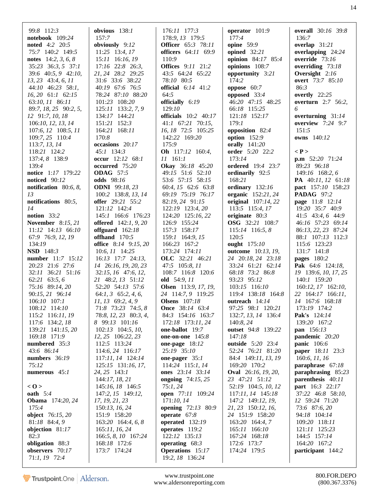| 99:8 112:3                | obvious $138:1$             | 176:11 177:3                | operator $101:9$           | <b>overall</b> 30:16 39:8 |
|---------------------------|-----------------------------|-----------------------------|----------------------------|---------------------------|
| notebook 109:24           | 157:7                       | 178:9, 13 179:5             | 177:4                      | 136:7                     |
| <b>noted</b> 4:2 20:5     |                             | <b>Officer</b> 65:3 78:11   | opine 59:9                 |                           |
|                           | obviously 9:12              |                             |                            | overlap 31:21             |
| 75:7 140:2 149:5          | $11:25$ 13:4, 17            | officers 64:11 69:9         | opined $32:21$             | overlapping $24:24$       |
| notes $14:2, 3, 6, 8$     | 15:11 16:16, 19             | 110:9                       | opinion 84:17 85:4         | override $73:16$          |
| 35:23 36:3, 5 37:1        | $17:16$ 22:8 26:3,          | <b>Offices</b> 9:11 21:2    | opinions 108:7             | overriding $73:18$        |
| 39:6 40:5, 9 42:10,       | 21, 24 28:2 29:25           | 43:5 64:24 65:22            | opportunity 3:21           | Oversight $2:16$          |
| 13, 23 43:4, 6, 11        | 31:6 33:6 38:22             | 78:10 80:5                  | 174:2                      | overt 73:7 85:10          |
| 44:10 46:23 58:1,         | 40:19 67:6 76:5             | official 6:14 41:2          | oppose $60:7$              | 86:3                      |
| $16, 20$ 61:1 62:15       | 78:24 87:10 88:20           | 64:5                        | opposed $33:4$             | overtly $22:25$           |
| 63:10, 11 86:11           | 101:23 108:20               | officially 6:19             | 46:20 47:15 48:25          | <b>overturn</b> 2:7 56:2, |
| 89:7, 18, 25 90:2, 5,     | 125:11 133:2, 7, 9          | 129:10                      | 66:18 115:25               | 6                         |
| 12 91:7, 10, 18           | 134:17 144:21               | <b>officials</b> 10:2 40:17 | 121:18 152:17              | overturning $31:14$       |
| 106:10, 12, 13, 14        | 151:21 152:3                | $41:1$ 67:21 70:15,         | 179:1                      | overview 7:24 9:7         |
| 107:6, 12 108:5, 11       | 164:21 168:11               | 16, 18 72:5 105:25          | opposition 82:4            | 151:5                     |
| 109:7, 25 110:4           | 170:8                       | 142:22 169:20               | option $152:9$             | owns 140:12               |
| 113:7, 13, 14             | occasions 20:17             | 175:9                       | <b>orally</b> 141:20       |                           |
| 118:21 124:2              | $45:1$ 134:3                | Oh 117:12 160:4,            | order 5:20 22:2            | $\langle P \rangle$       |
| 137:4, 8 138:9            | occur 12:12 68:1            | 11 161:1                    | 173:14                     | $p.m$ 52:20 71:24         |
| 139:4                     | occurred 75:20              | <b>Okay</b> 36:18 45:20     | ordered 19:4 23:7          | 89:23 96:18               |
| <b>notice</b> 1:17 179:22 | <b>ODAG</b> 57:5            | 49:15 51:6 52:10            | ordinarily 92:5            | 149:16 168:2, 6           |
| <b>noticed</b> 90:12      | <b>odds</b> 98:16           | 53:6 57:15 58:15            | 168:21                     | <b>PA</b> 40:11, 12 61:18 |
| notification $80:6, 8,$   | <b>ODNI</b> 99:18, 23       | 60:4, 15 62:6 63:8          | ordinary $132:16$          | <b>pact</b> 157:10 158:23 |
| 13                        | 100:2 138:8, 13, 14         | 69:19 75:19 76:17           | organic 152:21, 24         | <b>PADAG</b> 97:2         |
| notifications 80:5,       | offer 29:21 55:2            | 82:19, 24 91:15             | original 107:14, 22        | page 11:8 12:14           |
| 14                        | 121:12 142:4                | 122:19 123:4, 20            | 113:5 115:4, 17            | 19:20 35:7 40:9           |
| notion $33:2$             | 145:1 166:6 176:23          | 124:20 125:16, 22           | originate $80:3$           | 41:5 43:4, 6 44:9         |
| <b>November</b> 8:15, 21  | <b>offered</b> 142:1, 9, 20 | 126:9 155:24                | <b>OSG</b> 32:21 108:7     | 46:16 57:23 69:14         |
| $11:12$ $14:13$ $66:10$   | offguard $162:18$           | 157:3 158:17                | 115:14 116:5, 8            | 86:13, 22, 23 87:24       |
| 67:9 76:9, 12, 19         | offhand $170:5$             | 159:1 164:9, 15             | 120:5                      | 88:1 107:13 112:3         |
| 134:19                    | office 8:14 9:15, 20        | 166:23 167:2                | ought 175:10               | 115:6 123:23              |
| <b>NSD</b> 148:3          | $10:6$ , $11$ 14:25         | 173:24 174:11               | outcome 10:13, 19,         | 131:7 141:8               |
| number 11:7 15:12         | $16:13$ 17:7 24:13,         | OLC 32:21 46:21             | 24 20:18, 24 23:18         | <b>pages</b> 180:2        |
| 20:23 21:6 27:6           | 14 26:16, 19, 20, 23        | 47:5 105:8, 11              | 33:24 61:21 62:14          | <b>Pak</b> $64:6$ 124:18, |
| 32:11 36:21 51:16         | 32:15, 16 47:6, 12,         | 108:7 116:8 120:6           | 68:18 73:2 86:8            | 19 139:6, 10, 17, 25      |
| $62:21$ $63:5,6$          | 21 48:2, 13 51:12           | old 54:9, 11                | 93:23 95:12                | 140:1 159:20              |
| 75:16 89:14, 20           | 52:20 54:13 57:6            | <b>Olsen</b> 113:9, 17, 19, | 103:15 116:10              | 160:12, 17 162:10,        |
| 90:15, 21 96:14           | $64:1, 3$ $65:2, 4, 6$ ,    | 24 114:7, 9 119:25          | 119:4 138:18 164:8         | 22 164:17 166:11,         |
| 106:10 107:1              | $11, 13$ 69:2, 4, 9         | <b>Olsens</b> 107:18        | outreach 14:14             | 14 167:6 168:18           |
| 108:12 114:10             | 71:8 73:23 74:5, 8          | Once 38:14 63:4             | 97:25 98:1 120:21          | 173:19 174:2              |
| 115:2 116:11, 19          | 78:8, 12, 23 80:3, 4,       | 84:3 154:16 163:7           | 132:7, 13, 14 136:4        | <b>Pak's</b> 124:14       |
| 117:6 134:2, 18           | 8 99:13 101:16              | 172:18 173:11, 24           | 140:8, 24                  | 139:20 167:2              |
| 139:21 141:15, 20         | $102:13$ 104:5, 10,         | one-ballot 19:7             | outset 94:8 139:22         | <b>pan</b> 156:13         |
| 169:18 171:9              | 12, 25 106:22, 23           | one-on-one $145:8$          | 147:18                     | pandemic 20:20            |
| numbered 35:3             | 112:5 113:24                | one-page $18:12$            | outside 5:20 23:4          | panic 106:6               |
| 43:6 86:14                | 114:6, 24 116:17            | 25:19 35:10                 | 52:24 76:21 81:20          | paper 18:11 23:3          |
| numbers 36:19             | 117:11, 14 124:14           | one-pager $35:1$            | 84:4 149:11, 13, 19        | 160:6, 11, 16             |
| 75:12                     | 125:15 131:16, 17,          | 114:24 115:1, 14            | 169:20 170:2               | paraphrase 67:18          |
| numerous 45:1             | 24, 25 143:1                | ones 23:14 33:14            | <b>Oval</b> 26:16, 19, 20, | paraphrasing 85:23        |
|                           | 144:17, 18, 21              | <b>ongoing</b> $74:15, 25$  | 23 47:21 51:12             | parenthesis 40:11         |
| < 0                       | 145:16, 18 146:5            | 75:1,24                     | 52:19 104:5, 10, 12        | <b>part</b> 16:3 22:17    |
| oath $5:4$                | 147:2, 15 149:12,           | <b>open</b> 77:11 109:24    | 117:11, 14 145:18          | 37:22 46:8 58:10,         |
| <b>Obama</b> 174:20, 24   | 17, 19, 21, 23              | 171:10, 14                  | 147:2 149:12, 19,          | 12 59:24 71:20            |
| 175:4                     | 150:13, 16, 24              | <b>opening</b> 72:13 80:9   | 21, 23 150:12, 16,         | 73:6 87:6, 20             |
| <b>object</b> 76:15, 20   | 151:9 158:20                | operate $67:8$              | 24 151:9 158:20            | 94:18 104:14              |
| $81:18$ $84:4,9$          | 163:20 164:4, 6, 8          | operated 132:19             | $163:20$ 164:4, 7          | 109:20 118:11             |
| objection 81:17           | 165:11, 16, 24              | operates 119:2              | 165:11 166:10              | 121:11 125:23             |
| 82:3                      | 166:5, 8, 10 167:24         | 122:12 135:13               | 167:24 168:18              | 144:5 157:14              |
| obligation 88:3           | 168:18 172:6                | operating $68:3$            | 172:6 173:7                | 164:20 167:2              |
| observers 70:17           | 173:7 174:24                | <b>Operations</b> 15:17     | 174:24 179:5               | participant 144:2         |
| 71:1, 19 72:4             |                             | 19:2, 18 136:24             |                            |                           |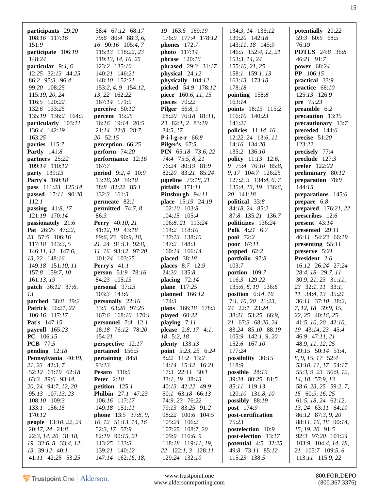| participants 29:20                 | 58:4 67:12 68:17                    | 19 163:5 169:19                     | 134:3, 14 136:12                 | potentially 20:22                     |
|------------------------------------|-------------------------------------|-------------------------------------|----------------------------------|---------------------------------------|
| 108:16 117:16                      | 79:6 80:4 88:3, 6,                  | 176:9 177:4 178:12                  | 139:20 142:18                    | 59:3 60:5 68:5                        |
| 151:9                              | 16 90:16 105:4, 7                   | <b>phones</b> 172:7                 | 143:11, 18 145:9                 | 76:19                                 |
| participate 106:19                 | 115:13 118:22, 23                   | photo 117:14                        | 146:5 152:4, 12, 21              | <b>POTUS</b> 24:8 36:8                |
| 148:24                             | 119:13, 14, 16, 25                  | phrase $120:16$                     | 153:3, 14, 24                    | 46:21 91:7                            |
| particular 9:4, 6                  | 123:2 135:10                        | phrased 29:3 31:17                  | 155:10, 21, 25                   | power 68:24                           |
| 12:25 32:13 44:25                  | 140:21 146:21                       | physical 24:12                      | 158:1 159:1, 13                  | <b>PP</b> 106:15                      |
| 86:2 95:3 96:4                     | 148:10 152:21                       | physically 104:12                   | 163:13 173:18                    | practical 33:9                        |
| 99:20 108:25                       | 153:2, 4, 9 154:12,                 | picked 54:9 178:12                  | 178:18                           | practice 68:10                        |
| 115:19, 20, 24                     | 13, 22 162:22                       | piece 160:6, 11, 15                 | pointing $158:8$                 | 125:13 126:9                          |
| 116:5 120:22                       | 167:14 171:9                        | pieces 70:22                        | 163:14                           | pre 75:23                             |
| 132:6 133:25                       | perceive 50:12                      | <b>Pilger</b> 66:8, 9               | points 18:13 115:2               | preamble 6:2                          |
| 135:19 136:2 164:9                 | percent $15:25$                     | 68:20 76:18 81:11,                  | 116:10 140:23                    | precaution 13:15                      |
| particularly 103:11                | 16:16 19:14 20:5                    | 23 82:1, 2 83:19                    | 141:21                           | precautionary 13:7                    |
| 136:4 142:19                       | 21:14 22:8 28:7,                    | 84:5, 17                            | <b>policies</b> 11:14, 16        | preceded 144:6                        |
| 163:25                             | 20 52:15                            | <b>P-i-l-g-e-r</b> $66:8$           | 12:22, 24 13:6, 11               | precise 51:20                         |
| parties 115:7                      | perception 66:25                    | <b>Pilger's</b> $67:5$              | 14:16 134:20                     | 123:22                                |
| <b>Partly</b> 141:8                | perform $74:20$                     | PIN 65:18 73:6, 22                  | 135:2 136:10                     | precisely 77:4                        |
| partners 25:22                     | performance 12:16                   | 74:4 75:5, 8, 21                    | <b>policy</b> 11:13 12:6,        | preclude 127:3                        |
| 109:14 110:12                      | 167:7                               | 76:24 80:19 81:9                    | 9 75:4 76:10 85:8,               | <b>prefer</b> 122:22                  |
| party 139:13                       | <b>period</b> $9:2, 4$ 10:9         | 82:20 83:21 85:24                   | 9, 17 104:7 126:25               | preliminary 80:12                     |
| <b>Party's</b> 160:18              | 13:18, 20 34:10                     | pipeline 79:18, 21                  | $127:2, 3$ 134:4, 6, 7           | preparation 78:9                      |
| pass 111:23 125:14                 | 38:8 82:22 85:1                     | pitfalls $171:11$                   | 135:4, 13, 19 136:6,             | 144:15                                |
| passed 17:11 90:20                 | 132:3 161:3                         | Pittsburgh 94:11                    | 20 141:18                        | preparations 145:6                    |
| 112:1                              | permeate 82:1                       | place 15:19 24:19                   | political 33:8                   | prepare $6:8$                         |
| passing $41:8,17$                  | permitted $74:7,8$                  | 102:10 103:8                        | 84:18, 24 85:2                   | prepared $176:21,22$                  |
| 121:19 170:14                      | 86:3                                | 104:15 105:4                        | 87:8 135:21 136:7                | prescribes 12:6                       |
| passionately 21:6                  | <b>Perry</b> 40:10, 21              | 106:8, 21 113:24                    | politicizes 136:24               | <b>present</b> $43:14$                |
| Pat 26:25 47:22,                   | 41:12, 19 43:18                     | 114:2 118:10                        | <b>Polk</b> 4:21 6:7             | presented 29:11                       |
| 23 57:5 106:16                     | 89:6, 23 90:9, 18,                  | 137:13 138:10                       | <b>pool</b> 72:2                 | 46:11 54:23 66:19                     |
| $117:18$ 143:3, 5                  | 21, 24 91:13 92:8,                  | 147:2 148:3                         | poor 67:11                       | presenting 55:11                      |
|                                    |                                     |                                     |                                  |                                       |
| 146:11, 12 147:6,                  | 11, 16 93:12 97:20                  | 160:14 166:14                       | popped $62:2$                    | preserve 5:21                         |
| 13, 22 148:16                      | 101:24 103:25                       | placed 38:18                        | portfolio 97:8                   | President 2:6                         |
| 149:18 151:10, 11                  | <b>Perry's</b> $41:1$               | places 8:7 12:9                     | 103:7                            | 16:12 26:24 27:24                     |
| 157:8 159:7, 10                    | person 51:9 78:16                   | 24:20 135:8                         | portion 109:7                    | 28:4, 18 29:7, 11                     |
| 161:13,19                          | 84:23 105:13                        | placing $72:14$                     | 116:3 129:22                     | 30:9, 21, 23 31:11,                   |
| patch 36:12 37:6,                  | personal 97:13                      | plane 117:25                        | 135:6, 8, 19 136:6               | 23 32:1, 11 33:1,                     |
| 13                                 | 103:3 143:6                         | planned $166:12$                    | position $6:14, 16$              | 11 34:4, 13 35:21                     |
| patched 38:8 39:2                  | personally 22:16                    | 174:3                               | 7:1, 10, 20 21:23,               | 36:11 37:10 38:2,                     |
| <b>Patrick</b> 56:21, 22           | 33:5 63:20 97:25                    | plans 166:18 178:3                  | 24 22:1 23:24                    | 7, 12, 18 39:9, 15,                   |
| 106:16 117:17                      | 167:6 168:10 170:1                  | played 60:22                        | 38:21 53:25 66:9,                | 22, 25 40:16, 25                      |
| Pat's 147:15                       | personnel $7:4$ 12:1                | playing $7:11$                      | 21 67:3 68:20, 24                | $41:5, 10, 20$ $42:10,$               |
| payroll $165:23$                   | 18:18 76:12 78:20                   | please $2:8, 17, 4:1,$              | 83:24 85:10 88:19                | 19 43:14, 23 45:4                     |
| PC 106:15                          | 154:21                              | 18 5:2, 18                          | 105:9 142:1, 9, 20               | 46:9 47:11, 21                        |
| <b>PCB</b> 77:5                    | perspective 12:17                   | plenty 133:13                       | 152:6 167:10                     | 48:9, 11, 12, 25                      |
| pending $12:18$                    | pertained 156:5                     | point 5:23, 25 6:24                 | 177:24                           | 49:15 50:14 51:4,                     |
| Pennsylvania 40:19,                | pertaining 84:8                     | 8:22 11:2 13:2                      | possibility $30:15$              | 8, 9, 15, 17 52:4                     |
| 21, 23 42:3, 7                     | 93:13                               | 14:14 15:12 16:21                   | 118:9                            | 53:10, 11, 17 54:17                   |
| 52:12 61:19 62:18                  | <b>Pesaro</b> 110:5                 | 17:3 22:11 30:1                     | possible 28:19                   | 55:3, 9, 23 56:9, 12,                 |
| 63:3 89:6 93:14,                   | <b>Peter</b> 2:10                   | 33:1, 19 38:13                      | 39:24 80:25 81:5                 | 14, 18 57:9, 13                       |
| 20, 24 94:7, 12, 20                | petition $125:1$                    | 40:13 42:22 49:9                    | 85:11 119:13                     | 58:6, 23, 25 59:2, 7,                 |
| 95:13 107:13, 23                   | <b>Philbin</b> 27:1 47:23           | 50:1 63:18 66:13                    | 120:10 131:8, 10                 | $15\quad 60:9, 16, 25$                |
| 108:10 109:3                       | 106:16 117:17                       | 74:9, 23 76:22                      | possibly $88:19$                 | 61:5, 18, 24 62:12,                   |
| 133:1 156:15                       | 149:18 151:11                       | 79:13 83:25 91:2                    | <b>post</b> 174:9                | 13, 24 63:11 64:10                    |
| 170:12                             | <b>phone</b> 13:5 37:8, 9,          | 98:22 100:6 104:5                   | post-certification               | 86:12 87:3, 9, 20                     |
| <b>people</b> 13:10, 22, 24        | 10, 12 51:13, 14, 16                | 105:24 106:2                        | 75:23                            | 88:11, 16, 18 90:14,                  |
| 20:17, 24 21:8                     | 52:3, 17 57:9                       | 107:25 108:7, 20                    | postelection 10:9                | 15, 19, 20 91:5                       |
| 22:3, 14, 20 31:18,                | 82:19 90:15, 21                     | 109:9 116:6, 9                      | post-election 13:17              | 92:3 97:20 101:24                     |
| 19 32:6, 8 33:4, 12,               | 113:25 133:3                        | 118:18 119:11, 19,                  | <b>potential</b> 4:5 32:25       | 103:9 104:4, 14, 18,                  |
| 13 39:12 40:1<br>41:11 42:25 53:25 | 139:21 140:12<br>147:14 162:16, 18, | 22 122:1, 3 128:11<br>129:24 132:10 | 49:8 73:11 85:12<br>115:23 138:5 | 21 105:7 109:5, 6<br>113:11 115:9, 22 |

www.trustpoint.one 800.FOR.DEPO<br>w.aldersonreporting.com (800.367.3376) www.aldersonreporting.com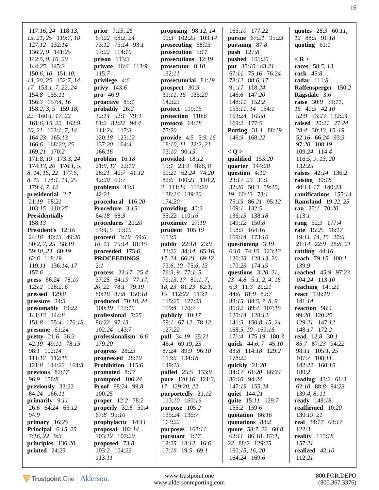| $117:16, 24$ 118:13,                   | <b>prior</b> $7:15, 25$                  | proposing $98:12, 14$         | 165:10 177:22                       | quotes 28:3 60:11,                        |
|----------------------------------------|------------------------------------------|-------------------------------|-------------------------------------|-------------------------------------------|
| 15, 21, 25 119:7, 18                   | 67:22 68:2, 24                           | 99:3 102:25 103:14            | <b>pursue</b> 67:21 95:23           | 12 88:5 91:18                             |
| 127:12 132:14                          | 73:12 75:14 93:1                         | prosecuting $68:13$           | pursuing $87:8$                     | quoting $61:1$                            |
| 136:2, 9 141:25                        | 97:22 114:10                             | prosecution 5:11              | push 127:8                          |                                           |
| 142:5, 9, 10, 20                       | prison $113:3$                           | prosecutions 12:19            | <b>pushed</b> 101:20                | $<$ R $>$                                 |
| 144:25 145:3                           | <b>private</b> 16:6 113:9                | prosecutor $8:10$             | put 35:10 43:21                     | races 58:5, 13                            |
| 150:6, 10 151:10,                      | 115:7                                    | 132:11                        | 67:11 75:16 76:24                   | rack $45:8$                               |
| 14, 20, 25 152:7, 14,                  | privilege 4:6                            | prosecutorial 81:19           | 78:12 88:6, 17                      | radar $111:8$                             |
| 17 153:1, 7, 22, 24                    | privy $143:6$                            | prospect 30:9                 | 91:17 118:24                        | Raffensperger 150:2                       |
| 154:8 155:11                           | pro $46:9$                               | 31:11, 15 135:20              | 146:6 147:20                        | Ragsdale 3:6                              |
| 156:3 157:4, 16                        | proactive 85:1                           | 142:23                        | 148:11 152:2                        | raise 30:9 31:11,                         |
| 158:2, 3, 5 159:18,                    | probably 26:2                            | protect 119:15                | 153:11, 14 154:1                    | 15 41:5 42:10                             |
| 22 160:1, 17, 22                       | 32:14 52:1 79:3                          | protection 110:6              | 163:24 165:8                        | 52:9 73:23 132:24                         |
| 161:6, 15, 22 162:9,                   | 81:2 82:22 94:4                          | protocol 64:18                | 169:2 177:5                         | raised 20:21 27:24                        |
| 20, 21 163:1, 7, 14                    | 111:24 117:3                             | 77:20                         | Putting 31:1 88:19                  | 28:4 30:13, 15, 19                        |
| 164:23 165:13                          | 120:18 123:12                            | <b>provide</b> $4:5$ 5:9, 16  | 146:9 168:22                        | 52:16 66:24 93:3                          |
| 166:6 168:20, 25                       | 137:20 164:4                             | 18:10, 11 22:2, 21            |                                     | 97:20 108:19                              |
| 169:21 170:2                           | 166:16                                   | 73:10 90:15                   | < Q >                               | 109:24 114:4                              |
| 171:8, 19 173:3, 24                    | problem $16:18$                          | provided 18:12                | qualified 153:20                    | 116:5, 9, 13, 20                          |
| $174:13, 20$ 176:1, 5,                 | 21:9, 17 22:10                           | 19:1 23:3 48:6, 8             | quarter $144:20$                    | 132:25                                    |
| 8, 14, 15, 22 177:5,                   | 28:21 40:7 41:12                         | 50:21 62:24 74:20             | question $4:12$                     | raises 42:14 136:2                        |
| 8, 15 178:1, 14, 25                    | 42:20 69:7                               | 82:6 100:21 110:2,            | 23:17, 23 31:1                      | raising $30:18$                           |
| 179:4, 7, 12                           | problems $41:3$                          | 3 111:14 113:20               | 32:20 50:3 59:15,                   | 40:13, 17 140:23                          |
| presidential 2:7                       | 42:21                                    | 138:16 139:20                 | 19 60:13 73:1                       | ramifications 155:14                      |
| 21:19 98:21                            | procedural $116:20$                      | 174:20                        | 75:19 86:21 95:12                   | <b>Ramsland</b> 19:22, 25                 |
| 103:15 110:25                          | <b>Procedure</b> 3:15                    | providing $40:2$              | 109:1 132:5                         | ran 25:1 70:20                            |
| <b>Presidentially</b>                  | 64:18 68:3                               | 55:22 110:16                  | 136:13 138:18                       | 113:1                                     |
| 158:13                                 | procedures 20:20                         | proximity 27:19               | 149:12 150:8                        | rang $52:3$ 177:4                         |
| President's 12:16                      | 54:4, 5 95:19                            | prudent $105:19$<br>153:5     | 158:9 164:16                        | rate 15:25 16:17                          |
| 24:16 40:13 49:20<br>50:2, 7, 25 58:19 | proceed 3:19 69:6,<br>10, 13 75:14 81:15 | <b>public</b> 22:18 23:9      | 169:14 173:10<br>questioning $3:19$ | 19:11, 14, 15 20:6<br>21:14 22:9 28:8, 21 |
| 59:10, 23 60:19                        | proceeded $175:6$                        | 33:22 34:14 65:16,            | 6:10 74:15 123:13                   | rattling $44:16$                          |
| 62:6 118:19                            | <b>PROCEEDINGS</b>                       | 17, 24 66:21 69:12            | 126:23 128:13, 20                   | <b>reach</b> 79:15 100:1                  |
| 119:11 136:14, 17                      | 2:1                                      | 73:6, 10 75:6, 13             | 170:23 174:19                       | 139:9                                     |
| 157:6                                  | process 22:17 25:4                       | 76:3, 9 77:1, 5               | questions $3:20, 21$ ,              | <b>reached</b> 45:9 97:23                 |
| press 66:24 78:10                      | 37:25 64:19 77:17,                       | 79:13, 17 80:1, 7,            | 23 4:8 5:1, 2, 4, 16                | 104:24 113:10                             |
| 125:2 128:2, 6                         | 20, 22 78:1 79:19                        | 18, 23 81:23 82:1,            | 6:3 11:3 20:21                      | reaching $141:21$                         |
| pressed $129:8$                        | 80:18 87:8 150:18                        | 15 112:22 113:1               | 44:6 81:9 82:7                      | <b>react</b> 138:19                       |
| pressure $34:3$                        | produced $70:18,24$                      | 115:25 127:23                 | 83:15 84:5, 7, 8, 9                 | 141:14                                    |
| presumably 19:22                       | 100:19 117:15                            | 159:4 170:7                   | 86:12 89:4 107:15                   | reaction 98:4                             |
| 141:13 144:8                           | professional 7:25                        | publicly 10:17                | 120:14 128:12                       | 99:20 120:25                              |
| 151:8 155:4 176:18                     | 96:22 97:13                              | 59:1 67:12 78:12              | 141:5 150:8, 15, 24                 | 129:21 147:12                             |
| presume $61:24$                        | 102:24 143:7                             | 127:22                        | 168:5, 10 169:16                    | 148:17 172:2                              |
| <b>pretty</b> 21:6 36:3                | professionalism 6:6                      | pull 34:19 35:21              | 171:4 175:19 180:3                  | read 12:8 30:1                            |
| 42:19 49:11 78:15                      | 179:20                                   | 46:4 69:19, 23                | quick 44:6, 7 45:10                 | 85:7 87:23 94:22                          |
| 98:1 102:14                            | progress $28:23$                         | 87:24 89:9 96:10              | 83:8 114:18 129:2                   | 98:11 105:1, 25                           |
| 111:17 112:15                          | progressed 28:10                         | 113:6 134:18                  | 178:22                              | 107:7 108:11                              |
| 121:8 144:23 164:3                     | Prohibition 115:6                        | 149:13                        | quickly $21:20$                     | 142:22 160:15                             |
| previous 87:17                         | promoted $8:17$                          | pulled 25:5 133:9             | 34:17 61:20 66:24                   | 180:2                                     |
| 96:9 156:8                             | prompted 106:24                          | <b>pure</b> 120:16 121:3,     | 86:10 94:24                         | <b>reading</b> $43:2$ $61:3$              |
| previously 33:22                       | <b>Proof</b> 98:24 99:8                  | 17 129:20, 22                 | 147:19 155:24                       | 62:10 88:8 94:23                          |
| 84:24 166:11                           | 100:25                                   | purportedly 21:12             | quiet $144:21$                      | 139:4, 8, 11                              |
| primarily 9:11                         | <b>proper</b> 12:2 78:2                  | 113:10 160:16                 | quite 15:11 129:7                   | ready 148:18                              |
| 26:6 64:24 65:12<br>94:9               | properly $32:5$ 50:4                     | purpose 105:2<br>135:24 136:7 | 155:2 159:6<br>quotation 86:16      | reaffirmed 10:20<br>130:19, 21            |
| primary $16:25$                        | 67:8 95:10<br>prophylactic 14:11         | 163:22                        | quotations 88:2                     | real 34:17 68:17                          |
| <b>Principal</b> $6:15, 25$            | proposal $102:14$                        | purposes 168:11               | quote 58:7, 22 60:8                 | 122:3                                     |
| $7:16, 22$ 9:3                         | 103:12 107:20                            | pursuant $1:17$               | 62:11 86:18 87:1,                   | <b>reality</b> 115:18                     |
| principles 136:20                      | proposed 73:8                            | 12:25 13:12 16:6              | 22 88:2 129:25                      | 157:21                                    |
| printed $24:25$                        | 103:2 104:22                             | $17:16$ 19:5 69:1             | 160:15, 16, 20                      | realized $42:10$                          |
|                                        | 113:11                                   |                               | 164:24 169:6                        | 112:21                                    |
|                                        |                                          |                               |                                     |                                           |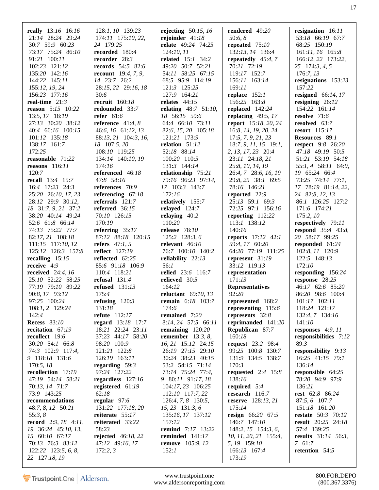| <b>really</b> 13:16 16:16   | 128:1, 10 139:23             | rejecting $50:15$ , 16   | rendered 49:20              | resignation 16:11            |
|-----------------------------|------------------------------|--------------------------|-----------------------------|------------------------------|
| 21:14 28:24 29:24           | $174:11$ $175:10, 22,$       | rejoinder $41:18$        | 50:6, 8                     | 53:18 66:19 67:7             |
| 30:7 59:9 60:23             | 24 179:25                    | relate 49:24 74:25       | repeated $75:10$            | 68:25 150:19                 |
| 73:17 75:24 86:10           | recorded 180:4               | 124:10, 11               | 132:13, 14 136:4            | 161:11, 16 165:8             |
| 91:21 100:11                | recorder 28:3                | <b>related</b> 15:1 34:2 | repeatedly $45:4,7$         | 166:12, 22 173:22,           |
| 102:23 121:12               | <b>records</b> $54:5$ 82:6   | 49:20 50:7 52:21         | 70:21 72:19                 | 25 174:3, 4, 5               |
| 135:20 142:16               | <b>recount</b> $19:4, 7, 9,$ | 54:11 58:25 67:15        | 119:17 152:7                | 176:7, 13                    |
| 144:22 145:11               | 14 23:7 26:2                 | 68:5 95:9 114:19         | 156:11 163:14               | resignations $153:23$        |
| 155:12, 19, 24              | 28:15, 22 29:16, 18          | 121:3 125:25             | 169:11                      | 157:22                       |
| 156:23 177:16               | 30:6                         | 127:9 164:21             | replace $152:1$             | resigned $66:14, 17$         |
| real-time $21:3$            | <b>recruit</b> 160:18        | relates $44:15$          | 156:25 163:8                | resigning $26:12$            |
| reason 5:15 10:22           | redounded 33:7               | relating $48:751:10$ ,   | replaced 142:24             | 154:22 161:14                |
| 13:5, 17 18:19              | refer $61:6$                 | 18 56:15 59:6            | replacing $49:5, 17$        | resolve 71:6                 |
| 27:13 30:20 38:12           | reference $41:4,8$           | 64:4 66:10 73:11         | <b>report</b> 15:18, 20, 24 | <b>resolved</b> 63:7         |
| 40:4 66:16 100:15           | 46:6, 16 61:12, 13           | 82:6, 15, 20 105:18      | 16:8, 14, 19, 20, 24        | resort $115:17$              |
| 101:12 135:18               | 88:13, 21 104:3, 16,         | 121:21 173:9             | 17:5, 7, 9, 21, 23          | <b>Resources</b> 89:1        |
| 138:17 161:7                | 18 107:5, 20                 | relation 51:12           | $18:7, 9, 11, 15$ 19:1,     | <b>respect</b> 9:8 26:20     |
| 172:25                      | 108:10 119:25                | 52:18 88:14              | 2, 13, 17, 23 20:4          | 47:18 49:19 50:5             |
| reasonable 71:22            | 134:14 140:10, 19            | 100:20 110:5             | 23:11 24:18, 21             | 51:21 53:19 54:18            |
| reasons $116:11$            | 174:16                       | 131:3 144:14             | 25:8, 10, 14, 19            | 55:1, 4 58:11 64:9,          |
| 120:7                       | referenced 46:18             | relationship 75:21       | 26:4, 7 28:6, 16, 19        | 19 65:24 66:4                |
| recall 13:4 15:7            | 47:8 58:16                   | 79:16 96:23 97:14,       | 29:8, 25 38:1 69:5          | 73:25 74:14 77:1,            |
| 16:4 17:23 24:3             | references 70:9              | 17 103:3 143:7           | 78:16 146:21                | 17 78:19 81:14, 22,          |
| 25:20 26:10, 17, 23         | referencing $67:18$          | 172:16                   | reported 22:9               | 24 82:8, 12, 13              |
| 28:12 29:9 30:12,           | referrals $121:7$            | relatively 155:7         | 25:13 59:1 69:3             | 86:1 126:25 127:2            |
| 18 31:7, 9, 21 37:2         | referred $36:15$             | relayed $124:7$          | 72:25 97:1 156:16           | 171:6 174:21                 |
| 38:20 40:14 49:24           | 70:10 126:15                 | relaying $40:2$          | reporting 112:22            | 175:2,10                     |
| 52:6 61:8 66:14             | 170:19                       | 110:20                   | 113:1 138:12                | respectively 79:11           |
| 74:13 75:22 77:7            | referring $35:17$            | release $78:10$          | 140:16                      | <b>respond</b> 35:4 43:8,    |
| 82:17, 21 108:18            | 87:12 88:18 120:15           | 125:2 128:3, 6           | <b>reports</b> 17:12 42:1   | 20 58:17 99:25               |
| 111:15 117:10, 12           | refers $47:1, 5$             | relevant $46:10$         | 59:4, 17 60:20              | responded 61:24              |
| 125:12 126:3 157:8          | <b>reflect</b> 127:19        | 76:7 100:10 140:2        | 64:20 77:19 111:25          | 102:8, 11 120:9              |
| recalling $15:15$           | reflected $62:25$            | reliability $22:13$      | represent 31:19             | 122:5 148:13                 |
| receive 4:9                 | 85:6 91:18 106:9             | 56:1                     | 33:12 119:13                | 172:10                       |
| received $24:4, 16$         | 110:4 118:21                 | <b>relied</b> 23:6 116:7 | representation              | responding 156:24            |
| 25:10 52:22 58:25           | refusal $131:4$              | relieved 30:5            | 171:13                      | response 28:25               |
| 77:19 79:10 89:22           | refused $131:13$             | 164:12                   | <b>Representatives</b>      | 46:17 62:6 85:20             |
| 90:8, 17 93:12              | 175:4                        | reluctant $69:10, 13$    | 92:20                       | 86:20 98:6 100:4             |
| 97:25 100:24                | refusing $120:3$             | <b>remain</b> 6:18 103:7 | represented 168:2           | 101:17 102:11                |
| $108:1, 2$ 129:24           | 131:18                       | 174:6                    | representing 115:6          | 118:24 121:17                |
| 142:4                       | refute 112:17                | remained 7:20            | represents 32:8             | 132:4, 7 134:16              |
| <b>Recess</b> 83:10         | regard 13:18 17:7            | 8:14, 24 57:5 66:11      | reprimanded $141:20$        | 141:10                       |
| recitation 67:19            | 18:21 22:24 23:11            | remaining $120:20$       | <b>Republican</b> 87:7      | responses $4:9,11$           |
| recollect 19:6              | 37:23 44:17 58:20            | remember $13:3, 8$ ,     | 160:18                      | responsibilities 7:12        |
| $30:20$ 54:1 66:8           | 98:20 100:9                  | 16, 21 15:12 24:15       | <b>request</b> 23:2 98:4    | 89:3                         |
| 74:3 102:9 117:4,           | 121:21 122:8                 | 26:19 27:15 29:10        | 99:25 100:8 130:7           | responsibility 9:13          |
| 9 118:18 131:6              | 126:19 163:11                | 30:24 38:23 40:15        | 131:9 134:5 138:7           | $16:25$ 41:15 79:1           |
| 170:5, 18                   | regarding $59:3$             | 53:2 54:15 71:14         | 170:3                       | 136:14                       |
| recollection 17:19          | 97:24 127:22                 | 73:14 75:24 77:4,        | <b>requested</b> 2:4 15:8   | responsible 64:25            |
| 47:19 54:14 58:21           | regardless 127:16            | 9 80:11 91:17, 18        | 138:16                      | 78:20 94:9 97:9              |
| 70:13, 14 71:7              | registered 61:19             | 104:17, 23 106:25        | required $5:4$              | 136:21                       |
| 73:9 143:25                 | 62:18                        | 112:10 117:7, 22         | research 116:7              | <b>rest</b> 62:8 86:24       |
| recommendations             | regular 97:6                 | 126:4, 7, 8 130:5,       | <b>reserve</b> 128:13, 21   | 87:5, 6 107:7                |
| 48:7, 8, 12 50:21           | 131:22 177:18, 20            | 15, 23 131:3, 6          | 175:14                      | 151:18 161:20                |
| 55:3, 8                     | reiterate 55:17              | 135:16, 17 137:12        | resign 66:20 67:5           | <b>restate</b> 50:3 70:12    |
| <b>record</b> 2:9, 18 4:11, | reiterated 33:22             | 157:12                   | 146:7 147:10                | <b>result</b> 20:25 24:18    |
| 19 36:24 45:10, 13,         | 58:23                        | <b>remind</b> 7:17 13:22 | $148:2, 15$ 154:3, 6,       | 57:4 139:25                  |
| 15 60:10 67:17              | rejected 46:18, 22           | reminded 141:17          | 10, 11, 20, 21 155:4,       | <b>results</b> $31:14$ 56:3, |
| 70:13 76:3 83:12            | 47:12 49:16, 17              | <b>remove</b> 105:9, 12  | 5, 19 159:10                | 7 61:7                       |
| $122:22$ $123:5, 6, 8$ ,    | 172:2,3                      | 152:1                    | 166:13 167:4                | retention 54:5               |
| 22 127:18, 19               |                              |                          | 173:19                      |                              |

www.trustpoint.one 800.FOR.DEPO<br>w.aldersonreporting.com (800.367.3376) www.aldersonreporting.com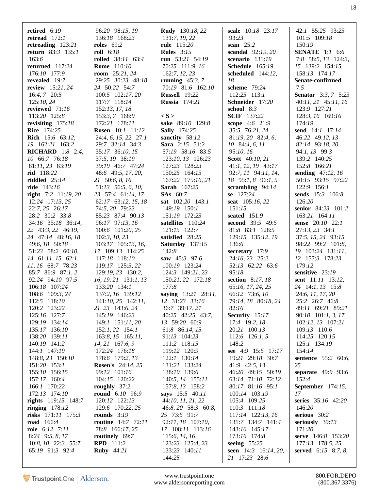| retired $6:19$                | 96:20 98:15, 19                  | <b>Rudy</b> 130:18, 22       | scale 10:18 23:17       | 42:1 55:25 93:23           |
|-------------------------------|----------------------------------|------------------------------|-------------------------|----------------------------|
| retread $172:1$               | 136:18 168:23                    | 131:7, 19, 22                | 93:23                   | 101:5 109:18               |
| retreading $123:21$           | <b>roles</b> 69:2                | <b>rule</b> $115:20$         | scan 25:2               | 150:19                     |
| <b>return</b> 83:3 135:1      | <b>roll</b> 6:18                 | <b>Rules</b> $3:15$          | scandal 92:19, 20       | <b>SENATE</b> 1:1 6:6      |
| 163:6                         | rolled 38:11 63:4                | run 53:21 54:19              | scenario $131:19$       | 7:8 58:5, $13$ 124:3,      |
| returned 117:24               | <b>Rome</b> 110:10               | 70:25 111:9, 16              | <b>Schedule</b> 165:19  | 15 139:2 154:15            |
| 176:10 177:9                  | <b>room</b> $25:21, 24$          | 162:7, 12, 23                | scheduled $144:12$ ,    | 158:13 174:17              |
| revealed 19:7                 | 29:25 30:23 48:18,               | running $45:3,7$             | 18                      | Senate-confirmed           |
| review 15:21, 24              | 24 50:22 54:7                    | 70:19 81:6 162:10            | scheme 79:24            | 7:5                        |
| $16:4, 7$ 20:5                | 100:5 102:17, 20                 | <b>Russell</b> 19:22         | 112:25 113:1            | <b>Senator</b> 3:3, 7 5:23 |
| 125:10, 24                    | 117:7 118:14                     | <b>Russia</b> 174:21         | Schneider 17:20         | $40:11, 21$ $45:11, 16$    |
| reviewed 71:16                | 152:13, 17, 18                   |                              | school 8:3              | 123:9 127:21               |
| 113:20 125:8                  | 153:3, 7 168:9                   | $\langle S \rangle$          | <b>SCIF</b> 137:22      | 128:3, 16 169:16           |
| revisiting 175:18             | 172:21 178:11                    | sake 89:10 129:8             | scope 4:6 21:9          | 174:19                     |
| <b>Rice</b> 174:25            | <b>Rosen</b> 10:1 11:12          | <b>Sally</b> 174:25          | 35:5 76:21, 24          | send 14:1 17:14            |
| Rich 15:6 63:12,              | $24:4, 6, 15, 22$ 27:1           | sanctity 58:12               | $81:19,20$ $82:4,6$ ,   | 46:22 49:12, 13            |
| 19 162:21 163:2               | 29:7 32:14 34:3                  | <b>Sara</b> $2:15$ 51:2      | 10 84:4, 6, 11          | 82:14 93:18, 20            |
| <b>RICHARD</b> 1:8 2:4,       | 35:17 36:10, 15                  | 57:19 58:16 83:5             | 95:10, 16               | 94:1, 13 99:3              |
| 10 66:7 76:18                 | 37:5, 19 38:19                   | 123:10, 13 126:23            | <b>Scott</b> 40:10, 21  | 139:2 140:25               |
| 81:11, 23 83:19               | 39:19 46:7 47:24                 | 127:23 128:23                | 41:1, 12, 19 43:17      | 152:8 166:21               |
| rid 118:22                    | 48:6 49:5, 17, 20,               | 150:25 164:15                | 92:7, 11 94:11, 14,     | sending 47:12, 16          |
| riddled $25:14$               | 21 50:6, 8, 16                   | 167:22 175:16, 21            | 18 95:1, 8 96:1, 5      | 50:15 93:15 97:22          |
| ride 143:16                   | 51:13 56:5, 6, 10,               | Sarah 167:25                 | scrambling $94:14$      | 122:9 156:1                |
| right $7:2$ 11:19, 20         | 23 57:4 61:14, 17                | <b>SAs</b> 60:7              | se 127:24               | sends 15:3 106:8           |
| $12:24$ 17:13, 25             | 62:17 63:12, 15, 18              | sat 102:20 143:1             | seat 105:16, 22         | 126:20                     |
| 22:7, 25 26:17                | 74:5, 20 79:23                   | 149:19 150:1                 | 151:15                  | senior 84:23 101:2         |
| 28:2 30:2 33:8                | 85:23 87:4 90:13                 | 151:19 172:23                | seated $151:9$          | 163:21 164:11              |
| 34:16 35:18 36:14,            | 96:17 97:13, 16                  | satellites 110:24            | second 39:5 49:5        | sense 20:10 22:1           |
| 22 43:3, 22 46:19,            | 100:6 101:20, 25                 | 121:15 122:7                 | 81:8 83:1 128:5         | $27:13, 23$ 34:1           |
| 24 47:14 48:16, 18            | 102:3, 10, 23                    | satisfied 28:25              | 129:15 135:12, 19       | 37:5, 15, 24 93:15         |
| 49:6, 18 50:18                | $103:17$ $105:13$ , 16,          | Saturday 137:15              | 136:6                   | 98:22 99:2 101:8,          |
| 51:23 58:2 60:10,             | 17 109:13 114:25                 | 142:8                        | secretary $17:9$        | 19 103:24 131:11,          |
| 14 61:11, 15 62:1,            | 117:18 118:10                    | saw $45:3$ 97:6              | 24:16, 23 25:2          | 12 157:3 178:23            |
| 11, 16 68:7 78:23             | 119:17 125:3, 22                 | 100:19 123:24                | 52:13 62:22 63:6        | 179:12                     |
| 85:7 86:9 87:1, 2             | 129:19, 23 130:2,                | 124:3 149:21, 23             | 95:18                   | sensitive 23:19            |
| 92:24 94:10 97:5              | 16, 19, 21 131:1, 13             | 150:21, 22 172:18            | section 8:17, 18        | sent 11:11 13:12,          |
| 106:18 107:24                 | 133:20 134:1                     | 177:8                        | 65:16, 17, 24, 25       | 24 14:1, 13 15:8           |
| 108:6 109:3, 24               | 137:2, 16 139:12                 | saying 13:21 28:11,          | 66:12 73:6, 10          | 24:6, 11, 17, 20           |
| 112:5 118:10                  | 141:10, 25 142:11,               | 12 31:23 33:16               | 79:14, 18 80:18, 24     | 25:2 26:7 46:8             |
| 120:2 123:22                  | 21, 23 143:6, 24                 | 36:7 39:17, 21               | 82:16                   | 49:11 69:21 89:21          |
| 125:16 127:7                  | 145:19 146:23                    | 40:25 42:25 43:7,            | Security 15:17          | $90:10$ $101:1, 3, 17$     |
| 129:19 134:14                 | 149:1 151:11, 20                 | 13 59:20 60:9                | 17:4 19:2, 18           | $102:12, 13$ $107:21$      |
| 135:17 136:10                 | $152:1, 22$ 154:1                | 61:8 86:14, 15               | 20:21 100:13            | 109:13 110:6               |
| 138:20 139:11<br>140:19 141:2 | $163:8, 15$ $165:11,$            | 91:13 104:23                 | 112:6 126:1, 5<br>148:2 | 114:25 120:15              |
| 144:1 147:19                  | 14, 21 167:6, 9<br>172:24 176:18 | 111:2 118:15<br>119:12 120:9 | see 4:9 15:5 17:17      | 125:1 134:19<br>154:14     |
| 148:8, 23 150:10              | 178:6 179:2, 13                  | 122:1 130:14                 | 19:21 29:18 30:7        | <b>sentence</b> 55:2 60:6, |
| 151:20 153:1                  | <b>Rosen's</b> 24:14, 25         | 131:21 133:24                | 41:9 42:5, 13           | 25                         |
| 155:10 156:15                 | 99:12 101:16                     | 138:10 139:6                 | 46:20 49:15 50:19       | separate 49:9 93:6         |
| 157:17 160:4                  | 104:15 120:22                    | 140:5, 14 155:11             | 63:14 71:10 72:12       | 152:4                      |
| 166:1 170:22                  | roughly $37:2$                   | 157:8, 13 158:2              | 80:17 81:16 95:1        | <b>September</b> 174:15,   |
| 172:13 174:10                 | round 6:10 96:9                  | says 15:5 40:11              | 100:14 103:19           | 17                         |
| rights 119:15 148:7           | 120:12 122:13                    | 44:10, 11, 21, 22            | 105:4 109:25            | series 35:16 42:20         |
| ringing $178:12$              | 129:6 170:22, 25                 | 46:8, 20 58:3 60:8,          | 110:3 111:18            | 146:20                     |
| risks $171:11$ $175:3$        | rounds $3:19$                    | 25 73:5 91:7                 | 117:14 122:13, 16       | serious 30:2               |
| road 166:4                    | routine 14:7 72:11               | 92:11, 18 107:10,            | 131:7 134:7 141:4       | seriously $39:13$          |
| <b>role</b> 6:12 7:11         | 78:8 166:17, 25                  | 17 108:11 113:16             | 143:16 145:17           | 171:20                     |
| $8:24$ 9:5, 8, 17             | routinely 69:7                   | 115:6, 14, 16                | 173:16 174:8            | serve $146:8$ $153:20$     |
| 10:8, 10 22:3 55:7            | <b>RPD</b> 111:2                 | 123:23 125:4, 23             | seeing $55:25$          | 177:13 178:5, 25           |
| 65:19 91:3 92:4               | <b>Ruby</b> 44:21                | 133:23 140:11                | seen 14:3 16:14, 20,    | served $6:15$ 8:7, 8,      |
|                               |                                  | 144:25                       | 21 17:23 28:6           |                            |
|                               |                                  |                              |                         |                            |

www.trustpoint.one 800.FOR.DEPO<br>w.aldersonreporting.com (800.367.3376) www.aldersonreporting.com (800.367.3376)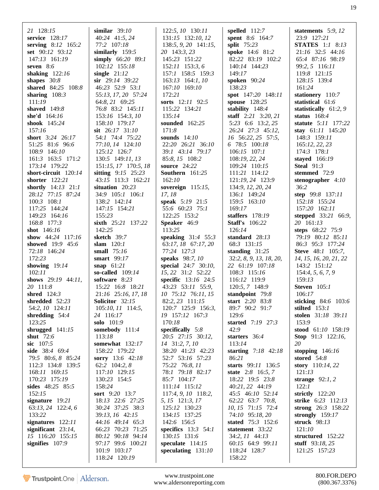| 21 128:15                             | similar $39:10$              | 122:5, 10 130:11             | spelled $112:7$                            | statements $5:9$ , $12$                |
|---------------------------------------|------------------------------|------------------------------|--------------------------------------------|----------------------------------------|
| service 128:17                        | 40:24 41:5, 24               | 131:15 132:10, 12            | spent 8:6 164:7                            | 23:9 127:21                            |
| serving 8:12 165:2                    | 77:2 107:18                  | 138:5, 9, 20 141:15,         | split $75:23$                              | <b>STATES</b> 1:1 8:13                 |
| set 90:12 93:12                       | similarly 159:5              | 20 143:3, 23                 | spoke 14:6 81:2                            | 21:16 32:5 44:16                       |
| 147:13 161:19                         | simply $66:20$ 89:1          | 145:23 151:22                | 82:22 83:19 102:2                          | 65:4 87:16 98:19                       |
| seven $8:6$                           | 102:12 155:18                | 152:11 153:3, 6              | 140:14 144:23                              | 99:2, 5 116:11                         |
| shaking $122:16$                      | single $21:12$               | 157:1 158:5 159:3            | 149:17                                     | 119:8 121:15                           |
| shapes $30:8$                         | $\sin$ 29:14 39:22           | 163:13 164:1, 10             | spoken 90:24                               | 128:15 139:4                           |
| shared 84:25 108:8                    | 46:23 52:9 53:1              | 167:10 169:10                | 138:23                                     | 161:24                                 |
| sharing $108:3$                       | 55:13, 17, 20 57:24          | 172:21                       | spot 147:20 148:11                         | stationery 110:7                       |
| 111:19                                | 64:8, 21 69:25               | sorts 12:11 92:5             | spouse 128:25                              | statistical 61:6                       |
| shaved 149:8                          | 76:8 83:2 145:11             | 115:22 134:21                | stability 148:4                            | statistically 61:2, 9                  |
| she'd $164:16$                        | 153:16 154:3, 10             | 135:14                       | staff $2:21$ $3:20, 21$                    | status $168:4$                         |
| shook 145:24                          | 158:10 179:17                | sounded 162:25               | 5:23 6:6 13:2, 25                          | statute 5:11 177:22                    |
| 157:16                                | sit $26:17$ 31:10            | 171:8                        | 26:24 27:3 45:12,                          | stay 61:11 145:20                      |
| short 3:24 26:17                      | 54:1 74:4 75:22              | sounds $14:10$               | 16 56:22, 25 57:5,                         | 148:3 159:11                           |
| 51:25 81:6 96:6                       | 77:10, 14 124:10             | 22:20 26:21 36:10            | 6 78:5 100:18                              | 165:12, 22, 23                         |
| 108:9 146:10                          | 125:12 126:7                 | 39:1 43:14 79:17             | $106:15$ $107:1$                           | $174:3$ $178:1$                        |
| 161:3 163:5 171:2                     | 130:5 149:11, 13             | 85:8, 15 108:2               | 108:19, 22, 24                             | stayed 166:19                          |
| 173:14 179:22                         | 151:15, 17 170:5, 18         | <b>source</b> 24:22          | 109:24 110:15                              | <b>Steal</b> $91:3$                    |
| short-circuit 120:14                  | sitting $9:15$ 25:23         | <b>Southern</b> 161:25       | 111:21 114:12                              | stemmed 72:9                           |
| shorter 122:21                        | 43:15 113:3 162:21           | 162:10                       | 121:19, 24 123:9                           | stenographer $4:10$                    |
| shortly 14:13 21:1                    | situation 20:23              | sovereign $115:15$ ,         | 134:9, 12, 20, 24                          | 36:2                                   |
| 28:12 77:15 87:24                     | 34:9 105:1 106:1             | 17, 18                       | 136:1 149:24                               | step 99:8 137:11                       |
| $100:3$ $108:1$                       | 138:2 142:14                 | speak 5:19 21:5              | 159:5 163:10                               | 152:18 155:24                          |
| 117:25 144:24                         | 147:15 154:21                | 55:6 60:23 75:1              | 169:17                                     | 157:20 162:11                          |
|                                       |                              |                              |                                            |                                        |
| 149:23 164:16<br>168:8 177:3          | 155:23<br>sixth 25:21 137:22 | 122:25 153:2<br>Speaker 46:9 | staffers $178:19$<br><b>Staff's</b> 106:22 | stepped 33:21 66:9,<br>20 161:13       |
| shot 146:16                           | 142:25                       | 113:25                       | 126:14                                     |                                        |
|                                       |                              | speaking $31:4$ 55:3         |                                            | steps 68:22 75:9                       |
| show 44:24 117:16<br>showed 19:9 45:6 | sketch 39:7<br>slam $120:1$  | 63:17, 18 67:17, 20          | standard $28:13$                           | 79:19 80:12 85:11<br>86:3 95:3 177:24  |
| 72:18 146:24                          | small $75:16$                | 77:24 127:3                  | 68:3 131:15<br>standing $31:25$            | <b>Steve</b> 48:1 105:7,               |
| 172:23                                | smart 99:17                  | speaks 98:7, 10              | 32:2, 8, 9, 13, 18, 20,                    |                                        |
| showing $19:14$                       | snap $61:21$                 | special 24:7 30:10,          | 22 61:19 107:18                            | 14, 15, 16, 20, 21, 22<br>143:2 151:12 |
| 102:11                                | so-called 109:14             | 15, 22 31:2 52:22            | 108:3 115:16                               | 154:4, 5, 6, 7, 9                      |
| shows $29:19$ 44:11,                  | software 8:23                | <b>specific</b> $13:16$ 24:5 | 116:12 119:9                               | 159:13                                 |
| 20 111:8                              | 15:22 16:8 18:21             | 43:23 53:11 55:9,            | 120:5, 7 148:9                             | <b>Steven</b> 105:1                    |
| shred $124:3$                         | 21:16 25:16, 17, 18          | 10 75:12 76:11, 15           | standpoint 79:8                            | 106:17                                 |
| shredded $52:23$                      | Solicitor 32:15              | 82:2, 23 111:15              | start 2:20 83:8                            | sticking 84:6 103:6                    |
| 54:2, 10 124:11                       | 105:10, 11 114:5,            | 120:7 125:9 156:3,           | 89:7 90:2 91:7                             | stilted 153:1                          |
| shredding $54:4$                      | 24 116:17                    | 19 157:12 167:3              | 129:6                                      | stolen 31:18 39:11                     |
| 123:25                                | solo 101:9                   | 170:18                       | started 7:19 27:3                          | 153:9                                  |
| shrugged $141:15$                     | somebody 111:4               | specifically $5:8$           | 42:9                                       | stood 61:10 158:19                     |
| shut $72:6$                           | 113:18                       | 20:5 27:15 30:12,            | starters 36:4                              | <b>Stop</b> $91:3$ $122:16$ ,          |
| sic 107:5                             | somewhat 132:17              | 14 31:2, 7, 10               | 113:14                                     | 20                                     |
| side 38:4 69:4                        | 158:22 179:22                | 38:20 41:23 42:23            | starting $7:18$ 42:18                      | stopping $146:16$                      |
| 79:5 80:6, 8 85:24                    | sorry 13:6 42:18             | 52:7 53:16 57:23             | 86:21                                      | stored $54:8$                          |
| 112:3 134:8 139:5                     | 62:2 104:2, 8                | 75:22 76:8, 11               | starts 99:11 136:5                         | story 110:14, 22                       |
| 168:11 169:15                         | 117:10 129:15                | 78:1 79:18 82:17             | state 2:8 16:5, 7                          | 121:13                                 |
| 170:23 175:19                         | 130:23 154:5                 | 85:7 104:17                  | 18:22 19:5 23:8                            | strange $92:1, 2$                      |
| sides 48:25 85:5                      | 158:24                       | 111:14 115:12                | 40:21, 22 44:19                            | 122:1                                  |
| 152:15                                | sort 9:20 13:7               | 117:4, 9, 10 118:2,          | 45:5 46:10 52:14                           | strictly $122:20$                      |
| signature $19:21$                     | 18:13 22:6 27:25             | 5, 15 121:3, 17              | 62:22 63:7 70:8,                           | strike $6:23$ 112:13                   |
| $63:13, 24$ 122:4, 6                  | 30:24 37:25 38:3             | 125:12 130:23                | 10, 15 71:15 72:4                          | strong 26:3 158:22                     |
| 133:22                                | 39:13, 16 42:15              | 134:15 137:25                | 74:10 95:18, 20                            | strongly $159:17$                      |
| signatures 122:11                     | 44:16 49:14 65:3             | 142:6 156:5                  | stated 75:3 152:6                          | struck 98:13                           |
| significant $23:14$ ,                 | 66:23 70:23 71:25            | specifics $13:3$ 54:1        | statement 33:22                            | 121:10                                 |
| 15 116:20 155:15                      | 80:12 90:18 94:14            | 130:15 131:6                 | 34:2, 11 44:13                             | structured 152:22                      |
| signifies 107:9                       | 97:17 99:6 100:21            | speculate $114:15$           | 60:15 64:9 99:11                           | stuff $93:18, 25$                      |
|                                       | 101:9 103:17                 | speculating $131:10$         | 118:24 128:7                               | 121:25 157:23                          |
|                                       | 118:24 120:19                |                              | 158:22                                     |                                        |
|                                       |                              |                              |                                            |                                        |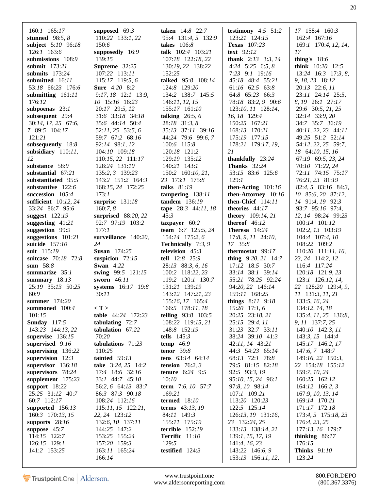| $160:1$ $165:17$                                                                                                                                                                                      | supposed 69:3                                                                                                                                                                                                        | <b>taken</b> 14:8 22:7                                                                                                                                                              | testimony $4:5$ 51:2                                                                                                                                                                                                             | 17 158:4 160:3                                                                                                                                                                                                     |
|-------------------------------------------------------------------------------------------------------------------------------------------------------------------------------------------------------|----------------------------------------------------------------------------------------------------------------------------------------------------------------------------------------------------------------------|-------------------------------------------------------------------------------------------------------------------------------------------------------------------------------------|----------------------------------------------------------------------------------------------------------------------------------------------------------------------------------------------------------------------------------|--------------------------------------------------------------------------------------------------------------------------------------------------------------------------------------------------------------------|
| stunned $98:5, 8$                                                                                                                                                                                     | 110:22 133:1, 22                                                                                                                                                                                                     | 95:4 131:4, 5 132:9                                                                                                                                                                 | 123:21 124:15                                                                                                                                                                                                                    | 162:4 167:16                                                                                                                                                                                                       |
| subject 5:10 96:18                                                                                                                                                                                    | 150:6                                                                                                                                                                                                                | takes $106:8$                                                                                                                                                                       | Texas 107:23                                                                                                                                                                                                                     | 169:1 170:4, 12, 14,                                                                                                                                                                                               |
| $126:1$ 163:6                                                                                                                                                                                         | supposedly 16:9                                                                                                                                                                                                      | talk 102:4 103:21                                                                                                                                                                   | text 92:12                                                                                                                                                                                                                       | 17                                                                                                                                                                                                                 |
| submissions 108:9                                                                                                                                                                                     | 139:15                                                                                                                                                                                                               | 107:18 122:18, 22                                                                                                                                                                   | thank $2:13$ $3:3, 14$                                                                                                                                                                                                           | thing's $18:6$                                                                                                                                                                                                     |
| <b>submit</b> 173:21                                                                                                                                                                                  | Supreme 32:25                                                                                                                                                                                                        | 130:19, 22 138:22                                                                                                                                                                   | 4:24 $5:25$ 6:5, 8                                                                                                                                                                                                               | think $10:20$ 12:5                                                                                                                                                                                                 |
| submits $173:24$                                                                                                                                                                                      | 107:22 113:11                                                                                                                                                                                                        | 152:25                                                                                                                                                                              | 7:23 9:1 19:16                                                                                                                                                                                                                   | $13:24$ 16:3 17:3, 8,                                                                                                                                                                                              |
| submitted 16:11                                                                                                                                                                                       | 115:17 119:5, 6                                                                                                                                                                                                      | talked 95:8 108:14                                                                                                                                                                  | 45:18 48:4 55:21                                                                                                                                                                                                                 | 9, 18, 23 18:12                                                                                                                                                                                                    |
| 53:18 66:23 176:6                                                                                                                                                                                     | Sure 4:20 8:2                                                                                                                                                                                                        | 124:8 129:20                                                                                                                                                                        | 61:16 62:5 63:8                                                                                                                                                                                                                  | 20:13 22:6, 11                                                                                                                                                                                                     |
| submitting 161:11                                                                                                                                                                                     | 9:17, 18 12:1 13:9,                                                                                                                                                                                                  | 134:2 138:7 145:5                                                                                                                                                                   | 64:8 65:23 66:3                                                                                                                                                                                                                  | 23:11 24:14 25:5,                                                                                                                                                                                                  |
| 176:12                                                                                                                                                                                                | 10 15:16 16:23                                                                                                                                                                                                       | 146:11, 12, 15                                                                                                                                                                      | 78:18 83:2, 9 90:6                                                                                                                                                                                                               | 8, 19 26:1 27:17                                                                                                                                                                                                   |
| subpoenas $23:1$                                                                                                                                                                                      | 20:17 29:5, 12                                                                                                                                                                                                       | 155:17 161:10                                                                                                                                                                       | 123:10, 11 128:14,                                                                                                                                                                                                               | 29:6 30:5, 21, 25                                                                                                                                                                                                  |
| subsequent 29:4                                                                                                                                                                                       | 31:6 33:18 34:18                                                                                                                                                                                                     | talking $26:5, 6$                                                                                                                                                                   | 16, 18 129:4                                                                                                                                                                                                                     | 32:14 33:9, 20                                                                                                                                                                                                     |
| 30:14, 17, 25 67:6,                                                                                                                                                                                   | 35:6 44:14 50:4                                                                                                                                                                                                      | 28:18 31:3, 8                                                                                                                                                                       | 150:25 167:21                                                                                                                                                                                                                    | 34:7 35:7 36:19                                                                                                                                                                                                    |
| 7 89:5 104:17                                                                                                                                                                                         | $52:11, 25$ $53:5, 6$                                                                                                                                                                                                | 35:13 37:11 39:16                                                                                                                                                                   | 168:13 170:21                                                                                                                                                                                                                    | $40:11, 22, 23$ $44:11$                                                                                                                                                                                            |
| 121:21                                                                                                                                                                                                | 59:7 67:2 68:16                                                                                                                                                                                                      | 44:24 79:6 99:6, 7                                                                                                                                                                  | 175:19 177:15                                                                                                                                                                                                                    | 49:25 51:2 52:14                                                                                                                                                                                                   |
| subsequently 18:8                                                                                                                                                                                     | 92:14 98:1, 12                                                                                                                                                                                                       | 100:6 115:8                                                                                                                                                                         | 178:21 179:17, 19,                                                                                                                                                                                                               | 54:12, 22, 25 59:7,                                                                                                                                                                                                |
| subsidiary $110:11$ ,                                                                                                                                                                                 | 104:10 109:18                                                                                                                                                                                                        | 120:18 121:2                                                                                                                                                                        | 21                                                                                                                                                                                                                               | 18 64:10, 15, 16                                                                                                                                                                                                   |
| 12                                                                                                                                                                                                    | 110:15, 22 111:17                                                                                                                                                                                                    | 129:19 135:12                                                                                                                                                                       | thankfully $23:24$                                                                                                                                                                                                               | 67:19 69:5, 23, 24                                                                                                                                                                                                 |
| substance 58:9                                                                                                                                                                                        | 128:24 131:10                                                                                                                                                                                                        | 140:21 143:1                                                                                                                                                                        | <b>Thanks</b> 32:24                                                                                                                                                                                                              | 70:10 71:22, 24                                                                                                                                                                                                    |
| substantial $67:21$                                                                                                                                                                                   | 135:2, 3 139:23                                                                                                                                                                                                      | 150:2 160:10, 21,                                                                                                                                                                   | 53:15 83:6 125:6                                                                                                                                                                                                                 | 72:11 74:15 75:17                                                                                                                                                                                                  |
| substantiated 95:5                                                                                                                                                                                    | 143:2 151:2 164:3                                                                                                                                                                                                    | 23 173:1 175:8                                                                                                                                                                      | 129:1                                                                                                                                                                                                                            | 76:21, 23 81:19                                                                                                                                                                                                    |
| substantive 122:6                                                                                                                                                                                     | 168:15, 24 172:25                                                                                                                                                                                                    | talks $81:19$                                                                                                                                                                       | then-Acting $101:16$                                                                                                                                                                                                             | $82:4, 5$ $83:16$ $84:3,$                                                                                                                                                                                          |
| succession $105:4$                                                                                                                                                                                    | 173:1                                                                                                                                                                                                                | tampering 138:11                                                                                                                                                                    | then-Attorney 10:16                                                                                                                                                                                                              | 10 85:6, 20 87:12,                                                                                                                                                                                                 |
| sufficient $10:12, 24$                                                                                                                                                                                | surprise $131:18$                                                                                                                                                                                                    | tandem 136:19                                                                                                                                                                       | then-Chief 114:11                                                                                                                                                                                                                | 14 91:4, 19 92:3                                                                                                                                                                                                   |
| 33:24 86:7 95:6                                                                                                                                                                                       | 160:7, 8                                                                                                                                                                                                             | tape $28:3$ 44:11, 18                                                                                                                                                               | theories 44:17                                                                                                                                                                                                                   | 93:7 95:16 97:4,                                                                                                                                                                                                   |
| suggest 122:19                                                                                                                                                                                        | surprised 88:20, 22                                                                                                                                                                                                  | 45:3                                                                                                                                                                                | theory 109:14, 21                                                                                                                                                                                                                | 12, 14 98:24 99:23                                                                                                                                                                                                 |
| suggesting $41:21$                                                                                                                                                                                    | 92:7 97:19 103:2                                                                                                                                                                                                     | taxpayer 60:2                                                                                                                                                                       | thereof $46:12$                                                                                                                                                                                                                  | 100:14 101:12                                                                                                                                                                                                      |
| suggestion 99:9                                                                                                                                                                                       | 177:1                                                                                                                                                                                                                | team 6:7 125:5, 24                                                                                                                                                                  | Theresa 14:24                                                                                                                                                                                                                    | 102:2, 13 103:19                                                                                                                                                                                                   |
| suggestions $101:21$                                                                                                                                                                                  | surveillance 140:20,                                                                                                                                                                                                 | 154:14 175:2, 6                                                                                                                                                                     | $17:8, 9, 11$ 24:10,                                                                                                                                                                                                             | 104:4 107:4, 10                                                                                                                                                                                                    |
| suicide $157:10$<br>suit 115:19<br>suitcase 70:18 72:8<br>sum 58:8<br>summarize $35:1$<br>summary $18:13$<br>25:19 35:13 50:25<br>60:9<br>summer 174:20                                               | 24<br><b>Susan</b> 174:25<br>suspicion $72:15$<br><b>Swan</b> 4:22<br>swing 99:5 121:15<br>sworn 46:11<br>systems 16:17 19:8<br>30:11                                                                                | Technically 7:3, 9<br>television 45:3<br>tell 12:8 25:9<br>28:13 88:3, 6, 16<br>100:2 118:22, 23<br>119:2 120:1 130:7<br>131:21 139:19<br>143:12 147:21, 23<br>155:16, 17 165:4     | 17 35:8<br>thermostat 99:17<br>thing $9:20, 21$ 14:7<br>17:12 18:5 30:7<br>33:14 38:1 39:14<br>55:21 78:25 92:24<br>94:20, 22 146:14<br>159:11 168:25<br>things 8:11 9:18                                                        | 108:22 109:2<br>110:20 111:11, 16,<br>23, 24 114:2, 12<br>116:4 117:24<br>120:18 121:9, 23<br>123:1 126:12, 14,<br>22 128:20 129:4, 9,<br>11 131:3, 11, 21<br>133:5, 16, 24                                        |
| summoned $100:4$                                                                                                                                                                                      | $\langle T \rangle$                                                                                                                                                                                                  | 166:5 178:11, 18                                                                                                                                                                    | $15:20$ 17:1, 6                                                                                                                                                                                                                  | 134:12, 14, 18                                                                                                                                                                                                     |
| 101:15                                                                                                                                                                                                | table 44:24 172:23                                                                                                                                                                                                   | telling 93:8 103:5                                                                                                                                                                  | 20:25 23:18, 21                                                                                                                                                                                                                  | 135:4, 11, 25 136:8,                                                                                                                                                                                               |
| <b>Sunday</b> 117:5                                                                                                                                                                                   | tabulating $72:7$                                                                                                                                                                                                    | 108:22 119:15, 21                                                                                                                                                                   | 25:15 29:4, 11                                                                                                                                                                                                                   | 9, 11 137:7, 25                                                                                                                                                                                                    |
| 143:23 144:13, 22                                                                                                                                                                                     | tabulation 67:22                                                                                                                                                                                                     | 148:8 152:19                                                                                                                                                                        | 31:23 32:7 33:11                                                                                                                                                                                                                 | 140:10 142:3, 11                                                                                                                                                                                                   |
| supervise 136:15                                                                                                                                                                                      | 70:20                                                                                                                                                                                                                | tells $145:3$                                                                                                                                                                       | 38:24 39:10 41:3                                                                                                                                                                                                                 | 143:3, 15 144:4                                                                                                                                                                                                    |
| supervised $9:16$                                                                                                                                                                                     | tabulations 71:23                                                                                                                                                                                                    | temp $46:9$                                                                                                                                                                         | 42:11, 14 43:21                                                                                                                                                                                                                  | 145:17 146:2, 17                                                                                                                                                                                                   |
| supervising $136:22$                                                                                                                                                                                  | 110:25                                                                                                                                                                                                               | tenor $39:8$                                                                                                                                                                        | 44:3 54:23 65:14                                                                                                                                                                                                                 | 147:6, 7 148:7                                                                                                                                                                                                     |
| supervision $12:3$                                                                                                                                                                                    | tainted $59:13$                                                                                                                                                                                                      | tens 63:14 64:14                                                                                                                                                                    | 68:13 72:1 78:8                                                                                                                                                                                                                  | 149:16, 22 150:3,                                                                                                                                                                                                  |
| supervisor $136:18$                                                                                                                                                                                   | take 3:24, 25 14:2                                                                                                                                                                                                   | tension $76:2, 3$                                                                                                                                                                   | 79:5 81:15 82:18                                                                                                                                                                                                                 | 22 154:18 155:12                                                                                                                                                                                                   |
| supervisors 78:24                                                                                                                                                                                     | 17:4 18:6 32:16                                                                                                                                                                                                      | <b>tenure</b> 6:24 9:5                                                                                                                                                              | 92:5 93:3, 19                                                                                                                                                                                                                    | 159:7, 10, 24                                                                                                                                                                                                      |
| supplement $175:23$<br>support 18:22<br>25:25 31:12 40:7<br>60:7 112:17<br>supported $156:13$<br>160:3 170:13, 15<br>supports 28:16<br>suppose $45:7$<br>114:15 122:7<br>126:15 129:1<br>141:2 153:25 | 33:1 44:7 45:10<br>56:2, 6 64:13 83:7<br>86:3 87:3 90:18<br>108:24 112:16<br>$115:11, 15$ $122:21,$<br>22, 24 123:12<br>132:6, 10 137:11<br>144:25 147:2<br>153:25 155:24<br>157:20 159:3<br>163:11 165:24<br>166:14 | 10:10<br>term 7:6, 10 57:7<br>169:21<br><b>termed</b> 18:10<br>terms $43:13, 19$<br>84:11 149:3<br>155:11 175:19<br>terrible $152:19$<br>Terrific 11:10<br>129:5<br>testified 124:3 | 95:10, 15, 24 96:1<br>97:8, 10 98:14<br>107:1 109:21<br>113:20 120:23<br>122:5 125:14<br>126:13, 19 131:16,<br>23 132:24, 25<br>133:13 138:14, 21<br>139:1, 15, 17, 19<br>141:4, 16, 23<br>143:22 146:6, 9<br>153:13 156:11, 12, | 160:25 162:12<br>164:12 166:2, 3<br>167:9, 10, 13, 14<br>169:14 170:21<br>171:17 172:18<br>173:4, 5 175:18, 23<br>176:4, 23, 25<br>177:13, 16 179:7<br>thinking $86:17$<br>176:15<br><b>Thinks</b> 91:10<br>123:24 |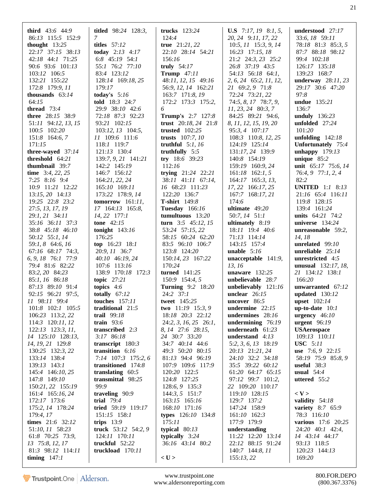| <b>third</b> $43:6$ $44:9$ | <b>titled</b> $98:24$ 128:3, | trucks 123:24            | <b>U.S</b> 7:17, 19 8:1, 5,       | understood 27:17           |
|----------------------------|------------------------------|--------------------------|-----------------------------------|----------------------------|
| 86:13 115:5 152:9          | 7                            | 124:4                    | 20, 24 9:11, 17, 22               | 33:6, 18 59:11             |
| thought 13:25              | titles $57:12$               | true $21:21,22$          | $10:5$ , $11$ $15:3$ , $9$ , $14$ | 78:18 81:3 85:3, 5         |
| 22:17 37:15 38:13          | today $2:13$ 4:17            | 22:10 28:14 54:21        | 16:23 17:15, 18                   | 87:7 88:18 98:12           |
| 42:18 44:1 71:25           | 6:8 $45:19$ 54:1             | 156:16                   | 21:2 24:3, 23 25:2                | 99:4 102:18                |
| 90:6 93:6 101:13           | 55:1 76:2 77:10              | truly $54:17$            | 26:8 37:19 43:5                   | 126:17 135:18              |
| 103:12 106:5               | 83:4 123:12                  | <b>Trump</b> 47:11       | 54:13 56:18 64:1,                 | 139:23 168:7               |
| 132:21 155:22              | 128:14 169:18, 25            | 48:11, 12, 15 49:16      | 2, 6, 24 65:2, 11, 12,            | underway $28:11,23$        |
| 172:8 179:9, 11            | 179:17                       | 56:9, 12, 14 162:21      | 21 69:2, 9 71:8                   | 29:17 30:6 47:20           |
| thousands $63:14$          |                              | 163:7 171:8, 19          | 72:24 73:21, 22                   | 97:8                       |
|                            | today's $5:16$               |                          |                                   |                            |
| 64:15                      | told 18:3 24:7               | 172:2 173:3 175:2,       | 74:5, 8, 17 78:7, 9,              | <b>undue</b> 135:21        |
| thread $73:4$              | 29:9 38:10 42:6              | 6                        | $11, 23, 24$ 80:3, 7              | 136:7                      |
| three 28:15 38:9           | 72:18 87:3 92:23             | <b>Trump's</b> 2:7 127:8 | 84:25 89:21 94:6,                 | unduly $136:23$            |
| 51:11 94:12, 13, 15        | 93:21 102:15                 | trust $20:18, 24$ $21:8$ | 8, 11, 12, 15, 19, 20             | unfolded $27:24$           |
| 100:5 102:20               | 103:12, 13 104:5,            | trusted $102:25$         | 95:3, 4 107:17                    | 101:20                     |
| 151:8 164:6, 7             | 11 109:6 111:6               | trusts $107:7, 10$       | 108:3 110:8, 12, 25               | unfolding $142:18$         |
| 171:15                     | 118:1 119:7                  | truthful $5:1, 16$       | 124:19 125:14                     | Unfortunately 75:4         |
| three-wayed $37:14$        | 121:13 130:4                 | truthfully $5:5$         | 131:17, 24 139:9                  | unhappy $179:13$           |
| threshold $64:21$          | 139:7, 9, 21 141:21          | try $18:6$ 39:23         | 140:8 154:19                      | unique $85:2$              |
| thumbnail 39:7             | 142:2 145:19                 | 112:16                   | 159:19 160:9, 24                  | unit 65:17 75:6, 14        |
| time $3:4, 22, 25$         | 146:7 156:12                 | trying $21:24$ 22:21     | $161:18$ 162:1, 5                 | 76:4, 9 77:1, 2, 4         |
| $7:25$ 8:16 9:4            | 164:21, 22, 24               | 38:11 41:11 67:14,       | $164:17$ $165:3$ , 13,            | 82:2                       |
|                            |                              |                          |                                   |                            |
| 10:9 11:21 12:22           | 165:10 169:11                | 16 68:23 111:23          | 17, 22 166:17, 25                 | <b>UNITED</b> 1:1 8:13     |
| 13:15, 20 14:13            | 173:22 178:9, 14             | 122:20 136:7             | 167:7 168:17, 21                  | 21:16 65:4 116:11          |
| 19:25 22:8 23:2            | tomorrow $161:11$ ,          | <b>T-shirt</b> 149:8     | 174:6                             | 119:8 128:15               |
| 27:5, 13, 17, 19           | 17 164:13 165:8,             | <b>Tuesday</b> 166:16    | ultimate 49:20                    | 139:4 161:24               |
| 29:1, 21 34:11             | $14, 22$ 177:1               | tumultuous 13:20         | 50:7, 14 51:1                     | units 64:21 74:2           |
| 35:16 36:11 37:3           | tone $42:15$                 | turn $3:5$ 45:12, 15     | ultimately $8:19$                 | universe $134:24$          |
| 38:8 45:18 46:10           | tonight $143:16$             | 53:24 57:15, 22          | 18:11 19:4 40:6                   | unreasonable 59:2,         |
| 50:12 55:1, 14             | 176:25                       | 58:15 60:24 62:20        | 71:13 114:14                      | 14, 18                     |
| 59:1, 8 64:6, 16           | $top$ 16:23 18:1             | 83:5 96:10 106:7         | 143:15 157:4                      | unrelated $99:10$          |
| 67:16 68:17 74:3,          | 20:9, 11 36:7                | 123:8 124:20             | <b>unable</b> $5:16$              | unreliable $25:14$         |
| 6, 9, 18 76:1 77:9         | 40:10 46:19, 24              | 150:14, 23 167:22        | <b>unacceptable</b> $141:9$ ,     | unrestricted 4:5           |
| 79:4 81:6 82:22            | 107:6 113:16                 | 170:24                   | 13, 16                            | <b>unusual</b> 132:17, 18, |
|                            |                              |                          |                                   |                            |
| 83:2, 20 84:23             | 138:9 170:18 172:3           | <b>turned</b> 141:25     | unaware $132:25$                  | 21 134:12 138:1            |
| 85:1, 16 86:18             | topic 27:21                  | 150:9 154:4, 5           | unbelievable 28:7                 | 166:20                     |
| 87:13 89:10 91:4           | topics $4:6$                 | <b>Turning 9:2 18:20</b> | unbelievably 121:16               | unwarranted 67:12          |
| 92:15 96:21 97:5,          | totally $67:12$              | $24:2$ 37:1              | unclear $26:15$                   | updated $130:12$           |
| 11 98:11 99:4              | <b>touches</b> 157:11        | tweet 145:25             | uncover 86:5                      | upset 102:14               |
| $101:8$ $102:1$ $105:5$    | traditional 21:5             | two 11:19 15:3, 9        | undermine $22:15$                 | $up-to-date$ 10:1          |
| 106:23 113:2, 22           | trail 99:18                  | 18:18 20:3 22:12         | undermines 28:16                  | urgency $46:10$            |
| $114:3$ $120:11,12$        | train $93:6$                 | $24:2, 3, 16, 25$ 26:1,  | undermining $76:19$               | urgent $96:19$             |
| $122:13$ $123:3, 11,$      | transcribed 2:3              | 8, 14 27:6 28:15,        | underneath $61:23$                | <b>USAerospace</b>         |
| 14 125:10 128:13,          | 3:17 86:18                   | 24 30:7 33:20            | understand $4:13$                 | 109:13 110:11              |
| 14, 19, 21 129:8           | transcript 180:3             | 34:7 40:14 44:6          | 5:2, 3, 6, 13 18:19               | <b>USC</b> 5:11            |
| 130:25 132:3, 22           | transition 6:16              | 49:3 50:20 80:15         | 20:13 21:21, 24                   | use $7:6, 9$ 22:15         |
| 133:14 138:4               | $7:14$ 107:3 175:2, 6        | 81:13 94:4 96:19         | 24:10 32:2 34:18                  | 58:19 75:9 85:8, 9         |
| 139:13 143:1               | transitioned 174:8           | 107:9 109:6 117:9        | 35:5 39:22 60:12                  | useful $38:3$              |
|                            | translating $60:5$           | 120:20 122:5             | 61:20 64:17 65:15                 | usual $54:4$               |
| 145:4 146:10, 25           | transmittal 98:25            |                          |                                   |                            |
| 147:8 149:10               |                              | 124:8 127:25             | 97:12 99:7 101:2,                 | uttered 55:2               |
| 150:21, 22 155:19          | 99:9                         | 128:6, 9 135:3           | 22 109:20 110:17                  |                            |
| 161:4 165:16, 24           | traveling 90:9               | $144:3, 5$ 151:7         | 119:10 128:15                     | $<$ V $>$                  |
| 172:17 173:6               | trial $79:4$                 | 163:15 165:16            | 129:7 137:2                       | validity $54:18$           |
| 175:2, 14 178:24           | tried 59:19 119:17           | 168:10 171:16            | 147:24 158:9                      | variety 8:7 65:9           |
| 179:4, 17                  | 151:15 158:1                 | types 126:10 134:8       | $161:10$ $162:3$                  | 78:3 116:10                |
| times 21:6 32:12           | trips $13:9$                 | 175:11                   | 177:9 179:9                       | various 17:6 20:25         |
| 51:10, 11 58:23            | truck 53:12 54:2, 9          | typical $80:13$          | understanding                     | 24:20 40:1 42:4,           |
| 61:8 70:25 73:9,           | 124:11 170:11                | typically 3:24           | 11:22 12:20 13:14                 | 14 43:14 44:17             |
| 13 75:8, 12, 17            | truckful 52:22               | 36:16 43:14 80:2         | 22:12 88:15 91:24                 | 93:13 118:5                |
| 81:3 98:12 114:11          | truckload 170:11             |                          | 140:7 144:8, 11                   | 120:23 144:13              |
| timing $147:1$             |                              | $<$ U $>$                | 155:13,22                         | 169:20                     |
|                            |                              |                          |                                   |                            |